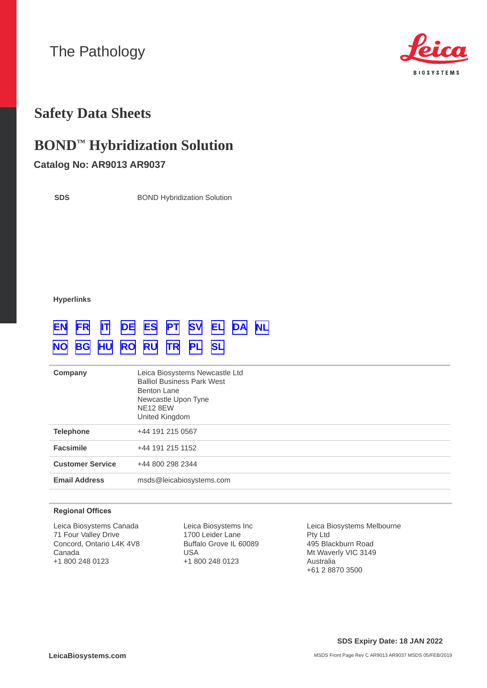# The Pathology



# **Safety Data Sheets**

# **BOND™ Hybridization Solution**

## **Catalog No: AR9013 AR9037**

**SDS**

BOND Hybridization Solution

**Hyperlinks**

# **[EN](#page-1-0) [FR](#page-9-0) [IT](#page-18-0) [DE](#page-26-0) [ES](#page-35-0) [PT](#page-44-0) [SV](#page-52-0) [EL](#page-60-0) [DA](#page-69-0) [NL](#page-77-0) [NO](#page-85-0) [BG](#page-93-0) [HU](#page-102-0) [RO](#page-110-0) [RU](#page-119-0) [TR](#page-127-0) [PL](#page-135-0) [SL](#page-144-0)**

| Company                 | Leica Biosystems Newcastle Ltd<br><b>Balliol Business Park West</b><br>Benton Lane<br>Newcastle Upon Tyne<br><b>NE12 8EW</b><br>United Kingdom |
|-------------------------|------------------------------------------------------------------------------------------------------------------------------------------------|
| <b>Telephone</b>        | +44 191 215 0567                                                                                                                               |
| <b>Facsimile</b>        | +44 191 215 1152                                                                                                                               |
| <b>Customer Service</b> | +44 800 298 2344                                                                                                                               |
| <b>Email Address</b>    | msds@leicabiosystems.com                                                                                                                       |
|                         |                                                                                                                                                |

#### **Regional Offices**

Leica Biosystems Canada 71 Four Valley Drive Concord, Ontario L4K 4V8 Canada +1 800 248 0123

Leica Biosystems Inc 1700 Leider Lane Buffalo Grove IL 60089 USA +1 800 248 0123

Leica Biosystems Melbourne Pty Ltd 495 Blackburn Road Mt Waverly VIC 3149 Australia +61 2 8870 3500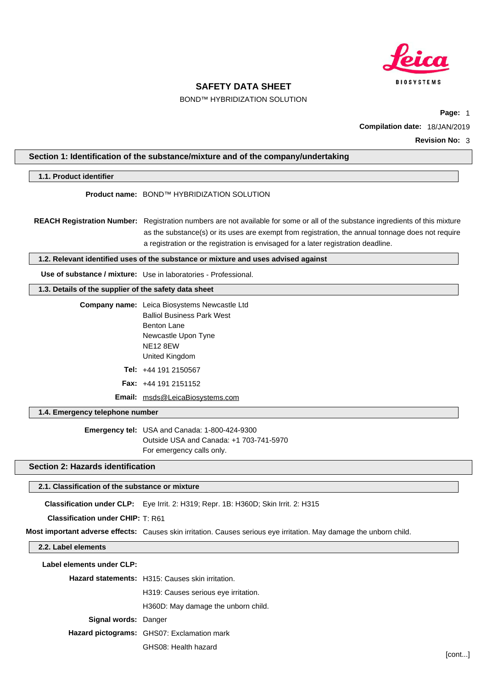

BOND™ HYBRIDIZATION SOLUTION

**Page:** 1 **Compilation date:** 18/JAN/2019

<span id="page-1-0"></span>

|                                                       | Section 1: Identification of the substance/mixture and of the company/undertaking                                              |  |  |  |
|-------------------------------------------------------|--------------------------------------------------------------------------------------------------------------------------------|--|--|--|
| 1.1. Product identifier                               |                                                                                                                                |  |  |  |
|                                                       | Product name: BOND™ HYBRIDIZATION SOLUTION                                                                                     |  |  |  |
|                                                       |                                                                                                                                |  |  |  |
|                                                       | REACH Registration Number: Registration numbers are not available for some or all of the substance ingredients of this mixture |  |  |  |
|                                                       | as the substance(s) or its uses are exempt from registration, the annual tonnage does not require                              |  |  |  |
|                                                       | a registration or the registration is envisaged for a later registration deadline.                                             |  |  |  |
|                                                       | 1.2. Relevant identified uses of the substance or mixture and uses advised against                                             |  |  |  |
|                                                       | <b>Use of substance / mixture:</b> Use in laboratories - Professional.                                                         |  |  |  |
| 1.3. Details of the supplier of the safety data sheet |                                                                                                                                |  |  |  |
|                                                       | Company name: Leica Biosystems Newcastle Ltd                                                                                   |  |  |  |
|                                                       | <b>Balliol Business Park West</b>                                                                                              |  |  |  |
|                                                       | <b>Benton Lane</b><br>Newcastle Upon Tyne                                                                                      |  |  |  |
|                                                       | <b>NE12 8EW</b>                                                                                                                |  |  |  |
|                                                       | United Kingdom                                                                                                                 |  |  |  |
|                                                       | Tel: +44 191 2150567                                                                                                           |  |  |  |
|                                                       | <b>Fax:</b> $+44$ 191 2151152                                                                                                  |  |  |  |
|                                                       | Email: msds@LeicaBiosystems.com                                                                                                |  |  |  |
| 1.4. Emergency telephone number                       |                                                                                                                                |  |  |  |
|                                                       | Emergency tel: USA and Canada: 1-800-424-9300                                                                                  |  |  |  |
|                                                       | Outside USA and Canada: +1 703-741-5970                                                                                        |  |  |  |
|                                                       | For emergency calls only.                                                                                                      |  |  |  |
| <b>Section 2: Hazards identification</b>              |                                                                                                                                |  |  |  |
| 2.1. Classification of the substance or mixture       |                                                                                                                                |  |  |  |
|                                                       | Classification under CLP: Eye Irrit. 2: H319; Repr. 1B: H360D; Skin Irrit. 2: H315                                             |  |  |  |
| <b>Classification under CHIP: T: R61</b>              |                                                                                                                                |  |  |  |
|                                                       | Most important adverse effects: Causes skin irritation. Causes serious eye irritation. May damage the unborn child.            |  |  |  |
| 2.2. Label elements                                   |                                                                                                                                |  |  |  |
| Label elements under CLP:                             |                                                                                                                                |  |  |  |
|                                                       | Hazard statements: H315: Causes skin irritation.                                                                               |  |  |  |
|                                                       | H319: Causes serious eye irritation.                                                                                           |  |  |  |
|                                                       | H360D: May damage the unborn child.                                                                                            |  |  |  |
| <b>Signal words: Danger</b>                           |                                                                                                                                |  |  |  |
|                                                       | Hazard pictograms: GHS07: Exclamation mark                                                                                     |  |  |  |
|                                                       |                                                                                                                                |  |  |  |
|                                                       | GHS08: Health hazard<br>[cont]                                                                                                 |  |  |  |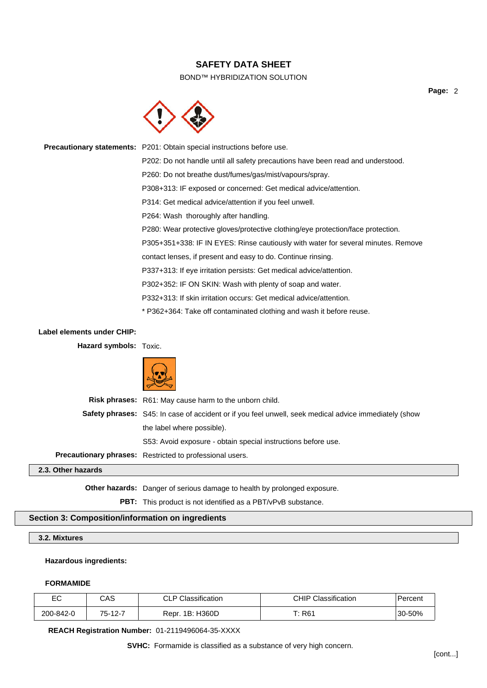## BOND™ HYBRIDIZATION SOLUTION

**Page:** 2



|                            | <b>Precautionary statements:</b> P201: Obtain special instructions before use.    |
|----------------------------|-----------------------------------------------------------------------------------|
|                            | P202: Do not handle until all safety precautions have been read and understood.   |
|                            | P260: Do not breathe dust/fumes/gas/mist/vapours/spray.                           |
|                            | P308+313: IF exposed or concerned: Get medical advice/attention.                  |
|                            | P314: Get medical advice/attention if you feel unwell.                            |
|                            | P264: Wash thoroughly after handling.                                             |
|                            | P280: Wear protective gloves/protective clothing/eye protection/face protection.  |
|                            | P305+351+338: IF IN EYES: Rinse cautiously with water for several minutes. Remove |
|                            | contact lenses, if present and easy to do. Continue rinsing.                      |
|                            | P337+313: If eye irritation persists: Get medical advice/attention.               |
|                            | P302+352: IF ON SKIN: Wash with plenty of soap and water.                         |
|                            | P332+313: If skin irritation occurs: Get medical advice/attention.                |
|                            | * P362+364: Take off contaminated clothing and wash it before reuse.              |
| Lahal alamante undar CHIP: |                                                                                   |

| LADEI EIEINEIRS UNUEL UNIF. |                                                                                                       |
|-----------------------------|-------------------------------------------------------------------------------------------------------|
| Hazard symbols: Toxic.      |                                                                                                       |
|                             |                                                                                                       |
|                             | <b>Risk phrases:</b> R61: May cause harm to the unborn child.                                         |
|                             | Safety phrases: S45: In case of accident or if you feel unwell, seek medical advice immediately (show |
|                             | the label where possible).                                                                            |
|                             | S53: Avoid exposure - obtain special instructions before use.                                         |
|                             | <b>Precautionary phrases:</b> Restricted to professional users.                                       |
| 2.3. Other hazards          |                                                                                                       |
|                             |                                                                                                       |

### **Other hazards:** Danger of serious damage to health by prolonged exposure.

**PBT:** This product is not identified as a PBT/vPvB substance.

## **Section 3: Composition/information on ingredients**

## **3.2. Mixtures**

## **Hazardous ingredients:**

### **FORMAMIDE**

| r c<br>ᆮ  | CAS           | hassificationٽ<br>$\cap$ D $\cap$<br>◡∟ | Classification<br>CHIP CIa | Percen <sub>i</sub> |
|-----------|---------------|-----------------------------------------|----------------------------|---------------------|
| 200-842-0 | $75 - 12 - 7$ | 1B: H360D<br>Repr.                      | Г: R61                     | 30-50%              |

**REACH Registration Number:** 01-2119496064-35-XXXX

**SVHC:** Formamide is classified as a substance of very high concern.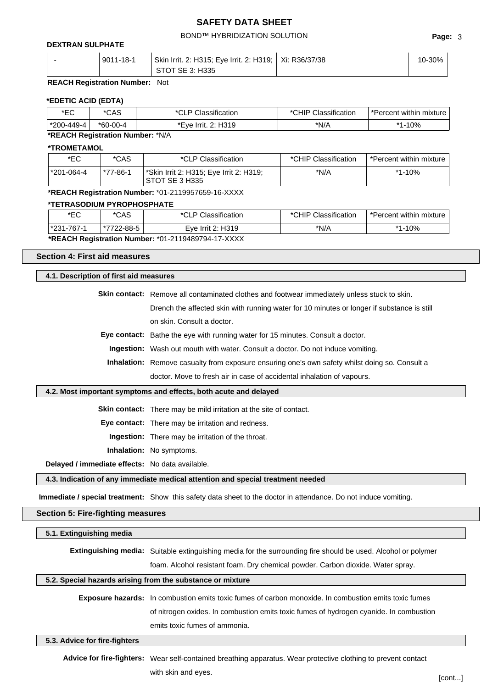### BOND™ HYBRIDIZATION SOLUTION **Page:** 3

### **DEXTRAN SULPHATE**

| 9011-18-1 | <sup>'</sup> Skin Irrit. 2: H315; Eye Irrit. 2: H319; │ Xi: R36/37/38 | 10-30% |
|-----------|-----------------------------------------------------------------------|--------|
|           | STOT SE 3: H335                                                       |        |

**REACH Registration Number:** Not

#### **\*EDETIC ACID (EDTA)**

| *EC                              | *CAS       | *CLP Classification | *CHIP Classification | *Percent within mixture |  |  |  |
|----------------------------------|------------|---------------------|----------------------|-------------------------|--|--|--|
| *200-449-4                       | $*60-00-4$ | *Eve Irrit, 2: H319 | *N/A                 | *1-10%                  |  |  |  |
| *REACH Registration Number: *N/A |            |                     |                      |                         |  |  |  |

### **\*TROMETAMOL**

| *EC        | *CAS     | *CLP Classification                                       | *CHIP Classification |        |
|------------|----------|-----------------------------------------------------------|----------------------|--------|
| *201-064-4 | *77-86-1 | *Skin Irrit 2: H315; Eye Irrit 2: H319;<br>STOT SE 3 H335 | *N/A                 | *1-10% |

**\*REACH Registration Number:** \*01-2119957659-16-XXXX

#### **\*TETRASODIUM PYROPHOSPHATE**

| *EC                                                | *CAS       | *CLP Classification | *CHIP Classification |        |  |  |  |
|----------------------------------------------------|------------|---------------------|----------------------|--------|--|--|--|
| *231-767-1                                         | *7722-88-5 | Eve Irrit 2: H319   | *N/A                 | *1-10% |  |  |  |
| *REACH Registration Number: *01-2119489794-17-XXXX |            |                     |                      |        |  |  |  |

#### **Section 4: First aid measures**

### **4.1. Description of first aid measures**

Skin contact: Remove all contaminated clothes and footwear immediately unless stuck to skin.

Drench the affected skin with running water for 10 minutes or longer if substance is still on skin. Consult a doctor.

**Eye contact:** Bathe the eye with running water for 15 minutes. Consult a doctor.

**Ingestion:** Wash out mouth with water. Consult a doctor. Do not induce vomiting.

**Inhalation:** Remove casualty from exposure ensuring one's own safety whilst doing so. Consult a doctor. Move to fresh air in case of accidental inhalation of vapours.

#### **4.2. Most important symptoms and effects, both acute and delayed**

**Skin contact:** There may be mild irritation at the site of contact.

**Eye contact:** There may be irritation and redness.

**Ingestion:** There may be irritation of the throat.

**Inhalation:** No symptoms.

**Delayed / immediate effects:** No data available.

**4.3. Indication of any immediate medical attention and special treatment needed**

**Immediate / special treatment:** Show this safety data sheet to the doctor in attendance. Do not induce vomiting.

## **Section 5: Fire-fighting measures**

#### **5.1. Extinguishing media**

**Extinguishing media:** Suitable extinguishing media for the surrounding fire should be used. Alcohol or polymer

foam. Alcohol resistant foam. Dry chemical powder. Carbon dioxide. Water spray.

#### **5.2. Special hazards arising from the substance or mixture**

**Exposure hazards:** In combustion emits toxic fumes of carbon monoxide. In combustion emits toxic fumes of nitrogen oxides. In combustion emits toxic fumes of hydrogen cyanide. In combustion emits toxic fumes of ammonia.

### **5.3. Advice for fire-fighters**

**Advice for fire-fighters:** Wear self-contained breathing apparatus. Wear protective clothing to prevent contact

with skin and eyes.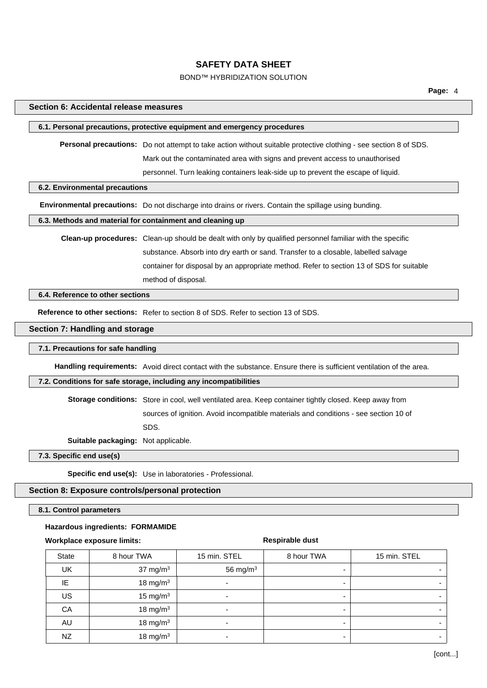## BOND™ HYBRIDIZATION SOLUTION

| Section 6: Accidental release measures                                                                                                                                                   |                                     |                                                                                                                  |            |              |  |
|------------------------------------------------------------------------------------------------------------------------------------------------------------------------------------------|-------------------------------------|------------------------------------------------------------------------------------------------------------------|------------|--------------|--|
|                                                                                                                                                                                          |                                     | 6.1. Personal precautions, protective equipment and emergency procedures                                         |            |              |  |
|                                                                                                                                                                                          |                                     | Personal precautions: Do not attempt to take action without suitable protective clothing - see section 8 of SDS. |            |              |  |
|                                                                                                                                                                                          |                                     | Mark out the contaminated area with signs and prevent access to unauthorised                                     |            |              |  |
|                                                                                                                                                                                          |                                     | personnel. Turn leaking containers leak-side up to prevent the escape of liquid.                                 |            |              |  |
| 6.2. Environmental precautions                                                                                                                                                           |                                     |                                                                                                                  |            |              |  |
|                                                                                                                                                                                          |                                     | Environmental precautions: Do not discharge into drains or rivers. Contain the spillage using bunding.           |            |              |  |
| 6.3. Methods and material for containment and cleaning up                                                                                                                                |                                     |                                                                                                                  |            |              |  |
|                                                                                                                                                                                          |                                     | Clean-up procedures: Clean-up should be dealt with only by qualified personnel familiar with the specific        |            |              |  |
|                                                                                                                                                                                          |                                     | substance. Absorb into dry earth or sand. Transfer to a closable, labelled salvage                               |            |              |  |
|                                                                                                                                                                                          |                                     | container for disposal by an appropriate method. Refer to section 13 of SDS for suitable                         |            |              |  |
|                                                                                                                                                                                          | method of disposal.                 |                                                                                                                  |            |              |  |
| 6.4. Reference to other sections                                                                                                                                                         |                                     |                                                                                                                  |            |              |  |
|                                                                                                                                                                                          |                                     | Reference to other sections: Refer to section 8 of SDS. Refer to section 13 of SDS.                              |            |              |  |
| Section 7: Handling and storage                                                                                                                                                          |                                     |                                                                                                                  |            |              |  |
| 7.1. Precautions for safe handling                                                                                                                                                       |                                     |                                                                                                                  |            |              |  |
|                                                                                                                                                                                          |                                     |                                                                                                                  |            |              |  |
| Handling requirements: Avoid direct contact with the substance. Ensure there is sufficient ventilation of the area.<br>7.2. Conditions for safe storage, including any incompatibilities |                                     |                                                                                                                  |            |              |  |
|                                                                                                                                                                                          |                                     |                                                                                                                  |            |              |  |
|                                                                                                                                                                                          |                                     | Storage conditions: Store in cool, well ventilated area. Keep container tightly closed. Keep away from           |            |              |  |
|                                                                                                                                                                                          |                                     | sources of ignition. Avoid incompatible materials and conditions - see section 10 of                             |            |              |  |
|                                                                                                                                                                                          | SDS.                                |                                                                                                                  |            |              |  |
|                                                                                                                                                                                          | Suitable packaging: Not applicable. |                                                                                                                  |            |              |  |
| 7.3. Specific end use(s)                                                                                                                                                                 |                                     |                                                                                                                  |            |              |  |
|                                                                                                                                                                                          |                                     | Specific end use(s): Use in laboratories - Professional.                                                         |            |              |  |
| Section 8: Exposure controls/personal protection                                                                                                                                         |                                     |                                                                                                                  |            |              |  |
| 8.1. Control parameters                                                                                                                                                                  |                                     |                                                                                                                  |            |              |  |
|                                                                                                                                                                                          |                                     |                                                                                                                  |            |              |  |
| Hazardous ingredients: FORMAMIDE<br>Respirable dust                                                                                                                                      |                                     |                                                                                                                  |            |              |  |
|                                                                                                                                                                                          |                                     |                                                                                                                  |            |              |  |
| <b>Workplace exposure limits:</b><br><b>State</b>                                                                                                                                        | 8 hour TWA                          | 15 min. STEL                                                                                                     | 8 hour TWA | 15 min. STEL |  |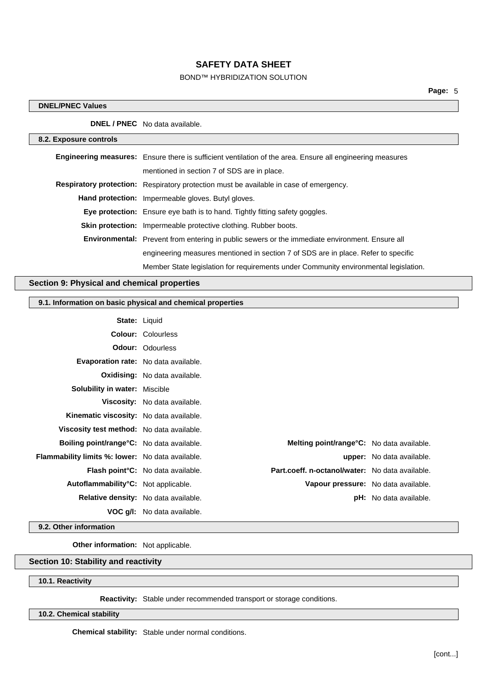### BOND™ HYBRIDIZATION SOLUTION

# **DNEL / PNEC** No data available. **8.2. Exposure controls Engineering measures:** Ensure there is sufficient ventilation of the area. Ensure all engineering measures mentioned in section 7 of SDS are in place. **Respiratory protection:** Respiratory protection must be available in case of emergency. **Hand protection:** Impermeable gloves. Butyl gloves. **Eye protection:** Ensure eye bath is to hand. Tightly fitting safety goggles. **Skin protection:** Impermeable protective clothing. Rubber boots. **Environmental:** Prevent from entering in public sewers or the immediate environment. Ensure all engineering measures mentioned in section 7 of SDS are in place. Refer to specific Member State legislation for requirements under Community environmental legislation. **Section 9: Physical and chemical properties**

## **9.1. Information on basic physical and chemical properties**

|                                                         | <b>State: Liquid</b>                        |                                                 |                               |
|---------------------------------------------------------|---------------------------------------------|-------------------------------------------------|-------------------------------|
|                                                         | <b>Colour: Colourless</b>                   |                                                 |                               |
|                                                         | <b>Odour: Odourless</b>                     |                                                 |                               |
| Evaporation rate: No data available.                    |                                             |                                                 |                               |
|                                                         | Oxidising: No data available.               |                                                 |                               |
| Solubility in water: Miscible                           |                                             |                                                 |                               |
|                                                         | Viscosity: No data available.               |                                                 |                               |
| Kinematic viscosity: No data available.                 |                                             |                                                 |                               |
| Viscosity test method: No data available.               |                                             |                                                 |                               |
| Boiling point/range°C: No data available.               |                                             | Melting point/range°C: No data available.       |                               |
| <b>Flammability limits %: lower:</b> No data available. |                                             |                                                 | upper: No data available.     |
|                                                         | <b>Flash point °C:</b> No data available.   | Part.coeff. n-octanol/water: No data available. |                               |
| Autoflammability°C: Not applicable.                     |                                             | Vapour pressure: No data available.             |                               |
|                                                         | <b>Relative density:</b> No data available. |                                                 | <b>pH:</b> No data available. |
|                                                         | VOC g/I: No data available.                 |                                                 |                               |

**9.2. Other information**

**DNEL/PNEC Values**

**Other information:** Not applicable.

### **Section 10: Stability and reactivity**

#### **10.1. Reactivity**

**Reactivity:** Stable under recommended transport or storage conditions.

**10.2. Chemical stability**

**Chemical stability:** Stable under normal conditions.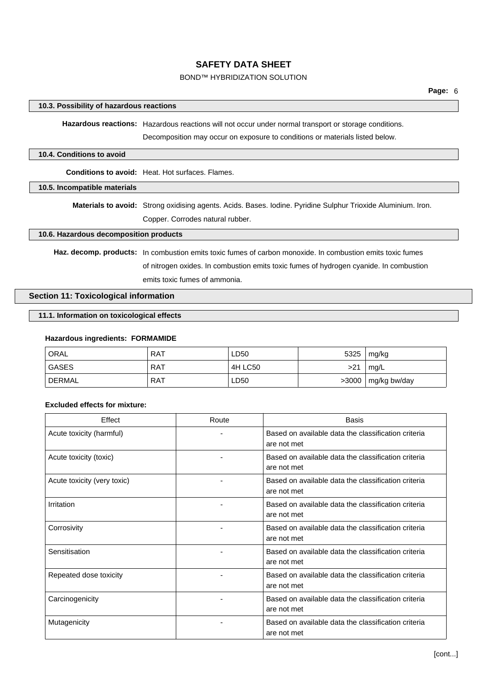## BOND™ HYBRIDIZATION SOLUTION

#### **10.3. Possibility of hazardous reactions**

**Hazardous reactions:** Hazardous reactions will not occur under normal transport or storage conditions.

Decomposition may occur on exposure to conditions or materials listed below.

#### **10.4. Conditions to avoid**

**Conditions to avoid:** Heat. Hot surfaces. Flames.

#### **10.5. Incompatible materials**

**Materials to avoid:** Strong oxidising agents. Acids. Bases. Iodine. Pyridine Sulphur Trioxide Aluminium. Iron. Copper. Corrodes natural rubber.

### **10.6. Hazardous decomposition products**

**Haz. decomp. products:** In combustion emits toxic fumes of carbon monoxide. In combustion emits toxic fumes of nitrogen oxides. In combustion emits toxic fumes of hydrogen cyanide. In combustion emits toxic fumes of ammonia.

## **Section 11: Toxicological information**

#### **11.1. Information on toxicological effects**

#### **Hazardous ingredients: FORMAMIDE**

| <sup>1</sup> ORAL | RAT        | LD50    | 5325 | mg/kg                  |
|-------------------|------------|---------|------|------------------------|
| <b>GASES</b>      | <b>RAT</b> | 4H LC50 | >21  | mq/L                   |
| DERMAL            | <b>RAT</b> | LD50    |      | $>3000$   mg/kg bw/day |

#### **Excluded effects for mixture:**

| Effect                      | Route | <b>Basis</b>                                                       |
|-----------------------------|-------|--------------------------------------------------------------------|
| Acute toxicity (harmful)    |       | Based on available data the classification criteria<br>are not met |
| Acute toxicity (toxic)      |       | Based on available data the classification criteria<br>are not met |
| Acute toxicity (very toxic) |       | Based on available data the classification criteria<br>are not met |
| Irritation                  |       | Based on available data the classification criteria<br>are not met |
| Corrosivity                 |       | Based on available data the classification criteria<br>are not met |
| Sensitisation               |       | Based on available data the classification criteria<br>are not met |
| Repeated dose toxicity      |       | Based on available data the classification criteria<br>are not met |
| Carcinogenicity             |       | Based on available data the classification criteria<br>are not met |
| Mutagenicity                |       | Based on available data the classification criteria<br>are not met |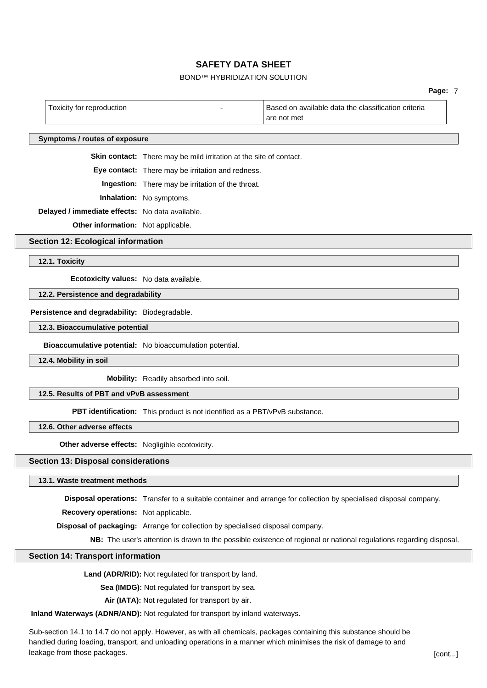## BOND™ HYBRIDIZATION SOLUTION

#### **Page:** 7

| Toxicity for reproduction                       |                                                          |                                                                             | Based on available data the classification criteria<br>are not met |
|-------------------------------------------------|----------------------------------------------------------|-----------------------------------------------------------------------------|--------------------------------------------------------------------|
| Symptoms / routes of exposure                   |                                                          |                                                                             |                                                                    |
|                                                 |                                                          | Skin contact: There may be mild irritation at the site of contact.          |                                                                    |
|                                                 |                                                          | Eye contact: There may be irritation and redness.                           |                                                                    |
|                                                 |                                                          | Ingestion: There may be irritation of the throat.                           |                                                                    |
| Inhalation: No symptoms.                        |                                                          |                                                                             |                                                                    |
| Delayed / immediate effects: No data available. |                                                          |                                                                             |                                                                    |
| Other information: Not applicable.              |                                                          |                                                                             |                                                                    |
| <b>Section 12: Ecological information</b>       |                                                          |                                                                             |                                                                    |
| 12.1. Toxicity                                  |                                                          |                                                                             |                                                                    |
| Ecotoxicity values: No data available.          |                                                          |                                                                             |                                                                    |
| 12.2. Persistence and degradability             |                                                          |                                                                             |                                                                    |
| Persistence and degradability: Biodegradable.   |                                                          |                                                                             |                                                                    |
| 12.3. Bioaccumulative potential                 |                                                          |                                                                             |                                                                    |
|                                                 | Bioaccumulative potential: No bioaccumulation potential. |                                                                             |                                                                    |
| 12.4. Mobility in soil                          |                                                          |                                                                             |                                                                    |
|                                                 |                                                          | Mobility: Readily absorbed into soil.                                       |                                                                    |
| 12.5. Results of PBT and vPvB assessment        |                                                          |                                                                             |                                                                    |
|                                                 |                                                          | PBT identification: This product is not identified as a PBT/vPvB substance. |                                                                    |
| 12.6. Other adverse effects                     |                                                          |                                                                             |                                                                    |

**Other adverse effects:** Negligible ecotoxicity.

#### **Section 13: Disposal considerations**

#### **13.1. Waste treatment methods**

**Disposal operations:** Transfer to a suitable container and arrange for collection by specialised disposal company.

**Recovery operations:** Not applicable.

**Disposal of packaging:** Arrange for collection by specialised disposal company.

**NB:** The user's attention is drawn to the possible existence of regional or national regulations regarding disposal.

### **Section 14: Transport information**

**Land (ADR/RID):** Not regulated for transport by land.

**Sea (IMDG):** Not regulated for transport by sea.

**Air (IATA):** Not regulated for transport by air.

#### **Inland Waterways (ADNR/AND):** Not regulated for transport by inland waterways.

Sub-section 14.1 to 14.7 do not apply. However, as with all chemicals, packages containing this substance should be handled during loading, transport, and unloading operations in a manner which minimises the risk of damage to and leakage from those packages. **Example 20** and the set of the set of the set of the set of the set of the set of the set of the set of the set of the set of the set of the set of the set of the set of the set of the set of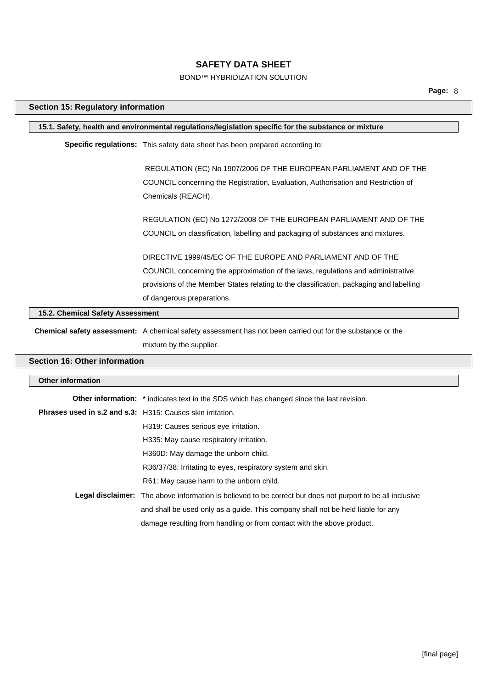## BOND™ HYBRIDIZATION SOLUTION

## **Section 15: Regulatory information**

| 15.1. Safety, health and environmental regulations/legislation specific for the substance or mixture |
|------------------------------------------------------------------------------------------------------|
| Specific regulations: This safety data sheet has been prepared according to;                         |
| REGULATION (EC) No 1907/2006 OF THE EUROPEAN PARLIAMENT AND OF THE                                   |
| COUNCIL concerning the Registration, Evaluation, Authorisation and Restriction of                    |
| Chemicals (REACH).                                                                                   |
| REGULATION (EC) No 1272/2008 OF THE EUROPEAN PARLIAMENT AND OF THE                                   |
| COUNCIL on classification, labelling and packaging of substances and mixtures.                       |
| DIRECTIVE 1999/45/EC OF THE EUROPE AND PARLIAMENT AND OF THE                                         |
| COUNCIL concerning the approximation of the laws, regulations and administrative                     |
| provisions of the Member States relating to the classification, packaging and labelling              |
| of dangerous preparations.                                                                           |

**Chemical safety assessment:** A chemical safety assessment has not been carried out for the substance or the mixture by the supplier.

## **Section 16: Other information**

| <b>Other information</b>                                   |                                                                                                                   |
|------------------------------------------------------------|-------------------------------------------------------------------------------------------------------------------|
|                                                            | <b>Other information:</b> * indicates text in the SDS which has changed since the last revision.                  |
| Phrases used in s.2 and s.3: H315: Causes skin irritation. |                                                                                                                   |
|                                                            | H319: Causes serious eye irritation.                                                                              |
|                                                            | H335: May cause respiratory irritation.                                                                           |
|                                                            | H360D: May damage the unborn child.                                                                               |
|                                                            | R36/37/38: Irritating to eyes, respiratory system and skin.                                                       |
|                                                            | R61: May cause harm to the unborn child.                                                                          |
|                                                            | <b>Legal disclaimer:</b> The above information is believed to be correct but does not purport to be all inclusive |
|                                                            | and shall be used only as a guide. This company shall not be held liable for any                                  |
|                                                            | damage resulting from handling or from contact with the above product.                                            |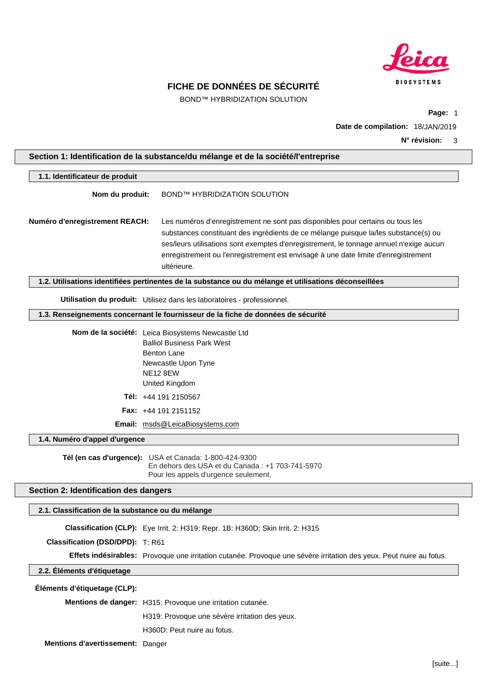

BOND™ HYBRIDIZATION SOLUTION

**Page:** 1 **Date de compilation:** 18/JAN/2019

**N° révision:** 3

<span id="page-9-0"></span>

| Section 1: Identification de la substance/du mélange et de la société/l'entreprise |                                                                                                                                                                                                                                                                                                                                                                      |  |
|------------------------------------------------------------------------------------|----------------------------------------------------------------------------------------------------------------------------------------------------------------------------------------------------------------------------------------------------------------------------------------------------------------------------------------------------------------------|--|
| 1.1. Identificateur de produit                                                     |                                                                                                                                                                                                                                                                                                                                                                      |  |
| Nom du produit:                                                                    | BOND™ HYBRIDIZATION SOLUTION                                                                                                                                                                                                                                                                                                                                         |  |
| Numéro d'enregistrement REACH:                                                     | Les numéros d'enregistrement ne sont pas disponibles pour certains ou tous les<br>substances constituant des ingrédients de ce mélange puisque la/les substance(s) ou<br>ses/leurs utilisations sont exemptes d'enregistrement, le tonnage annuel n'exige aucun<br>enregistrement ou l'enregistrement est envisagé à une date limite d'enregistrement<br>ultérieure. |  |
|                                                                                    | 1.2. Utilisations identifiées pertinentes de la substance ou du mélange et utilisations déconseillées                                                                                                                                                                                                                                                                |  |
|                                                                                    | Utilisation du produit: Utilisez dans les laboratoires - professionnel.                                                                                                                                                                                                                                                                                              |  |
|                                                                                    | 1.3. Renseignements concernant le fournisseur de la fiche de données de sécurité                                                                                                                                                                                                                                                                                     |  |
|                                                                                    | Nom de la société: Leica Biosystems Newcastle Ltd<br><b>Balliol Business Park West</b><br><b>Benton Lane</b><br>Newcastle Upon Tyne<br><b>NE12 8EW</b><br>United Kingdom                                                                                                                                                                                             |  |
|                                                                                    | Tél: +44 191 2150567                                                                                                                                                                                                                                                                                                                                                 |  |
|                                                                                    | <b>Fax: +44 191 2151152</b>                                                                                                                                                                                                                                                                                                                                          |  |
|                                                                                    | Email: msds@LeicaBiosystems.com                                                                                                                                                                                                                                                                                                                                      |  |
| 1.4. Numéro d'appel d'urgence                                                      |                                                                                                                                                                                                                                                                                                                                                                      |  |
|                                                                                    | Tél (en cas d'urgence): USA et Canada: 1-800-424-9300<br>En dehors des USA et du Canada : +1 703-741-5970<br>Pour les appels d'urgence seulement.                                                                                                                                                                                                                    |  |
| Section 2: Identification des dangers                                              |                                                                                                                                                                                                                                                                                                                                                                      |  |
| 2.1. Classification de la substance ou du mélange                                  |                                                                                                                                                                                                                                                                                                                                                                      |  |
|                                                                                    | Classification (CLP): Eye Irrit. 2: H319; Repr. 1B: H360D; Skin Irrit. 2: H315                                                                                                                                                                                                                                                                                       |  |
| Classification (DSD/DPD): T: R61                                                   |                                                                                                                                                                                                                                                                                                                                                                      |  |
|                                                                                    | Effets indésirables: Provoque une irritation cutanée. Provoque une sévère irritation des yeux. Peut nuire au fotus.                                                                                                                                                                                                                                                  |  |
| 2.2. Éléments d'étiquetage                                                         |                                                                                                                                                                                                                                                                                                                                                                      |  |
| Éléments d'étiquetage (CLP):                                                       |                                                                                                                                                                                                                                                                                                                                                                      |  |
|                                                                                    | Mentions de danger: H315: Provoque une irritation cutanée.                                                                                                                                                                                                                                                                                                           |  |
|                                                                                    | H319: Provoque une sévère irritation des yeux.                                                                                                                                                                                                                                                                                                                       |  |
|                                                                                    | H360D: Peut nuire au fotus.                                                                                                                                                                                                                                                                                                                                          |  |
| Mentions d'avertissement: Danger                                                   |                                                                                                                                                                                                                                                                                                                                                                      |  |
|                                                                                    |                                                                                                                                                                                                                                                                                                                                                                      |  |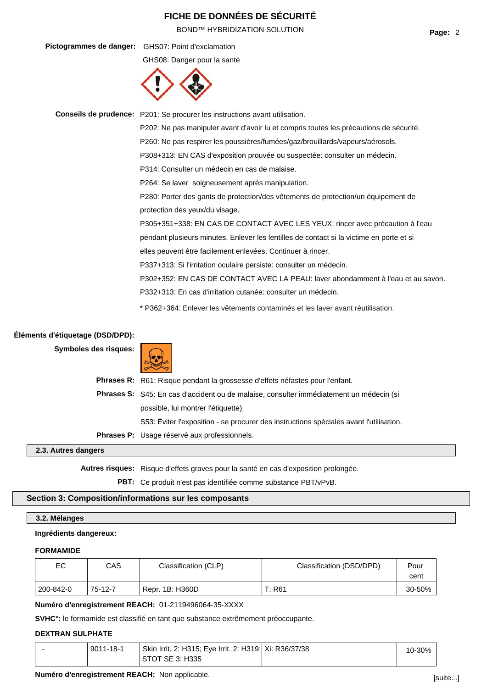BOND™ HYBRIDIZATION SOLUTION **Page:** 2

#### **Pictogrammes de danger:** GHS07: Point d'exclamation

GHS08: Danger pour la santé



**Conseils de prudence:** P201: Se procurer les instructions avant utilisation. P202: Ne pas manipuler avant d'avoir lu et compris toutes les précautions de sécurité. P260: Ne pas respirer les poussières/fumées/gaz/brouillards/vapeurs/aérosols. P308+313: EN CAS d'exposition prouvée ou suspectée: consulter un médecin. P314: Consulter un médecin en cas de malaise. P264: Se laver soigneusement après manipulation. P280: Porter des gants de protection/des vêtements de protection/un équipement de protection des yeux/du visage. P305+351+338: EN CAS DE CONTACT AVEC LES YEUX: rincer avec précaution à l'eau pendant plusieurs minutes. Enlever les lentilles de contact si la victime en porte et si elles peuvent être facilement enlevées. Continuer à rincer. P337+313: Si l'irritation oculaire persiste: consulter un médecin. P302+352: EN CAS DE CONTACT AVEC LA PEAU: laver abondamment à l'eau et au savon. P332+313: En cas d'irritation cutanée: consulter un médecin.

\* P362+364: Enlever les vêtements contaminés et les laver avant réutilisation.

## **Éléments d'étiquetage (DSD/DPD):**

| Symboles des risques: |                                                                                                |
|-----------------------|------------------------------------------------------------------------------------------------|
|                       | <b>Phrases R:</b> R61: Risque pendant la grossesse d'effets néfastes pour l'enfant.            |
|                       | <b>Phrases S:</b> S45: En cas d'accident ou de malaise, consulter immédiatement un médecin (si |
|                       | possible, lui montrer l'étiquette).                                                            |
|                       | S53: Eviter l'exposition - se procurer des instructions spéciales avant l'utilisation.         |
|                       | Phrases P: Usage réservé aux professionnels.                                                   |

#### **2.3. Autres dangers**

**Autres risques:** Risque d'effets graves pour la santé en cas d'exposition prolongée.

**PBT:** Ce produit n'est pas identifiée comme substance PBT/vPvB.

### **Section 3: Composition/informations sur les composants**

#### **3.2. Mélanges**

## **Ingrédients dangereux:**

#### **FORMAMIDE**

| ЕC        | CAS     | Classification (CLP) | Classification (DSD/DPD) | Pour        |
|-----------|---------|----------------------|--------------------------|-------------|
|           |         |                      |                          | cent        |
| 200-842-0 | 75-12-7 | Repr. 1B: H360D      | T: R61                   | $30 - 50\%$ |

**Numéro d'enregistrement REACH:** 01-2119496064-35-XXXX

**SVHC°:** le formamide est classifié en tant que substance extrêmement préoccupante.

#### **DEXTRAN SULPHATE**

| 9011-18-1 | <sup> </sup> Skin Irrit. 2: H315; Eye Irrit. 2: H319;  Xi: R36/37/38 | 10-30% |
|-----------|----------------------------------------------------------------------|--------|
|           | STOT SE 3: H335                                                      |        |

**Numéro d'enregistrement REACH:** Non applicable.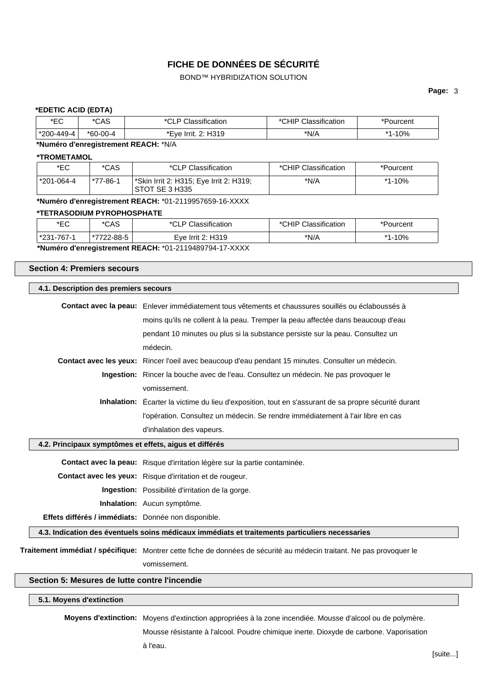## BOND™ HYBRIDIZATION SOLUTION

## **Page:** 3

## **\*EDETIC ACID (EDTA)**

| ∗r^<br>∟ບ      | *CAS               | ำcation                                | $\cdots$<br>Jassification | ∵rcent |
|----------------|--------------------|----------------------------------------|---------------------------|--------|
| *200<br>-449-4 | $-00 - 4$<br>*60-ს | 2: H319<br>*Fve<br>-Irrit.<br><u>.</u> | *N/A                      | 10%    |
|                |                    |                                        |                           |        |

## **\*Numéro d'enregistrement REACH:** \*N/A

## **\*TROMETAMOL**

| *EC          | *CAS     | *CLP Classification                                       | *CHIP Classification | *Pourcent |
|--------------|----------|-----------------------------------------------------------|----------------------|-----------|
| $*201-064-4$ | *77-86-1 | *Skin Irrit 2: H315; Eye Irrit 2: H319;<br>STOT SE 3 H335 | *N/A                 | *1-10%    |

**\*Numéro d'enregistrement REACH:** \*01-2119957659-16-XXXX

## **\*TETRASODIUM PYROPHOSPHATE**

| ∗⊏∩<br>∼∟    | $* \cap \wedge \cap$<br>umu                         | $\cdot$<br>ication<br>loccit<br>` | $\cdots$<br>11 E<br>ıcatıon<br>11 | <b>Pourcent</b> |
|--------------|-----------------------------------------------------|-----------------------------------|-----------------------------------|-----------------|
| 707.4<br>$*$ | $^{\circ}$<br>$\overline{\phantom{0}}$<br>~~-<br>υυ | H319<br><b>LVA</b><br>.           | *N/A                              | 10%<br>$*$ 4    |

**\*Numéro d'enregistrement REACH:** \*01-2119489794-17-XXXX

## **Section 4: Premiers secours**

| 4.1. Description des premiers secours                  |                                                                                                                       |
|--------------------------------------------------------|-----------------------------------------------------------------------------------------------------------------------|
|                                                        | Contact avec la peau: Enlever immédiatement tous vêtements et chaussures souillés ou éclaboussés à                    |
|                                                        |                                                                                                                       |
|                                                        | moins qu'ils ne collent à la peau. Tremper la peau affectée dans beaucoup d'eau                                       |
|                                                        | pendant 10 minutes ou plus si la substance persiste sur la peau. Consultez un                                         |
|                                                        | médecin.                                                                                                              |
|                                                        | Contact avec les yeux: Rincer l'oeil avec beaucoup d'eau pendant 15 minutes. Consulter un médecin.                    |
|                                                        | Ingestion: Rincer la bouche avec de l'eau. Consultez un médecin. Ne pas provoquer le                                  |
|                                                        | vomissement.                                                                                                          |
|                                                        | Inhalation: Écarter la victime du lieu d'exposition, tout en s'assurant de sa propre sécurité durant                  |
|                                                        | l'opération. Consultez un médecin. Se rendre immédiatement à l'air libre en cas                                       |
|                                                        | d'inhalation des vapeurs.                                                                                             |
| 4.2. Principaux symptômes et effets, aigus et différés |                                                                                                                       |
|                                                        | Contact avec la peau: Risque d'irritation légère sur la partie contaminée.                                            |
|                                                        | Contact avec les yeux: Risque d'irritation et de rougeur.                                                             |
|                                                        | Ingestion: Possibilité d'irritation de la gorge.                                                                      |
|                                                        | Inhalation: Aucun symptôme.                                                                                           |
| Effets différés / immédiats: Donnée non disponible.    |                                                                                                                       |
|                                                        | 4.3. Indication des éventuels soins médicaux immédiats et traitements particuliers necessaries                        |
|                                                        | Traitement immédiat / spécifique: Montrer cette fiche de données de sécurité au médecin traitant. Ne pas provoquer le |
|                                                        | vomissement.                                                                                                          |
|                                                        |                                                                                                                       |
| Section 5: Mesures de lutte contre l'incendie          |                                                                                                                       |

**5.1. Moyens d'extinction**

**Moyens d'extinction:** Moyens d'extinction appropriées à la zone incendiée. Mousse d'alcool ou de polymère. Mousse résistante à l'alcool. Poudre chimique inerte. Dioxyde de carbone. Vaporisation à l'eau.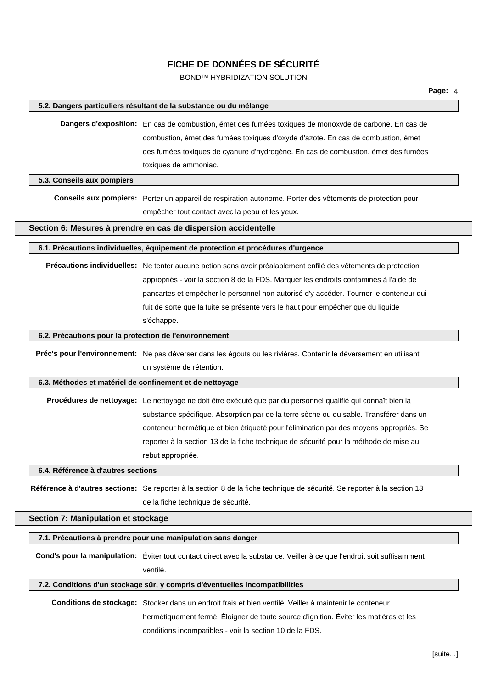BOND™ HYBRIDIZATION SOLUTION

| 5.2. Dangers particuliers résultant de la substance ou du mélange |                                                                                                                                                                                                  |  |  |
|-------------------------------------------------------------------|--------------------------------------------------------------------------------------------------------------------------------------------------------------------------------------------------|--|--|
|                                                                   | Dangers d'exposition: En cas de combustion, émet des fumées toxiques de monoxyde de carbone. En cas de                                                                                           |  |  |
|                                                                   | combustion, émet des fumées toxiques d'oxyde d'azote. En cas de combustion, émet                                                                                                                 |  |  |
|                                                                   | des fumées toxiques de cyanure d'hydrogène. En cas de combustion, émet des fumées                                                                                                                |  |  |
|                                                                   | toxiques de ammoniac.                                                                                                                                                                            |  |  |
| 5.3. Conseils aux pompiers                                        |                                                                                                                                                                                                  |  |  |
|                                                                   | Conseils aux pompiers: Porter un appareil de respiration autonome. Porter des vêtements de protection pour                                                                                       |  |  |
|                                                                   | empêcher tout contact avec la peau et les yeux.                                                                                                                                                  |  |  |
|                                                                   | Section 6: Mesures à prendre en cas de dispersion accidentelle                                                                                                                                   |  |  |
|                                                                   |                                                                                                                                                                                                  |  |  |
|                                                                   | 6.1. Précautions individuelles, équipement de protection et procédures d'urgence                                                                                                                 |  |  |
|                                                                   | Précautions individuelles: Ne tenter aucune action sans avoir préalablement enfilé des vêtements de protection                                                                                   |  |  |
|                                                                   | appropriés - voir la section 8 de la FDS. Marquer les endroits contaminés à l'aide de                                                                                                            |  |  |
|                                                                   | pancartes et empêcher le personnel non autorisé d'y accéder. Tourner le conteneur qui                                                                                                            |  |  |
|                                                                   | fuit de sorte que la fuite se présente vers le haut pour empêcher que du liquide                                                                                                                 |  |  |
|                                                                   | s'échappe.                                                                                                                                                                                       |  |  |
| 6.2. Précautions pour la protection de l'environnement            |                                                                                                                                                                                                  |  |  |
|                                                                   | Préc's pour l'environnement: Ne pas déverser dans les égouts ou les rivières. Contenir le déversement en utilisant                                                                               |  |  |
|                                                                   | un système de rétention.                                                                                                                                                                         |  |  |
| 6.3. Méthodes et matériel de confinement et de nettoyage          |                                                                                                                                                                                                  |  |  |
|                                                                   | Procédures de nettoyage: Le nettoyage ne doit être exécuté que par du personnel qualifié qui connaît bien la                                                                                     |  |  |
|                                                                   | substance spécifique. Absorption par de la terre sèche ou du sable. Transférer dans un                                                                                                           |  |  |
|                                                                   | conteneur hermétique et bien étiqueté pour l'élimination par des moyens appropriés. Se                                                                                                           |  |  |
|                                                                   | reporter à la section 13 de la fiche technique de sécurité pour la méthode de mise au                                                                                                            |  |  |
|                                                                   | rebut appropriée.                                                                                                                                                                                |  |  |
| 6.4. Référence à d'autres sections                                |                                                                                                                                                                                                  |  |  |
|                                                                   |                                                                                                                                                                                                  |  |  |
|                                                                   | Référence à d'autres sections: Se reporter à la section 8 de la fiche technique de sécurité. Se reporter à la section 13                                                                         |  |  |
|                                                                   | de la fiche technique de sécurité.                                                                                                                                                               |  |  |
| <b>Section 7: Manipulation et stockage</b>                        |                                                                                                                                                                                                  |  |  |
|                                                                   | 7.1. Précautions à prendre pour une manipulation sans danger                                                                                                                                     |  |  |
|                                                                   | Cond's pour la manipulation: Éviter tout contact direct avec la substance. Veiller à ce que l'endroit soit suffisamment                                                                          |  |  |
|                                                                   | ventilé.                                                                                                                                                                                         |  |  |
|                                                                   | 7.2. Conditions d'un stockage sûr, y compris d'éventuelles incompatibilities                                                                                                                     |  |  |
|                                                                   |                                                                                                                                                                                                  |  |  |
|                                                                   | Conditions de stockage: Stocker dans un endroit frais et bien ventilé. Veiller à maintenir le conteneur<br>hermétiquement fermé. Éloigner de toute source d'ignition. Éviter les matières et les |  |  |
|                                                                   | conditions incompatibles - voir la section 10 de la FDS.                                                                                                                                         |  |  |
|                                                                   |                                                                                                                                                                                                  |  |  |

**Page:** 4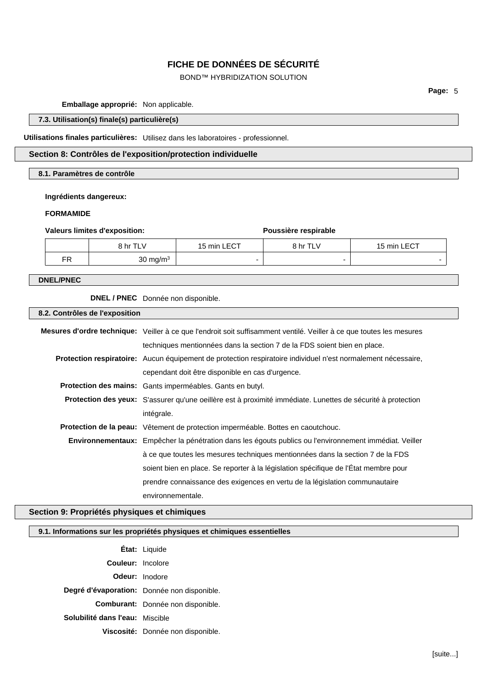## BOND™ HYBRIDIZATION SOLUTION

**Page:** 5

**Emballage approprié:** Non applicable.

## **7.3. Utilisation(s) finale(s) particulière(s)**

**Utilisations finales particulières:** Utilisez dans les laboratoires - professionnel.

### **Section 8: Contrôles de l'exposition/protection individuelle**

**8.1. Paramètres de contrôle**

### **Ingrédients dangereux:**

#### **FORMAMIDE**

#### **Valeurs limites d'exposition: Poussière respirable**

|           | 8 hr TLV    | 15 min LECT | 8 hr TLV | 15 min LECT |
|-----------|-------------|-------------|----------|-------------|
| <b>FR</b> | 30 mg/m $3$ | -           |          |             |

## **DNEL/PNEC**

**DNEL / PNEC** Donnée non disponible.

**8.2. Contrôles de l'exposition**

| Mesures d'ordre technique: Veiller à ce que l'endroit soit suffisamment ventilé. Veiller à ce que toutes les mesures |
|----------------------------------------------------------------------------------------------------------------------|
| techniques mentionnées dans la section 7 de la FDS soient bien en place.                                             |
| Protection respiratoire: Aucun équipement de protection respiratoire individuel n'est normalement nécessaire,        |
| cependant doit être disponible en cas d'urgence.                                                                     |
| <b>Protection des mains:</b> Gants imperméables. Gants en butyl.                                                     |
| Protection des yeux: S'assurer qu'une oeillère est à proximité immédiate. Lunettes de sécurité à protection          |
| intégrale.                                                                                                           |
| <b>Protection de la peau:</b> Vêtement de protection imperméable. Bottes en caoutchouc.                              |
| Environnementaux: Empêcher la pénétration dans les égouts publics ou l'environnement immédiat. Veiller               |
| à ce que toutes les mesures techniques mentionnées dans la section 7 de la FDS                                       |
| soient bien en place. Se reporter à la législation spécifique de l'État membre pour                                  |
| prendre connaissance des exigences en vertu de la législation communautaire                                          |
| environnementale.                                                                                                    |

### **Section 9: Propriétés physiques et chimiques**

## **9.1. Informations sur les propriétés physiques et chimiques essentielles**

|                                 | <b>État:</b> Liquide                        |
|---------------------------------|---------------------------------------------|
| <b>Couleur:</b> Incolore        |                                             |
|                                 | <b>Odeur:</b> Inodore                       |
|                                 | Degré d'évaporation: Donnée non disponible. |
|                                 | <b>Comburant:</b> Donnée non disponible.    |
| Solubilité dans l'eau: Miscible |                                             |
|                                 | Viscosité: Donnée non disponible.           |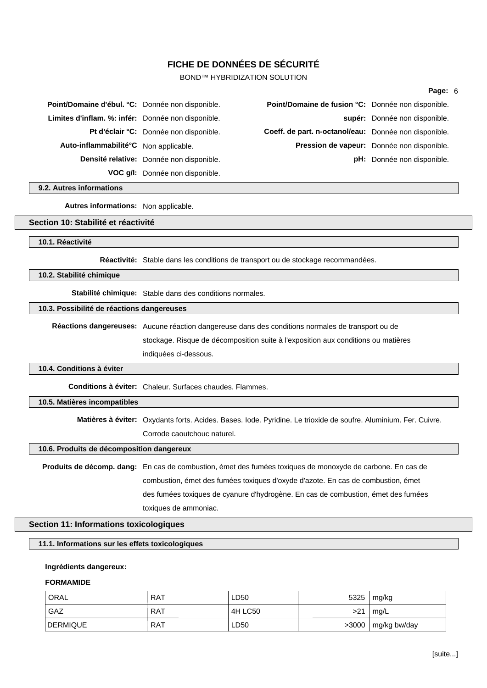BOND™ HYBRIDIZATION SOLUTION

## **Page:** 6

| Point/Domaine d'ébul. °C: Donnée non disponible.   |                                          | Point/Domaine de fusion °C: Donnée non disponible.    |                                            |
|----------------------------------------------------|------------------------------------------|-------------------------------------------------------|--------------------------------------------|
| Limites d'inflam. %: infér: Donnée non disponible. |                                          |                                                       | supér: Donnée non disponible.              |
|                                                    | Pt d'éclair °C: Donnée non disponible.   | Coeff. de part. n-octanol/eau: Donnée non disponible. |                                            |
| Auto-inflammabilité°C Non applicable.              |                                          |                                                       | Pression de vapeur: Donnée non disponible. |
|                                                    | Densité relative: Donnée non disponible. |                                                       | pH: Donnée non disponible.                 |
|                                                    | VOC g/I: Donnée non disponible.          |                                                       |                                            |

**9.2. Autres informations**

**Autres informations:** Non applicable.

#### **Section 10: Stabilité et réactivité**

**10.1. Réactivité**

**Réactivité:** Stable dans les conditions de transport ou de stockage recommandées.

#### **10.2. Stabilité chimique**

**Stabilité chimique:** Stable dans des conditions normales.

#### **10.3. Possibilité de réactions dangereuses**

**Réactions dangereuses:** Aucune réaction dangereuse dans des conditions normales de transport ou de stockage. Risque de décomposition suite à l'exposition aux conditions ou matières indiquées ci-dessous.

#### **10.4. Conditions à éviter**

**Conditions à éviter:** Chaleur. Surfaces chaudes. Flammes.

## **10.5. Matières incompatibles**

**Matières à éviter:** Oxydants forts. Acides. Bases. Iode. Pyridine. Le trioxide de soufre. Aluminium. Fer. Cuivre. Corrode caoutchouc naturel.

#### **10.6. Produits de décomposition dangereux**

**Produits de décomp. dang:** En cas de combustion, émet des fumées toxiques de monoxyde de carbone. En cas de combustion, émet des fumées toxiques d'oxyde d'azote. En cas de combustion, émet des fumées toxiques de cyanure d'hydrogène. En cas de combustion, émet des fumées toxiques de ammoniac.

## **Section 11: Informations toxicologiques**

### **11.1. Informations sur les effets toxicologiques**

### **Ingrédients dangereux:**

#### **FORMAMIDE**

| <sup>'</sup> ORAL | <b>RAT</b> | LD50    | 5325  | mg/kg                     |
|-------------------|------------|---------|-------|---------------------------|
| GAZ               | RAT        | 4H LC50 | >21   | mg/L                      |
| <b>IDERMIQUE</b>  | <b>RAT</b> | LD50    | >3000 | <sup>⊦</sup> mg/kg bw/day |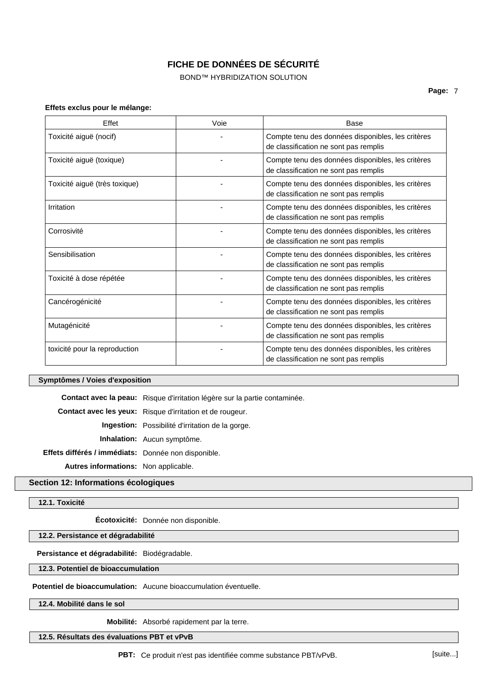BOND™ HYBRIDIZATION SOLUTION

#### **Effets exclus pour le mélange:**

| Effet                         | Voie | <b>Base</b>                                                                                |
|-------------------------------|------|--------------------------------------------------------------------------------------------|
| Toxicité aiguë (nocif)        |      | Compte tenu des données disponibles, les critères<br>de classification ne sont pas remplis |
| Toxicité aiguë (toxique)      |      | Compte tenu des données disponibles, les critères<br>de classification ne sont pas remplis |
| Toxicité aiguë (très toxique) |      | Compte tenu des données disponibles, les critères<br>de classification ne sont pas remplis |
| Irritation                    |      | Compte tenu des données disponibles, les critères<br>de classification ne sont pas remplis |
| Corrosivité                   |      | Compte tenu des données disponibles, les critères<br>de classification ne sont pas remplis |
| Sensibilisation               |      | Compte tenu des données disponibles, les critères<br>de classification ne sont pas remplis |
| Toxicité à dose répétée       |      | Compte tenu des données disponibles, les critères<br>de classification ne sont pas remplis |
| Cancérogénicité               |      | Compte tenu des données disponibles, les critères<br>de classification ne sont pas remplis |
| Mutagénicité                  |      | Compte tenu des données disponibles, les critères<br>de classification ne sont pas remplis |
| toxicité pour la reproduction |      | Compte tenu des données disponibles, les critères<br>de classification ne sont pas remplis |

#### **Symptômes / Voies d'exposition**

**Contact avec la peau:** Risque d'irritation légère sur la partie contaminée. **Contact avec les yeux:** Risque d'irritation et de rougeur. **Ingestion:** Possibilité d'irritation de la gorge. **Inhalation:** Aucun symptôme. **Effets différés / immédiats:** Donnée non disponible. **Autres informations:** Non applicable.

## **Section 12: Informations écologiques**

**12.1. Toxicité**

**Écotoxicité:** Donnée non disponible.

## **12.2. Persistance et dégradabilité**

**Persistance et dégradabilité:** Biodégradable.

**12.3. Potentiel de bioaccumulation**

## **Potentiel de bioaccumulation:** Aucune bioaccumulation éventuelle.

**12.4. Mobilité dans le sol**

**Mobilité:** Absorbé rapidement par la terre.

#### **12.5. Résultats des évaluations PBT et vPvB**

**PBT:** Ce produit n'est pas identifiée comme substance PBT/vPvB. [suite...]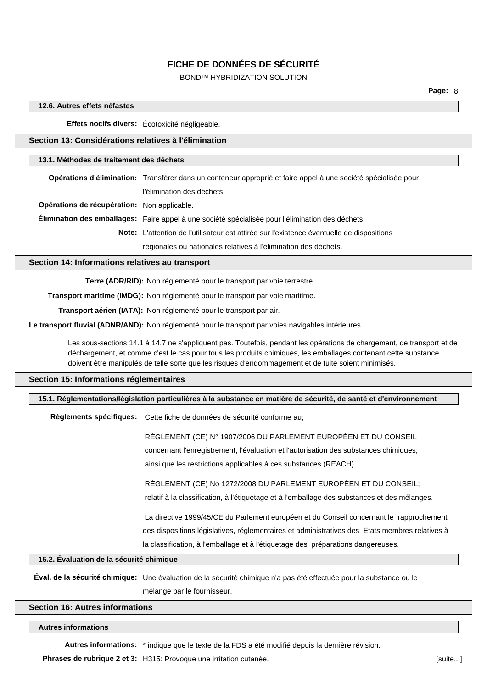## BOND™ HYBRIDIZATION SOLUTION

#### **12.6. Autres effets néfastes**

**Effets nocifs divers:** Écotoxicité négligeable.

#### **Section 13: Considérations relatives à l'élimination**

#### **13.1. Méthodes de traitement des déchets**

**Opérations d'élimination:** Transférer dans un conteneur approprié et faire appel à une société spécialisée pour l'élimination des déchets. **Opérations de récupération:** Non applicable.

**Élimination des emballages:** Faire appel à une société spécialisée pour l'élimination des déchets.

**Note:** L'attention de l'utilisateur est attirée sur l'existence éventuelle de dispositions

régionales ou nationales relatives à l'élimination des déchets.

## **Section 14: Informations relatives au transport**

**Terre (ADR/RID):** Non réglementé pour le transport par voie terrestre.

**Transport maritime (IMDG):** Non réglementé pour le transport par voie maritime.

**Transport aérien (IATA):** Non réglementé pour le transport par air.

Le transport fluvial (ADNR/AND): Non réglementé pour le transport par voies navigables intérieures.

Les sous-sections 14.1 à 14.7 ne s'appliquent pas. Toutefois, pendant les opérations de chargement, de transport et de déchargement, et comme c'est le cas pour tous les produits chimiques, les emballages contenant cette substance doivent être manipulés de telle sorte que les risques d'endommagement et de fuite soient minimisés.

#### **Section 15: Informations réglementaires**

**15.1. Réglementations/législation particulières à la substance en matière de sécurité, de santé et d'environnement**

**Règlements spécifiques:** Cette fiche de données de sécurité conforme au;

RÈGLEMENT (CE) N° 1907/2006 DU PARLEMENT EUROPÉEN ET DU CONSEIL

concernant l'enregistrement, l'évaluation et l'autorisation des substances chimiques,

ainsi que les restrictions applicables à ces substances (REACH).

RÈGLEMENT (CE) No 1272/2008 DU PARLEMENT EUROPÉEN ET DU CONSEIL;

relatif à la classification, à l'étiquetage et à l'emballage des substances et des mélanges.

La directive 1999/45/CE du Parlement européen et du Conseil concernant le rapprochement des dispositions législatives, réglementaires et administratives des États membres relatives à la classification, à l'emballage et à l'étiquetage des préparations dangereuses.

## **15.2. Évaluation de la sécurité chimique**

**Éval. de la sécurité chimique:** Une évaluation de la sécurité chimique n'a pas été effectuée pour la substance ou le mélange par le fournisseur.

### **Section 16: Autres informations**

#### **Autres informations**

**Autres informations:** \* indique que le texte de la FDS a été modifié depuis la dernière révision.

**Phrases de rubrique 2 et 3:** H315: Provoque une irritation cutanée. **[assume that in the set of suite...]** [suite...]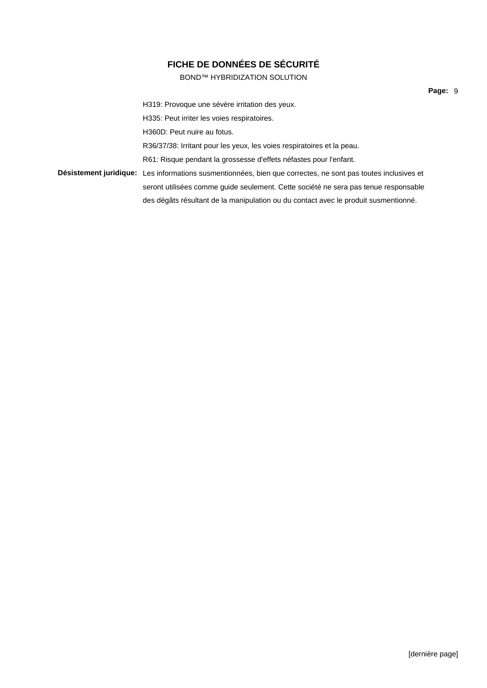BOND™ HYBRIDIZATION SOLUTION

H319: Provoque une sévère irritation des yeux. H335: Peut irriter les voies respiratoires. H360D: Peut nuire au fotus. R36/37/38: Irritant pour les yeux, les voies respiratoires et la peau. R61: Risque pendant la grossesse d'effets néfastes pour l'enfant. **Désistement juridique:** Les informations susmentionnées, bien que correctes, ne sont pas toutes inclusives et seront utilisées comme guide seulement. Cette société ne sera pas tenue responsable des dégâts résultant de la manipulation ou du contact avec le produit susmentionné.

**Page:** 9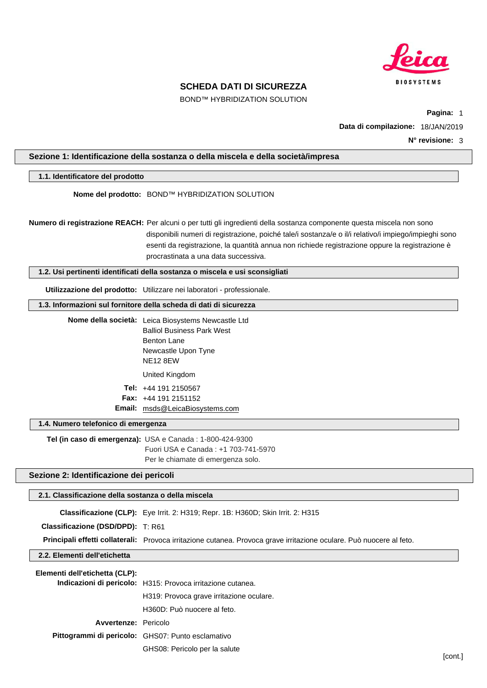

BOND™ HYBRIDIZATION SOLUTION

**Pagina:** 1

**Data di compilazione:** 18/JAN/2019

**N° revisione:** 3

# <span id="page-18-0"></span>**Sezione 1: Identificazione della sostanza o della miscela e della società/impresa 1.1. Identificatore del prodotto Nome del prodotto:** BOND™ HYBRIDIZATION SOLUTION **Numero di registrazione REACH:** Per alcuni o per tutti gli ingredienti della sostanza componente questa miscela non sono disponibili numeri di registrazione, poiché tale/i sostanza/e o il/i relativo/i impiego/impieghi sono esenti da registrazione, la quantità annua non richiede registrazione oppure la registrazione è procrastinata a una data successiva. **1.2. Usi pertinenti identificati della sostanza o miscela e usi sconsigliati Utilizzazione del prodotto:** Utilizzare nei laboratori - professionale. **1.3. Informazioni sul fornitore della scheda di dati di sicurezza Nome della società:** Leica Biosystems Newcastle Ltd Balliol Business Park West Benton Lane Newcastle Upon Tyne NE12 8EW United Kingdom **Tel:** +44 191 2150567 **Fax:** +44 191 2151152 **Email:** msds@LeicaBiosystems.com **1.4. Numero telefonico di emergenza Tel (in caso di emergenza):** USA e Canada : 1-800-424-9300 Fuori USA e Canada : +1 703-741-5970 Per le chiamate di emergenza solo. **Sezione 2: Identificazione dei pericoli 2.1. Classificazione della sostanza o della miscela Classificazione (CLP):** Eye Irrit. 2: H319; Repr. 1B: H360D; Skin Irrit. 2: H315 **Classificazione (DSD/DPD):** T: R61 **Principali effetti collaterali:** Provoca irritazione cutanea. Provoca grave irritazione oculare. Può nuocere al feto. **2.2. Elementi dell'etichetta Elementi dell'etichetta (CLP): Indicazioni di pericolo:** H315: Provoca irritazione cutanea. H319: Provoca grave irritazione oculare. H360D: Può nuocere al feto. **Avvertenze:** Pericolo **Pittogrammi di pericolo:** GHS07: Punto esclamativo GHS08: Pericolo per la salute [cont.]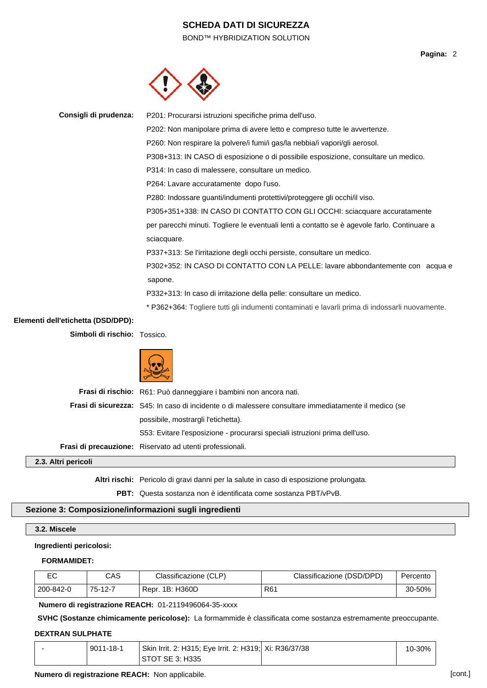BOND™ HYBRIDIZATION SOLUTION



**Consigli di prudenza:** P201: Procurarsi istruzioni specifiche prima dell'uso. P202: Non manipolare prima di avere letto e compreso tutte le avvertenze. P260: Non respirare la polvere/i fumi/i gas/la nebbia/i vapori/gli aerosol. P308+313: IN CASO di esposizione o di possibile esposizione, consultare un medico. P314: In caso di malessere, consultare un medico. P264: Lavare accuratamente dopo l'uso. P280: Indossare guanti/indumenti protettivi/proteggere gli occhi/il viso. P305+351+338: IN CASO DI CONTATTO CON GLI OCCHI: sciacquare accuratamente per parecchi minuti. Togliere le eventuali lenti a contatto se è agevole farlo. Continuare a sciacquare. P337+313: Se l'irritazione degli occhi persiste, consultare un medico. P302+352: IN CASO DI CONTATTO CON LA PELLE: lavare abbondantemente con acqua e sapone. P332+313: In caso di irritazione della pelle: consultare un medico. \* P362+364: Togliere tutti gli indumenti contaminati e lavarli prima di indossarli nuovamente. **Elementi dell'etichetta (DSD/DPD): Simboli di rischio:** Tossico.

|                     | Frasi di rischio: R61: Può danneggiare i bambini non ancora nati.                                           |
|---------------------|-------------------------------------------------------------------------------------------------------------|
|                     | <b>Frasi di sicurezza:</b> S45: In caso di incidente o di malessere consultare immediatamente il medico (se |
|                     | possibile, mostrargli l'etichetta).                                                                         |
|                     | S53: Evitare l'esposizione - procurarsi speciali istruzioni prima dell'uso.                                 |
|                     | Frasi di precauzione: Riservato ad utenti professionali.                                                    |
| 2.3. Altri pericoli |                                                                                                             |

**Altri rischi:** Pericolo di gravi danni per la salute in caso di esposizione prolungata.

**PBT:** Questa sostanza non è identificata come sostanza PBT/vPvB.

## **Sezione 3: Composizione/informazioni sugli ingredienti**

### **3.2. Miscele**

## **Ingredienti pericolosi:**

## **FORMAMIDET:**

| EC        | CAS     | Classificazione (CLP) | Classificazione (DSD/DPD) | Percento |
|-----------|---------|-----------------------|---------------------------|----------|
| 200-842-0 | 75-12-7 | Repr. 1B: H360D       | R61                       | 30-50%   |

**Numero di registrazione REACH:** 01-2119496064-35-xxxx

**SVHC (Sostanze chimicamente pericolose):** La formammide è classificata come sostanza estremamente preoccupante.

## **DEXTRAN SULPHATE**

| 9011-18-1 | Skin Irrit. 2: H315; Eye Irrit. 2: H319; Xi: R36/37/38 | $10-30\%$ |
|-----------|--------------------------------------------------------|-----------|
|           | STOT SE 3: H335                                        |           |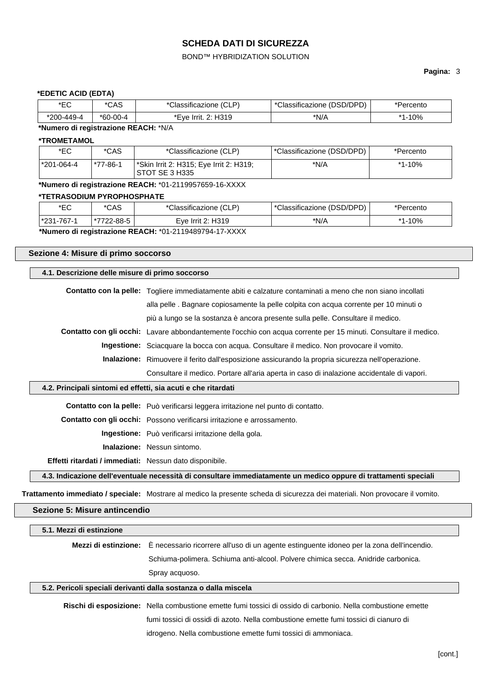### BOND™ HYBRIDIZATION SOLUTION

## **Pagina:** 3

#### **\*EDETIC ACID (EDTA)**

| ∗⊏∩<br>∼∟  | *CAS     | acazione (CLP)<br>سماء          | Classificazione (DSD/DPD)<br>ּנט | rcento |
|------------|----------|---------------------------------|----------------------------------|--------|
| *200-449-4 | *60-00-4 | H <sub>319</sub><br>trritد ۲–۰۰ | *N/A                             | 10%    |

## **\*Numero di registrazione REACH:** \*N/A

## **\*TROMETAMOL**

| *EC        | *CAS     | *Classificazione (CLP)                                                | *Classificazione (DSD/DPD) | *Percento |
|------------|----------|-----------------------------------------------------------------------|----------------------------|-----------|
| *201-064-4 | *77-86-1 | <sup>*</sup> Skin Irrit 2: H315; Eye Irrit 2: H319;<br>STOT SE 3 H335 | *N/A                       | *1-10%    |

## **\*Numero di registrazione REACH:** \*01-2119957659-16-XXXX

#### **\*TETRASODIUM PYROPHOSPHATE**

| *EC                                                    | *CAS       | *Classificazione (CLP) | *Classificazione (DSD/DPD) | *Percento |
|--------------------------------------------------------|------------|------------------------|----------------------------|-----------|
| $\mid$ *231-767-1                                      | *7722-88-5 | Eve Irrit 2: H319      | *N/A                       | *1-10%    |
| *Numero di registrazione REACH: *01-2119489794-17-XXXX |            |                        |                            |           |

## **Sezione 4: Misure di primo soccorso**

#### **4.1. Descrizione delle misure di primo soccorso**

| Contatto con la pelle: Togliere immediatamente abiti e calzature contaminati a meno che non siano incollati     |  |
|-----------------------------------------------------------------------------------------------------------------|--|
| alla pelle . Bagnare copiosamente la pelle colpita con acqua corrente per 10 minuti o                           |  |
| più a lungo se la sostanza è ancora presente sulla pelle. Consultare il medico.                                 |  |
| Contatto con gli occhi: Lavare abbondantemente l'occhio con acqua corrente per 15 minuti. Consultare il medico. |  |
| Ingestione: Sciacquare la bocca con acqua. Consultare il medico. Non provocare il vomito.                       |  |
| <b>Inalazione:</b> Rimuovere il ferito dall'esposizione assicurando la propria sicurezza nell'operazione.       |  |
| Consultare il medico. Portare all'aria aperta in caso di inalazione accidentale di vapori.                      |  |

### **4.2. Principali sintomi ed effetti, sia acuti e che ritardati**

**Contatto con la pelle:** Può verificarsi leggera irritazione nel punto di contatto.

**Contatto con gli occhi:** Possono verificarsi irritazione e arrossamento.

**Ingestione:** Può verificarsi irritazione della gola.

**Inalazione:** Nessun sintomo.

**Effetti ritardati / immediati:** Nessun dato disponibile.

**4.3. Indicazione dell'eventuale necessità di consultare immediatamente un medico oppure di trattamenti speciali**

**Trattamento immediato / speciale:** Mostrare al medico la presente scheda di sicurezza dei materiali. Non provocare il vomito.

#### **Sezione 5: Misure antincendio**

| 5.1. Mezzi di estinzione                                        |                                                                                                                |  |
|-----------------------------------------------------------------|----------------------------------------------------------------------------------------------------------------|--|
|                                                                 | Mezzi di estinzione: È necessario ricorrere all'uso di un agente estinguente idoneo per la zona dell'incendio. |  |
|                                                                 | Schiuma-polimera. Schiuma anti-alcool. Polvere chimica secca. Anidride carbonica.                              |  |
|                                                                 | Spray acquoso.                                                                                                 |  |
| 5.2. Pericoli speciali derivanti dalla sostanza o dalla miscela |                                                                                                                |  |
|                                                                 | Rischi di esposizione: Nella combustione emette fumi tossici di ossido di carbonio. Nella combustione emette   |  |

fumi tossici di ossidi di azoto. Nella combustione emette fumi tossici di cianuro di idrogeno. Nella combustione emette fumi tossici di ammoniaca.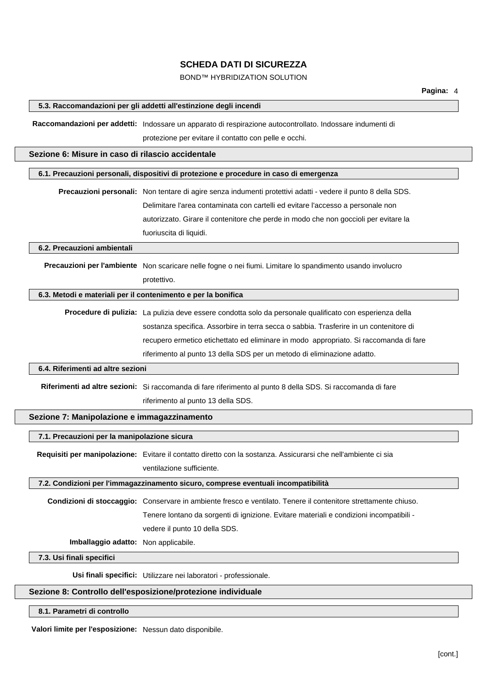## BOND™ HYBRIDIZATION SOLUTION

#### **5.3. Raccomandazioni per gli addetti all'estinzione degli incendi**

**Raccomandazioni per addetti:** Indossare un apparato di respirazione autocontrollato. Indossare indumenti di protezione per evitare il contatto con pelle e occhi.

#### **Sezione 6: Misure in caso di rilascio accidentale**

### **6.1. Precauzioni personali, dispositivi di protezione e procedure in caso di emergenza**

| Precauzioni personali: Non tentare di agire senza indumenti protettivi adatti - vedere il punto 8 della SDS. |
|--------------------------------------------------------------------------------------------------------------|
| Delimitare l'area contaminata con cartelli ed evitare l'accesso a personale non                              |
| autorizzato. Girare il contenitore che perde in modo che non goccioli per evitare la                         |
| fuoriuscita di liquidi.                                                                                      |

#### **6.2. Precauzioni ambientali**

**Precauzioni per l'ambiente** Non scaricare nelle fogne o nei fiumi. Limitare lo spandimento usando involucro protettivo.

## **6.3. Metodi e materiali per il contenimento e per la bonifica**

## **Procedure di pulizia:** La pulizia deve essere condotta solo da personale qualificato con esperienza della sostanza specifica. Assorbire in terra secca o sabbia. Trasferire in un contenitore di recupero ermetico etichettato ed eliminare in modo appropriato. Si raccomanda di fare riferimento al punto 13 della SDS per un metodo di eliminazione adatto.

#### **6.4. Riferimenti ad altre sezioni**

**Riferimenti ad altre sezioni:** Si raccomanda di fare riferimento al punto 8 della SDS. Si raccomanda di fare riferimento al punto 13 della SDS.

### **Sezione 7: Manipolazione e immagazzinamento**

#### **7.1. Precauzioni per la manipolazione sicura**

**Requisiti per manipolazione:** Evitare il contatto diretto con la sostanza. Assicurarsi che nell'ambiente ci sia ventilazione sufficiente.

#### **7.2. Condizioni per l'immagazzinamento sicuro, comprese eventuali incompatibilità**

**Condizioni di stoccaggio:** Conservare in ambiente fresco e ventilato. Tenere il contenitore strettamente chiuso. Tenere lontano da sorgenti di ignizione. Evitare materiali e condizioni incompatibili vedere il punto 10 della SDS.

**Imballaggio adatto:** Non applicabile.

**7.3. Usi finali specifici**

**Usi finali specifici:** Utilizzare nei laboratori - professionale.

#### **Sezione 8: Controllo dell'esposizione/protezione individuale**

#### **8.1. Parametri di controllo**

**Valori limite per l'esposizione:** Nessun dato disponibile.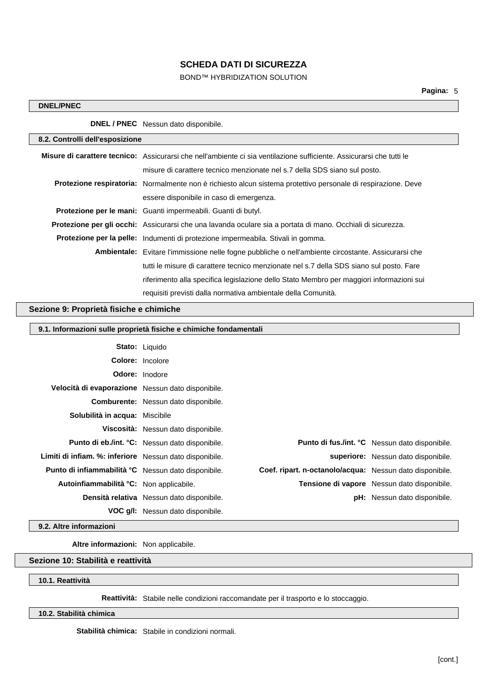## BOND™ HYBRIDIZATION SOLUTION

## **DNEL/PNEC**

**DNEL / PNEC** Nessun dato disponibile.

| 8.2. Controlli dell'esposizione |                                                                                                                      |  |
|---------------------------------|----------------------------------------------------------------------------------------------------------------------|--|
|                                 | Misure di carattere tecnico: Assicurarsi che nell'ambiente ci sia ventilazione sufficiente. Assicurarsi che tutti le |  |
|                                 | misure di carattere tecnico menzionate nel s.7 della SDS siano sul posto.                                            |  |
|                                 | Protezione respiratoria: Normalmente non è richiesto alcun sistema protettivo personale di respirazione. Deve        |  |
|                                 | essere disponibile in caso di emergenza.                                                                             |  |
|                                 | <b>Protezione per le mani:</b> Guanti impermeabili. Guanti di butyl.                                                 |  |
|                                 | Protezione per gli occhi: Assicurarsi che una lavanda oculare sia a portata di mano. Occhiali di sicurezza.          |  |
|                                 | <b>Protezione per la pelle:</b> Indumenti di protezione impermeabila. Stivali in gomma.                              |  |
|                                 | <b>Ambientale:</b> Evitare l'immissione nelle fogne pubbliche o nell'ambiente circostante. Assicurarsi che           |  |
|                                 | tutti le misure di carattere tecnico menzionate nel s.7 della SDS siano sul posto. Fare                              |  |
|                                 | riferimento alla specifica legislazione dello Stato Membro per maggiori informazioni sui                             |  |
|                                 | requisiti previsti dalla normativa ambientale della Comunità.                                                        |  |

## **Sezione 9: Proprietà fisiche e chimiche**

**9.1. Informazioni sulle proprietà fisiche e chimiche fondamentali**

|                                                         | <b>Stato:</b> Liquido                          |                                                          |                                                    |
|---------------------------------------------------------|------------------------------------------------|----------------------------------------------------------|----------------------------------------------------|
| <b>Colore:</b> Incolore                                 |                                                |                                                          |                                                    |
| <b>Odore:</b> Inodore                                   |                                                |                                                          |                                                    |
| Velocità di evaporazione Nessun dato disponibile.       |                                                |                                                          |                                                    |
|                                                         | <b>Comburente:</b> Nessun dato disponibile.    |                                                          |                                                    |
| <b>Solubilità in acqua:</b> Miscibile                   |                                                |                                                          |                                                    |
|                                                         | Viscosità: Nessun dato disponibile.            |                                                          |                                                    |
|                                                         | Punto di eb./int. °C: Nessun dato disponibile. |                                                          | Punto di fus./int. °C Nessun dato disponibile.     |
| Limiti di infiam. %: inferiore Nessun dato disponibile. |                                                |                                                          | superiore: Nessun dato disponibile.                |
| Punto di infiammabilità °C Nessun dato disponibile.     |                                                | Coef. ripart. n-octanolo/acqua: Nessun dato disponibile. |                                                    |
| Autoinfiammabilità °C: Non applicabile.                 |                                                |                                                          | <b>Tensione di vapore</b> Nessun dato disponibile. |
|                                                         | Densità relativa Nessun dato disponibile.      |                                                          | <b>pH:</b> Nessun dato disponibile.                |
|                                                         | <b>VOC g/l:</b> Nessun dato disponibile.       |                                                          |                                                    |

**9.2. Altre informazioni**

**Altre informazioni:** Non applicabile.

## **Sezione 10: Stabilità e reattività**

#### **10.1. Reattività**

**Reattività:** Stabile nelle condizioni raccomandate per il trasporto e lo stoccaggio.

**10.2. Stabilità chimica**

**Stabilità chimica:** Stabile in condizioni normali.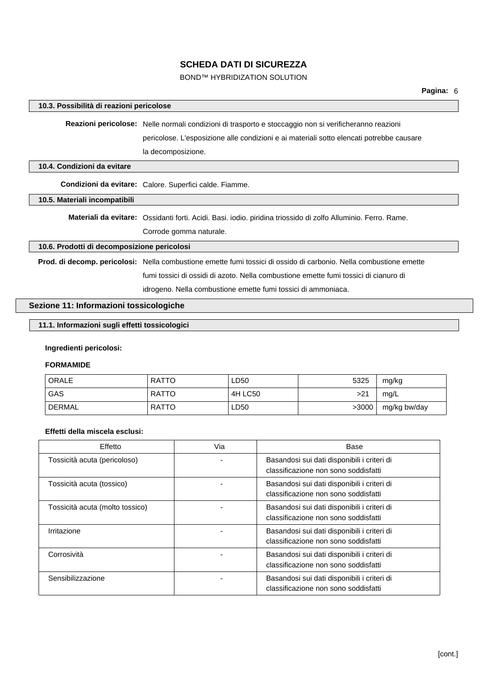## BOND™ HYBRIDIZATION SOLUTION

| 10.3. Possibilità di reazioni pericolose       |                                                                                                                    |  |
|------------------------------------------------|--------------------------------------------------------------------------------------------------------------------|--|
|                                                | <b>Reazioni pericolose:</b> Nelle normali condizioni di trasporto e stoccaggio non si verificheranno reazioni      |  |
|                                                | pericolose. L'esposizione alle condizioni e ai materiali sotto elencati potrebbe causare                           |  |
|                                                | la decomposizione.                                                                                                 |  |
|                                                |                                                                                                                    |  |
| 10.4. Condizioni da evitare                    |                                                                                                                    |  |
|                                                | <b>Condizioni da evitare:</b> Calore. Superfici calde. Fiamme.                                                     |  |
| 10.5. Materiali incompatibili                  |                                                                                                                    |  |
|                                                | Materiali da evitare: Ossidanti forti. Acidi. Basi. iodio. piridina triossido di zolfo Alluminio. Ferro. Rame.     |  |
|                                                | Corrode gomma naturale.                                                                                            |  |
| 10.6. Prodotti di decomposizione pericolosi    |                                                                                                                    |  |
|                                                | Prod. di decomp. pericolosi: Nella combustione emette fumi tossici di ossido di carbonio. Nella combustione emette |  |
|                                                | fumi tossici di ossidi di azoto. Nella combustione emette fumi tossici di cianuro di                               |  |
|                                                | idrogeno. Nella combustione emette fumi tossici di ammoniaca.                                                      |  |
| Sezione 11: Informazioni tossicologiche        |                                                                                                                    |  |
| 11.1. Informazioni sugli effetti tossicologici |                                                                                                                    |  |

## **Ingredienti pericolosi:**

## **FORMAMIDE**

| ORALE  | <b>RATTO</b> | LD50    | 5325  | mg/kg        |
|--------|--------------|---------|-------|--------------|
| GAS    | RATTO        | 4H LC50 | >21   | mg/L         |
| DERMAL | <b>RATTO</b> | LD50    | >3000 | mg/kg bw/day |

### **Effetti della miscela esclusi:**

| Effetto                         | Via | Base                                                                                |
|---------------------------------|-----|-------------------------------------------------------------------------------------|
| Tossicità acuta (pericoloso)    |     | Basandosi sui dati disponibili i criteri di<br>classificazione non sono soddisfatti |
| Tossicità acuta (tossico)       |     | Basandosi sui dati disponibili i criteri di<br>classificazione non sono soddisfatti |
| Tossicità acuta (molto tossico) |     | Basandosi sui dati disponibili i criteri di<br>classificazione non sono soddisfatti |
| Irritazione                     |     | Basandosi sui dati disponibili i criteri di<br>classificazione non sono soddisfatti |
| Corrosività                     |     | Basandosi sui dati disponibili i criteri di<br>classificazione non sono soddisfatti |
| Sensibilizzazione               |     | Basandosi sui dati disponibili i criteri di<br>classificazione non sono soddisfatti |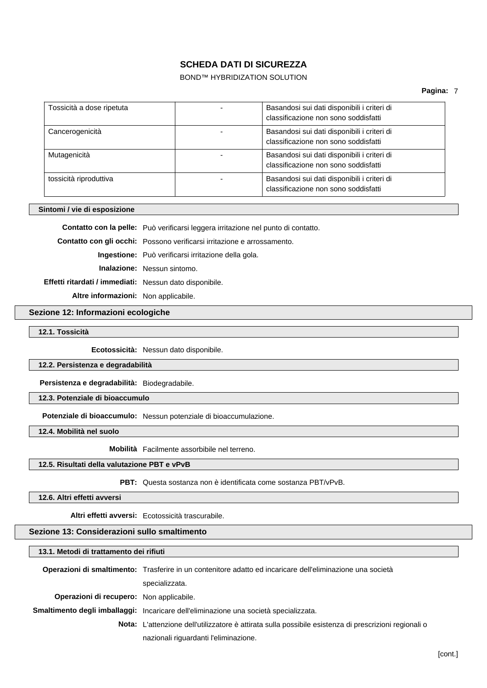BOND™ HYBRIDIZATION SOLUTION

### **Pagina:** 7

| Tossicità a dose ripetuta | Basandosi sui dati disponibili i criteri di<br>classificazione non sono soddisfatti |
|---------------------------|-------------------------------------------------------------------------------------|
| Cancerogenicità           | Basandosi sui dati disponibili i criteri di<br>classificazione non sono soddisfatti |
| Mutagenicità              | Basandosi sui dati disponibili i criteri di<br>classificazione non sono soddisfatti |
| tossicità riproduttiva    | Basandosi sui dati disponibili i criteri di<br>classificazione non sono soddisfatti |

### **Sintomi / vie di esposizione**

**Contatto con la pelle:** Può verificarsi leggera irritazione nel punto di contatto. **Contatto con gli occhi:** Possono verificarsi irritazione e arrossamento. **Ingestione:** Può verificarsi irritazione della gola. **Inalazione:** Nessun sintomo. **Effetti ritardati / immediati:** Nessun dato disponibile. **Altre informazioni:** Non applicabile.

## **Sezione 12: Informazioni ecologiche**

#### **12.1. Tossicità**

**Ecotossicità:** Nessun dato disponibile.

### **12.2. Persistenza e degradabilità**

**Persistenza e degradabilità:** Biodegradabile.

**12.3. Potenziale di bioaccumulo**

**Potenziale di bioaccumulo:** Nessun potenziale di bioaccumulazione.

**12.4. Mobilità nel suolo**

**Mobilità** Facilmente assorbibile nel terreno.

## **12.5. Risultati della valutazione PBT e vPvB**

**PBT:** Questa sostanza non è identificata come sostanza PBT/vPvB.

**12.6. Altri effetti avversi**

**Altri effetti avversi:** Ecotossicità trascurabile.

#### **Sezione 13: Considerazioni sullo smaltimento**

### **13.1. Metodi di trattamento dei rifiuti**

|                                          | Operazioni di smaltimento: Trasferire in un contenitore adatto ed incaricare dell'eliminazione una società |  |
|------------------------------------------|------------------------------------------------------------------------------------------------------------|--|
|                                          | specializzata.                                                                                             |  |
| Operazioni di recupero: Non applicabile. |                                                                                                            |  |
|                                          | Smaltimento degli imballaggi: Incaricare dell'eliminazione una società specializzata.                      |  |
|                                          | Nota: L'attenzione dell'utilizzatore è attirata sulla possibile esistenza di prescrizioni regionali o      |  |
|                                          | nazionali riguardanti l'eliminazione.                                                                      |  |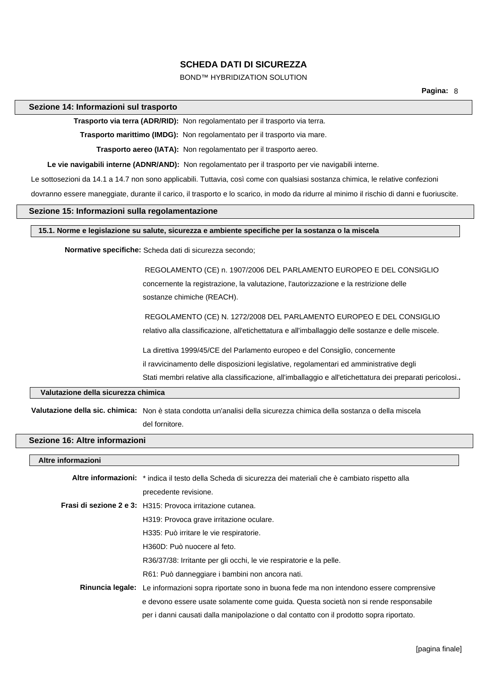## BOND™ HYBRIDIZATION SOLUTION

**Pagina:** 8

#### **Sezione 14: Informazioni sul trasporto**

**Trasporto via terra (ADR/RID):** Non regolamentato per il trasporto via terra.

**Trasporto marittimo (IMDG):** Non regolamentato per il trasporto via mare.

**Trasporto aereo (IATA):** Non regolamentato per il trasporto aereo.

**Le vie navigabili interne (ADNR/AND):** Non regolamentato per il trasporto per vie navigabili interne.

Le sottosezioni da 14.1 a 14.7 non sono applicabili. Tuttavia, così come con qualsiasi sostanza chimica, le relative confezioni

dovranno essere maneggiate, durante il carico, il trasporto e lo scarico, in modo da ridurre al minimo il rischio di danni e fuoriuscite.

### **Sezione 15: Informazioni sulla regolamentazione**

#### **15.1. Norme e legislazione su salute, sicurezza e ambiente specifiche per la sostanza o la miscela**

**Normative specifiche:** Scheda dati di sicurezza secondo;

REGOLAMENTO (CE) n. 1907/2006 DEL PARLAMENTO EUROPEO E DEL CONSIGLIO concernente la registrazione, la valutazione, l'autorizzazione e la restrizione delle sostanze chimiche (REACH).

REGOLAMENTO (CE) N. 1272/2008 DEL PARLAMENTO EUROPEO E DEL CONSIGLIO relativo alla classificazione, all'etichettatura e all'imballaggio delle sostanze e delle miscele.

La direttiva 1999/45/CE del Parlamento europeo e del Consiglio, concernente

il ravvicinamento delle disposizioni legislative, regolamentari ed amministrative degli

Stati membri relative alla classificazione, all'imballaggio e all'etichettatura dei preparati pericolosi.**.**

## **Valutazione della sicurezza chimica**

**Valutazione della sic. chimica:** Non è stata condotta un'analisi della sicurezza chimica della sostanza o della miscela del fornitore.

#### **Sezione 16: Altre informazioni**

#### **Altre informazioni**

| Altre informazioni: * indica il testo della Scheda di sicurezza dei materiali che è cambiato rispetto alla     |
|----------------------------------------------------------------------------------------------------------------|
| precedente revisione.                                                                                          |
| <b>Frasi di sezione 2 e 3:</b> H315: Provoca irritazione cutanea.                                              |
| H319: Provoca grave irritazione oculare.                                                                       |
| H335: Può irritare le vie respiratorie.                                                                        |
| H360D: Può nuocere al feto.                                                                                    |
| R36/37/38: Irritante per gli occhi, le vie respiratorie e la pelle.                                            |
| R61: Può danneggiare i bambini non ancora nati.                                                                |
| <b>Rinuncia legale:</b> Le informazioni sopra riportate sono in buona fede ma non intendono essere comprensive |
| e devono essere usate solamente come quida. Questa società non si rende responsabile                           |
| per i danni causati dalla manipolazione o dal contatto con il prodotto sopra riportato.                        |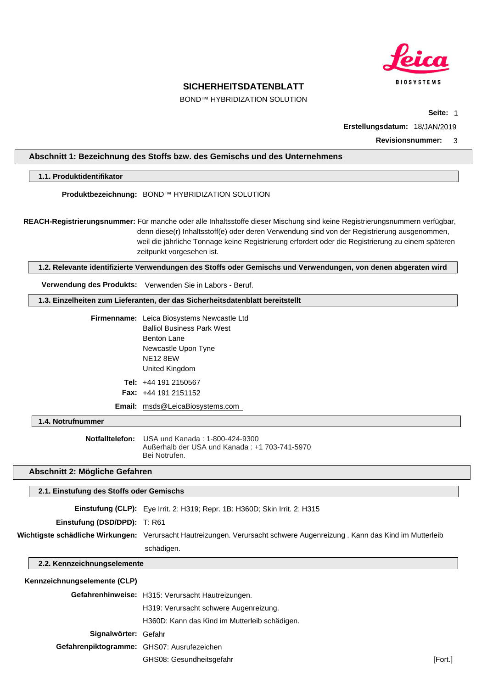

BOND™ HYBRIDIZATION SOLUTION

**Seite:** 1

**Erstellungsdatum:** 18/JAN/2019

#### **Revisionsnummer:** 3

#### <span id="page-26-0"></span>**Abschnitt 1: Bezeichnung des Stoffs bzw. des Gemischs und des Unternehmens**

#### **1.1. Produktidentifikator**

**Produktbezeichnung:** BOND™ HYBRIDIZATION SOLUTION

**REACH-Registrierungsnummer:** Für manche oder alle Inhaltsstoffe dieser Mischung sind keine Registrierungsnummern verfügbar, denn diese(r) Inhaltsstoff(e) oder deren Verwendung sind von der Registrierung ausgenommen, weil die jährliche Tonnage keine Registrierung erfordert oder die Registrierung zu einem späteren zeitpunkt vorgesehen ist.

**1.2. Relevante identifizierte Verwendungen des Stoffs oder Gemischs und Verwendungen, von denen abgeraten wird**

**Verwendung des Produkts:** Verwenden Sie in Labors - Beruf.

### **1.3. Einzelheiten zum Lieferanten, der das Sicherheitsdatenblatt bereitstellt**

**Firmenname:** Leica Biosystems Newcastle Ltd Balliol Business Park West Benton Lane Newcastle Upon Tyne NE12 8EW United Kingdom **Tel:** +44 191 2150567 **Fax:** +44 191 2151152

**Email:** msds@LeicaBiosystems.com

**1.4. Notrufnummer**

**Notfalltelefon:** USA und Kanada : 1-800-424-9300 Außerhalb der USA und Kanada : +1 703-741-5970 Bei Notrufen.

#### **Abschnitt 2: Mögliche Gefahren**

#### **2.1. Einstufung des Stoffs oder Gemischs**

**Einstufung (CLP):** Eye Irrit. 2: H319; Repr. 1B: H360D; Skin Irrit. 2: H315

**Einstufung (DSD/DPD):** T: R61

**Wichtigste schädliche Wirkungen:** Verursacht Hautreizungen. Verursacht schwere Augenreizung . Kann das Kind im Mutterleib schädigen.

#### **2.2. Kennzeichnungselemente**

#### **Kennzeichnungselemente (CLP)**

| H360D: Kann das Kind im Mutterleib schädigen. |
|-----------------------------------------------|
|                                               |
|                                               |
|                                               |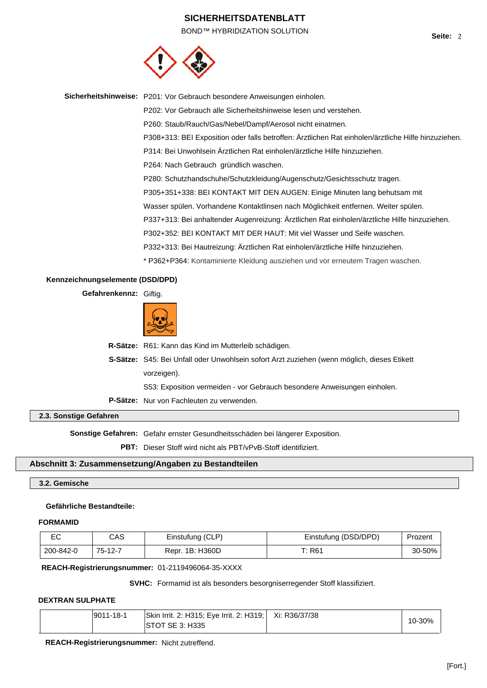BOND™ HYBRIDIZATION SOLUTION **Seite:** <sup>2</sup>



**Sicherheitshinweise:** P201: Vor Gebrauch besondere Anweisungen einholen. P202: Vor Gebrauch alle Sicherheitshinweise lesen und verstehen. P260: Staub/Rauch/Gas/Nebel/Dampf/Aerosol nicht einatmen. P308+313: BEI Exposition oder falls betroffen: Ärztlichen Rat einholen/ärztliche Hilfe hinzuziehen. P314: Bei Unwohlsein Ärztlichen Rat einholen/ärztliche Hilfe hinzuziehen. P264: Nach Gebrauch gründlich waschen. P280: Schutzhandschuhe/Schutzkleidung/Augenschutz/Gesichtsschutz tragen. P305+351+338: BEI KONTAKT MIT DEN AUGEN: Einige Minuten lang behutsam mit Wasser spülen. Vorhandene Kontaktlinsen nach Möglichkeit entfernen. Weiter spülen. P337+313: Bei anhaltender Augenreizung: Ärztlichen Rat einholen/ärztliche Hilfe hinzuziehen. P302+352: BEI KONTAKT MIT DER HAUT: Mit viel Wasser und Seife waschen. P332+313: Bei Hautreizung: Ärztlichen Rat einholen/ärztliche Hilfe hinzuziehen. \* P362+P364: Kontaminierte Kleidung ausziehen und vor erneutem Tragen waschen.

### **Kennzeichnungselemente (DSD/DPD)**

**Gefahrenkennz:** Giftig.



**R-Sätze:** R61: Kann das Kind im Mutterleib schädigen.

**S-Sätze:** S45: Bei Unfall oder Unwohlsein sofort Arzt zuziehen (wenn möglich, dieses Etikett vorzeigen).

S53: Exposition vermeiden - vor Gebrauch besondere Anweisungen einholen.

**P-Sätze:** Nur von Fachleuten zu verwenden.

## **2.3. Sonstige Gefahren**

**Sonstige Gefahren:** Gefahr ernster Gesundheitsschäden bei längerer Exposition.

**PBT:** Dieser Stoff wird nicht als PBT/vPvB-Stoff identifiziert.

### **Abschnitt 3: Zusammensetzung/Angaben zu Bestandteilen**

#### **3.2. Gemische**

#### **Gefährliche Bestandteile:**

### **FORMAMID**

| ro.<br>◡  | CAS     | Einstufung (CLP) | Einstufung (DSD/DPD) | Prozent |
|-----------|---------|------------------|----------------------|---------|
| 200-842-0 | 75-12-7 | Repr. 1B: H360D  | Г: R61               | 30-50%  |

#### **REACH-Registrierungsnummer:** 01-2119496064-35-XXXX

**SVHC:** Formamid ist als besonders besorgniserregender Stoff klassifiziert.

#### **DEXTRAN SULPHATE**

| 9011-18-1 | Skin Irrit. 2: H315: Eve Irrit. 2: H319: | Xi: R36/37/38 |        |
|-----------|------------------------------------------|---------------|--------|
|           | STOT SE 3: H335                          |               | 10-30% |

**REACH-Registrierungsnummer:** Nicht zutreffend.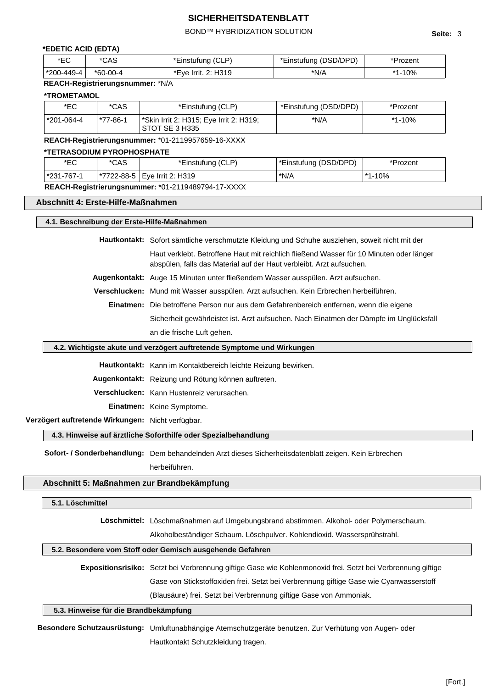BOND™ HYBRIDIZATION SOLUTION **Seite:** 3

## **\*EDETIC ACID (EDTA)**

| ∗⊏∩<br>◡   | *CAS       | *Einstufung (CLP)   | *Einstufung (DSD/DPD) | 'rozent |
|------------|------------|---------------------|-----------------------|---------|
| *200-449-4 | $*60-00-4$ | *Eye Irrit. 2: H319 | *N/A                  | 10%     |

## **REACH-Registrierungsnummer:** \*N/A

#### **\*TROMETAMOL**

| *EC        | *CAS     | *Einstufung (CLP)                                                     | *Einstufung (DSD/DPD) | *Prozent |
|------------|----------|-----------------------------------------------------------------------|-----------------------|----------|
| *201-064-4 | *77-86-1 | <sup>*</sup> Skin Irrit 2: H315; Eye Irrit 2: H319;<br>STOT SE 3 H335 | *N/A                  | *1-10%   |

**REACH-Registrierungsnummer:** \*01-2119957659-16-XXXX

#### **\*TETRASODIUM PYROPHOSPHATE**

| *EC                                                                                                                                                                                                                                                                                                                                       | *CAS | *Einstufung (CLP)               | *Einstufung (DSD/DPD) | Prozent  |
|-------------------------------------------------------------------------------------------------------------------------------------------------------------------------------------------------------------------------------------------------------------------------------------------------------------------------------------------|------|---------------------------------|-----------------------|----------|
| 1*231-767-1                                                                                                                                                                                                                                                                                                                               |      | 1*7722-88-5   Eve Irrit 2: H319 | *N/A                  | ່ *1-10% |
| <b>BEACH B</b> $\cdots$ $\cdots$ $\cdots$ $\cdots$ $\cdots$ $\cdots$ $\cdots$ $\cdots$ $\cdots$ $\cdots$ $\cdots$ $\cdots$ $\cdots$ $\cdots$ $\cdots$ $\cdots$ $\cdots$ $\cdots$ $\cdots$ $\cdots$ $\cdots$ $\cdots$ $\cdots$ $\cdots$ $\cdots$ $\cdots$ $\cdots$ $\cdots$ $\cdots$ $\cdots$ $\cdots$ $\cdots$ $\cdots$ $\cdots$ $\cdots$ |      |                                 |                       |          |

**REACH-Registrierungsnummer:** \*01-2119489794-17-XXXX

#### **Abschnitt 4: Erste-Hilfe-Maßnahmen**

#### **4.1. Beschreibung der Erste-Hilfe-Maßnahmen**

**Hautkontakt:** Sofort sämtliche verschmutzte Kleidung und Schuhe ausziehen, soweit nicht mit der

Haut verklebt. Betroffene Haut mit reichlich fließend Wasser für 10 Minuten oder länger abspülen, falls das Material auf der Haut verbleibt. Arzt aufsuchen.

**Augenkontakt:** Auge 15 Minuten unter fließendem Wasser ausspülen. Arzt aufsuchen.

**Verschlucken:** Mund mit Wasser ausspülen. Arzt aufsuchen. Kein Erbrechen herbeiführen.

**Einatmen:** Die betroffene Person nur aus dem Gefahrenbereich entfernen, wenn die eigene

Sicherheit gewährleistet ist. Arzt aufsuchen. Nach Einatmen der Dämpfe im Unglücksfall an die frische Luft gehen.

#### **4.2. Wichtigste akute und verzögert auftretende Symptome und Wirkungen**

**Hautkontakt:** Kann im Kontaktbereich leichte Reizung bewirken.

**Augenkontakt:** Reizung und Rötung können auftreten.

**Verschlucken:** Kann Hustenreiz verursachen.

**Einatmen:** Keine Symptome.

#### **Verzögert auftretende Wirkungen:** Nicht verfügbar.

#### **4.3. Hinweise auf ärztliche Soforthilfe oder Spezialbehandlung**

**Sofort- / Sonderbehandlung:** Dem behandelnden Arzt dieses Sicherheitsdatenblatt zeigen. Kein Erbrechen herbeiführen.

#### **Abschnitt 5: Maßnahmen zur Brandbekämpfung**

#### **5.1. Löschmittel**

**Löschmittel:** Löschmaßnahmen auf Umgebungsbrand abstimmen. Alkohol- oder Polymerschaum. Alkoholbeständiger Schaum. Löschpulver. Kohlendioxid. Wassersprühstrahl.

#### **5.2. Besondere vom Stoff oder Gemisch ausgehende Gefahren**

**Expositionsrisiko:** Setzt bei Verbrennung giftige Gase wie Kohlenmonoxid frei. Setzt bei Verbrennung giftige Gase von Stickstoffoxiden frei. Setzt bei Verbrennung giftige Gase wie Cyanwasserstoff (Blausäure) frei. Setzt bei Verbrennung giftige Gase von Ammoniak.

#### **5.3. Hinweise für die Brandbekämpfung**

**Besondere Schutzausrüstung:** Umluftunabhängige Atemschutzgeräte benutzen. Zur Verhütung von Augen- oder Hautkontakt Schutzkleidung tragen.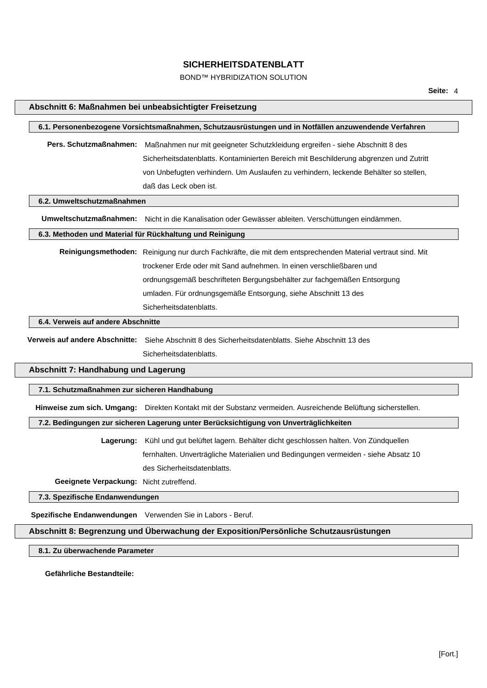## BOND™ HYBRIDIZATION SOLUTION

| Abschnitt 6: Maßnahmen bei unbeabsichtigter Freisetzung                                              |                                                                                                               |  |  |
|------------------------------------------------------------------------------------------------------|---------------------------------------------------------------------------------------------------------------|--|--|
| 6.1. Personenbezogene Vorsichtsmaßnahmen, Schutzausrüstungen und in Notfällen anzuwendende Verfahren |                                                                                                               |  |  |
|                                                                                                      | Pers. Schutzmaßnahmen: Maßnahmen nur mit geeigneter Schutzkleidung ergreifen - siehe Abschnitt 8 des          |  |  |
|                                                                                                      | Sicherheitsdatenblatts. Kontaminierten Bereich mit Beschilderung abgrenzen und Zutritt                        |  |  |
|                                                                                                      | von Unbefugten verhindern. Um Auslaufen zu verhindern, leckende Behälter so stellen,                          |  |  |
|                                                                                                      | daß das Leck oben ist.                                                                                        |  |  |
| 6.2. Umweltschutzmaßnahmen                                                                           |                                                                                                               |  |  |
| Umweltschutzmaßnahmen:                                                                               | Nicht in die Kanalisation oder Gewässer ableiten. Verschüttungen eindämmen.                                   |  |  |
|                                                                                                      | 6.3. Methoden und Material für Rückhaltung und Reinigung                                                      |  |  |
|                                                                                                      | Reinigungsmethoden: Reinigung nur durch Fachkräfte, die mit dem entsprechenden Material vertraut sind. Mit    |  |  |
|                                                                                                      | trockener Erde oder mit Sand aufnehmen. In einen verschließbaren und                                          |  |  |
|                                                                                                      | ordnungsgemäß beschrifteten Bergungsbehälter zur fachgemäßen Entsorgung                                       |  |  |
|                                                                                                      | umladen. Für ordnungsgemäße Entsorgung, siehe Abschnitt 13 des                                                |  |  |
|                                                                                                      | Sicherheitsdatenblatts.                                                                                       |  |  |
| 6.4. Verweis auf andere Abschnitte                                                                   |                                                                                                               |  |  |
|                                                                                                      | Verweis auf andere Abschnitte: Siehe Abschnitt 8 des Sicherheitsdatenblatts. Siehe Abschnitt 13 des           |  |  |
|                                                                                                      | Sicherheitsdatenblatts.                                                                                       |  |  |
| Abschnitt 7: Handhabung und Lagerung                                                                 |                                                                                                               |  |  |
|                                                                                                      |                                                                                                               |  |  |
| 7.1. Schutzmaßnahmen zur sicheren Handhabung                                                         |                                                                                                               |  |  |
|                                                                                                      | Hinweise zum sich. Umgang: Direkten Kontakt mit der Substanz vermeiden. Ausreichende Belüftung sicherstellen. |  |  |
|                                                                                                      | 7.2. Bedingungen zur sicheren Lagerung unter Berücksichtigung von Unverträglichkeiten                         |  |  |
| Lagerung:                                                                                            | Kühl und gut belüftet lagern. Behälter dicht geschlossen halten. Von Zündquellen                              |  |  |
|                                                                                                      | fernhalten. Unverträgliche Materialien und Bedingungen vermeiden - siehe Absatz 10                            |  |  |
|                                                                                                      | des Sicherheitsdatenblatts.                                                                                   |  |  |
| Geeignete Verpackung: Nicht zutreffend.                                                              |                                                                                                               |  |  |
| 7.3. Spezifische Endanwendungen                                                                      |                                                                                                               |  |  |
|                                                                                                      | Spezifische Endanwendungen Verwenden Sie in Labors - Beruf.                                                   |  |  |
|                                                                                                      | Abschnitt 8: Begrenzung und Überwachung der Exposition/Persönliche Schutzausrüstungen                         |  |  |
| 8.1. Zu überwachende Parameter                                                                       |                                                                                                               |  |  |

**Gefährliche Bestandteile:**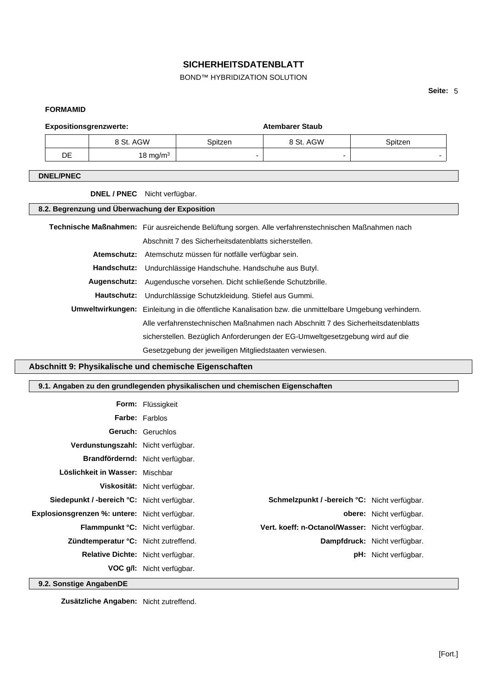## BOND™ HYBRIDIZATION SOLUTION

**Seite:** 5

### **FORMAMID**

# **Expositionsgrenzwerte: Atembarer Staub**

|    | G/M<br>$\sim$<br>___        | oitzen | GW<br>____ | ⊰pitzen |
|----|-----------------------------|--------|------------|---------|
| DE | $\sim$<br>ma/m <sup>3</sup> |        |            |         |

## **DNEL/PNEC**

**DNEL / PNEC** Nicht verfügbar.

## **8.2. Begrenzung und Überwachung der Exposition**

|             | Technische Maßnahmen: Für ausreichende Belüftung sorgen. Alle verfahrenstechnischen Maßnahmen nach            |
|-------------|---------------------------------------------------------------------------------------------------------------|
|             | Abschnitt 7 des Sicherheitsdatenblatts sicherstellen.                                                         |
|             | Atemschutz: Atemschutz müssen für notfälle verfügbar sein.                                                    |
| Handschutz: | Undurchlässige Handschuhe. Handschuhe aus Butyl.                                                              |
|             | Augenschutz: Augendusche vorsehen. Dicht schließende Schutzbrille.                                            |
|             | Hautschutz: Undurchlässige Schutzkleidung. Stiefel aus Gummi.                                                 |
|             | <b>Umweltwirkungen:</b> Einleitung in die öffentliche Kanalisation bzw. die unmittelbare Umgebung verhindern. |
|             | Alle verfahrenstechnischen Maßnahmen nach Abschnitt 7 des Sicherheitsdatenblatts                              |
|             | sicherstellen. Bezüglich Anforderungen der EG-Umweltgesetzgebung wird auf die                                 |
|             | Gesetzgebung der jeweiligen Mitgliedstaaten verwiesen.                                                        |

## **Abschnitt 9: Physikalische und chemische Eigenschaften**

## **9.1. Angaben zu den grundlegenden physikalischen und chemischen Eigenschaften**

|                                               | <b>Form:</b> Flüssigkeit         |                                                     |                                |
|-----------------------------------------------|----------------------------------|-----------------------------------------------------|--------------------------------|
|                                               | <b>Farbe:</b> Farblos            |                                                     |                                |
|                                               | <b>Geruch: Geruchlos</b>         |                                                     |                                |
| Verdunstungszahl: Nicht verfügbar.            |                                  |                                                     |                                |
| Brandfördernd: Nicht verfügbar.               |                                  |                                                     |                                |
| Löslichkeit in Wasser: Mischbar               |                                  |                                                     |                                |
|                                               | Viskosität: Nicht verfügbar.     |                                                     |                                |
| Siedepunkt / -bereich °C: Nicht verfügbar.    |                                  | <b>Schmelzpunkt / -bereich °C:</b> Nicht verfügbar. |                                |
| Explosionsgrenzen %: untere: Nicht verfügbar. |                                  |                                                     | <b>obere:</b> Nicht verfügbar. |
| Flammpunkt °C: Nicht verfügbar.               |                                  | Vert. koeff: n-Octanol/Wasser: Nicht verfügbar.     |                                |
| Zündtemperatur °C: Nicht zutreffend.          |                                  |                                                     | Dampfdruck: Nicht verfügbar.   |
| Relative Dichte: Nicht verfügbar.             |                                  |                                                     | <b>pH:</b> Nicht verfügbar.    |
|                                               | <b>VOC g/l:</b> Nicht verfügbar. |                                                     |                                |
| 9.2. Sonstige AngabenDE                       |                                  |                                                     |                                |

**9.2. Sonstige AngabenDE**

**Zusätzliche Angaben:** Nicht zutreffend.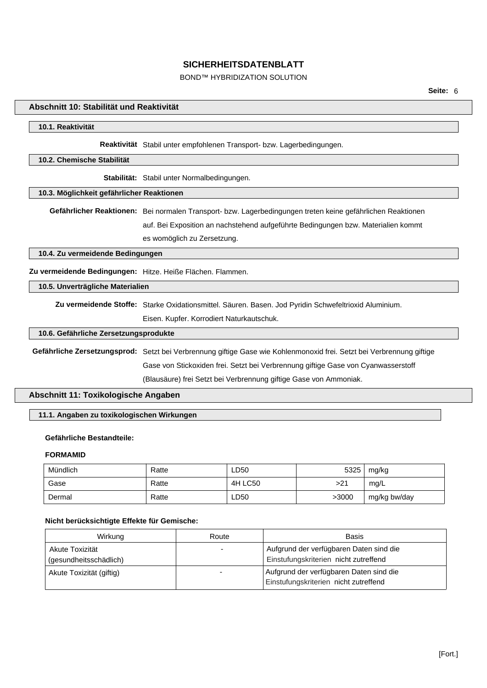## BOND™ HYBRIDIZATION SOLUTION

#### **Abschnitt 10: Stabilität und Reaktivität**

#### **10.1. Reaktivität**

**Reaktivität** Stabil unter empfohlenen Transport- bzw. Lagerbedingungen.

#### **10.2. Chemische Stabilität**

**Stabilität:** Stabil unter Normalbedingungen.

#### **10.3. Möglichkeit gefährlicher Reaktionen**

**Gefährlicher Reaktionen:** Bei normalen Transport- bzw. Lagerbedingungen treten keine gefährlichen Reaktionen auf. Bei Exposition an nachstehend aufgeführte Bedingungen bzw. Materialien kommt es womöglich zu Zersetzung.

**10.4. Zu vermeidende Bedingungen**

**Zu vermeidende Bedingungen:** Hitze. Heiße Flächen. Flammen.

### **10.5. Unverträgliche Materialien**

**Zu vermeidende Stoffe:** Starke Oxidationsmittel. Säuren. Basen. Jod Pyridin Schwefeltrioxid Aluminium.

Eisen. Kupfer. Korrodiert Naturkautschuk.

#### **10.6. Gefährliche Zersetzungsprodukte**

**Gefährliche Zersetzungsprod:** Setzt bei Verbrennung giftige Gase wie Kohlenmonoxid frei. Setzt bei Verbrennung giftige Gase von Stickoxiden frei. Setzt bei Verbrennung giftige Gase von Cyanwasserstoff (Blausäure) frei Setzt bei Verbrennung giftige Gase von Ammoniak.

### **Abschnitt 11: Toxikologische Angaben**

### **11.1. Angaben zu toxikologischen Wirkungen**

#### **Gefährliche Bestandteile:**

#### **FORMAMID**

| Mündlich | Ratte | LD50    | 5325  | mg/kg        |
|----------|-------|---------|-------|--------------|
| Gase     | Ratte | 4H LC50 | >21   | mg/L         |
| Dermal   | Ratte | LD50    | >3000 | mg/kg bw/day |

#### **Nicht berücksichtigte Effekte für Gemische:**

| Wirkung                                   | Route | Basis                                                                            |
|-------------------------------------------|-------|----------------------------------------------------------------------------------|
| Akute Toxizität<br>(gesundheitsschädlich) |       | Aufgrund der verfügbaren Daten sind die<br>Einstufungskriterien nicht zutreffend |
| Akute Toxizität (giftig)                  |       | Aufgrund der verfügbaren Daten sind die                                          |
|                                           |       | Einstufungskriterien nicht zutreffend                                            |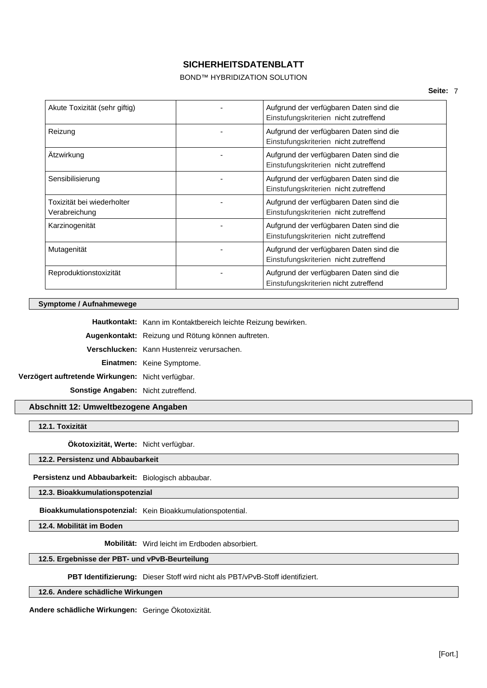## BOND™ HYBRIDIZATION SOLUTION

| Akute Toxizität (sehr giftig)               | Aufgrund der verfügbaren Daten sind die<br>Einstufungskriterien nicht zutreffend |
|---------------------------------------------|----------------------------------------------------------------------------------|
| Reizung                                     | Aufgrund der verfügbaren Daten sind die<br>Einstufungskriterien nicht zutreffend |
| Ätzwirkung                                  | Aufgrund der verfügbaren Daten sind die<br>Einstufungskriterien nicht zutreffend |
| Sensibilisierung                            | Aufgrund der verfügbaren Daten sind die<br>Einstufungskriterien nicht zutreffend |
| Toxizität bei wiederholter<br>Verabreichung | Aufgrund der verfügbaren Daten sind die<br>Einstufungskriterien nicht zutreffend |
| Karzinogenität                              | Aufgrund der verfügbaren Daten sind die<br>Einstufungskriterien nicht zutreffend |
| Mutagenität                                 | Aufgrund der verfügbaren Daten sind die<br>Einstufungskriterien nicht zutreffend |
| Reproduktionstoxizität                      | Aufgrund der verfügbaren Daten sind die<br>Einstufungskriterien nicht zutreffend |

#### **Symptome / Aufnahmewege**

**Hautkontakt:** Kann im Kontaktbereich leichte Reizung bewirken.

**Augenkontakt:** Reizung und Rötung können auftreten.

**Verschlucken:** Kann Hustenreiz verursachen.

**Einatmen:** Keine Symptome.

**Verzögert auftretende Wirkungen:** Nicht verfügbar.

**Sonstige Angaben:** Nicht zutreffend.

**Abschnitt 12: Umweltbezogene Angaben**

**12.1. Toxizität**

**Ökotoxizität, Werte:** Nicht verfügbar.

#### **12.2. Persistenz und Abbaubarkeit**

**Persistenz und Abbaubarkeit:** Biologisch abbaubar.

**12.3. Bioakkumulationspotenzial**

**Bioakkumulationspotenzial:** Kein Bioakkumulationspotential.

**12.4. Mobilität im Boden**

**Mobilität:** Wird leicht im Erdboden absorbiert.

## **12.5. Ergebnisse der PBT- und vPvB-Beurteilung**

**PBT Identifizierung:** Dieser Stoff wird nicht als PBT/vPvB-Stoff identifiziert.

**12.6. Andere schädliche Wirkungen**

**Andere schädliche Wirkungen:** Geringe Ökotoxizität.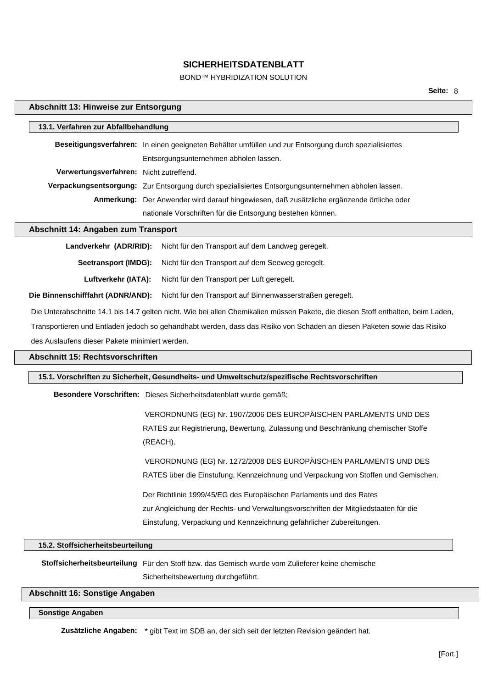## BOND™ HYBRIDIZATION SOLUTION

| Abschnitt 13: Hinweise zur Entsorgung          |                                                                                                                                  |  |
|------------------------------------------------|----------------------------------------------------------------------------------------------------------------------------------|--|
| 13.1. Verfahren zur Abfallbehandlung           |                                                                                                                                  |  |
|                                                | Beseitigungsverfahren: In einen geeigneten Behälter umfüllen und zur Entsorgung durch spezialisiertes                            |  |
|                                                | Entsorgungsunternehmen abholen lassen.                                                                                           |  |
| Verwertungsverfahren: Nicht zutreffend.        |                                                                                                                                  |  |
|                                                | Verpackungsentsorgung: Zur Entsorgung durch spezialisiertes Entsorgungsunternehmen abholen lassen.                               |  |
|                                                | Anmerkung: Der Anwender wird darauf hingewiesen, daß zusätzliche ergänzende örtliche oder                                        |  |
|                                                | nationale Vorschriften für die Entsorgung bestehen können.                                                                       |  |
| Abschnitt 14: Angaben zum Transport            |                                                                                                                                  |  |
| Landverkehr (ADR/RID):                         | Nicht für den Transport auf dem Landweg geregelt.                                                                                |  |
| Seetransport (IMDG):                           | Nicht für den Transport auf dem Seeweg geregelt.                                                                                 |  |
| Luftverkehr (IATA):                            | Nicht für den Transport per Luft geregelt.                                                                                       |  |
| Die Binnenschifffahrt (ADNR/AND):              | Nicht für den Transport auf Binnenwasserstraßen geregelt.                                                                        |  |
|                                                | Die Unterabschnitte 14.1 bis 14.7 gelten nicht. Wie bei allen Chemikalien müssen Pakete, die diesen Stoff enthalten, beim Laden, |  |
|                                                | Transportieren und Entladen jedoch so gehandhabt werden, dass das Risiko von Schäden an diesen Paketen sowie das Risiko          |  |
| des Auslaufens dieser Pakete minimiert werden. |                                                                                                                                  |  |
| Abschnitt 15: Rechtsvorschriften               |                                                                                                                                  |  |
|                                                | 15.1. Vorschriften zu Sicherheit, Gesundheits- und Umweltschutz/spezifische Rechtsvorschriften                                   |  |
|                                                | Besondere Vorschriften: Dieses Sicherheitsdatenblatt wurde gemäß;                                                                |  |
|                                                | VERORDNUNG (EG) Nr. 1907/2006 DES EUROPÄISCHEN PARLAMENTS UND DES                                                                |  |
|                                                | RATES zur Registrierung, Bewertung, Zulassung und Beschränkung chemischer Stoffe                                                 |  |
|                                                | (REACH).                                                                                                                         |  |
|                                                | VERORDNUNG (EG) Nr. 1272/2008 DES EUROPÄISCHEN PARLAMENTS UND DES                                                                |  |
|                                                | RATES über die Einstufung, Kennzeichnung und Verpackung von Stoffen und Gemischen.                                               |  |
|                                                | Der Richtlinie 1999/45/EG des Europäischen Parlaments und des Rates                                                              |  |
|                                                | zur Angleichung der Rechts- und Verwaltungsvorschriften der Mitgliedstaaten für die                                              |  |
|                                                | Einstufung, Verpackung und Kennzeichnung gefährlicher Zubereitungen.                                                             |  |
|                                                |                                                                                                                                  |  |
| 15.2. Stoffsicherheitsbeurteilung              |                                                                                                                                  |  |
|                                                | Stoffsicherheitsbeurteilung Für den Stoff bzw. das Gemisch wurde vom Zulieferer keine chemische                                  |  |
|                                                | Sicherheitsbewertung durchgeführt.                                                                                               |  |
| Abschnitt 16: Sonstige Angaben                 |                                                                                                                                  |  |
| <b>Sonstige Angaben</b>                        |                                                                                                                                  |  |

## **Zusätzliche Angaben:** \* gibt Text im SDB an, der sich seit der letzten Revision geändert hat.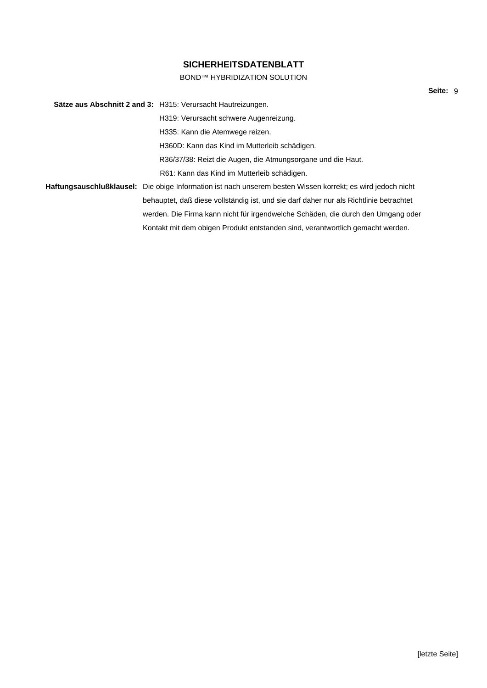## BOND™ HYBRIDIZATION SOLUTION

**Sätze aus Abschnitt 2 and 3:** H315: Verursacht Hautreizungen. H319: Verursacht schwere Augenreizung. H335: Kann die Atemwege reizen. H360D: Kann das Kind im Mutterleib schädigen. R36/37/38: Reizt die Augen, die Atmungsorgane und die Haut. R61: Kann das Kind im Mutterleib schädigen. **Haftungsauschlußklausel:** Die obige Information ist nach unserem besten Wissen korrekt; es wird jedoch nicht behauptet, daß diese vollständig ist, und sie darf daher nur als Richtlinie betrachtet werden. Die Firma kann nicht für irgendwelche Schäden, die durch den Umgang oder Kontakt mit dem obigen Produkt entstanden sind, verantwortlich gemacht werden.

**Seite:** 9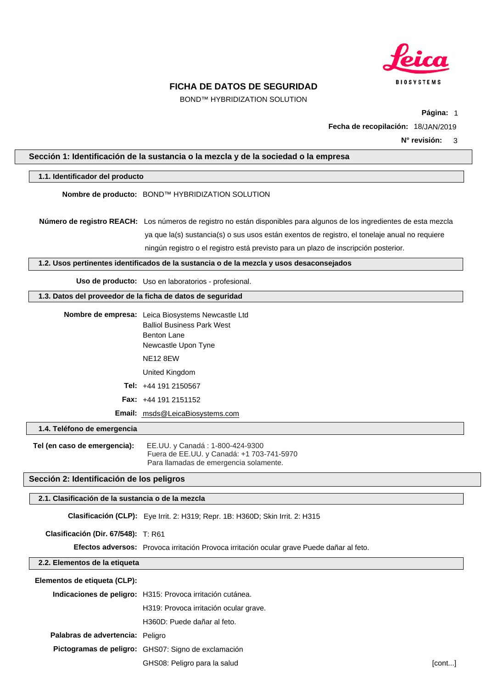

## **FICHA DE DATOS DE SEGURIDAD**

BOND™ HYBRIDIZATION SOLUTION

**Página:** 1

**Fecha de recopilación:** 18/JAN/2019

**N° revisión:** 3

## <span id="page-35-0"></span>**Sección 1: Identificación de la sustancia o la mezcla y de la sociedad o la empresa**

#### **1.1. Identificador del producto**

**Nombre de producto:** BOND™ HYBRIDIZATION SOLUTION

**Número de registro REACH:** Los números de registro no están disponibles para algunos de los ingredientes de esta mezcla ya que la(s) sustancia(s) o sus usos están exentos de registro, el tonelaje anual no requiere ningún registro o el registro está previsto para un plazo de inscripción posterior.

#### **1.2. Usos pertinentes identificados de la sustancia o de la mezcla y usos desaconsejados**

**Uso de producto:** Uso en laboratorios - profesional.

### **1.3. Datos del proveedor de la ficha de datos de seguridad**

|                       | <b>Nombre de empresa:</b> Leica Biosystems Newcastle Ltd<br><b>Balliol Business Park West</b> |
|-----------------------|-----------------------------------------------------------------------------------------------|
|                       | <b>Benton Lane</b><br>Newcastle Upon Tyne                                                     |
|                       | NF <sub>12</sub> 8FW                                                                          |
|                       | United Kingdom                                                                                |
|                       | <b>Tel:</b> $+44$ 191 2150567                                                                 |
|                       | <b>Fax:</b> $+44$ 191 2151152                                                                 |
| Email:                | msds@LeicaBiosystems.com                                                                      |
| olófono de emergencia |                                                                                               |

**1.4. Teléfono de emergencia**

**Tel (en caso de emergencia):** EE.UU. y Canadá : 1-800-424-9300 Fuera de EE.UU. y Canadá: +1 703-741-5970 Para llamadas de emergencia solamente.

## **Sección 2: Identificación de los peligros**

#### **2.1. Clasificación de la sustancia o de la mezcla**

**Clasificación (CLP):** Eye Irrit. 2: H319; Repr. 1B: H360D; Skin Irrit. 2: H315

**Clasificación (Dir. 67/548):** T: R61

**Efectos adversos:** Provoca irritación Provoca irritación ocular grave Puede dañar al feto.

**2.2. Elementos de la etiqueta**

#### **Elementos de etiqueta (CLP):**

|                                  | Indicaciones de peligro: H315: Provoca irritación cutánea. |        |
|----------------------------------|------------------------------------------------------------|--------|
|                                  | H319: Provoca irritación ocular grave.                     |        |
|                                  | H360D: Puede dañar al feto.                                |        |
| Palabras de advertencia: Peligro |                                                            |        |
|                                  | Pictogramas de peligro: GHS07: Signo de exclamación        |        |
|                                  | GHS08: Peligro para la salud                               | [cont] |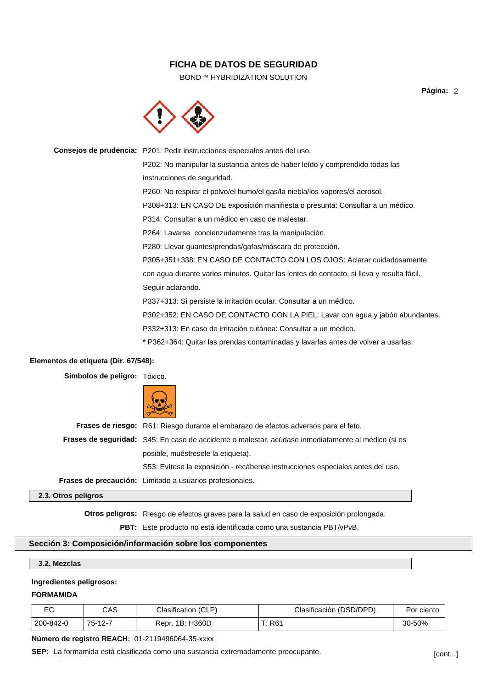BOND™ HYBRIDIZATION SOLUTION

**Página:** 2



**Consejos de prudencia:** P201: Pedir instrucciones especiales antes del uso. P202: No manipular la sustancia antes de haber leído y comprendido todas las instrucciones de seguridad. P260: No respirar el polvo/el humo/el gas/la niebla/los vapores/el aerosol. P308+313: EN CASO DE exposición manifiesta o presunta: Consultar a un médico. P314: Consultar a un médico en caso de malestar. P264: Lavarse concienzudamente tras la manipulación. P280: Llevar guantes/prendas/gafas/máscara de protección. P305+351+338: EN CASO DE CONTACTO CON LOS OJOS: Aclarar cuidadosamente con agua durante varios minutos. Quitar las lentes de contacto, si lleva y resulta fácil. Seguir aclarando. P337+313: Si persiste la irritación ocular: Consultar a un médico. P302+352: EN CASO DE CONTACTO CON LA PIEL: Lavar con agua y jabón abundantes. P332+313: En caso de irritación cutánea: Consultar a un médico. \* P362+364: Quitar las prendas contaminadas y lavarlas antes de volver a usarlas.

### **Elementos de etiqueta (Dir. 67/548):**

| Símbolos de peligro: Tóxico. |                                                                                                    |
|------------------------------|----------------------------------------------------------------------------------------------------|
|                              |                                                                                                    |
|                              | Frases de riesgo: R61: Riesgo durante el embarazo de efectos adversos para el feto.                |
|                              | Frases de seguridad: S45: En caso de accidente o malestar, acúdase inmediatamente al médico (si es |
|                              | posible, muéstresele la etiqueta).                                                                 |
|                              | S53: Evítese la exposición - recábense instrucciones especiales antes del uso.                     |
|                              | Frases de precaución: Limitado a usuarios profesionales.                                           |
| 2.3. Otros peligros          |                                                                                                    |
|                              | <b>Otros peligros:</b> Riesgo de efectos graves para la salud en caso de exposición prolongada.    |

**PBT:** Este producto no está identificada como una sustancia PBT/vPvB.

## **Sección 3: Composición/información sobre los componentes**

### **3.2. Mezclas**

### **Ingredientes peligrosos:**

## **FORMAMIDA**

| ∼<br>└    | CAS     | Clasification (CLP) | Clasificación (DSD/DPD) | Por ciento |
|-----------|---------|---------------------|-------------------------|------------|
| 200-842-0 | 75-12-7 | Repr. 1B: H360D     | T: R61                  | 30-50%     |

## **Número de registro REACH:** 01-2119496064-35-xxxx

**SEP:** La formamida está clasificada como una sustancia extremadamente preocupante.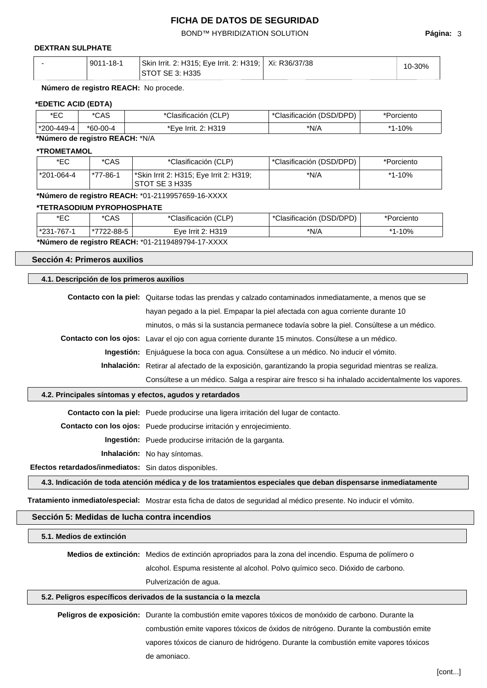BOND™ HYBRIDIZATION SOLUTION **Página:** 3

## **DEXTRAN SULPHATE**

| 9011-18-1 | Skin Irrit, 2: H315: Eve Irrit, 2: H319:   Xi: R36/37/38 | 10-30% |
|-----------|----------------------------------------------------------|--------|
|           | STOT SE 3: H335                                          |        |

**Número de registro REACH:** No procede.

# **\*EDETIC ACID (EDTA)**

| ∗⊏∩<br>└   | *CAS       | *Clasificación (CLP) | *Clasificación (DSD/DPD) | *Porciento         |
|------------|------------|----------------------|--------------------------|--------------------|
| *200-449-4 | $*60-00-4$ | *Eve Irrit, 2: H319  | *N/A                     | 10%<br>$\mathbf x$ |
| $\cdots$   | . .        | ---------            |                          |                    |

**\*Número de registro REACH:** \*N/A

## **\*TROMETAMOL**

| *EC         | *CAS     | *Clasificación (CLP)                                                  | *Clasificación (DSD/DPD) | *Porciento |
|-------------|----------|-----------------------------------------------------------------------|--------------------------|------------|
| 1*201-064-4 | *77-86-1 | <sup>*</sup> Skin Irrit 2: H315; Eye Irrit 2: H319;<br>STOT SE 3 H335 | *N/A                     | *1-10%     |

**\*Número de registro REACH:** \*01-2119957659-16-XXXX

### **\*TETRASODIUM PYROPHOSPHATE**

| *EC                                               | *CAS          | *Clasificación (CLP) | *Clasificación (DSD/DPD) | *Porciento |  |
|---------------------------------------------------|---------------|----------------------|--------------------------|------------|--|
| l *231-767-1                                      | $1*7722-88-5$ | Eve Irrit 2: H319    | *N/A                     | *1-10%     |  |
| *Número de registro REACH: *01-2119489794-17-XXXX |               |                      |                          |            |  |

### **Sección 4: Primeros auxilios**

|                                                                                                               | 4.1. Descripción de los primeros auxilios                                                               |  |  |  |
|---------------------------------------------------------------------------------------------------------------|---------------------------------------------------------------------------------------------------------|--|--|--|
|                                                                                                               | Contacto con la piel: Quitarse todas las prendas y calzado contaminados inmediatamente, a menos que se  |  |  |  |
|                                                                                                               |                                                                                                         |  |  |  |
|                                                                                                               | hayan pegado a la piel. Empapar la piel afectada con agua corriente durante 10                          |  |  |  |
|                                                                                                               | minutos, o más si la sustancia permanece todavía sobre la piel. Consúltese a un médico.                 |  |  |  |
|                                                                                                               | Contacto con los ojos: Lavar el ojo con agua corriente durante 15 minutos. Consúltese a un médico.      |  |  |  |
|                                                                                                               | Ingestión: Enjuáguese la boca con agua. Consúltese a un médico. No inducir el vómito.                   |  |  |  |
|                                                                                                               | Inhalación: Retirar al afectado de la exposición, garantizando la propia seguridad mientras se realiza. |  |  |  |
|                                                                                                               | Consúltese a un médico. Salga a respirar aire fresco si ha inhalado accidentalmente los vapores.        |  |  |  |
| 4.2. Principales síntomas y efectos, agudos y retardados                                                      |                                                                                                         |  |  |  |
|                                                                                                               | Contacto con la piel: Puede producirse una ligera irritación del lugar de contacto.                     |  |  |  |
|                                                                                                               | Contacto con los ojos: Puede producirse irritación y enrojecimiento.                                    |  |  |  |
|                                                                                                               | <b>Ingestión:</b> Puede producirse irritación de la garganta.                                           |  |  |  |
|                                                                                                               | Inhalación: No hay síntomas.                                                                            |  |  |  |
| Efectos retardados/inmediatos: Sin datos disponibles.                                                         |                                                                                                         |  |  |  |
| 4.3. Indicación de toda atención médica y de los tratamientos especiales que deban dispensarse inmediatamente |                                                                                                         |  |  |  |

**Tratamiento inmediato/especial:** Mostrar esta ficha de datos de seguridad al médico presente. No inducir el vómito.

## **Sección 5: Medidas de lucha contra incendios**

**5.1. Medios de extinción**

**Medios de extinción:** Medios de extinción apropriados para la zona del incendio. Espuma de polímero o alcohol. Espuma resistente al alcohol. Polvo químico seco. Dióxido de carbono. Pulverización de agua.

### **5.2. Peligros específicos derivados de la sustancia o la mezcla**

**Peligros de exposición:** Durante la combustión emite vapores tóxicos de monóxido de carbono. Durante la combustión emite vapores tóxicos de óxidos de nitrógeno. Durante la combustión emite vapores tóxicos de cianuro de hidrógeno. Durante la combustión emite vapores tóxicos de amoniaco.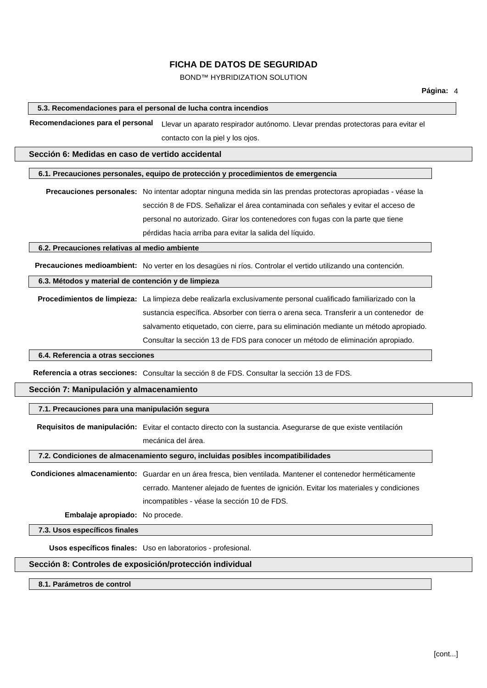## BOND™ HYBRIDIZATION SOLUTION

### **5.3. Recomendaciones para el personal de lucha contra incendios**

**Recomendaciones para el personal** Llevar un aparato respirador autónomo. Llevar prendas protectoras para evitar el contacto con la piel y los ojos.

**Sección 6: Medidas en caso de vertido accidental**

### **6.1. Precauciones personales, equipo de protección y procedimientos de emergencia**

**Precauciones personales:** No intentar adoptar ninguna medida sin las prendas protectoras apropiadas - véase la sección 8 de FDS. Señalizar el área contaminada con señales y evitar el acceso de personal no autorizado. Girar los contenedores con fugas con la parte que tiene pérdidas hacia arriba para evitar la salida del líquido.

### **6.2. Precauciones relativas al medio ambiente**

**Precauciones medioambient:** No verter en los desagües ni ríos. Controlar el vertido utilizando una contención.

### **6.3. Métodos y material de contención y de limpieza**

**Procedimientos de limpieza:** La limpieza debe realizarla exclusivamente personal cualificado familiarizado con la sustancia específica. Absorber con tierra o arena seca. Transferir a un contenedor de salvamento etiquetado, con cierre, para su eliminación mediante un método apropiado. Consultar la sección 13 de FDS para conocer un método de eliminación apropiado.

### **6.4. Referencia a otras secciones**

**Referencia a otras secciones:** Consultar la sección 8 de FDS. Consultar la sección 13 de FDS.

### **Sección 7: Manipulación y almacenamiento**

### **7.1. Precauciones para una manipulación segura**

**Requisitos de manipulación:** Evitar el contacto directo con la sustancia. Asegurarse de que existe ventilación mecánica del área.

### **7.2. Condiciones de almacenamiento seguro, incluidas posibles incompatibilidades**

**Condiciones almacenamiento:** Guardar en un área fresca, bien ventilada. Mantener el contenedor herméticamente cerrado. Mantener alejado de fuentes de ignición. Evitar los materiales y condiciones incompatibles - véase la sección 10 de FDS.

**Embalaje apropiado:** No procede.

**7.3. Usos específicos finales**

**Usos específicos finales:** Uso en laboratorios - profesional.

### **Sección 8: Controles de exposición/protección individual**

**8.1. Parámetros de control**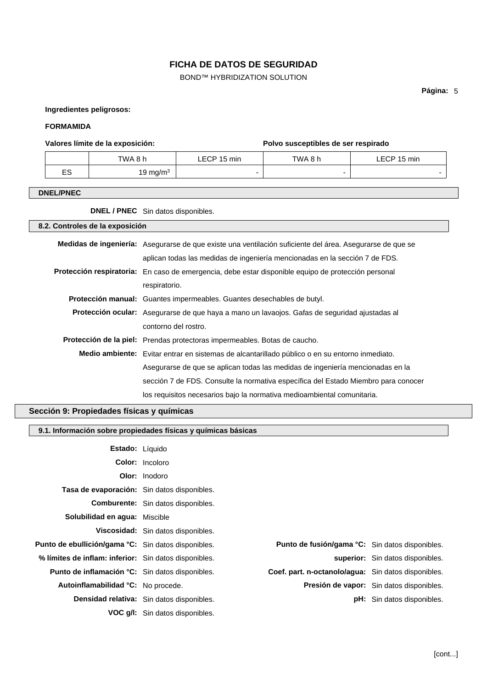BOND™ HYBRIDIZATION SOLUTION

**Página:** 5

**Ingredientes peligrosos:**

### **FORMAMIDA**

### **Valores límite de la exposición: Polvo susceptibles de ser respirado**

|    | TWA 8 h     | LECP 15 min | TWA 8 h | LECP 15 min |
|----|-------------|-------------|---------|-------------|
| ES | 19 mg/m $3$ |             |         |             |

## **DNEL/PNEC**

**DNEL / PNEC** Sin datos disponibles.

**8.2. Controles de la exposición Medidas de ingeniería:** Asegurarse de que existe una ventilación suficiente del área. Asegurarse de que se aplican todas las medidas de ingeniería mencionadas en la sección 7 de FDS. **Protección respiratoria:** En caso de emergencia, debe estar disponible equipo de protección personal respiratorio. **Protección manual:** Guantes impermeables. Guantes desechables de butyl. **Protección ocular:** Asegurarse de que haya a mano un lavaojos. Gafas de seguridad ajustadas al contorno del rostro. **Protección de la piel:** Prendas protectoras impermeables. Botas de caucho. **Medio ambiente:** Evitar entrar en sistemas de alcantarillado público o en su entorno inmediato. Asegurarse de que se aplican todas las medidas de ingeniería mencionadas en la sección 7 de FDS. Consulte la normativa específica del Estado Miembro para conocer los requisitos necesarios bajo la normativa medioambiental comunitaria.

## **Sección 9: Propiedades físicas y químicas**

|                                                       | 9.1. Información sobre propiedades físicas y químicas básicas |                                                     |                                                 |
|-------------------------------------------------------|---------------------------------------------------------------|-----------------------------------------------------|-------------------------------------------------|
| <b>Estado:</b> Líquido                                |                                                               |                                                     |                                                 |
|                                                       | <b>Color:</b> Incoloro                                        |                                                     |                                                 |
|                                                       | <b>Olor:</b> Inodoro                                          |                                                     |                                                 |
| Tasa de evaporación: Sin datos disponibles.           |                                                               |                                                     |                                                 |
|                                                       | <b>Comburente:</b> Sin datos disponibles.                     |                                                     |                                                 |
| <b>Solubilidad en agua: Miscible</b>                  |                                                               |                                                     |                                                 |
|                                                       | Viscosidad: Sin datos disponibles.                            |                                                     |                                                 |
| Punto de ebullición/gama °C: Sin datos disponibles.   |                                                               | Punto de fusión/gama °C: Sin datos disponibles.     |                                                 |
| % límites de inflam: inferior: Sin datos disponibles. |                                                               |                                                     | superior: Sin datos disponibles.                |
| Punto de inflamación °C: Sin datos disponibles.       |                                                               | Coef. part. n-octanolo/agua: Sin datos disponibles. |                                                 |
| Autoinflamabilidad °C: No procede.                    |                                                               |                                                     | <b>Presión de vapor:</b> Sin datos disponibles. |
|                                                       | <b>Densidad relativa:</b> Sin datos disponibles.              |                                                     | <b>pH:</b> Sin datos disponibles.               |
|                                                       | <b>VOC g/l:</b> Sin datos disponibles.                        |                                                     |                                                 |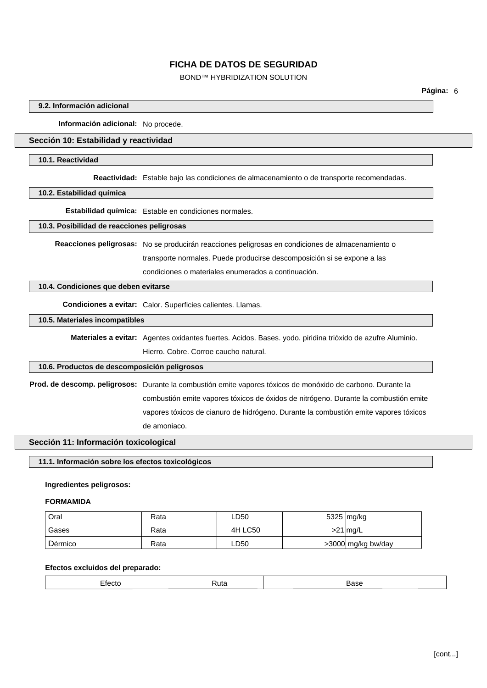## BOND™ HYBRIDIZATION SOLUTION

**Página:** 6

## **9.2. Información adicional**

**Información adicional:** No procede.

### **Sección 10: Estabilidad y reactividad**

### **10.1. Reactividad**

**Reactividad:** Estable bajo las condiciones de almacenamiento o de transporte recomendadas.

### **10.2. Estabilidad química**

**Estabilidad química:** Estable en condiciones normales.

### **10.3. Posibilidad de reacciones peligrosas**

**Reacciones peligrosas:** No se producirán reacciones peligrosas en condiciones de almacenamiento o transporte normales. Puede producirse descomposición si se expone a las condiciones o materiales enumerados a continuación.

### **10.4. Condiciones que deben evitarse**

**Condiciones a evitar:** Calor. Superficies calientes. Llamas.

## **10.5. Materiales incompatibles**

**Materiales a evitar:** Agentes oxidantes fuertes. Acidos. Bases. yodo. piridina trióxido de azufre Aluminio. Hierro. Cobre. Corroe caucho natural.

### **10.6. Productos de descomposición peligrosos**

**Prod. de descomp. peligrosos:** Durante la combustión emite vapores tóxicos de monóxido de carbono. Durante la combustión emite vapores tóxicos de óxidos de nitrógeno. Durante la combustión emite vapores tóxicos de cianuro de hidrógeno. Durante la combustión emite vapores tóxicos de amoniaco.

### **Sección 11: Información toxicological**

## **11.1. Información sobre los efectos toxicológicos**

### **Ingredientes peligrosos:**

### **FORMAMIDA**

| Oral    | Rata | ∟D50    | 5325 mg/kg         |
|---------|------|---------|--------------------|
| Gases   | Rata | 4H LC50 | $>21$ mg/L         |
| Dérmico | Rata | ∟D50    | >3000 mg/kg bw/day |

### **Efectos excluidos del preparado:**

|  | . .<br>. | .uu | ---- |  |
|--|----------|-----|------|--|
|--|----------|-----|------|--|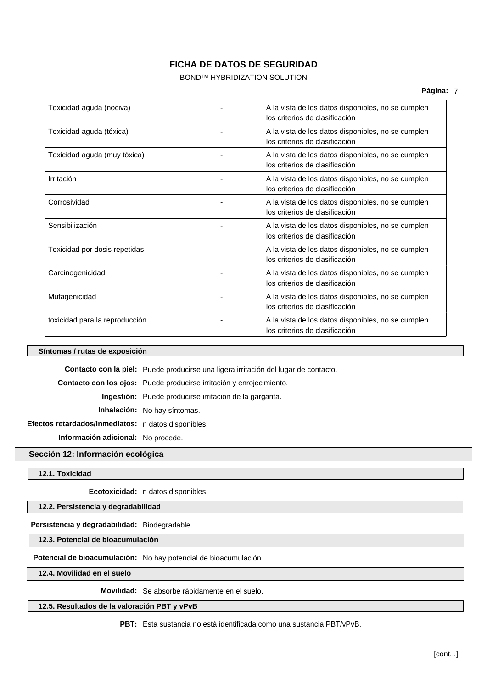BOND™ HYBRIDIZATION SOLUTION

**Página:** 7

| Toxicidad aguda (nociva)       | A la vista de los datos disponibles, no se cumplen<br>los criterios de clasificación |
|--------------------------------|--------------------------------------------------------------------------------------|
| Toxicidad aguda (tóxica)       | A la vista de los datos disponibles, no se cumplen<br>los criterios de clasificación |
| Toxicidad aguda (muy tóxica)   | A la vista de los datos disponibles, no se cumplen<br>los criterios de clasificación |
| Irritación                     | A la vista de los datos disponibles, no se cumplen<br>los criterios de clasificación |
| Corrosividad                   | A la vista de los datos disponibles, no se cumplen<br>los criterios de clasificación |
| Sensibilización                | A la vista de los datos disponibles, no se cumplen<br>los criterios de clasificación |
| Toxicidad por dosis repetidas  | A la vista de los datos disponibles, no se cumplen<br>los criterios de clasificación |
| Carcinogenicidad               | A la vista de los datos disponibles, no se cumplen<br>los criterios de clasificación |
| Mutagenicidad                  | A la vista de los datos disponibles, no se cumplen<br>los criterios de clasificación |
| toxicidad para la reproducción | A la vista de los datos disponibles, no se cumplen<br>los criterios de clasificación |

## **Síntomas / rutas de exposición**

**Contacto con la piel:** Puede producirse una ligera irritación del lugar de contacto.

**Contacto con los ojos:** Puede producirse irritación y enrojecimiento.

**Ingestión:** Puede producirse irritación de la garganta.

**Inhalación:** No hay síntomas.

**Efectos retardados/inmediatos:** n datos disponibles.

**Información adicional:** No procede.

## **Sección 12: Información ecológica**

**12.1. Toxicidad**

**Ecotoxicidad:** n datos disponibles.

## **12.2. Persistencia y degradabilidad**

**Persistencia y degradabilidad:** Biodegradable.

**12.3. Potencial de bioacumulación**

**Potencial de bioacumulación:** No hay potencial de bioacumulación.

**12.4. Movilidad en el suelo**

**Movilidad:** Se absorbe rápidamente en el suelo.

## **12.5. Resultados de la valoración PBT y vPvB**

**PBT:** Esta sustancia no está identificada como una sustancia PBT/vPvB.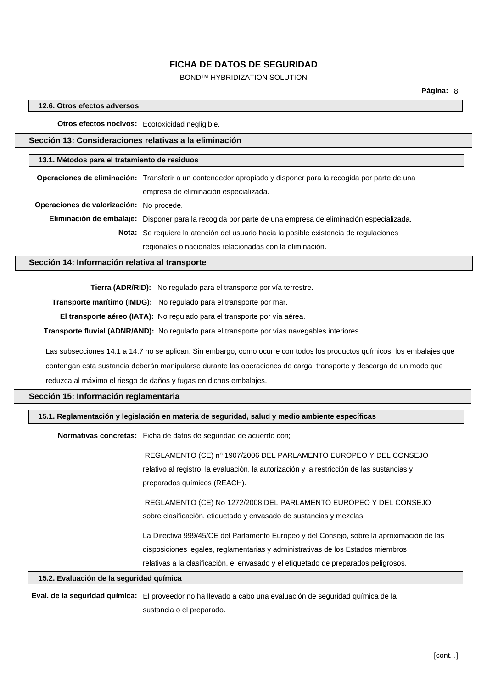## BOND™ HYBRIDIZATION SOLUTION

### **12.6. Otros efectos adversos**

**Otros efectos nocivos:** Ecotoxicidad negligible.

# **Sección 13: Consideraciones relativas a la eliminación 13.1. Métodos para el tratamiento de residuos Operaciones de eliminación:** Transferir a un contendedor apropiado y disponer para la recogida por parte de una empresa de eliminación especializada. **Operaciones de valorización:** No procede. **Eliminación de embalaje:** Disponer para la recogida por parte de una empresa de eliminación especializada. **Nota:** Se requiere la atención del usuario hacia la posible existencia de regulaciones regionales o nacionales relacionadas con la eliminación.

### **Sección 14: Información relativa al transporte**

**Tierra (ADR/RID):** No regulado para el transporte por vía terrestre.

**Transporte marítimo (IMDG):** No regulado para el transporte por mar.

**El transporte aéreo (IATA):** No regulado para el transporte por vía aérea.

**Transporte fluvial (ADNR/AND):** No regulado para el transporte por vías navegables interiores.

Las subsecciones 14.1 a 14.7 no se aplican. Sin embargo, como ocurre con todos los productos químicos, los embalajes que contengan esta sustancia deberán manipularse durante las operaciones de carga, transporte y descarga de un modo que reduzca al máximo el riesgo de daños y fugas en dichos embalajes.

### **Sección 15: Información reglamentaria**

### **15.1. Reglamentación y legislación en materia de seguridad, salud y medio ambiente específicas**

**Normativas concretas:** Ficha de datos de seguridad de acuerdo con;

REGLAMENTO (CE) nº 1907/2006 DEL PARLAMENTO EUROPEO Y DEL CONSEJO relativo al registro, la evaluación, la autorización y la restricción de las sustancias y preparados químicos (REACH). REGLAMENTO (CE) No 1272/2008 DEL PARLAMENTO EUROPEO Y DEL CONSEJO sobre clasificación, etiquetado y envasado de sustancias y mezclas.

La Directiva 999/45/CE del Parlamento Europeo y del Consejo, sobre la aproximación de las disposiciones legales, reglamentarias y administrativas de los Estados miembros relativas a la clasificación, el envasado y el etiquetado de preparados peligrosos.

### **15.2. Evaluación de la seguridad química**

**Eval. de la seguridad química:** El proveedor no ha llevado a cabo una evaluación de seguridad química de la sustancia o el preparado.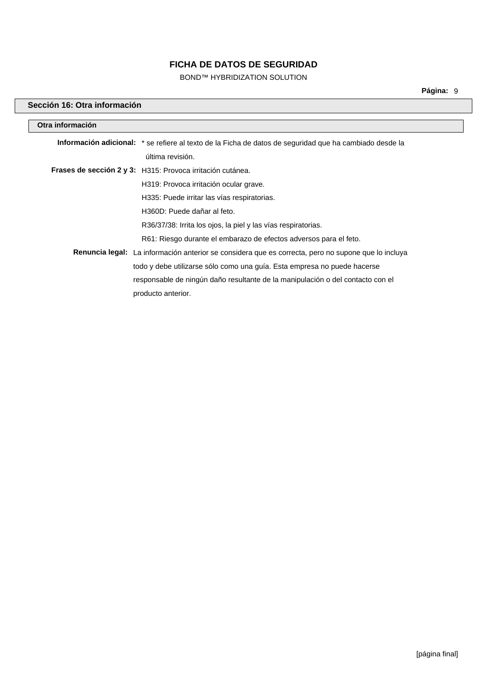BOND™ HYBRIDIZATION SOLUTION

# **Sección 16: Otra información**

| Otra información |                                                                                                            |
|------------------|------------------------------------------------------------------------------------------------------------|
|                  | Información adicional: * se refiere al texto de la Ficha de datos de seguridad que ha cambiado desde la    |
|                  | última revisión.                                                                                           |
|                  | <b>Frases de sección 2 y 3:</b> H315: Provoca irritación cutánea.                                          |
|                  | H319: Provoca irritación ocular grave.                                                                     |
|                  | H335: Puede irritar las vías respiratorias.                                                                |
|                  | H360D: Puede dañar al feto.                                                                                |
|                  | R36/37/38: Irrita los ojos, la piel y las vías respiratorias.                                              |
|                  | R61: Riesgo durante el embarazo de efectos adversos para el feto.                                          |
|                  | <b>Renuncia legal:</b> La información anterior se considera que es correcta, pero no supone que lo incluya |
|                  | todo y debe utilizarse sólo como una guía. Esta empresa no puede hacerse                                   |
|                  | responsable de ningún daño resultante de la manipulación o del contacto con el                             |
|                  | producto anterior.                                                                                         |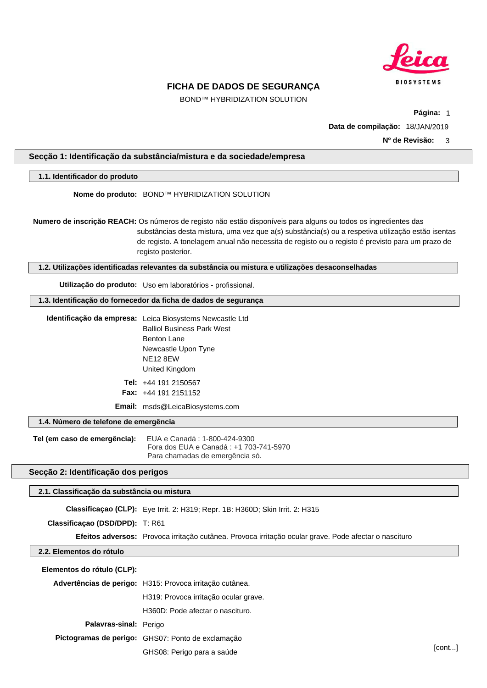

BOND™ HYBRIDIZATION SOLUTION

**Página:** 1 **Data de compilação:** 18/JAN/2019 **Nº de Revisão:** 3

## **Secção 1: Identificação da substância/mistura e da sociedade/empresa**

### **1.1. Identificador do produto**

**Nome do produto:** BOND™ HYBRIDIZATION SOLUTION

**Numero de inscrição REACH:** Os números de registo não estão disponíveis para alguns ou todos os ingredientes das substâncias desta mistura, uma vez que a(s) substância(s) ou a respetiva utilização estão isentas de registo. A tonelagem anual não necessita de registo ou o registo é previsto para um prazo de registo posterior.

**1.2. Utilizações identificadas relevantes da substância ou mistura e utilizações desaconselhadas**

**Utilização do produto:** Uso em laboratórios - profissional.

## **1.3. Identificação do fornecedor da ficha de dados de segurança**

| Identificação da empresa: Leica Biosystems Newcastle Ltd |
|----------------------------------------------------------|
| <b>Balliol Business Park West</b>                        |
| <b>Benton Lane</b>                                       |
| Newcastle Upon Tyne                                      |
| <b>NE12 8EW</b>                                          |
| United Kingdom                                           |
| <b>Tel:</b> $+44$ 191 2150567                            |
| <b>Fax:</b> $+44$ 191 2151152                            |
|                                                          |

**Email:** msds@LeicaBiosystems.com

### **1.4. Número de telefone de emergência**

**Tel (em caso de emergência):** EUA e Canadá : 1-800-424-9300 Fora dos EUA e Canadá : +1 703-741-5970 Para chamadas de emergência só.

### **Secção 2: Identificação dos perigos**

### **2.1. Classificação da substância ou mistura**

**Classificaçao (CLP):** Eye Irrit. 2: H319; Repr. 1B: H360D; Skin Irrit. 2: H315

**Classificaçao (DSD/DPD):** T: R61

**Efeitos adversos:** Provoca irritação cutânea. Provoca irritação ocular grave. Pode afectar o nascituro

### **2.2. Elementos do rótulo**

### **Elementos do rótulo (CLP):**

**Advertências de perigo:** H315: Provoca irritação cutânea.

H319: Provoca irritação ocular grave.

H360D: Pode afectar o nascituro.

**Palavras-sinal:** Perigo

**Pictogramas de perigo:** GHS07: Ponto de exclamação

GHS08: Perigo para a saúde **intervention de la context** de la context de la context de la context de la context d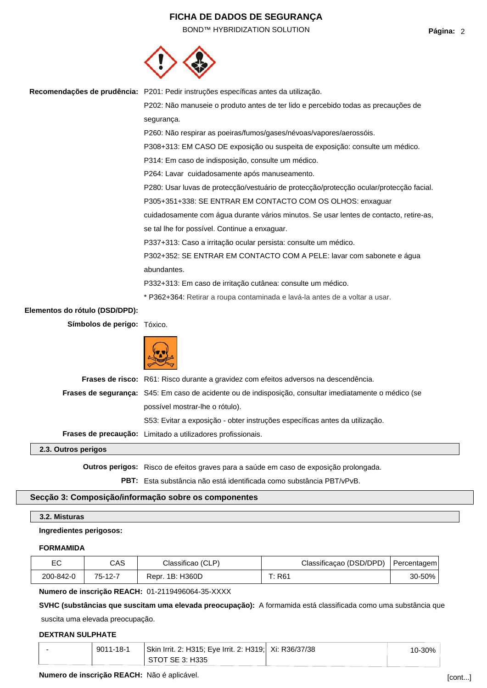BOND™ HYBRIDIZATION SOLUTION **Página:** 2



**Recomendações de prudência:** P201: Pedir instruções específicas antes da utilização. P202: Não manuseie o produto antes de ter lido e percebido todas as precauções de segurança. P260: Não respirar as poeiras/fumos/gases/névoas/vapores/aerossóis. P308+313: EM CASO DE exposição ou suspeita de exposição: consulte um médico. P314: Em caso de indisposição, consulte um médico. P264: Lavar cuidadosamente após manuseamento. P280: Usar luvas de protecção/vestuário de protecção/protecção ocular/protecção facial. P305+351+338: SE ENTRAR EM CONTACTO COM OS OLHOS: enxaguar cuidadosamente com água durante vários minutos. Se usar lentes de contacto, retire-as, se tal lhe for possível. Continue a enxaguar. P337+313: Caso a irritação ocular persista: consulte um médico. P302+352: SE ENTRAR EM CONTACTO COM A PELE: lavar com sabonete e água abundantes. P332+313: Em caso de irritação cutânea: consulte um médico. \* P362+364: Retirar a roupa contaminada e lavá-la antes de a voltar a usar. **Elementos do rótulo (DSD/DPD): Símbolos de perigo:** Tóxico. **Frases de risco:** R61: Risco durante a gravidez com efeitos adversos na descendência. **Frases de segurança:** S45: Em caso de acidente ou de indisposição, consultar imediatamente o médico (se possível mostrar-lhe o rótulo). S53: Evitar a exposição - obter instruções específicas antes da utilização. **Frases de precaução:** Limitado a utilizadores profissionais.

**2.3. Outros perigos**

**Outros perigos:** Risco de efeitos graves para a saúde em caso de exposição prolongada.

**PBT:** Esta substância não está identificada como substância PBT/vPvB.

## **Secção 3: Composição/informação sobre os componentes**

## **3.2. Misturas**

### **Ingredientes perigosos:**

### **FORMAMIDA**

|           | CAS     | Classificao (CLP) | Classificação (DSD/DPD)   Percentagem |            |
|-----------|---------|-------------------|---------------------------------------|------------|
| 200-842-0 | 75-12-7 | Repr. 1B: H360D   | R61                                   | $30 - 50%$ |

**Numero de inscrição REACH:** 01-2119496064-35-XXXX

**SVHC (substâncias que suscitam uma elevada preocupação):** A formamida está classificada como uma substância que suscita uma elevada preocupação.

## **DEXTRAN SULPHATE**

| 9011-18-1 | Skin Irrit. 2: H315; Eye Irrit. 2: H319;   Xi: R36/37/38 | 10-30% |  |
|-----------|----------------------------------------------------------|--------|--|
|           | STOT SE 3: H335                                          |        |  |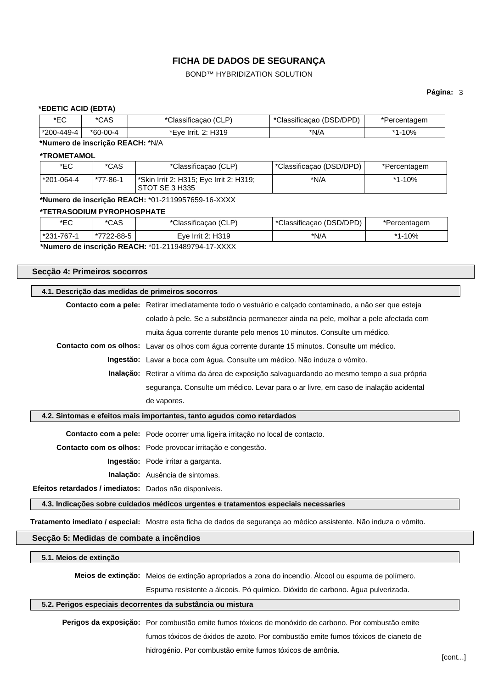## BOND™ HYBRIDIZATION SOLUTION

### **Página:** 3

## **\*EDETIC ACID (EDTA)**

|                                                               | ∗⊏∩<br>└   |
|---------------------------------------------------------------|------------|
| *N/A<br>*60-00-4<br>2: H319<br>$.10\%$<br>$*4$<br>*Eve Irrit. | *200-449-4 |

# **\*Numero de inscrição REACH:** \*N/A

## **\*TROMETAMOL**

| *EC        | *CAS     | *Classificacao (CLP)                                                  | <sup>1</sup> *Classificacao (DSD/DPD) | *Percentagem |
|------------|----------|-----------------------------------------------------------------------|---------------------------------------|--------------|
| *201-064-4 | *77-86-1 | <sup>*</sup> Skin Irrit 2: H315; Eye Irrit 2: H319;<br>STOT SE 3 H335 | *N/A                                  | *1-10%       |

# **\*Numero de inscrição REACH:** \*01-2119957659-16-XXXX

### **\*TETRASODIUM PYROPHOSPHATE**

| *EC                           | *CAS       | *Classificacao (CLP) | 'Classificacao (DSD/DPD) | *Percentagem   |
|-------------------------------|------------|----------------------|--------------------------|----------------|
| *231-767-1                    | *7722-88-5 | Eve Irrit 2: H319    | *N/A                     | $-10%$<br>$*1$ |
| $\mathbf{A} \cdot \mathbf{B}$ |            | $- - - - - - -$      |                          |                |

**\*Numero de inscrição REACH:** \*01-2119489794-17-XXXX

## **Secção 4: Primeiros socorros**

### **4.1. Descrição das medidas de primeiros socorros**

| Contacto com a pele: Retirar imediatamente todo o vestuário e calçado contaminado, a não ser que esteja |  |  |
|---------------------------------------------------------------------------------------------------------|--|--|
| colado à pele. Se a substância permanecer ainda na pele, molhar a pele afectada com                     |  |  |
| muita água corrente durante pelo menos 10 minutos. Consulte um médico.                                  |  |  |
| <b>Contacto com os olhos:</b> Lavar os olhos com água corrente durante 15 minutos. Consulte um médico.  |  |  |
| Ingestão: Lavar a boca com água. Consulte um médico. Não induza o vómito.                               |  |  |
| Inalação: Retirar a vítima da área de exposição salvaguardando ao mesmo tempo a sua própria             |  |  |
| segurança. Consulte um médico. Levar para o ar livre, em caso de inalação acidental                     |  |  |
| de vapores.                                                                                             |  |  |

### **4.2. Sintomas e efeitos mais importantes, tanto agudos como retardados**

**Contacto com a pele:** Pode ocorrer uma ligeira irritação no local de contacto.

**Contacto com os olhos:** Pode provocar irritação e congestão.

**Ingestão:** Pode irritar a garganta.

**Inalação:** Ausência de sintomas.

**Efeitos retardados / imediatos:** Dados não disponíveis.

**4.3. Indicações sobre cuidados médicos urgentes e tratamentos especiais necessaries**

**Tratamento imediato / especial:** Mostre esta ficha de dados de segurança ao médico assistente. Não induza o vómito.

### **Secção 5: Medidas de combate a incêndios**

**5.1. Meios de extinção**

**Meios de extinção:** Meios de extinção apropriados a zona do incendio. Álcool ou espuma de polímero.

Espuma resistente a álcoois. Pó químico. Dióxido de carbono. Água pulverizada.

## **5.2. Perigos especiais decorrentes da substância ou mistura**

**Perigos da exposição:** Por combustão emite fumos tóxicos de monóxido de carbono. Por combustão emite fumos tóxicos de óxidos de azoto. Por combustão emite fumos tóxicos de cianeto de hidrogénio. Por combustão emite fumos tóxicos de amônia.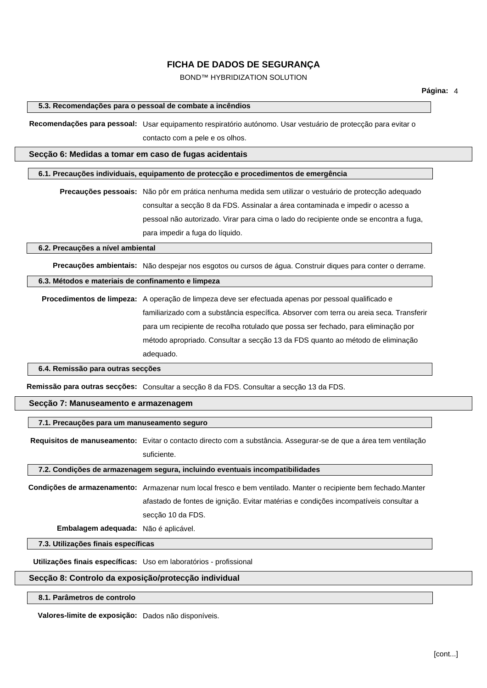BOND™ HYBRIDIZATION SOLUTION

### **5.3. Recomendações para o pessoal de combate a incêndios**

**Recomendações para pessoal:** Usar equipamento respiratório autónomo. Usar vestuário de protecção para evitar o contacto com a pele e os olhos.

**Secção 6: Medidas a tomar em caso de fugas acidentais**

### **6.1. Precauções individuais, equipamento de protecção e procedimentos de emergência**

**Precauções pessoais:** Não pôr em prática nenhuma medida sem utilizar o vestuário de protecção adequado consultar a secção 8 da FDS. Assinalar a área contaminada e impedir o acesso a pessoal não autorizado. Virar para cima o lado do recipiente onde se encontra a fuga, para impedir a fuga do líquido.

### **6.2. Precauções a nível ambiental**

**Precauções ambientais:** Não despejar nos esgotos ou cursos de água. Construir diques para conter o derrame.

### **6.3. Métodos e materiais de confinamento e limpeza**

**Procedimentos de limpeza:** A operação de limpeza deve ser efectuada apenas por pessoal qualificado e familiarizado com a substância específica. Absorver com terra ou areia seca. Transferir para um recipiente de recolha rotulado que possa ser fechado, para eliminação por método apropriado. Consultar a secção 13 da FDS quanto ao método de eliminação adequado.

#### **6.4. Remissão para outras secções**

**Remissão para outras secções:** Consultar a secção 8 da FDS. Consultar a secção 13 da FDS.

### **Secção 7: Manuseamento e armazenagem**

### **7.1. Precauções para um manuseamento seguro**

**Requisitos de manuseamento:** Evitar o contacto directo com a substância. Assegurar-se de que a área tem ventilação suficiente.

### **7.2. Condições de armazenagem segura, incluindo eventuais incompatibilidades**

**Condições de armazenamento:** Armazenar num local fresco e bem ventilado. Manter o recipiente bem fechado.Manter afastado de fontes de ignição. Evitar matérias e condições incompatíveis consultar a secção 10 da FDS.

**Embalagem adequada:** Não é aplicável.

## **7.3. Utilizações finais específicas**

**Utilizações finais específicas:** Uso em laboratórios - profissional

## **Secção 8: Controlo da exposição/protecção individual**

### **8.1. Parâmetros de controlo**

**Valores-limite de exposição:** Dados não disponíveis.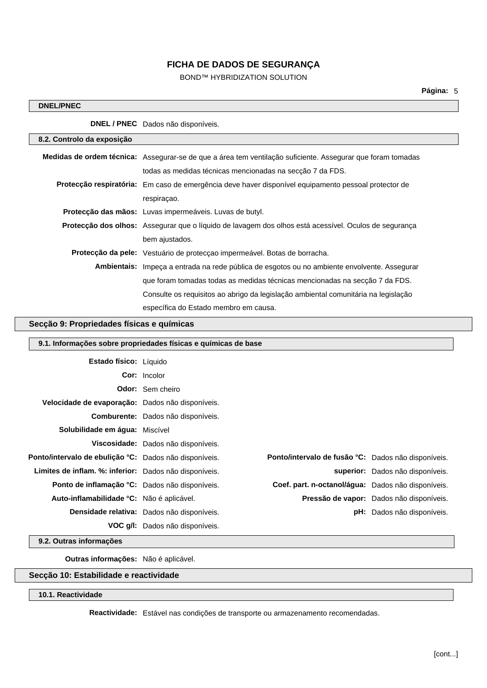## BOND™ HYBRIDIZATION SOLUTION

 $\overline{\phantom{a}}$ 

| <b>DNEL/PNEC</b>           |                                                                                                             |
|----------------------------|-------------------------------------------------------------------------------------------------------------|
|                            | <b>DNEL / PNEC</b> Dados não disponíveis.                                                                   |
| 8.2. Controlo da exposição |                                                                                                             |
|                            | Medidas de ordem técnica: Assegurar-se de que a área tem ventilação suficiente. Assegurar que foram tomadas |
|                            | todas as medidas técnicas mencionadas na secção 7 da FDS.                                                   |
|                            | Protecção respiratória: Em caso de emergência deve haver disponível equipamento pessoal protector de        |
|                            | respiraçao.                                                                                                 |
|                            | Protecção das mãos: Luvas impermeáveis. Luvas de butyl.                                                     |
|                            | Protecção dos olhos: Assegurar que o líquido de lavagem dos olhos está acessível. Oculos de segurança       |
|                            | bem ajustados.                                                                                              |
|                            | Protecção da pele: Vestuário de protecção impermeável. Botas de borracha.                                   |
|                            | <b>Ambientais:</b> Impeça a entrada na rede pública de esgotos ou no ambiente envolvente. Assegurar         |
|                            | que foram tomadas todas as medidas técnicas mencionadas na secção 7 da FDS.                                 |
|                            | Consulte os requisitos ao abrigo da legislação ambiental comunitária na legislação                          |
|                            | específica do Estado membro em causa.                                                                       |

## **Secção 9: Propriedades físicas e químicas**

| 9.1. Informações sobre propriedades físicas e químicas de base |                                            |                                                            |                                          |  |
|----------------------------------------------------------------|--------------------------------------------|------------------------------------------------------------|------------------------------------------|--|
| Estado físico: Líquido                                         |                                            |                                                            |                                          |  |
|                                                                | <b>Cor:</b> Incolor                        |                                                            |                                          |  |
|                                                                | <b>Odor:</b> Sem cheiro                    |                                                            |                                          |  |
| Velocidade de evaporação: Dados não disponíveis.               |                                            |                                                            |                                          |  |
|                                                                | <b>Comburente:</b> Dados não disponíveis.  |                                                            |                                          |  |
| <b>Solubilidade em água:</b> Miscível                          |                                            |                                                            |                                          |  |
|                                                                | Viscosidade: Dados não disponíveis.        |                                                            |                                          |  |
| Ponto/intervalo de ebulição °C: Dados não disponíveis.         |                                            | <b>Ponto/intervalo de fusão °C:</b> Dados não disponíveis. |                                          |  |
| Limites de inflam. %: inferior: Dados não disponíveis.         |                                            |                                                            | superior: Dados não disponíveis.         |  |
| Ponto de inflamação °C: Dados não disponíveis.                 |                                            | Coef. part. n-octanol/água: Dados não disponíveis.         |                                          |  |
| Auto-inflamabilidade °C: Não é aplicável.                      |                                            |                                                            | Pressão de vapor: Dados não disponíveis. |  |
|                                                                | Densidade relativa: Dados não disponíveis. |                                                            | <b>pH:</b> Dados não disponíveis.        |  |
|                                                                | VOC g/l: Dados não disponíveis.            |                                                            |                                          |  |

**9.2. Outras informações**

**Outras informações:** Não é aplicável.

## **Secção 10: Estabilidade e reactividade**

## **10.1. Reactividade**

**Reactividade:** Estável nas condições de transporte ou armazenamento recomendadas.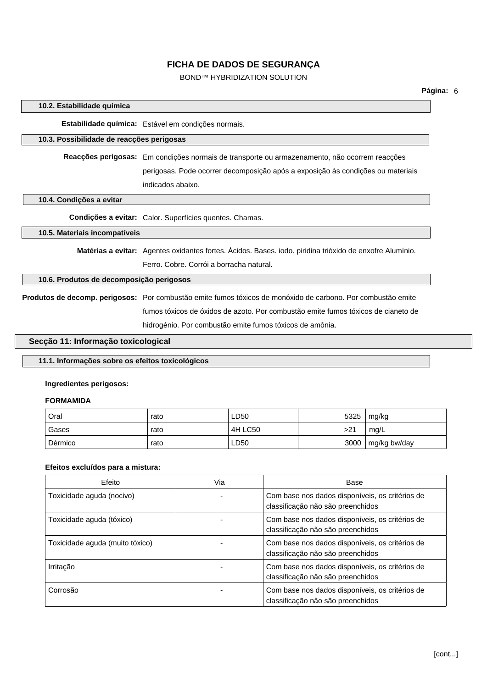BOND™ HYBRIDIZATION SOLUTION

| 10.2. Estabilidade química                |                                                                                                              |
|-------------------------------------------|--------------------------------------------------------------------------------------------------------------|
|                                           | Estabilidade química: Estável em condições normais.                                                          |
| 10.3. Possibilidade de reacções perigosas |                                                                                                              |
|                                           | Reacções perigosas: Em condições normais de transporte ou armazenamento, não ocorrem reacções                |
|                                           | perigosas. Pode ocorrer decomposição após a exposição às condições ou materiais                              |
|                                           | indicados abaixo.                                                                                            |
| 10.4. Condições a evitar                  |                                                                                                              |
|                                           | Condições a evitar: Calor. Superfícies quentes. Chamas.                                                      |
| 10.5. Materiais incompatíveis             |                                                                                                              |
|                                           | Matérias a evitar: Agentes oxidantes fortes. Ácidos. Bases. iodo. piridina trióxido de enxofre Alumínio.     |
|                                           | Ferro, Cobre, Corrói a borracha natural.                                                                     |
| 10.6. Produtos de decomposição perigosos  |                                                                                                              |
|                                           | Produtos de decomp. perigosos: Por combustão emite fumos tóxicos de monóxido de carbono. Por combustão emite |
|                                           | fumos tóxicos de óxidos de azoto. Por combustão emite fumos tóxicos de cianeto de                            |
|                                           | hidrogénio. Por combustão emite fumos tóxicos de amônia.                                                     |
| Secção 11: Informação toxicological       |                                                                                                              |

# **11.1. Informações sobre os efeitos toxicológicos**

## **Ingredientes perigosos:**

## **FORMAMIDA**

| Oral    | rato | ∟D50    | 5325 | mg/kg        |
|---------|------|---------|------|--------------|
| Gases   | rato | 4H LC50 | >21  | mg/L         |
| Dérmico | rato | ∟D50    | 3000 | mg/kg bw/day |

## **Efeitos excluídos para a mistura:**

| Efeito                          | Via | Base                                                                                 |
|---------------------------------|-----|--------------------------------------------------------------------------------------|
| Toxicidade aguda (nocivo)       |     | Com base nos dados disponíveis, os critérios de<br>classificação não são preenchidos |
| Toxicidade aguda (tóxico)       |     | Com base nos dados disponíveis, os critérios de<br>classificação não são preenchidos |
| Toxicidade aguda (muito tóxico) |     | Com base nos dados disponíveis, os critérios de<br>classificação não são preenchidos |
| Irritacão                       |     | Com base nos dados disponíveis, os critérios de<br>classificação não são preenchidos |
| Corrosão                        |     | Com base nos dados disponíveis, os critérios de<br>classificação não são preenchidos |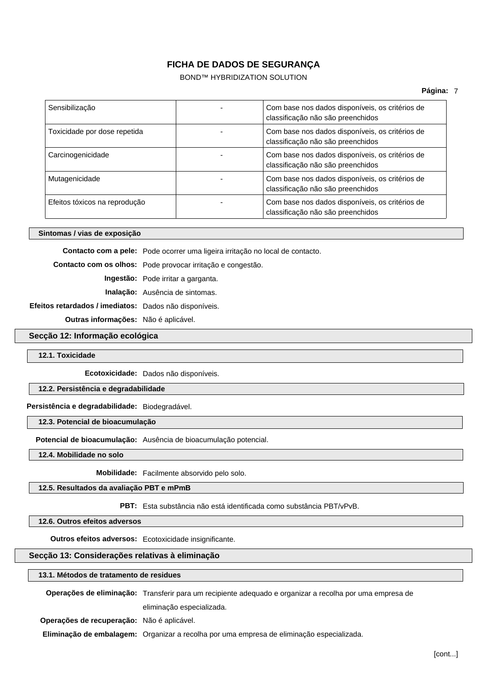BOND™ HYBRIDIZATION SOLUTION

| Sensibilização                | Com base nos dados disponíveis, os critérios de<br>classificação não são preenchidos |
|-------------------------------|--------------------------------------------------------------------------------------|
| Toxicidade por dose repetida  | Com base nos dados disponíveis, os critérios de<br>classificação não são preenchidos |
| Carcinogenicidade             | Com base nos dados disponíveis, os critérios de<br>classificação não são preenchidos |
| Mutagenicidade                | Com base nos dados disponíveis, os critérios de<br>classificação não são preenchidos |
| Efeitos tóxicos na reprodução | Com base nos dados disponíveis, os critérios de<br>classificação não são preenchidos |

### **Sintomas / vias de exposição**

**Contacto com a pele:** Pode ocorrer uma ligeira irritação no local de contacto.

**Contacto com os olhos:** Pode provocar irritação e congestão.

**Ingestão:** Pode irritar a garganta.

**Inalação:** Ausência de sintomas.

**Efeitos retardados / imediatos:** Dados não disponíveis.

**Outras informações:** Não é aplicável.

## **Secção 12: Informação ecológica**

### **12.1. Toxicidade**

**Ecotoxicidade:** Dados não disponíveis.

## **12.2. Persistência e degradabilidade**

**Persistência e degradabilidade:** Biodegradável.

**12.3. Potencial de bioacumulação**

**Potencial de bioacumulação:** Ausência de bioacumulação potencial.

**12.4. Mobilidade no solo**

**Mobilidade:** Facilmente absorvido pelo solo.

## **12.5. Resultados da avaliação PBT e mPmB**

**PBT:** Esta substância não está identificada como substância PBT/vPvB.

**12.6. Outros efeitos adversos**

**Outros efeitos adversos:** Ecotoxicidade insignificante.

## **Secção 13: Considerações relativas à eliminação**

### **13.1. Métodos de tratamento de residues**

|                                            | Operações de eliminação: Transferir para um recipiente adequado e organizar a recolha por uma empresa de |
|--------------------------------------------|----------------------------------------------------------------------------------------------------------|
|                                            | eliminação especializada.                                                                                |
| Operações de recuperação: Não é aplicável. |                                                                                                          |
|                                            | Eliminação de embalagem: Organizar a recolha por uma empresa de eliminação especializada.                |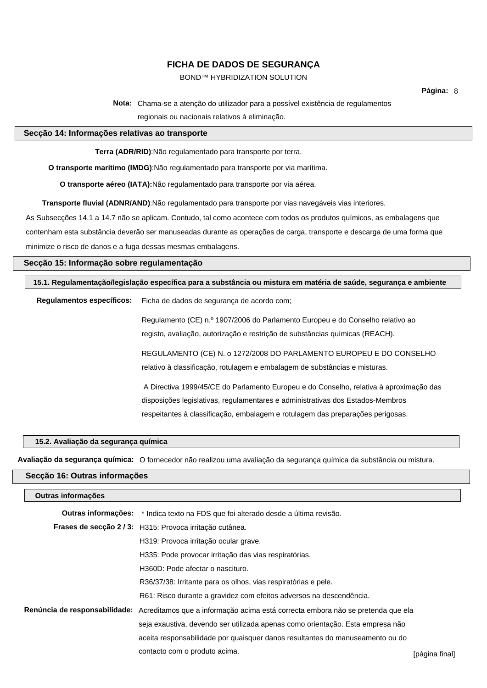## BOND™ HYBRIDIZATION SOLUTION

**Página:** 8

**Nota:** Chama-se a atenção do utilizador para a possível existência de regulamentos

regionais ou nacionais relativos à eliminação.

### **Secção 14: Informações relativas ao transporte**

**Terra (ADR/RID)**:Não regulamentado para transporte por terra.

**O transporte marítimo (IMDG)**:Não regulamentado para transporte por via marítima.

**O transporte aéreo (IATA):**Não regulamentado para transporte por via aérea.

**Transporte fluvial (ADNR/AND)**:Não regulamentado para transporte por vias navegáveis vias interiores.

As Subsecções 14.1 a 14.7 não se aplicam. Contudo, tal como acontece com todos os produtos químicos, as embalagens que

contenham esta substância deverão ser manuseadas durante as operações de carga, transporte e descarga de uma forma que

minimize o risco de danos e a fuga dessas mesmas embalagens.

## **Secção 15: Informação sobre regulamentação**

**15.1. Regulamentação/legislação específica para a substância ou mistura em matéria de saúde, segurança e ambiente**

**Regulamentos específicos:** Ficha de dados de segurança de acordo com;

Regulamento (CE) n.º 1907/2006 do Parlamento Europeu e do Conselho relativo ao registo, avaliação, autorização e restrição de substâncias químicas (REACH).

REGULAMENTO (CE) N. o 1272/2008 DO PARLAMENTO EUROPEU E DO CONSELHO relativo à classificação, rotulagem e embalagem de substâncias e misturas.

A Directiva 1999/45/CE do Parlamento Europeu e do Conselho, relativa à aproximação das disposições legislativas, regulamentares e administrativas dos Estados-Membros respeitantes à classificação, embalagem e rotulagem das preparações perigosas.

## **15.2. Avaliação da segurança química**

**Avaliação da segurança química:** O fornecedor não realizou uma avaliação da segurança química da substância ou mistura.

### **Secção 16: Outras informações**

| Outras informações |                                                                                                               |                |
|--------------------|---------------------------------------------------------------------------------------------------------------|----------------|
|                    | Outras informações: * Indica texto na FDS que foi alterado desde a última revisão.                            |                |
|                    | Frases de secção 2/3: H315: Provoca irritação cutânea.                                                        |                |
|                    | H319: Provoca irritação ocular grave.                                                                         |                |
|                    | H335: Pode provocar irritação das vias respiratórias.                                                         |                |
|                    | H360D: Pode afectar o nascituro.                                                                              |                |
|                    | R36/37/38: Irritante para os olhos, vias respiratórias e pele.                                                |                |
|                    | R61: Risco durante a gravidez com efeitos adversos na descendência.                                           |                |
|                    | Renúncia de responsabilidade: Acreditamos que a informação acima está correcta embora não se pretenda que ela |                |
|                    | seja exaustiva, devendo ser utilizada apenas como orientação. Esta empresa não                                |                |
|                    | aceita responsabilidade por quaisquer danos resultantes do manuseamento ou do                                 |                |
|                    | contacto com o produto acima.                                                                                 | [página final] |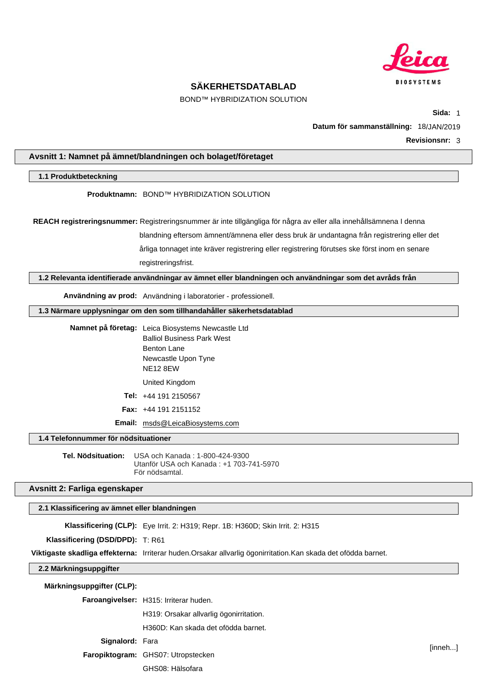

BOND™ HYBRIDIZATION SOLUTION

**Sida:** 1

**Datum för sammanställning:** 18/JAN/2019

**Revisionsnr:** 3

[inneh...]

## **Avsnitt 1: Namnet på ämnet/blandningen och bolaget/företaget**

### **1.1 Produktbeteckning**

**Produktnamn:** BOND™ HYBRIDIZATION SOLUTION

**REACH registreringsnummer:** Registreringsnummer är inte tillgängliga för några av eller alla innehållsämnena I denna blandning eftersom ämnent/ämnena eller dess bruk är undantagna från registrering eller det årliga tonnaget inte kräver registrering eller registrering förutses ske först inom en senare

registreringsfrist.

**1.2 Relevanta identifierade användningar av ämnet eller blandningen och användningar som det avråds från**

**Användning av prod:** Användning i laboratorier - professionell.

**1.3 Närmare upplysningar om den som tillhandahåller säkerhetsdatablad**

| Namnet på företag: Leica Biosystems Newcastle Ltd |
|---------------------------------------------------|
| <b>Balliol Business Park West</b>                 |
| Benton Lane                                       |
| Newcastle Upon Tyne                               |
| NF <sub>12</sub> 8FW                              |
| United Kingdom                                    |
| Tel: $+44$ 191 2150567                            |
| <b>Fax:</b> $+44$ 191 2151152                     |
| <b>Email:</b> msds@LeicaBiosystems.com            |

### **1.4 Telefonnummer för nödsituationer**

**Tel. Nödsituation:** USA och Kanada : 1-800-424-9300 Utanför USA och Kanada : +1 703-741-5970 För nödsamtal.

## **Avsnitt 2: Farliga egenskaper**

## **2.1 Klassificering av ämnet eller blandningen**

**Klassificering (CLP):** Eye Irrit. 2: H319; Repr. 1B: H360D; Skin Irrit. 2: H315

**Klassificering (DSD/DPD):** T: R61

**Viktigaste skadliga effekterna:** Irriterar huden.Orsakar allvarlig ögonirritation.Kan skada det ofödda barnet.

**2.2 Märkningsuppgifter**

| Märkningsuppgifter (CLP): |                                               |
|---------------------------|-----------------------------------------------|
|                           | <b>Faroangivelser:</b> H315: Irriterar huden. |
|                           | H319: Orsakar allvarlig ögonirritation.       |
|                           | H360D: Kan skada det ofödda barnet.           |
| Signalord: Fara           |                                               |
|                           | Faropiktogram: GHS07: Utropstecken            |
|                           | GHS08: Hälsofara                              |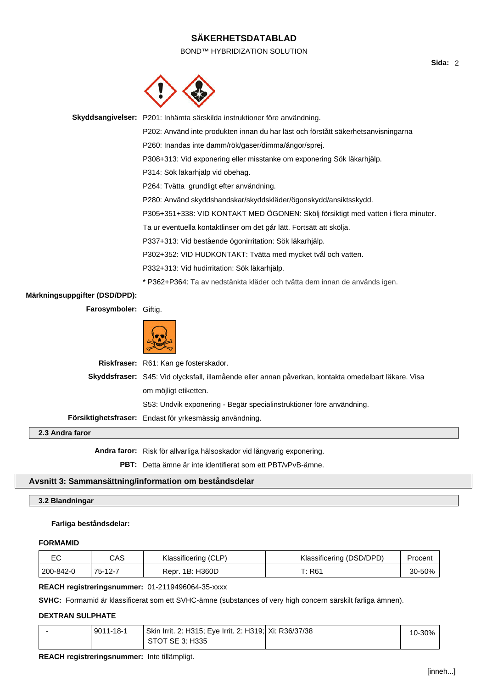## BOND™ HYBRIDIZATION SOLUTION



**Skyddsangivelser:** P201: Inhämta särskilda instruktioner före användning. P202: Använd inte produkten innan du har läst och förstått säkerhetsanvisningarna

P260: Inandas inte damm/rök/gaser/dimma/ångor/sprej.

P308+313: Vid exponering eller misstanke om exponering Sök läkarhjälp.

P314: Sök läkarhjälp vid obehag.

P264: Tvätta grundligt efter användning.

P280: Använd skyddshandskar/skyddskläder/ögonskydd/ansiktsskydd.

P305+351+338: VID KONTAKT MED ÖGONEN: Skölj försiktigt med vatten i flera minuter.

Ta ur eventuella kontaktlinser om det går lätt. Fortsätt att skölja.

P337+313: Vid bestående ögonirritation: Sök läkarhjälp.

P302+352: VID HUDKONTAKT: Tvätta med mycket tvål och vatten.

P332+313: Vid hudirritation: Sök läkarhjälp.

\* P362+P364: Ta av nedstänkta kläder och tvätta dem innan de används igen.

## **Märkningsuppgifter (DSD/DPD):**

**Farosymboler:** Giftig.



| 2.3 Andra faror |                                                                                                      |
|-----------------|------------------------------------------------------------------------------------------------------|
|                 | Försiktighetsfraser: Endast för yrkesmässig användning.                                              |
|                 | S53: Undvik exponering - Begär specialinstruktioner före användning.                                 |
|                 | om möjligt etiketten.                                                                                |
|                 | Skyddsfraser: S45: Vid olycksfall, illamående eller annan påverkan, kontakta omedelbart läkare. Visa |
|                 | <b>Riskfraser:</b> R61: Kan ge fosterskador.                                                         |
|                 |                                                                                                      |

**Andra faror:** Risk för allvarliga hälsoskador vid långvarig exponering.

**PBT:** Detta ämne är inte identifierat som ett PBT/vPvB-ämne.

## **Avsnitt 3: Sammansättning/information om beståndsdelar**

### **3.2 Blandningar**

## **Farliga beståndsdelar:**

### **FORMAMID**

| ЕC        | CAS     | Klassificering (CLP) | Klassificering (DSD/DPD) | Procent |
|-----------|---------|----------------------|--------------------------|---------|
| 200-842-0 | 75-12-7 | Repr. 1B: H360D      | $\Gamma$ : R61           |         |

## **REACH registreringsnummer:** 01-2119496064-35-xxxx

**SVHC:** Formamid är klassificerat som ett SVHC-ämne (substances of very high concern särskilt farliga ämnen).

### **DEXTRAN SULPHATE**

| $9011 - 18 - 1$ | Skin Irrit. 2: H315; Eye Irrit. 2: H319; Xi: R36/37/38 | 10-30% |
|-----------------|--------------------------------------------------------|--------|
|                 | STOT SE 3: H335                                        |        |

## **REACH registreringsnummer:** Inte tillämpligt.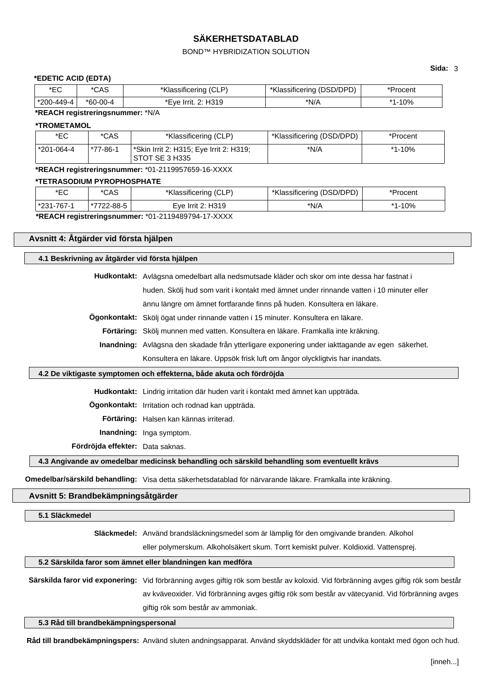# BOND™ HYBRIDIZATION SOLUTION

## **\*EDETIC ACID (EDTA)**

| *EC        | *CAS     | *Klassificering (CLP) | *Klassificering (DSD/DPD) | 'Procent |
|------------|----------|-----------------------|---------------------------|----------|
| *200-449-4 | *60-00-4 | *Eye Irrit. 2: H319   | *N/A                      | *1-10%   |
|            |          |                       |                           |          |

# **\*REACH registreringsnummer:** \*N/A

## **\*TROMETAMOL**

| *EC        | *CAS     | *Klassificering (CLP)                                     | *Klassificering (DSD/DPD) | *Procent |
|------------|----------|-----------------------------------------------------------|---------------------------|----------|
| *201-064-4 | *77-86-1 | *Skin Irrit 2: H315; Eye Irrit 2: H319;<br>STOT SE 3 H335 | *N/A                      | *1-10%   |

# **\*REACH registreringsnummer:** \*01-2119957659-16-XXXX

### **\*TETRASODIUM PYROPHOSPHATE**

| *EC         | *CAS   | *Klassificering (CLP) | Klassificering (DSD/DPD)* | Procent        |
|-------------|--------|-----------------------|---------------------------|----------------|
| 1*231-767-1 | 2-88-5 | Eve Irrit 2: H319     | *N/A                      | 1-10%<br>$*$ 4 |

**\*REACH registreringsnummer:** \*01-2119489794-17-XXXX

## **Avsnitt 4: Åtgärder vid första hjälpen**

| 4.1 Beskrivning av åtgärder vid första hjälpen                                                                                                                                                                                          |
|-----------------------------------------------------------------------------------------------------------------------------------------------------------------------------------------------------------------------------------------|
| Hudkontakt: Avlägsna omedelbart alla nedsmutsade kläder och skor om inte dessa har fastnat i                                                                                                                                            |
| huden. Skölj hud som varit i kontakt med ämnet under rinnande vatten i 10 minuter eller                                                                                                                                                 |
| ännu längre om ämnet fortfarande finns på huden. Konsultera en läkare.                                                                                                                                                                  |
| Ögonkontakt: Skölj ögat under rinnande vatten i 15 minuter. Konsultera en läkare.                                                                                                                                                       |
| Förtäring: Skölj munnen med vatten. Konsultera en läkare. Framkalla inte kräkning.                                                                                                                                                      |
| Inandning: Avlägsna den skadade från ytterligare exponering under iakttagande av egen säkerhet.                                                                                                                                         |
| Konsultera en läkare. Uppsök frisk luft om ångor olyckligtvis har inandats.                                                                                                                                                             |
| 4.2 De viktigaste symptomen och effekterna, både akuta och fördröjda                                                                                                                                                                    |
| Hudkontakt: Lindrig irritation där huden varit i kontakt med ämnet kan uppträda.                                                                                                                                                        |
| Ögonkontakt: Irritation och rodnad kan uppträda.                                                                                                                                                                                        |
| Förtäring: Halsen kan kännas irriterad.                                                                                                                                                                                                 |
| Inandning: Inga symptom.                                                                                                                                                                                                                |
| Fördröjda effekter: Data saknas.                                                                                                                                                                                                        |
| 4.3 Angivande av omedelbar medicinsk behandling och särskild behandling som eventuellt krävs                                                                                                                                            |
| Omedelbar/särskild behandling: Visa detta säkerhetsdatablad för närvarande läkare. Framkalla inte kräkning.                                                                                                                             |
| Avsnitt 5: Brandbekämpningsåtgärder                                                                                                                                                                                                     |
|                                                                                                                                                                                                                                         |
| Släckmedel: Använd brandsläckningsmedel som är lämplig för den omgivande branden. Alkohol                                                                                                                                               |
|                                                                                                                                                                                                                                         |
| eller polymerskum. Alkoholsäkert skum. Torrt kemiskt pulver. Koldioxid. Vattensprej.                                                                                                                                                    |
| 5.2 Särskilda faror som ämnet eller blandningen kan medföra                                                                                                                                                                             |
|                                                                                                                                                                                                                                         |
| Särskilda faror vid exponering: Vid förbränning avges giftig rök som består av koloxid. Vid förbränning avges giftig rök som består<br>av kväveoxider. Vid förbränning avges giftig rök som består av vätecyanid. Vid förbränning avges |
|                                                                                                                                                                                                                                         |

## **5.3 Råd till brandbekämpningspersonal**

**Råd till brandbekämpningspers:** Använd sluten andningsapparat. Använd skyddskläder för att undvika kontakt med ögon och hud.

**Sida:** 3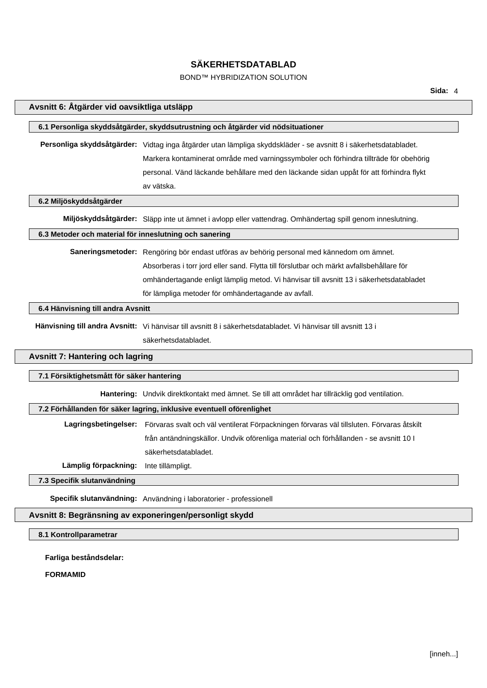# BOND™ HYBRIDIZATION SOLUTION

| Avsnitt 6: Åtgärder vid oavsiktliga utsläpp            |                                                                                                                  |
|--------------------------------------------------------|------------------------------------------------------------------------------------------------------------------|
|                                                        |                                                                                                                  |
|                                                        | 6.1 Personliga skyddsåtgärder, skyddsutrustning och åtgärder vid nödsituationer                                  |
|                                                        | Personliga skyddsåtgärder: Vidtag inga åtgärder utan lämpliga skyddskläder - se avsnitt 8 i säkerhetsdatabladet. |
|                                                        | Markera kontaminerat område med varningssymboler och förhindra tillträde för obehörig                            |
|                                                        | personal. Vänd läckande behållare med den läckande sidan uppåt för att förhindra flykt                           |
|                                                        | av vätska.                                                                                                       |
| 6.2 Miljöskyddsåtgärder                                |                                                                                                                  |
|                                                        | Miljöskyddsåtgärder: Släpp inte ut ämnet i avlopp eller vattendrag. Omhändertag spill genom inneslutning.        |
| 6.3 Metoder och material för inneslutning och sanering |                                                                                                                  |
|                                                        | Saneringsmetoder: Rengöring bör endast utföras av behörig personal med kännedom om ämnet.                        |
|                                                        | Absorberas i torr jord eller sand. Flytta till förslutbar och märkt avfallsbehållare för                         |
|                                                        | omhändertagande enligt lämplig metod. Vi hänvisar till avsnitt 13 i säkerhetsdatabladet                          |
|                                                        | för lämpliga metoder för omhändertagande av avfall.                                                              |
| 6.4 Hänvisning till andra Avsnitt                      |                                                                                                                  |
|                                                        | Hänvisning till andra Avsnitt: Vi hänvisar till avsnitt 8 i säkerhetsdatabladet. Vi hänvisar till avsnitt 13 i   |
|                                                        | säkerhetsdatabladet.                                                                                             |
| <b>Avsnitt 7: Hantering och lagring</b>                |                                                                                                                  |
|                                                        |                                                                                                                  |
| 7.1 Försiktighetsmått för säker hantering              |                                                                                                                  |
|                                                        | Hantering: Undvik direktkontakt med ämnet. Se till att området har tillräcklig god ventilation.                  |
|                                                        | 7.2 Förhållanden för säker lagring, inklusive eventuell oförenlighet                                             |
|                                                        | Lagringsbetingelser: Förvaras svalt och väl ventilerat Förpackningen förvaras väl tillsluten. Förvaras åtskilt   |
|                                                        | från antändningskällor. Undvik oförenliga material och förhållanden - se avsnitt 10 l                            |
|                                                        | säkerhetsdatabladet.                                                                                             |
| Lämplig förpackning:                                   | Inte tillämpligt.                                                                                                |
| 7.3 Specifik slutanvändning                            |                                                                                                                  |
|                                                        | Specifik slutanvändning: Användning i laboratorier - professionell                                               |
|                                                        | Avsnitt 8: Begränsning av exponeringen/personligt skydd                                                          |
|                                                        |                                                                                                                  |
| 8.1 Kontrollparametrar                                 |                                                                                                                  |

**Farliga beståndsdelar:**

**FORMAMID**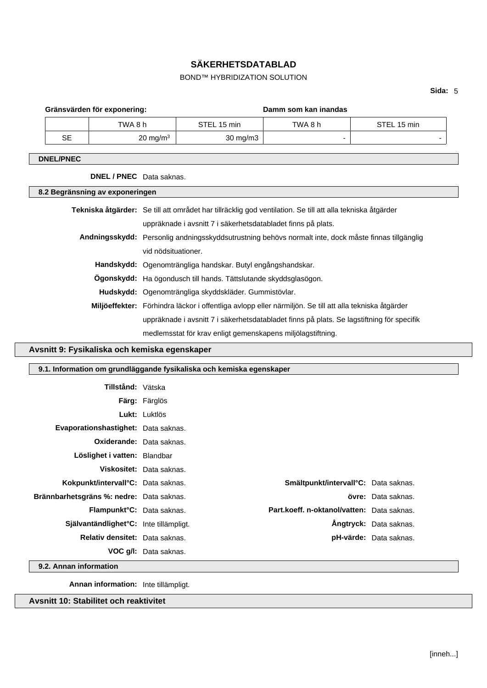# BOND™ HYBRIDIZATION SOLUTION

**Sida:** 5

| Gränsvärden för exponering:     |                          | Damm som kan inandas                                                                                    |                                                              |                                                                                                            |             |
|---------------------------------|--------------------------|---------------------------------------------------------------------------------------------------------|--------------------------------------------------------------|------------------------------------------------------------------------------------------------------------|-------------|
|                                 | TWA 8 h                  |                                                                                                         | STEL 15 min                                                  | TWA 8 h                                                                                                    | STEL 15 min |
| <b>SE</b>                       |                          | 20 mg/m $3$                                                                                             | $30 \text{ mg/m}$                                            | ٠                                                                                                          |             |
| <b>DNEL/PNEC</b>                |                          |                                                                                                         |                                                              |                                                                                                            |             |
|                                 | DNEL / PNEC Data saknas. |                                                                                                         |                                                              |                                                                                                            |             |
| 8.2 Begränsning av exponeringen |                          |                                                                                                         |                                                              |                                                                                                            |             |
|                                 |                          |                                                                                                         |                                                              | Tekniska åtgärder: Se till att området har tillräcklig god ventilation. Se till att alla tekniska åtgärder |             |
|                                 |                          |                                                                                                         | uppräknade i avsnitt 7 i säkerhetsdatabladet finns på plats. |                                                                                                            |             |
|                                 |                          | Andningsskydd: Personlig andningsskyddsutrustning behövs normalt inte, dock måste finnas tillgänglig    |                                                              |                                                                                                            |             |
|                                 |                          | vid nödsituationer.                                                                                     |                                                              |                                                                                                            |             |
|                                 |                          | Handskydd: Ogenomträngliga handskar. Butyl engångshandskar.                                             |                                                              |                                                                                                            |             |
|                                 |                          | Ögonskydd: Ha ögondusch till hands. Tättslutande skyddsglasögon.                                        |                                                              |                                                                                                            |             |
|                                 |                          | Hudskydd: Ogenomträngliga skyddskläder. Gummistövlar.                                                   |                                                              |                                                                                                            |             |
|                                 |                          | Miljöeffekter: Förhindra läckor i offentliga avlopp eller närmiljön. Se till att alla tekniska åtgärder |                                                              |                                                                                                            |             |
|                                 |                          |                                                                                                         |                                                              | uppräknade i avsnitt 7 i säkerhetsdatabladet finns på plats. Se lagstiftning för specifik                  |             |
|                                 |                          |                                                                                                         | medlemsstat för krav enligt gemenskapens miljölagstiftning.  |                                                                                                            |             |

# **Avsnitt 9: Fysikaliska och kemiska egenskaper**

|                                                 | 9.1. Information om grundläggande fysikaliska och kemiska egenskaper |                                                   |                               |
|-------------------------------------------------|----------------------------------------------------------------------|---------------------------------------------------|-------------------------------|
|                                                 |                                                                      |                                                   |                               |
| Tillstånd: Vätska                               |                                                                      |                                                   |                               |
|                                                 | <b>Färg:</b> Färglös                                                 |                                                   |                               |
|                                                 | Lukt: Luktlös                                                        |                                                   |                               |
| Evaporationshastighet: Data saknas.             |                                                                      |                                                   |                               |
| <b>Oxiderande:</b> Data saknas.                 |                                                                      |                                                   |                               |
| Löslighet i vatten: Blandbar                    |                                                                      |                                                   |                               |
|                                                 | Viskositet: Data saknas.                                             |                                                   |                               |
| Kokpunkt/intervall <sup>o</sup> C: Data saknas. |                                                                      | Smältpunkt/intervall <sup>o</sup> C: Data saknas. |                               |
| Brännbarhetsgräns %: nedre: Data saknas.        |                                                                      |                                                   | övre: Data saknas.            |
| <b>Flampunkt<sup>°</sup>C:</b> Data saknas.     |                                                                      | Part.koeff. n-oktanol/vatten: Data saknas.        |                               |
| Självantändlighet°C: Inte tillämpligt.          |                                                                      |                                                   | Ångtryck: Data saknas.        |
| <b>Relativ densitet:</b> Data saknas.           |                                                                      |                                                   | <b>pH-värde:</b> Data saknas. |
|                                                 | VOC g/l: Data saknas.                                                |                                                   |                               |

**9.2. Annan information**

**Annan information:** Inte tillämpligt.

**Avsnitt 10: Stabilitet och reaktivitet**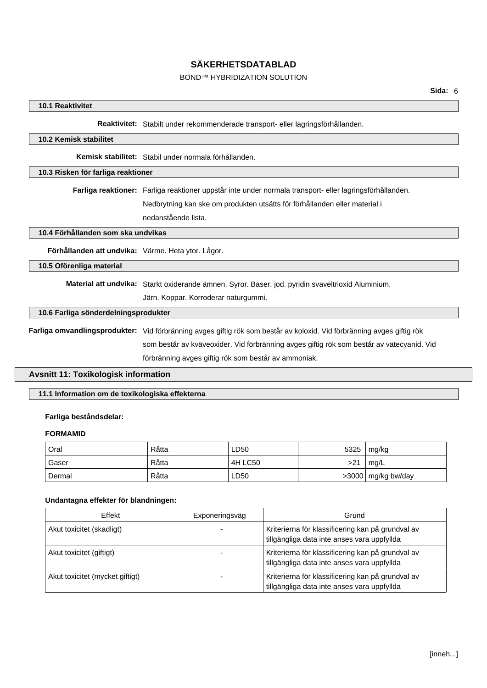## BOND™ HYBRIDIZATION SOLUTION

### **10.1 Reaktivitet**

**Reaktivitet:** Stabilt under rekommenderade transport- eller lagringsförhållanden.

## **10.2 Kemisk stabilitet**

**Kemisk stabilitet:** Stabil under normala förhållanden.

## **10.3 Risken för farliga reaktioner**

**Farliga reaktioner:** Farliga reaktioner uppstår inte under normala transport- eller lagringsförhållanden.

Nedbrytning kan ske om produkten utsätts för förhållanden eller material i

nedanstående lista.

### **10.4 Förhållanden som ska undvikas**

**Förhållanden att undvika:** Värme. Heta ytor. Lågor.

### **10.5 Oförenliga material**

**Material att undvika:** Starkt oxiderande ämnen. Syror. Baser. jod. pyridin svaveltrioxid Aluminium.

Järn. Koppar. Korroderar naturgummi.

## **10.6 Farliga sönderdelningsprodukter**

**Farliga omvandlingsprodukter:** Vid förbränning avges giftig rök som består av koloxid. Vid förbränning avges giftig rök som består av kväveoxider. Vid förbränning avges giftig rök som består av vätecyanid. Vid förbränning avges giftig rök som består av ammoniak.

## **Avsnitt 11: Toxikologisk information**

### **11.1 Information om de toxikologiska effekterna**

### **Farliga beståndsdelar:**

## **FORMAMID**

| Oral   | Råtta | LD50    |     | 5325 $mg/kg$         |
|--------|-------|---------|-----|----------------------|
| Gaser  | Råtta | 4H LC50 | >21 | $\cdot$ mg/L         |
| Dermal | Råtta | LD50    |     | $>3000$ mg/kg bw/day |

### **Undantagna effekter för blandningen:**

| Effekt                          | Exponeringsväg | Grund                                                                                            |
|---------------------------------|----------------|--------------------------------------------------------------------------------------------------|
| Akut toxicitet (skadligt)       |                | Kriterierna för klassificering kan på grundval av<br>tillgängliga data inte anses vara uppfyllda |
| Akut toxicitet (giftigt)        |                | Kriterierna för klassificering kan på grundval av<br>tillgängliga data inte anses vara uppfyllda |
| Akut toxicitet (mycket giftigt) |                | Kriterierna för klassificering kan på grundval av<br>tillgängliga data inte anses vara uppfyllda |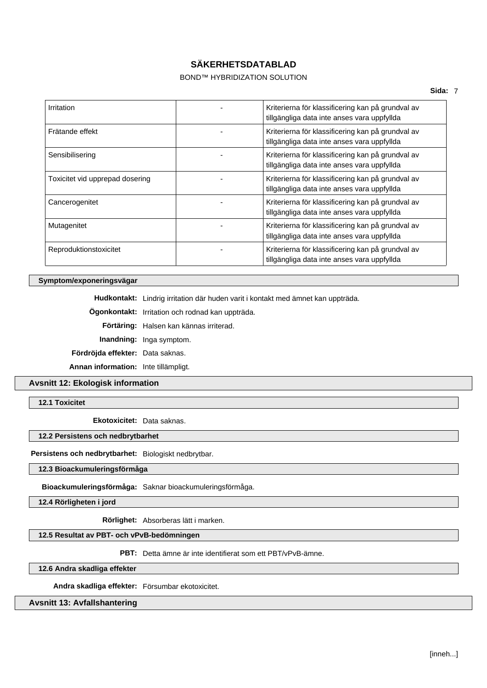## BOND™ HYBRIDIZATION SOLUTION

| Irritation                      | Kriterierna för klassificering kan på grundval av<br>tillgängliga data inte anses vara uppfyllda |
|---------------------------------|--------------------------------------------------------------------------------------------------|
| Frätande effekt                 | Kriterierna för klassificering kan på grundval av<br>tillgängliga data inte anses vara uppfyllda |
| Sensibilisering                 | Kriterierna för klassificering kan på grundval av<br>tillgängliga data inte anses vara uppfyllda |
| Toxicitet vid upprepad dosering | Kriterierna för klassificering kan på grundval av<br>tillgängliga data inte anses vara uppfyllda |
| Cancerogenitet                  | Kriterierna för klassificering kan på grundval av<br>tillgängliga data inte anses vara uppfyllda |
| Mutagenitet                     | Kriterierna för klassificering kan på grundval av<br>tillgängliga data inte anses vara uppfyllda |
| Reproduktionstoxicitet          | Kriterierna för klassificering kan på grundval av<br>tillgängliga data inte anses vara uppfyllda |

## **Symptom/exponeringsvägar**

**Hudkontakt:** Lindrig irritation där huden varit i kontakt med ämnet kan uppträda.

- **Ögonkontakt:** Irritation och rodnad kan uppträda.
	- **Förtäring:** Halsen kan kännas irriterad.
	- **Inandning:** Inga symptom.
- **Fördröjda effekter:** Data saknas.
- **Annan information:** Inte tillämpligt.

## **Avsnitt 12: Ekologisk information**

**12.1 Toxicitet**

**Ekotoxicitet:** Data saknas.

## **12.2 Persistens och nedbrytbarhet**

**Persistens och nedbrytbarhet:** Biologiskt nedbrytbar.

**12.3 Bioackumuleringsförmåga**

**Bioackumuleringsförmåga:** Saknar bioackumuleringsförmåga.

**12.4 Rörligheten i jord**

**Rörlighet:** Absorberas lätt i marken.

**12.5 Resultat av PBT- och vPvB-bedömningen**

**PBT:** Detta ämne är inte identifierat som ett PBT/vPvB-ämne.

**12.6 Andra skadliga effekter**

**Andra skadliga effekter:** Försumbar ekotoxicitet.

## **Avsnitt 13: Avfallshantering**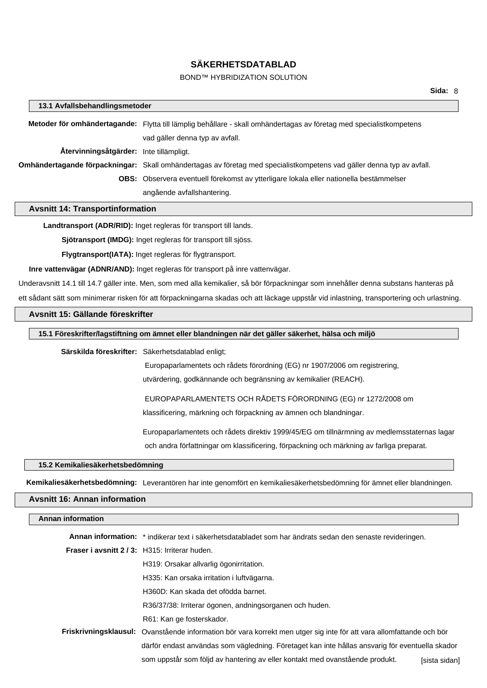## BOND™ HYBRIDIZATION SOLUTION

| 13.1 Avralispenandlingsmetoder          |                                                                                                                                                        |
|-----------------------------------------|--------------------------------------------------------------------------------------------------------------------------------------------------------|
|                                         | Metoder för omhändertagande: Flytta till lämplig behållare - skall omhändertagas av företag med specialistkompetens<br>vad gäller denna typ av avfall. |
| Återvinningsåtgärder: Inte tillämpligt. |                                                                                                                                                        |
|                                         | Omhändertagande förpackningar: Skall omhändertagas av företag med specialistkompetens vad gäller denna typ av avfall.                                  |
|                                         | <b>OBS:</b> Observera eventuell förekomst av ytterligare lokala eller nationella bestämmelser                                                          |
|                                         | angående avfallshantering.                                                                                                                             |

### **Avsnitt 14: Transportinformation**

**13.1 Avfallsbehandlingsmetoder**

**Landtransport (ADR/RID):** Inget regleras för transport till lands.

**Sjötransport (IMDG):** Inget regleras för transport till sjöss.

**Flygtransport(IATA):** Inget regleras för flygtransport.

**Inre vattenvägar (ADNR/AND):** Inget regleras för transport på inre vattenvägar.

Underavsnitt 14.1 till 14.7 gäller inte. Men, som med alla kemikalier, så bör förpackningar som innehåller denna substans hanteras på

ett sådant sätt som minimerar risken för att förpackningarna skadas och att läckage uppstår vid inlastning, transportering och urlastning.

### **Avsnitt 15: Gällande föreskrifter**

### **15.1 Föreskrifter/lagstiftning om ämnet eller blandningen när det gäller säkerhet, hälsa och miljö**

**Särskilda föreskrifter:** Säkerhetsdatablad enligt;

Europaparlamentets och rådets förordning (EG) nr 1907/2006 om registrering,

utvärdering, godkännande och begränsning av kemikalier (REACH).

EUROPAPARLAMENTETS OCH RÅDETS FÖRORDNING (EG) nr 1272/2008 om klassificering, märkning och förpackning av ämnen och blandningar.

Europaparlamentets och rådets direktiv 1999/45/EG om tillnärmning av medlemsstaternas lagar och andra författningar om klassificering, förpackning och märkning av farliga preparat.

## **15.2 Kemikaliesäkerhetsbedömning**

**Kemikaliesäkerhetsbedömning:** Leverantören har inte genomfört en kemikaliesäkerhetsbedömning för ämnet eller blandningen.

## **Avsnitt 16: Annan information**

### **Annan information**

|                                              | Annan information: * indikerar text i säkerhetsdatabladet som har ändrats sedan den senaste revideringen.            |
|----------------------------------------------|----------------------------------------------------------------------------------------------------------------------|
| Fraser i avsnitt 2/3: H315: Irriterar huden. |                                                                                                                      |
|                                              | H319: Orsakar allvarlig ögonirritation.                                                                              |
|                                              | H335: Kan orsaka irritation i luftvägarna.                                                                           |
|                                              | H360D: Kan skada det ofödda barnet.                                                                                  |
|                                              | R36/37/38: Irriterar ögonen, andningsorganen och huden.                                                              |
|                                              | R61: Kan ge fosterskador.                                                                                            |
|                                              | Friskrivningsklausul: Ovanstående information bör vara korrekt men utger sig inte för att vara allomfattande och bör |
|                                              | därför endast användas som vägledning. Företaget kan inte hållas ansvarig för eventuella skador                      |
|                                              | som uppstår som följd av hantering av eller kontakt med ovanstående produkt.<br>[sista sidan]                        |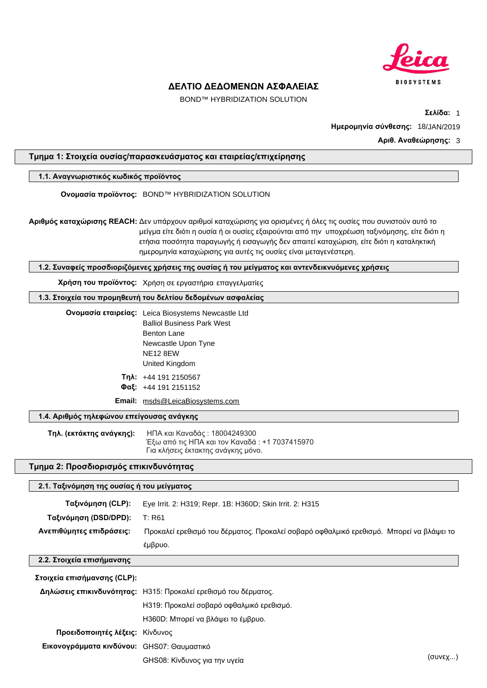

BOND™ HYBRIDIZATION SOLUTION

**Σελίδα:** 1 **Ημερομηνία σύνθεσης:** 18/JAN/2019 **Αριθ. Αναθεώρησης:** 3

## **Τμημα 1: Στοιχεία ουσίας/παρασκευάσματος και εταιρείας/επιχείρησης**

## **1.1. Αναγνωριστικός κωδικός προϊόντος**

**Ονομασία προϊόντος:** BOND™ HYBRIDIZATION SOLUTION

**Αριθμός καταχώρισης REACH:** Δεν υπάρχουν αριθμοί καταχώρισης για ορισμένες ή όλες τις ουσίες που συνιστούν αυτό το μείγμα είτε διότι η ουσία ή οι ουσίες εξαιρούνται από την υποχρέωση ταξινόμησης, είτε διότι η ετήσια ποσότητα παραγωγής ή εισαγωγής δεν απαιτεί καταχώριση, είτε διότι η καταληκτική ημερομηνία καταχώρισης για αυτές τις ουσίες είναι μεταγενέστερη.

**1.2. Συναφείς προσδιοριζόμενες χρήσεις της ουσίας ή του μείγματος και αντενδεικνυόμενες χρήσεις**

**Χρήση του προϊόντος:** Χρήση σε εργαστήρια επαγγελματίες

**1.3. Στοιχεία του προμηθευτή του δελτίου δεδομένων ασφαλείας**

| Oνομασία εταιρείας: Leica Biosystems Newcastle Ltd |
|----------------------------------------------------|
| <b>Balliol Business Park West</b>                  |
| <b>Benton Lane</b>                                 |
| Newcastle Upon Tyne                                |
| <b>NE12 8EW</b>                                    |
| United Kingdom                                     |
| Tn $\lambda$ : +44 191 2150567                     |
| $Φαξ$ : +44 191 2151152                            |
|                                                    |

**Email:** msds@LeicaBiosystems.com

## **1.4. Αριθμός τηλεφώνου επείγουσας ανάγκης**

**Τηλ. (εκτάκτης ανάγκης):** ΗΠΑ και Καναδάς : 18004249300 Έξω από τις ΗΠΑ και τον Καναδά : +1 7037415970 Για κλήσεις έκτακτης ανάγκης μόνο.

### **Τμημα 2: Προσδιορισμός επικινδυνότητας**

| 2.1. Ταξινόμηση της ουσίας ή του μείγματος        |                                                                                         |          |
|---------------------------------------------------|-----------------------------------------------------------------------------------------|----------|
| Ταξινόμηση (CLP):                                 | Eye Irrit. 2: H319; Repr. 1B: H360D; Skin Irrit. 2: H315                                |          |
| Ταξινόμηση (DSD/DPD):                             | T: R61                                                                                  |          |
| Ανεπιθύμητες επιδράσεις:                          | Προκαλεί ερεθισμό του δέρματος. Προκαλεί σοβαρό οφθαλμικό ερεθισμό. Μπορεί να βλάψει το |          |
|                                                   | έμβρυο.                                                                                 |          |
| 2.2. Στοιχεία επισήμανσης                         |                                                                                         |          |
| Στοιχεία επισήμανσης (CLP):                       |                                                                                         |          |
|                                                   | Δηλώσεις επικινδυνότητας: Η315: Προκαλεί ερεθισμό του δέρματος.                         |          |
|                                                   | Η319: Προκαλεί σοβαρό οφθαλμικό ερεθισμό.                                               |          |
|                                                   | Η360D: Μπορεί να βλάψει το έμβρυο.                                                      |          |
| Προειδοποιητές λέξεις: Κίνδυνος                   |                                                                                         |          |
| <b>Εικονογράμματα κινδύνου:</b> GHS07: Θαυμαστικό |                                                                                         |          |
|                                                   | GHS08: Κίνδυνος για την υγεία                                                           | (0.0005) |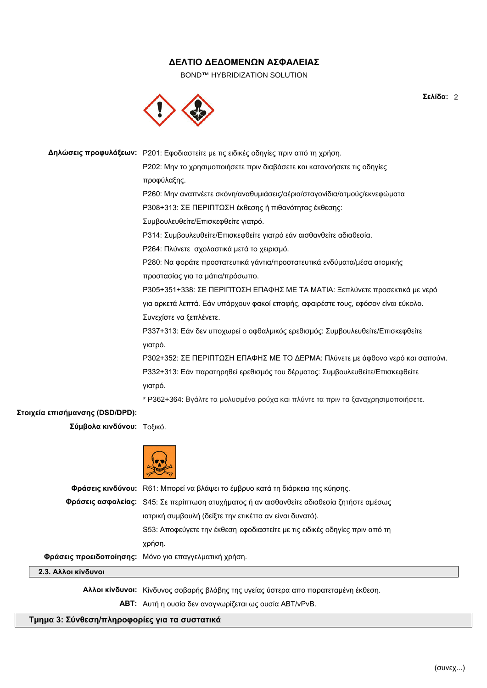BOND™ HYBRIDIZATION SOLUTION



**Δηλώσεις προφυλάξεων:** P201: Εφοδιαστείτε με τις ειδικές οδηγίες πριν από τη χρήση. P202: Μην το χρησιμοποιήσετε πριν διαβάσετε και κατανοήσετε τις οδηγίες προφύλαξης. P260: Μην αναπνέετε σκόνη/αναθυμιάσεις/αέρια/σταγονίδια/ατμούς/εκνεφώματα P308+313: ΣΕ ΠΕΡΙΠΤΩΣΗ έκθεσης ή πιθανότητας έκθεσης: Συμβουλευθείτε/Επισκεφθείτε γιατρό. P314: Συμβουλευθείτε/Επισκεφθείτε γιατρό εάν αισθανθείτε αδιαθεσία. P264: Πλύνετε σχολαστικά μετά το χειρισμό. P280: Να φοράτε προστατευτικά γάντια/προστατευτικά ενδύματα/μέσα ατομικής προστασίας για τα μάτια/πρόσωπο. P305+351+338: ΣΕ ΠΕΡΙΠΤΩΣΗ ΕΠΑΦΗΣ ΜΕ ΤΑ ΜΑΤΙΑ: Ξεπλύνετε προσεκτικά με νερό για αρκετά λεπτά. Εάν υπάρχουν φακοί επαφής, αφαιρέστε τους, εφόσον είναι εύκολο. Συνεχίστε να ξεπλένετε. P337+313: Εάν δεν υποχωρεί ο οφθαλμικός ερεθισμός: Συμβουλευθείτε/Επισκεφθείτε γιατρό. P302+352: ΣΕ ΠΕΡΙΠΤΩΣΗ ΕΠΑΦΗΣ ΜΕ ΤΟ ΔΕΡΜΑ: Πλύνετε με άφθονο νερό και σαπούνι. P332+313: Εάν παρατηρηθεί ερεθισμός του δέρματος: Συμβουλευθείτε/Επισκεφθείτε γιατρό. \* P362+364: Βγάλτε τα μολυσμένα ρούχα και πλύντε τα πριν τα ξαναχρησιμοποιήσετε. **Στοιχεία επισήμανσης (DSD/DPD): Σύμβολα κινδύνου:** Τοξικό.



| .3. Αλλοι κίνδυνοι |                                                                                           |
|--------------------|-------------------------------------------------------------------------------------------|
|                    | <b>Φράσεις προειδοποίησης:</b> Μόνο για επαγγελματική χρήση.                              |
|                    | χρήση.                                                                                    |
|                    | S53: Αποφεύγετε την έκθεση εφοδιαστείτε με τις ειδικές οδηγίες πριν από τη                |
|                    | ιατρική συμβουλή (δείξτε την ετικέττα αν είναι δυνατό).                                   |
|                    | Φράσεις ασφαλείας: S45: Σε περίπτωση ατυχήματος ή αν αισθανθείτε αδιαθεσία ζητήστε αμέσως |
|                    | Φράσεις κινδύνου: R61: Μπορεί να βλάψει το έμβρυο κατά τη διάρκεια της κύησης.            |
|                    |                                                                                           |

**Αλλοι κίνδυνοι:** Κίνδυνος σοβαρής βλάβης της υγείας ύστερα απο παρατεταμένη έκθεση.

**ΑΒΤ:** Αυτή η ουσία δεν αναγνωρίζεται ως ουσία ABT/vPvB.

# **Τμημα 3: Σύνθεση/πληροφορίες για τα συστατικά**

 $2.3. \ \mu$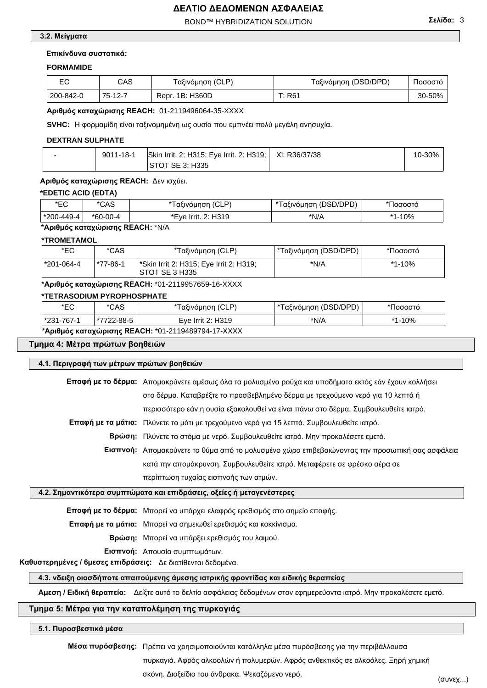BOND™ HYBRIDIZATION SOLUTION **Σελίδα:** 3

### **3.2. Μείγματα**

### **Επικίνδυνα συστατικά:**

## **FORMAMIDE**

|           | CAS     | Ταξινόμηση (CLP) | Ταξινόμηση (DSD/DPD) | Ιοσοστό |
|-----------|---------|------------------|----------------------|---------|
| 200-842-0 | 75-12-7 | Repr. 1B: H360D  | T: R6′               | 30-50%  |

## **Αριθμός καταχώρισης REACH:** 01-2119496064-35-XXXX

**SVHC:** Η φορμαμίδη είναι ταξινομημένη ως ουσία που εμπνέει πολύ μεγάλη ανησυχία.

### **DEXTRAN SULPHATE**

| $9011 - 18 - 1$ | Skin Irrit. 2: H315; Eye Irrit. 2: H319; | $\mid$ Xi: R36/37/38 | 10-30% |
|-----------------|------------------------------------------|----------------------|--------|
|                 | STOT SE 3: H335                          |                      |        |

## **Αριθμός καταχώρισης REACH:** Δεν ισχύει.

### **\*EDETIC ACID (EDTA)**

| ∗⊏∩<br>◡         | *CAS     | *Ταξινόμηση (CLP)   | Ταξινόμηση (DSD/DPD) | Ιοσοστό      |
|------------------|----------|---------------------|----------------------|--------------|
| $*200 - 449 - 4$ | *60-00-4 | *Eve Irrit, 2: H319 | *N/A                 | l-10%<br>* 4 |

## **\*Αριθμός καταχώρισης REACH:** \*N/A

### **\*TROMETAMOL**

| *EC          | *CAS     | *Ταξινόμηση (CLP)                                         | *Ταξινόμηση (DSD/DPD) | *Ποσοστό |
|--------------|----------|-----------------------------------------------------------|-----------------------|----------|
| l *201-064-4 | *77-86-1 | *Skin Irrit 2: H315; Eye Irrit 2: H319;<br>STOT SE 3 H335 | *N/A                  | *1-10%   |

# **\*Αριθμός καταχώρισης REACH:** \*01-2119957659-16-XXXX

### **\*TETRASODIUM PYROPHOSPHATE**

| *EC                                                | *CAS       | *Ταξινόμηση (CLP) | ' *Ταξινόμηση (DSD/DPD) <sub>Ι</sub> | *Ποσοστό |
|----------------------------------------------------|------------|-------------------|--------------------------------------|----------|
| l *231-767-1                                       | *7722-88-5 | Eve Irrit 2: H319 | *N/A                                 | *1-10%   |
| *Αριθμός καταχώρισης REACH: *01-2119489794-17-XXXX |            |                   |                                      |          |

## **Τμημα 4: Μέτρα πρώτων βοηθειών**

### **4.1. Περιγραφή των μέτρων πρώτων βοηθειών**

| Επαφή με το δέρμα: Απομακρύνετε αμέσως όλα τα μολυσμένα ρούχα και υποδήματα εκτός εάν έχουν κολλήσει  |
|-------------------------------------------------------------------------------------------------------|
| στο δέρμα. Καταβρέξτε το προσβεβλημένο δέρμα με τρεχούμενο νερό για 10 λεπτά ή                        |
| περισσότερο εάν η ουσία εξακολουθεί να είναι πάνω στο δέρμα. Συμβουλευθείτε ιατρό.                    |
| Επαφή με τα μάτια: Πλύνετε το μάτι με τρεχούμενο νερό για 15 λεπτά. Συμβουλευθείτε ιατρό.             |
| Βρώση: Πλύνετε το στόμα με νερό. Συμβουλευθείτε ιατρό. Μην προκαλέσετε εμετό.                         |
| <b>Εισπνοή:</b> Απομακρύνετε το θύμα από το μολυσμένο χώρο επιβεβαιώνοντας την προσωπική σας ασφάλειο |
| κατά την απομάκρυνση. Συμβουλευθείτε ιατρό. Μεταφέρετε σε φρέσκο αέρα σε                              |
| περίπτωση τυχαίας εισπνοής των ατμών.                                                                 |
| 4.2. Σημαντικότερα συμπτώματα και επιδράσεις, οξείες ή μεταγενέστερες                                 |

**Επαφή με το δέρμα:** Μπορεί να υπάρχει ελαφρός ερεθισμός στο σημείο επαφής.

**Επαφή με τα μάτια:** Μπορεί να σημειωθεί ερεθισμός και κοκκίνισμα.

**Βρώση:** Μπορεί να υπάρξει ερεθισμός του λαιμού.

**Εισπνοή:** Απουσία συμπτωμάτων.

**Καθυστερημένες / 6μεσες επιδράσεις:** Δε διατίθενται δεδομένα.

## **4.3. νδειξη οιασδήποτε απαιτούμενης άμεσης ιατρικής φροντίδας και ειδικής θεραπείας**

**Αμεση / Ειδική θεραπεία:** Δείξτε αυτό το δελτίο ασφάλειας δεδομένων στον εφημερεύοντα ιατρό. Μην προκαλέσετε εμετό.

## **Τμημα 5: Μέτρα για την καταπολέμηση της πυρκαγιάς**

### **5.1. Πυροσβεστικά μέσα**

**Μέσα πυρόσβεσης:** Πρέπει να χρησιμοποιούνται κατάλληλα μέσα πυρόσβεσης για την περιβάλλουσα πυρκαγιά. Αφρός αλκοολών ή πολυμερών. Αφρός ανθεκτικός σε αλκοόλες. Ξηρή χημική σκόνη. Διοξείδιο του άνθρακα. Ψεκαζόμενο νερό. (συνεχ...)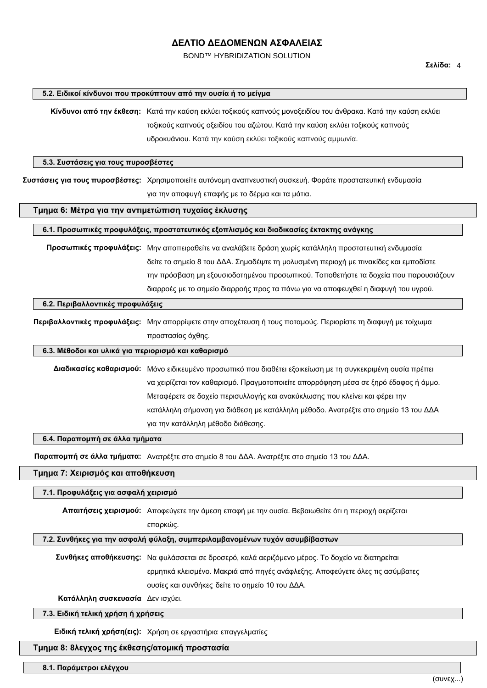BOND™ HYBRIDIZATION SOLUTION

### **5.2. Ειδικοί κίνδυνοι που προκύπτουν από την ουσία ή το μείγμα**

**Κίνδυνοι από την έκθεση:** Κατά την καύση εκλύει τοξικούς καπνούς μονοξειδίου του άνθρακα. Κατά την καύση εκλύει τοξικούς καπνούς οξειδίου του αζώτου. Κατά την καύση εκλύει τοξικούς καπνούς υδροκυάνιου. Κατά την καύση εκλύει τοξικούς καπνούς αμμωνία.

### **5.3. Συστάσεις για τους πυροσβέστες**

**Συστάσεις για τους πυροσβέστες:** Χρησιμοποιείτε αυτόνομη αναπνευστική συσκευή. Φοράτε προστατευτική ενδυμασία για την αποφυγή επαφής με το δέρμα και τα μάτια.

### **Τμημα 6: Μέτρα για την αντιμετώπιση τυχαίας έκλυσης**

### **6.1. Προσωπικές προφυλάξεις, προστατευτικός εξοπλισμός και διαδικασίες έκτακτης ανάγκης**

**Προσωπικές προφυλάξεις:** Μην αποπειραθείτε να αναλάβετε δράση χωρίς κατάλληλη προστατευτική ενδυμασία δείτε το σημείο 8 του ΔΔΑ. Σημαδέψτε τη μολυσμένη περιοχή με πινακίδες και εμποδίστε την πρόσβαση μη εξουσιοδοτημένου προσωπικού. Τοποθετήστε τα δοχεία που παρουσιάζουν διαρροές με το σημείο διαρροής προς τα πάνω για να αποφευχθεί η διαφυγή του υγρού.

### **6.2. Περιβαλλοντικές προφυλάξεις**

**Περιβαλλοντικές προφυλάξεις:** Μην απορρίψετε στην αποχέτευση ή τους ποταμούς. Περιορίστε τη διαφυγή με τοίχωμα προστασίας όχθης.

### **6.3. Μέθοδοι και υλικά για περιορισμό και καθαρισμό**

**Διαδικασίες καθαρισμού:** Μόνο ειδικευμένο προσωπικό που διαθέτει εξοικείωση με τη συγκεκριμένη ουσία πρέπει να χειρίζεται τον καθαρισμό. Πραγματοποιείτε απορρόφηση μέσα σε ξηρό έδαφος ή άμμο. Μεταφέρετε σε δοχείο περισυλλογής και ανακύκλωσης που κλείνει και φέρει την κατάλληλη σήμανση για διάθεση με κατάλληλη μέθοδο. Ανατρέξτε στο σημείο 13 του ΔΔΑ για την κατάλληλη μέθοδο διάθεσης.

### **6.4. Παραπομπή σε άλλα τμήματα**

**Παραπομπή σε άλλα τμήματα:** Ανατρέξτε στο σημείο 8 του ΔΔΑ. Ανατρέξτε στο σημείο 13 του ΔΔΑ.

### **Τμημα 7: Χειρισμός και αποθήκευση**

### **7.1. Προφυλάξεις για ασφαλή χειρισμό**

**Απαιτήσεις χειρισμού:** Αποφεύγετε την άμεση επαφή με την ουσία. Βεβαιωθείτε ότι η περιοχή αερίζεται

επαρκώς.

### **7.2. Συνθήκες για την ασφαλή φύλαξη, συμπεριλαμβανομένων τυχόν ασυμβίβαστων**

**Συνθήκες αποθήκευσης:** Να φυλάσσεται σε δροσερό, καλά αεριζόμενο μέρος. Το δοχείο να διατηρείται

ερμητικά κλεισμένο. Μακριά από πηγές ανάφλεξης. Αποφεύγετε όλες τις ασύμβατες

ουσίες και συνθήκες δείτε το σημείο 10 του ΔΔΑ.

**Κατάλληλη συσκευασία** Δεν ισχύει.

**7.3. Ειδική τελική χρήση ή χρήσεις**

**Ειδική τελική χρήση(εις):** Χρήση σε εργαστήρια επαγγελματίες

## **Τμημα 8: 8λεγχος της έκθεσης/ατομική προστασία**

**8.1. Παράμετροι ελέγχου**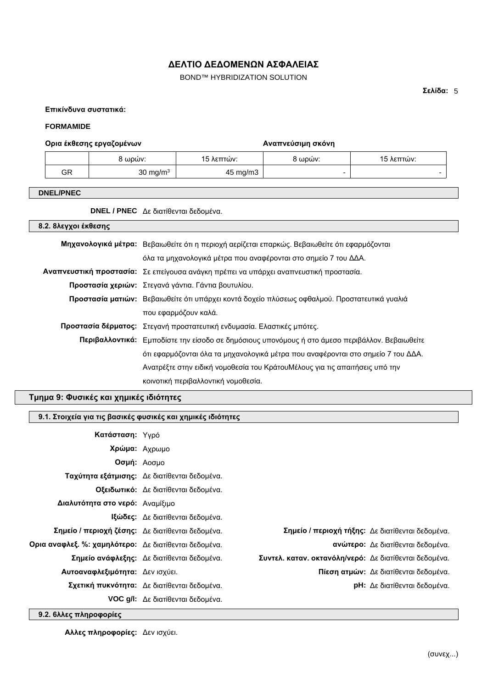BOND™ HYBRIDIZATION SOLUTION

**Σελίδα:** 5

**Επικίνδυνα συστατικά:**

### **FORMAMIDE**

## **Ορια έκθεσης εργαζομένων Αναπνεύσιμη σκόνη**

|    | .           |            |         |            |
|----|-------------|------------|---------|------------|
|    | 8 ωρών:     | 15 λεπτών: | 8 ωρών: | 15 λεπτών: |
| GR | 30 mg/m $3$ | 45 mg/m3   |         |            |

## **DNEL/PNEC**

**DNEL / PNEC** Δε διατίθενται δεδομένα.

| 8.2. 8λεγχοι έκθεσης |                                                                                                      |
|----------------------|------------------------------------------------------------------------------------------------------|
|                      | <b>Μηχανολογικά μέτρα:</b> Βεβαιωθείτε ότι η περιοχή αερίζεται επαρκώς. Βεβαιωθείτε ότι εφαρμόζονται |
|                      | όλα τα μηχανολογικά μέτρα που αναφέρονται στο σημείο 7 του ΔΔΑ.                                      |
|                      | Αναπνευστική προστασία: Σε επείγουσα ανάγκη πρέπει να υπάρχει αναπνευστική προστασία.                |
|                      | Προστασία χεριών: Στεγανά γάντια. Γάντια βουτυλίου.                                                  |
|                      | Προστασία ματιών: Βεβαιωθείτε ότι υπάρχει κοντά δοχείο πλύσεως οφθαλμού. Προστατευτικά γυαλιά        |
|                      | που εφαρμόζουν καλά.                                                                                 |
|                      | Προστασία δέρματος: Στεγανή προστατευτική ενδυμασία. Ελαστικές μπότες.                               |
|                      | Περιβαλλοντικά: Εμποδίστε την είσοδο σε δημόσιους υπονόμους ή στο άμεσο περιβάλλον. Βεβαιωθείτε      |
|                      | ότι εφαρμόζονται όλα τα μηχανολογικά μέτρα που αναφέρονται στο σημείο 7 του ΔΔΑ.                     |
|                      | Ανατρέξτε στην ειδική νομοθεσία του ΚράτουΜέλους για τις απαιτήσεις υπό την                          |
|                      | κοινοτική περιβαλλοντική νομοθεσία.                                                                  |

## **Τμημα 9: Φυσικές και χημικές ιδιότητες**

| 9.1. Στοιχεία για τις βασικές φυσικές και χημικές ιδιότητες |                                              |                                                        |
|-------------------------------------------------------------|----------------------------------------------|--------------------------------------------------------|
| Κατάσταση: Υγρό                                             |                                              |                                                        |
|                                                             | Χρώμα: Αχρωμο                                |                                                        |
|                                                             | Οσμή: Αοσμο                                  |                                                        |
|                                                             | Ταχύτητα εξάτμισης: Δε διατίθενται δεδομένα. |                                                        |
|                                                             | Οξειδωτικό: Δε διατίθενται δεδομένα.         |                                                        |
| Διαλυτότητα στο νερό: Αναμίξιμο                             |                                              |                                                        |
|                                                             | <b>Ιξώδες:</b> Δε διατίθενται δεδομένα.      |                                                        |
| Σημείο / περιοχή ζέσης: Δε διατίθενται δεδομένα.            |                                              | Σημείο / περιοχή τήξης: Δε διατίθενται δεδομένα.       |
| Ορια αναφλεξ. %: χαμηλότερο: Δε διατίθενται δεδομένα.       |                                              | ανώτερο: Δε διατίθενται δεδομένα.                      |
|                                                             | Σημείο ανάφλεξης: Δε διατίθενται δεδομένα.   | Συντελ. καταν. οκτανόλη/νερό: Δε διατίθενται δεδομένα. |
| Αυτοαναφλεξιμότητα: Δεν ισχύει.                             |                                              | Πίεση ατμών: Δε διατίθενται δεδομένα.                  |
|                                                             | Σχετική πυκνότητα: Δε διατίθενται δεδομένα.  | <b>pH:</b> Δε διατίθενται δεδομένα.                    |
|                                                             | <b>VOC g/l:</b> Δε διατίθενται δεδομένα.     |                                                        |

**9.2. 6λλες πληροφορίες**

**Αλλες πληροφορίες:** Δεν ισχύει.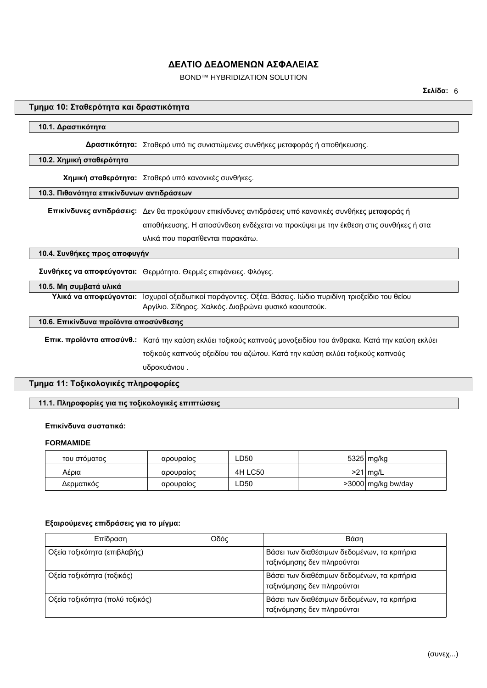## BOND™ HYBRIDIZATION SOLUTION

## **Τμημα 10: Σταθερότητα και δραστικότητα**

## **10.1. Δραστικότητα**

**Δραστικότητα:** Σταθερό υπό τις συνιστώμενες συνθήκες μεταφοράς ή αποθήκευσης.

## **10.2. Χημική σταθερότητα**

**Χημική σταθερότητα:** Σταθερό υπό κανονικές συνθήκες.

### **10.3. Πιθανότητα επικίνδυνων αντιδράσεων**

**Επικίνδυνες αντιδράσεις:** Δεν θα προκύψουν επικίνδυνες αντιδράσεις υπό κανονικές συνθήκες μεταφοράς ή αποθήκευσης. Η αποσύνθεση ενδέχεται να προκύψει με την έκθεση στις συνθήκες ή στα υλικά που παρατίθενται παρακάτω.

**10.4. Συνθήκες προς αποφυγήν**

**Συνθήκες να αποφεύγονται:** Θερμότητα. Θερμές επιφάνειες. Φλόγες.

### **10.5. Μη συμβατά υλικά**

**Υλικά να αποφεύγονται:** Ισχυροί οξειδωτικοί παράγοντες. Οξέα. Βάσεις. Ιώδιο πυριδίνη τριοξείδιο του θείου Αργίλιο. Σίδηρος. Χαλκός. Διαβρώνει φυσικό καουτσούκ.

### **10.6. Επικίνδυνα προϊόντα αποσύνθεσης**

**Επικ. προϊόντα αποσύνθ.:** Κατά την καύση εκλύει τοξικούς καπνούς μονοξειδίου του άνθρακα. Κατά την καύση εκλύει τοξικούς καπνούς οξειδίου του αζώτου. Κατά την καύση εκλύει τοξικούς καπνούς υδροκυάνιου .

## **Τμημα 11: Τοξικολογικές πληροφορίες**

### **11.1. Πληροφορίες για τις τοξικολογικές επιπτώσεις**

### **Επικίνδυνα συστατικά:**

## **FORMAMIDE**

| του στόματος | αρουραίος | LD50    | $5325 \mid$ mg/kg  |
|--------------|-----------|---------|--------------------|
| Αέρια        | αρουραίος | 4H LC50 | $>21$ mg/L         |
| Δερματικός   | αρουραίος | ∟D50    | >3000 mg/kg bw/day |

## **Εξαιρούμενες επιδράσεις για το μίγμα:**

| Επίδραση                        | Οδός | Βάση                                                                      |
|---------------------------------|------|---------------------------------------------------------------------------|
| Οξεία τοξικότητα (επιβλαβής)    |      | Βάσει των διαθέσιμων δεδομένων, τα κριτήρια<br>ταξινόμησης δεν πληρούνται |
| Οξεία τοξικότητα (τοξικός)      |      | Βάσει των διαθέσιμων δεδομένων, τα κριτήρια<br>ταξινόμησης δεν πληρούνται |
| Οξεία τοξικότητα (πολύ τοξικός) |      | Βάσει των διαθέσιμων δεδομένων, τα κριτήρια<br>ταξινόμησης δεν πληρούνται |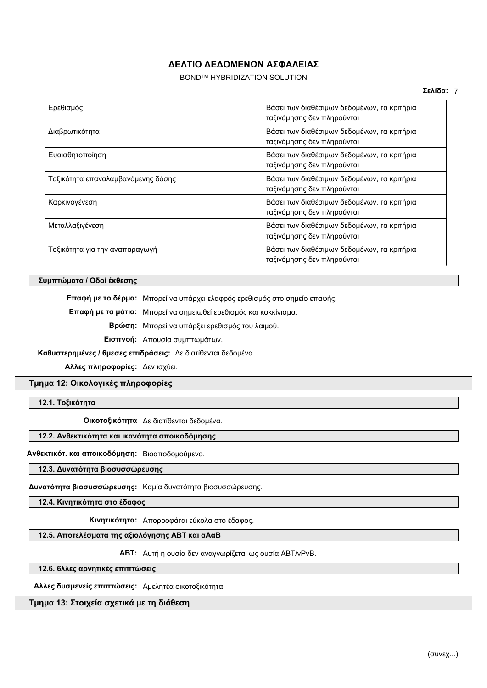BOND™ HYBRIDIZATION SOLUTION

| Ερεθισμός                          | Βάσει των διαθέσιμων δεδομένων, τα κριτήρια<br>ταξινόμησης δεν πληρούνται |
|------------------------------------|---------------------------------------------------------------------------|
| Διαβρωτικότητα                     | Βάσει των διαθέσιμων δεδομένων, τα κριτήρια<br>ταξινόμησης δεν πληρούνται |
| Ευαισθητοποίηση                    | Βάσει των διαθέσιμων δεδομένων, τα κριτήρια<br>ταξινόμησης δεν πληρούνται |
| Τοξικότητα επαναλαμβανόμενης δόσης | Βάσει των διαθέσιμων δεδομένων, τα κριτήρια<br>ταξινόμησης δεν πληρούνται |
| Καρκινογένεση                      | Βάσει των διαθέσιμων δεδομένων, τα κριτήρια<br>ταξινόμησης δεν πληρούνται |
| Μεταλλαξιγένεση                    | Βάσει των διαθέσιμων δεδομένων, τα κριτήρια<br>ταξινόμησης δεν πληρούνται |
| Τοξικότητα για την αναπαραγωγή     | Βάσει των διαθέσιμων δεδομένων, τα κριτήρια<br>ταξινόμησης δεν πληρούνται |

## **Συμπτώματα / Οδοί έκθεσης**

**Επαφή με το δέρμα:** Μπορεί να υπάρχει ελαφρός ερεθισμός στο σημείο επαφής.

**Επαφή με τα μάτια:** Μπορεί να σημειωθεί ερεθισμός και κοκκίνισμα.

**Βρώση:** Μπορεί να υπάρξει ερεθισμός του λαιμού.

**Εισπνοή:** Απουσία συμπτωμάτων.

**Καθυστερημένες / 6μεσες επιδράσεις:** Δε διατίθενται δεδομένα.

**Αλλες πληροφορίες:** Δεν ισχύει.

## **Τμημα 12: Οικολογικές πληροφορίες**

**12.1. Τοξικότητα**

**Οικοτοξικότητα** Δε διατίθενται δεδομένα.

## **12.2. Ανθεκτικότητα και ικανότητα αποικοδόμησης**

**Ανθεκτικότ. και αποικοδόμηση:** Βιοαποδομούμενο.

**12.3. Δυνατότητα βιοσυσσώρευσης**

**Δυνατότητα βιοσυσσώρευσης:** Καμία δυνατότητα βιοσυσσώρευσης.

**12.4. Κινητικότητα στο έδαφος**

**Κινητικότητα:** Απορροφάται εύκολα στο έδαφος.

## **12.5. Αποτελέσματα της αξιολόγησης ΑΒΤ και αΑαΒ**

**ΑΒΤ:** Αυτή η ουσία δεν αναγνωρίζεται ως ουσία ABT/vPvB.

**12.6. 6λλες αρνητικές επιπτώσεις**

**Αλλες δυσμενείς επιπτώσεις:** Αμελητέα οικοτοξικότητα.

**Τμημα 13: Στοιχεία σχετικά με τη διάθεση**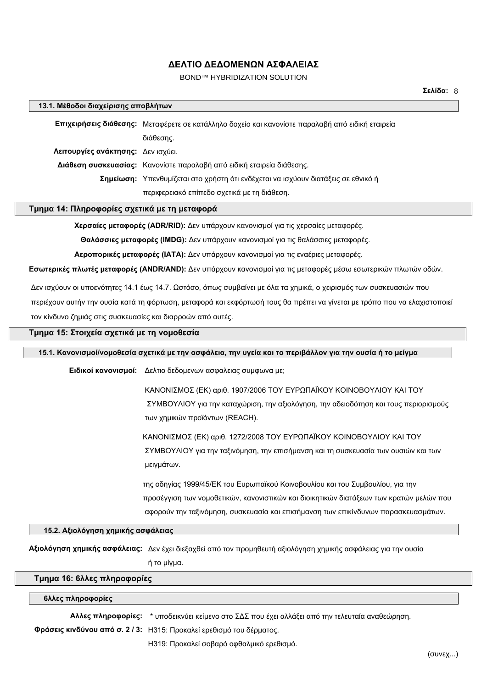## BOND™ HYBRIDIZATION SOLUTION

## **13.1. Μέθοδοι διαχείρισης αποβλήτων**

**Επιχειρήσεις διάθεσης:** Μεταφέρετε σε κατάλληλο δοχείο και κανονίστε παραλαβή από ειδική εταιρεία διάθεσης. **Λειτουργίες ανάκτησης:** Δεν ισχύει. **Διάθεση συσκευασίας:** Κανονίστε παραλαβή από ειδική εταιρεία διάθεσης. **Σημείωση:** Υπενθυμίζεται στο χρήστη ότι ενδέχεται να ισχύουν διατάξεις σε εθνικό ή περιφερειακό επίπεδο σχετικά με τη διάθεση.

### **Τμημα 14: Πληροφορίες σχετικά με τη μεταφορά**

**Χερσαίες μεταφορές (ADR/RID):** Δεν υπάρχουν κανονισμοί για τις χερσαίες μεταφορές.

**Θαλάσσιες μεταφορές (IMDG):** Δεν υπάρχουν κανονισμοί για τις θαλάσσιες μεταφορές.

**Αεροπορικές μεταφορές (IATA):** Δεν υπάρχουν κανονισμοί για τις εναέριες μεταφορές.

**Εσωτερικές πλωτές μεταφορές (ANDR/AND):** Δεν υπάρχουν κανονισμοί για τις μεταφορές μέσω εσωτερικών πλωτών οδών.

Δεν ισχύουν οι υποενότητες 14.1 έως 14.7. Ωστόσο, όπως συμβαίνει με όλα τα χημικά, ο χειρισμός των συσκευασιών που

περιέχουν αυτήν την ουσία κατά τη φόρτωση, μεταφορά και εκφόρτωσή τους θα πρέπει να γίνεται με τρόπο που να ελαχιστοποιεί τον κίνδυνο ζημιάς στις συσκευασίες και διαρροών από αυτές.

## **Τμημα 15: Στοιχεία σχετικά με τη νομοθεσία**

**15.1. Κανονισμοί/νομοθεσία σχετικά με την ασφάλεια, την υγεία και το περιβάλλον για την ουσία ή το μείγμα**

**Ειδικοί κανονισμοί:** Δελτιο δεδομενων ασφαλειας συμφωνα με;

ΚΑΝΟΝΙΣΜΟΣ (ΕΚ) αριθ. 1907/2006 ΤΟΥ ΕΥΡΩΠΑΪΚΟΥ ΚΟΙΝΟΒΟΥΛΙΟΥ ΚΑΙ ΤΟΥ ΣΥΜΒΟΥΛΙΟΥ για την καταχώριση, την αξιολόγηση, την αδειοδότηση και τους περιορισμούς των χημικών προϊόντων (REACH).

ΚΑΝΟΝΙΣΜΟΣ (ΕΚ) αριθ. 1272/2008 ΤΟΥ ΕΥΡΩΠΑΪΚΟΥ ΚΟΙΝΟΒΟΥΛΙΟΥ ΚΑΙ ΤΟΥ ΣΥΜΒΟΥΛΙΟΥ για την ταξινόμηση, την επισήμανση και τη συσκευασία των ουσιών και των μειγμάτων.

της οδηγίας 1999/45/EΚ του Ευρωπαϊκού Κοινοβουλίου και του Συμβουλίου, για την προσέγγιση των νομοθετικών, κανονιστικών και διοικητικών διατάξεων των κρατών μελών που αφορούν την ταξινόμηση, συσκευασία και επισήμανση των επικίνδυνων παρασκευασμάτων.

## **15.2. Αξιολόγηση χημικής ασφάλειας**

**Αξιολόγηση χημικής ασφάλειας:** Δεν έχει διεξαχθεί από τον προμηθευτή αξιολόγηση χημικής ασφάλειας για την ουσία ή το μίγμα.

## **Τμημα 16: 6λλες πληροφορίες**

### **6λλες πληροφορίες**

**Αλλες πληροφορίες:** \* υποδεικνύει κείμενο στο ΣΔΣ που έχει αλλάξει από την τελευταία αναθεώρηση.

**Φράσεις κινδύνου από σ. 2 / 3:** H315: Προκαλεί ερεθισμό του δέρματος.

H319: Προκαλεί σοβαρό οφθαλμικό ερεθισμό.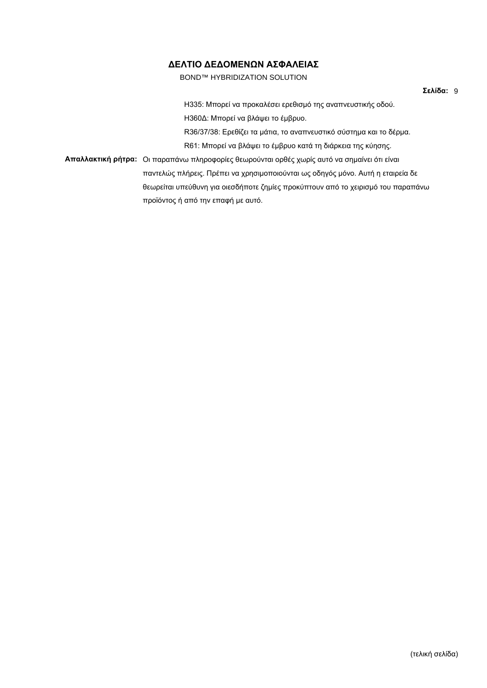BOND™ HYBRIDIZATION SOLUTION

H335: Μπορεί να προκαλέσει ερεθισμό της αναπνευστικής οδού. H360Δ: Μπορεί να βλάψει το έμβρυο. R36/37/38: Ερεθίζει τα μάτια, το αναπνευστικό σύστημα και το δέρμα. R61: Μπορεί να βλάψει το έμβρυο κατά τη διάρκεια της κύησης. **Απαλλακτική ρήτρα:** Οι παραπάνω πληροφορίες θεωρούνται ορθές χωρίς αυτό να σημαίνει ότι είναι παντελώς πλήρεις. Πρέπει να χρησιμοποιούνται ως οδηγός μόνο. Αυτή η εταιρεία δε θεωρείται υπεύθυνη για οιεσδήποτε ζημίες προκύπτουν από το χειρισμό του παραπάνω

προϊόντος ή από την επαφή με αυτό.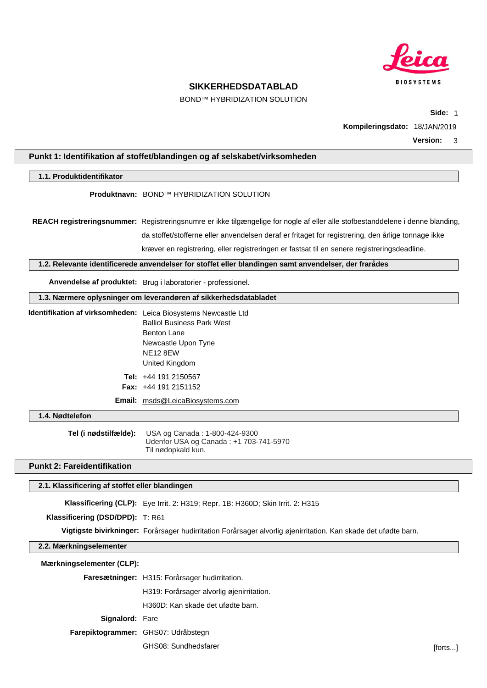

# **SIKKERHEDSDATABLAD**

BOND™ HYBRIDIZATION SOLUTION

**Side:** 1

**Kompileringsdato:** 18/JAN/2019

**Version:** 3

## **Punkt 1: Identifikation af stoffet/blandingen og af selskabet/virksomheden**

### **1.1. Produktidentifikator**

## **Produktnavn:** BOND™ HYBRIDIZATION SOLUTION

**REACH registreringsnummer:** Registreringsnumre er ikke tilgængelige for nogle af eller alle stofbestanddelene i denne blanding, da stoffet/stofferne eller anvendelsen deraf er fritaget for registrering, den årlige tonnage ikke

kræver en registrering, eller registreringen er fastsat til en senere registreringsdeadline.

## **1.2. Relevante identificerede anvendelser for stoffet eller blandingen samt anvendelser, der frarådes**

**Anvendelse af produktet:** Brug i laboratorier - professionel.

### **1.3. Nærmere oplysninger om leverandøren af sikkerhedsdatabladet**

| Identifikation af virksomheden: Leica Biosystems Newcastle Ltd |                                        |
|----------------------------------------------------------------|----------------------------------------|
|                                                                | <b>Balliol Business Park West</b>      |
|                                                                | <b>Benton Lane</b>                     |
|                                                                | Newcastle Upon Tyne                    |
|                                                                | <b>NE12 8EW</b>                        |
|                                                                | United Kingdom                         |
|                                                                | Tel: $+44$ 191 2150567                 |
|                                                                | <b>Fax:</b> $+44$ 191 2151152          |
|                                                                | <b>Email:</b> msds@LeicaBiosystems.com |

## **1.4. Nødtelefon**

| USA og Canada: 1-800-424-9300<br>Udenfor USA og Canada: +1 703-741-5970 |
|-------------------------------------------------------------------------|
| Til nødopkald kun.                                                      |
|                                                                         |

## **Punkt 2: Fareidentifikation**

### **2.1. Klassificering af stoffet eller blandingen**

**Klassificering (CLP):** Eye Irrit. 2: H319; Repr. 1B: H360D; Skin Irrit. 2: H315

**Klassificering (DSD/DPD):** T: R61

**Vigtigste bivirkninger:** Forårsager hudirritation Forårsager alvorlig øjenirritation. Kan skade det ufødte barn.

## **2.2. Mærkningselementer**

| Mærkningselementer (CLP): |                                                |         |
|---------------------------|------------------------------------------------|---------|
|                           | Faresætninger: H315: Forårsager hudirritation. |         |
|                           | H319: Forårsager alvorlig øjenirritation.      |         |
|                           | H360D: Kan skade det ufødte barn.              |         |
| Signalord: Fare           |                                                |         |
|                           | Farepiktogrammer: GHS07: Udråbstegn            |         |
|                           | GHS08: Sundhedsfarer                           | [forts] |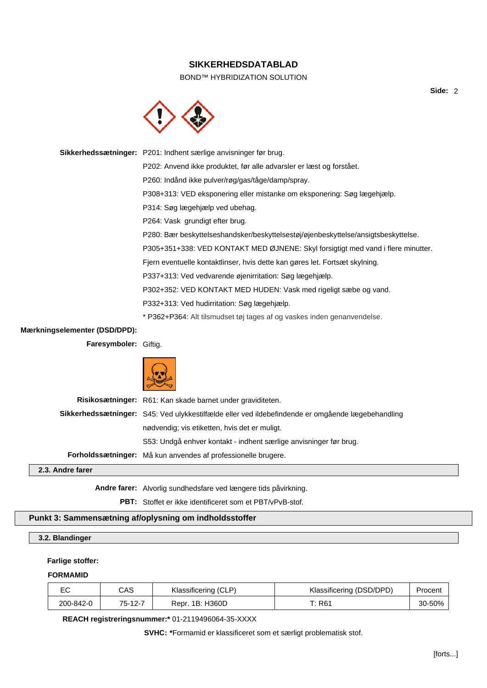## **SIKKERHEDSDATABLAD**

BOND™ HYBRIDIZATION SOLUTION

**Side:** 2



**Sikkerhedssætninger:** P201: Indhent særlige anvisninger før brug. P202: Anvend ikke produktet, før alle advarsler er læst og forstået. P260: Indånd ikke pulver/røg/gas/tåge/damp/spray. P308+313: VED eksponering eller mistanke om eksponering: Søg lægehjælp. P314: Søg lægehjælp ved ubehag. P264: Vask grundigt efter brug. P280: Bær beskyttelseshandsker/beskyttelsestøj/øjenbeskyttelse/ansigtsbeskyttelse. P305+351+338: VED KONTAKT MED ØJNENE: Skyl forsigtigt med vand i flere minutter. Fjern eventuelle kontaktlinser, hvis dette kan gøres let. Fortsæt skylning. P337+313: Ved vedvarende øjenirritation: Søg lægehjælp. P302+352: VED KONTAKT MED HUDEN: Vask med rigeligt sæbe og vand. P332+313: Ved hudirritation: Søg lægehjælp. \* P362+P364: Alt tilsmudset tøj tages af og vaskes inden genanvendelse. **Mærkningselementer (DSD/DPD): Faresymboler:** Giftig.

| 2.3. Andre farer |                                                                                                   |
|------------------|---------------------------------------------------------------------------------------------------|
|                  | Forholdssætninger: Må kun anvendes af professionelle brugere.                                     |
|                  | S53: Undgå enhver kontakt - indhent særlige anvisninger før brug.                                 |
|                  | nødvendig; vis etiketten, hvis det er muligt.                                                     |
|                  | Sikkerhedssætninger: S45: Ved ulykkestilfælde eller ved ildebefindende er omgående lægebehandling |
|                  | Risikosætninger: R61: Kan skade barnet under graviditeten.                                        |
|                  |                                                                                                   |

**Andre farer:** Alvorlig sundhedsfare ved længere tids påvirkning.

**PBT:** Stoffet er ikke identificeret som et PBT/vPvB-stof.

## **Punkt 3: Sammensætning af/oplysning om indholdsstoffer**

### **3.2. Blandinger**

### **Farlige stoffer:**

### **FORMAMID**

| ⊏∩        | CAS     | Klassificering (CLP) | Klassificering (DSD/DPD) | Procent |
|-----------|---------|----------------------|--------------------------|---------|
| 200-842-0 | 75-12-7 | Repr. 1B: H360D      | <sup>ะ</sup> : R61∶      | 30-50%  |

**REACH registreringsnummer:\*** 01-2119496064-35-XXXX

**SVHC: \***Formamid er klassificeret som et særligt problematisk stof.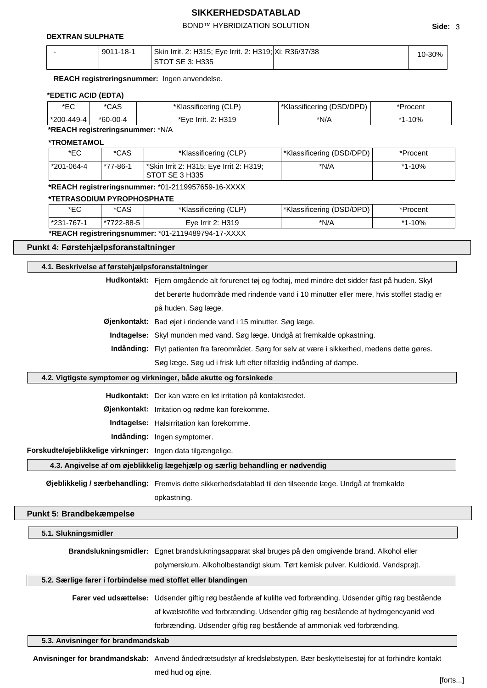# **SIKKERHEDSDATABLAD**

## BOND™ HYBRIDIZATION SOLUTION **Side:** 3

### **DEXTRAN SULPHATE**

| $9011 - 18 - 1$ | Skin Irrit. 2: H315; Eye Irrit. 2: H319; Xi: R36/37/38 | 10-30% |
|-----------------|--------------------------------------------------------|--------|
|                 | STOT SE 3: H335                                        |        |

**REACH registreringsnummer:** Ingen anvendelse.

### **\*EDETIC ACID (EDTA)**

| *EC                                                                                                                                                                                                                                                                                                                                                                                                                                                                                                                                                                                                                                                              | *CAS     | *Klassificering (CLP) | *Klassificering (DSD/DPD) | *Procent     |
|------------------------------------------------------------------------------------------------------------------------------------------------------------------------------------------------------------------------------------------------------------------------------------------------------------------------------------------------------------------------------------------------------------------------------------------------------------------------------------------------------------------------------------------------------------------------------------------------------------------------------------------------------------------|----------|-----------------------|---------------------------|--------------|
| $^{\circ}$ *200-449-4 .                                                                                                                                                                                                                                                                                                                                                                                                                                                                                                                                                                                                                                          | *60-00-4 | *Eye Irrit. 2: H319   | *N/A                      | 1-10%<br>* 4 |
| $\mathbf{A} = \mathbf{A} \mathbf{A} + \mathbf{A} \mathbf{A} + \mathbf{A} \mathbf{A} + \mathbf{A} \mathbf{A} + \mathbf{A} \mathbf{A} + \mathbf{A} \mathbf{A} + \mathbf{A} \mathbf{A} + \mathbf{A} \mathbf{A} + \mathbf{A} \mathbf{A} + \mathbf{A} \mathbf{A} + \mathbf{A} \mathbf{A} + \mathbf{A} \mathbf{A} + \mathbf{A} \mathbf{A} + \mathbf{A} \mathbf{A} + \mathbf{A} \mathbf{A} + \mathbf{A} \mathbf{A} + \mathbf{A$<br>$\blacksquare$ . The contract of the contract of the contract of the contract of the contract of the contract of the contract of the contract of the contract of the contract of the contract of the contract of the contract of the |          |                       |                           |              |

## **\*REACH registreringsnummer:** \*N/A

### **\*TROMETAMOL**

| *EC        | *CAS     | *Klassificering (CLP)                                     | *Klassificering (DSD/DPD) | *Procent |
|------------|----------|-----------------------------------------------------------|---------------------------|----------|
| *201-064-4 | *77-86-1 | *Skin Irrit 2: H315; Eye Irrit 2: H319;<br>STOT SE 3 H335 | *N/A                      | *1-10%   |

**\*REACH registreringsnummer:** \*01-2119957659-16-XXXX

### **\*TETRASODIUM PYROPHOSPHATE**

| *EC                                                | *CAS       | *Klassificering (CLP) | *Klassificering (DSD/DPD) | *Procent |
|----------------------------------------------------|------------|-----------------------|---------------------------|----------|
| 1*231-767-1                                        | *7722-88-5 | Eve Irrit 2: H319     | *N/A                      | *1-10%   |
| *REACH registreringsnummer: *01-2119489794-17-XXXX |            |                       |                           |          |

### **Punkt 4: Førstehjælpsforanstaltninger**

### **4.1. Beskrivelse af førstehjælpsforanstaltninger**

**Hudkontakt:** Fjern omgående alt forurenet tøj og fodtøj, med mindre det sidder fast på huden. Skyl

det berørte hudområde med rindende vand i 10 minutter eller mere, hvis stoffet stadig er på huden. Søg læge.

**Øjenkontakt:** Bad øjet i rindende vand i 15 minutter. Søg læge.

**Indtagelse:** Skyl munden med vand. Søg læge. Undgå at fremkalde opkastning.

**Indånding:** Flyt patienten fra fareområdet. Sørg for selv at være i sikkerhed, medens dette gøres. Søg læge. Søg ud i frisk luft efter tilfældig indånding af dampe.

### **4.2. Vigtigste symptomer og virkninger, både akutte og forsinkede**

**Hudkontakt:** Der kan være en let irritation på kontaktstedet.

**Øjenkontakt:** Irritation og rødme kan forekomme.

**Indtagelse:** Halsirritation kan forekomme.

**Indånding:** Ingen symptomer.

**Forskudte/øjeblikkelige virkninger:** Ingen data tilgængelige.

**4.3. Angivelse af om øjeblikkelig lægehjælp og særlig behandling er nødvendig**

**Øjeblikkelig / særbehandling:** Fremvis dette sikkerhedsdatablad til den tilseende læge. Undgå at fremkalde

opkastning.

## **Punkt 5: Brandbekæmpelse**

# **5.1. Slukningsmidler Brandslukningsmidler:** Egnet brandslukningsapparat skal bruges på den omgivende brand. Alkohol eller polymerskum. Alkoholbestandigt skum. Tørt kemisk pulver. Kuldioxid. Vandsprøjt. **5.2. Særlige farer i forbindelse med stoffet eller blandingen Farer ved udsættelse:** Udsender giftig røg bestående af kulilte ved forbrænding. Udsender giftig røg bestående af kvælstofilte ved forbrænding. Udsender giftig røg bestående af hydrogencyanid ved forbrænding. Udsender giftig røg bestående af ammoniak ved forbrænding. **5.3. Anvisninger for brandmandskab**

**Anvisninger for brandmandskab:** Anvend åndedrætsudstyr af kredsløbstypen. Bær beskyttelsestøj for at forhindre kontakt

med hud og øjne.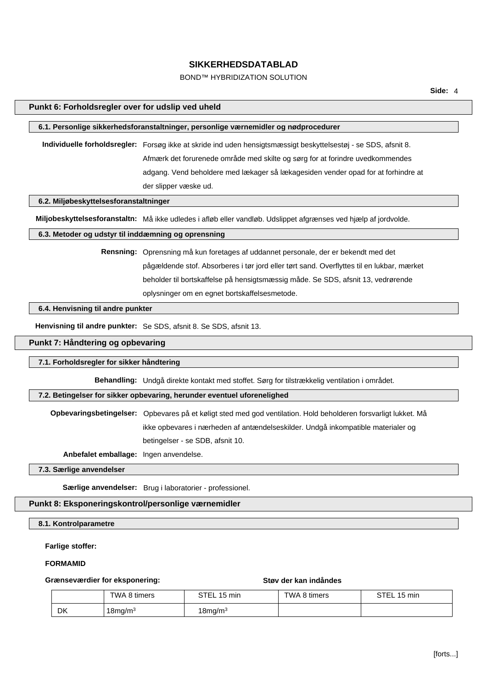### BOND™ HYBRIDIZATION SOLUTION

#### **Punkt 6: Forholdsregler over for udslip ved uheld**

|                                                     | 6.1. Personlige sikkerhedsforanstaltninger, personlige værnemidler og nødprocedurer                              |  |  |  |
|-----------------------------------------------------|------------------------------------------------------------------------------------------------------------------|--|--|--|
|                                                     |                                                                                                                  |  |  |  |
|                                                     | Individuelle forholdsregler: Forsøg ikke at skride ind uden hensigtsmæssigt beskyttelsestøj - se SDS, afsnit 8.  |  |  |  |
|                                                     | Afmærk det forurenede område med skilte og sørg for at forindre uvedkommendes                                    |  |  |  |
|                                                     | adgang. Vend beholdere med lækager så lækagesiden vender opad for at forhindre at                                |  |  |  |
|                                                     | der slipper væske ud.                                                                                            |  |  |  |
| 6.2. Miljøbeskyttelsesforanstaltninger              |                                                                                                                  |  |  |  |
|                                                     | Miljobeskyttelsesforanstaltn: Må ikke udledes i afløb eller vandløb. Udslippet afgrænses ved hjælp af jordvolde. |  |  |  |
| 6.3. Metoder og udstyr til inddæmning og oprensning |                                                                                                                  |  |  |  |
|                                                     | Rensning: Oprensning må kun foretages af uddannet personale, der er bekendt med det                              |  |  |  |
|                                                     | pågældende stof. Absorberes i tør jord eller tørt sand. Overflyttes til en lukbar, mærket                        |  |  |  |
|                                                     | beholder til bortskaffelse på hensigtsmæssig måde. Se SDS, afsnit 13, vedrørende                                 |  |  |  |
|                                                     | oplysninger om en egnet bortskaffelsesmetode.                                                                    |  |  |  |
| 6.4. Henvisning til andre punkter                   |                                                                                                                  |  |  |  |
|                                                     | Henvisning til andre punkter: Se SDS, afsnit 8. Se SDS, afsnit 13.                                               |  |  |  |

### **Punkt 7: Håndtering og opbevaring**

#### **7.1. Forholdsregler for sikker håndtering**

**Behandling:** Undgå direkte kontakt med stoffet. Sørg for tilstrækkelig ventilation i området.

### **7.2. Betingelser for sikker opbevaring, herunder eventuel uforenelighed**

**Opbevaringsbetingelser:** Opbevares på et køligt sted med god ventilation. Hold beholderen forsvarligt lukket. Må ikke opbevares i nærheden af antændelseskilder. Undgå inkompatible materialer og betingelser - se SDB, afsnit 10.

**Anbefalet emballage:** Ingen anvendelse.

**7.3. Særlige anvendelser**

**Særlige anvendelser:** Brug i laboratorier - professionel.

### **Punkt 8: Eksponeringskontrol/personlige værnemidler**

### **8.1. Kontrolparametre**

**Farlige stoffer:**

### **FORMAMID**

#### **Grænseværdier for eksponering: Støv der kan indåndes**

|    | TWA 8 timers  | STEI<br>15 min<br>-- | TWA 8 timers | <b>RTEL</b><br>15 min |
|----|---------------|----------------------|--------------|-----------------------|
| DK | $18$ mg/m $3$ | $18$ mg/m $3$        |              |                       |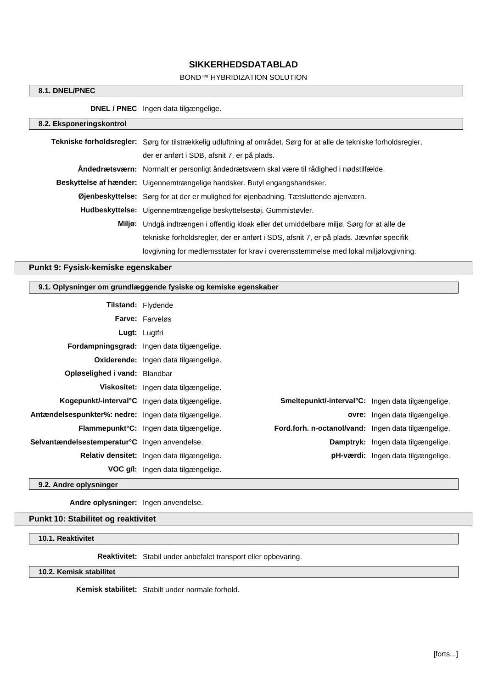### BOND™ HYBRIDIZATION SOLUTION

### **8.1. DNEL/PNEC**

**DNEL / PNEC** Ingen data tilgængelige.

| 8.2. Eksponeringskontrol |                                                                                                                     |
|--------------------------|---------------------------------------------------------------------------------------------------------------------|
|                          | Tekniske forholdsregler: Sørg for tilstrækkelig udluftning af området. Sørg for at alle de tekniske forholdsregler, |
|                          | der er anført i SDB, afsnit 7, er på plads.                                                                         |
|                          | Andedrætsværn: Normalt er personligt åndedrætsværn skal være til rådighed i nødstilfælde.                           |
|                          | Beskyttelse af hænder: Uigennemtrængelige handsker. Butyl engangshandsker.                                          |
|                          | <b>Øjenbeskyttelse:</b> Sørg for at der er mulighed for øjenbadning. Tætsluttende øjenværn.                         |
|                          | Hudbeskyttelse: Uigennemtrængelige beskyttelsestøj. Gummistøvler.                                                   |
|                          | Miljø: Undgå indtrængen i offentlig kloak eller det umiddelbare miljø. Sørg for at alle de                          |
|                          | tekniske forholdsregler, der er anført i SDS, afsnit 7, er på plads. Jævnfør specifik                               |
|                          | lovgivning for medlemsstater for krav i overensstemmelse med lokal miljølovgivning.                                 |

### **Punkt 9: Fysisk-kemiske egenskaber**

### **9.1. Oplysninger om grundlæggende fysiske og kemiske egenskaber**

| Tilstand: Flydende                                   |                                                      |                                                     |
|------------------------------------------------------|------------------------------------------------------|-----------------------------------------------------|
|                                                      | <b>Farve: Farvelgs</b>                               |                                                     |
|                                                      | Lugt: Lugtfri                                        |                                                     |
|                                                      | Fordampningsgrad: Ingen data tilgængelige.           |                                                     |
|                                                      | Oxiderende: Ingen data tilgængelige.                 |                                                     |
| Opløselighed i vand: Blandbar                        |                                                      |                                                     |
|                                                      | Viskositet: Ingen data tilgængelige.                 |                                                     |
|                                                      | Kogepunkt/-interval°C Ingen data tilgængelige.       | Smeltepunkt/-interval°C: Ingen data tilgængelige.   |
| Antændelsespunkter%: nedre: Ingen data tilgængelige. |                                                      | <b>ovre:</b> Ingen data tilgængelige.               |
|                                                      | Flammepunkt <sup>°</sup> C: Ingen data tilgængelige. | Ford.forh. n-octanol/vand: Ingen data tilgængelige. |
| Selvantændelsestemperatur°C Ingen anvendelse.        |                                                      | Damptryk: Ingen data tilgængelige.                  |
|                                                      | Relativ densitet: Ingen data tilgængelige.           | pH-værdi: Ingen data tilgængelige.                  |
|                                                      | VOC g/I: Ingen data tilgængelige.                    |                                                     |

**9.2. Andre oplysninger**

**Andre oplysninger:** Ingen anvendelse.

### **Punkt 10: Stabilitet og reaktivitet**

#### **10.1. Reaktivitet**

**Reaktivitet:** Stabil under anbefalet transport eller opbevaring.

**10.2. Kemisk stabilitet**

**Kemisk stabilitet:** Stabilt under normale forhold.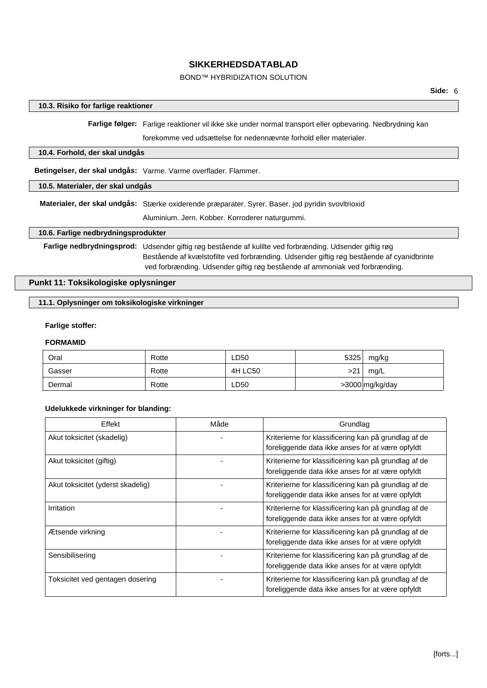### BOND™ HYBRIDIZATION SOLUTION

### **10.3. Risiko for farlige reaktioner**

**Farlige følger:** Farlige reaktioner vil ikke ske under normal transport eller opbevaring. Nedbrydning kan

forekomme ved udsættelse for nedennævnte forhold eller materialer.

#### **10.4. Forhold, der skal undgås**

**Betingelser, der skal undgås:** Varme. Varme overflader. Flammer.

### **10.5. Materialer, der skal undgås**

**Materialer, der skal undgås:** Stærke oxiderende præparater. Syrer. Baser. jod pyridin svovltrioxid

Aluminium. Jern. Kobber. Korroderer naturgummi.

### **10.6. Farlige nedbrydningsprodukter**

**Farlige nedbrydningsprod:** Udsender giftig røg bestående af kulilte ved forbrænding. Udsender giftig røg Bestående af kvælstofilte ved forbrænding. Udsender giftig røg bestående af cyanidbrinte ved forbrænding. Udsender giftig røg bestående af ammoniak ved forbrænding.

**Punkt 11: Toksikologiske oplysninger**

### **11.1. Oplysninger om toksikologiske virkninger**

#### **Farlige stoffer:**

#### **FORMAMID**

| Oral   | Rotte | LD50    | 5325 | mg/kg           |
|--------|-------|---------|------|-----------------|
| Gasser | Rotte | 4H LC50 | >21  | mg/L            |
| Dermal | Rotte | LD50    |      | >3000 mg/kg/day |

### **Udelukkede virkninger for blanding:**

| Effekt                            | Måde | Grundlag                                                                                                 |
|-----------------------------------|------|----------------------------------------------------------------------------------------------------------|
| Akut toksicitet (skadelig)        |      | Kriterierne for klassificering kan på grundlag af de<br>foreliggende data ikke anses for at være opfyldt |
| Akut toksicitet (giftig)          |      | Kriterierne for klassificering kan på grundlag af de<br>foreliggende data ikke anses for at være opfyldt |
| Akut toksicitet (yderst skadelig) |      | Kriterierne for klassificering kan på grundlag af de<br>foreliggende data ikke anses for at være opfyldt |
| Irritation                        |      | Kriterierne for klassificering kan på grundlag af de<br>foreliggende data ikke anses for at være opfyldt |
| Ætsende virkning                  |      | Kriterierne for klassificering kan på grundlag af de<br>foreliggende data ikke anses for at være opfyldt |
| Sensibilisering                   |      | Kriterierne for klassificering kan på grundlag af de<br>foreliggende data ikke anses for at være opfyldt |
| Toksicitet ved gentagen dosering  |      | Kriterierne for klassificering kan på grundlag af de<br>foreliggende data ikke anses for at være opfyldt |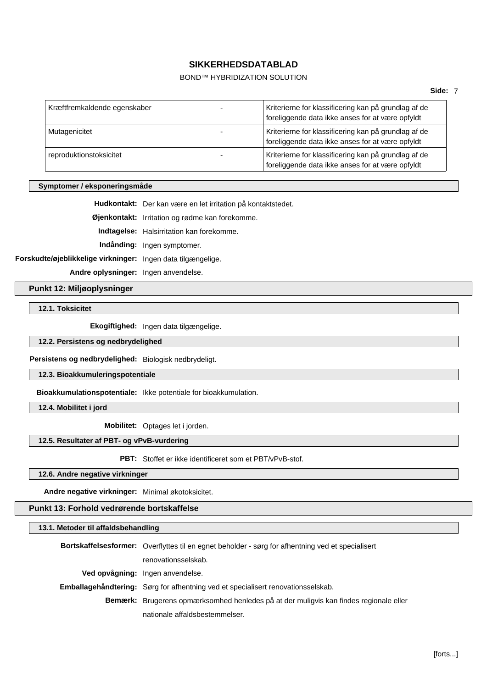### BOND™ HYBRIDIZATION SOLUTION

| Kræftfremkaldende egenskaber | Kriterierne for klassificering kan på grundlag af de<br>foreliggende data ikke anses for at være opfyldt |
|------------------------------|----------------------------------------------------------------------------------------------------------|
| Mutagenicitet                | Kriterierne for klassificering kan på grundlag af de<br>foreliggende data ikke anses for at være opfyldt |
| reproduktionstoksicitet      | Kriterierne for klassificering kan på grundlag af de<br>foreliggende data ikke anses for at være opfyldt |

### **Symptomer / eksponeringsmåde**

**Hudkontakt:** Der kan være en let irritation på kontaktstedet.

**Øjenkontakt:** Irritation og rødme kan forekomme.

**Indtagelse:** Halsirritation kan forekomme.

**Indånding:** Ingen symptomer.

**Forskudte/øjeblikkelige virkninger:** Ingen data tilgængelige.

**Andre oplysninger:** Ingen anvendelse.

**Punkt 12: Miljøoplysninger**

**12.1. Toksicitet**

**Ekogiftighed:** Ingen data tilgængelige.

**12.2. Persistens og nedbrydelighed**

**Persistens og nedbrydelighed:** Biologisk nedbrydeligt.

**12.3. Bioakkumuleringspotentiale**

**Bioakkumulationspotentiale:** Ikke potentiale for bioakkumulation.

**12.4. Mobilitet i jord**

**Mobilitet:** Optages let i jorden.

**12.5. Resultater af PBT- og vPvB-vurdering**

**PBT:** Stoffet er ikke identificeret som et PBT/vPvB-stof.

#### **12.6. Andre negative virkninger**

**Andre negative virkninger:** Minimal økotoksicitet.

### **Punkt 13: Forhold vedrørende bortskaffelse**

| √13.1. Metoder til affaldsbehandling |  |
|--------------------------------------|--|
|--------------------------------------|--|

| <b>Bortskaffelsesformer:</b> Overflyttes til en egnet beholder - sørg for afhentning ved et specialisert |  |  |
|----------------------------------------------------------------------------------------------------------|--|--|
| renovationsselskab.                                                                                      |  |  |
| Ved opvågning: Ingen anvendelse.                                                                         |  |  |
| <b>Emballagehåndtering:</b> Sørg for afhentning ved et specialisert renovationsselskab.                  |  |  |
| Bemærk: Brugerens opmærksomhed henledes på at der muligvis kan findes regionale eller                    |  |  |
| nationale affaldsbestemmelser.                                                                           |  |  |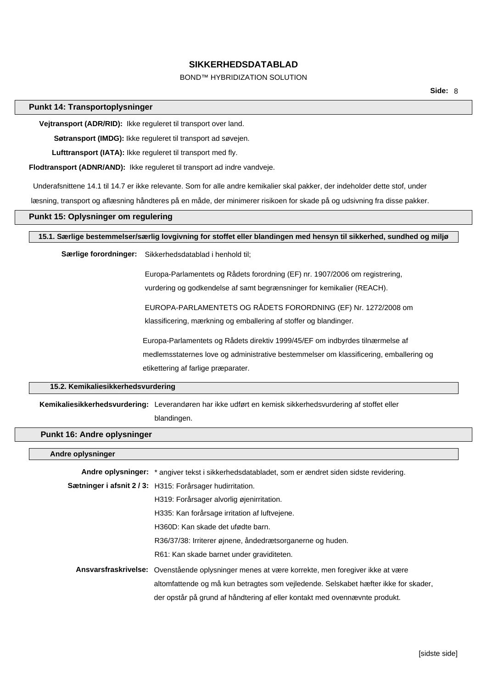### BOND™ HYBRIDIZATION SOLUTION

#### **Punkt 14: Transportoplysninger**

**Vejtransport (ADR/RID):** Ikke reguleret til transport over land.

**Søtransport (IMDG):** Ikke reguleret til transport ad søvejen.

**Lufttransport (IATA):** Ikke reguleret til transport med fly.

**Flodtransport (ADNR/AND):** Ikke reguleret til transport ad indre vandveje.

Underafsnittene 14.1 til 14.7 er ikke relevante. Som for alle andre kemikalier skal pakker, der indeholder dette stof, under

læsning, transport og aflæsning håndteres på en måde, der minimerer risikoen for skade på og udsivning fra disse pakker.

### **Punkt 15: Oplysninger om regulering**

#### **15.1. Særlige bestemmelser/særlig lovgivning for stoffet eller blandingen med hensyn til sikkerhed, sundhed og miljø**

**Særlige forordninger:** Sikkerhedsdatablad i henhold til;

Europa-Parlamentets og Rådets forordning (EF) nr. 1907/2006 om registrering, vurdering og godkendelse af samt begrænsninger for kemikalier (REACH).

EUROPA-PARLAMENTETS OG RÅDETS FORORDNING (EF) Nr. 1272/2008 om klassificering, mærkning og emballering af stoffer og blandinger.

Europa-Parlamentets og Rådets direktiv 1999/45/EF om indbyrdes tilnærmelse af medlemsstaternes love og administrative bestemmelser om klassificering, emballering og etikettering af farlige præparater.

### **15.2. Kemikaliesikkerhedsvurdering**

**Kemikaliesikkerhedsvurdering:** Leverandøren har ikke udført en kemisk sikkerhedsvurdering af stoffet eller blandingen.

### **Punkt 16: Andre oplysninger**

| Andre oplysninger |                                                                                                   |
|-------------------|---------------------------------------------------------------------------------------------------|
|                   | Andre oplysninger: * angiver tekst i sikkerhedsdatabladet, som er ændret siden sidste revidering. |
|                   | Sætninger i afsnit 2/3: H315: Forårsager hudirritation.                                           |
|                   | H319: Forårsager alvorlig øjenirritation.                                                         |
|                   | H335: Kan forårsage irritation af luftvejene.                                                     |
|                   | H360D: Kan skade det ufødte barn.                                                                 |
|                   | R36/37/38: Irriterer øjnene, åndedrætsorganerne og huden.                                         |

R61: Kan skade barnet under graviditeten.

# **Ansvarsfraskrivelse:** Ovenstående oplysninger menes at være korrekte, men foregiver ikke at være altomfattende og må kun betragtes som vejledende. Selskabet hæfter ikke for skader, der opstår på grund af håndtering af eller kontakt med ovennævnte produkt.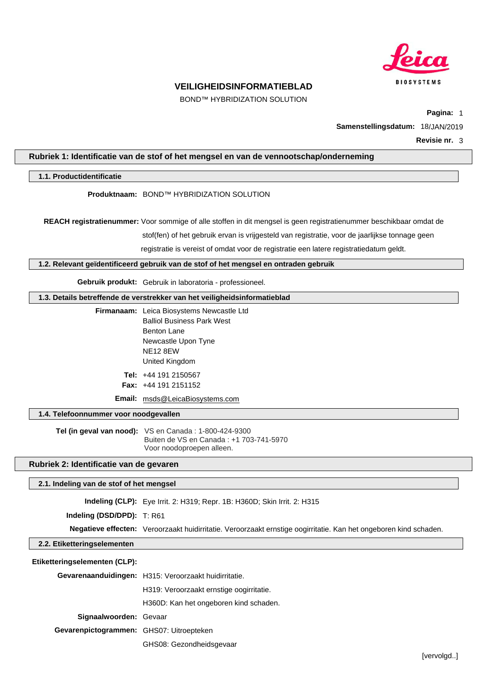

BOND™ HYBRIDIZATION SOLUTION

**Pagina:** 1

**Samenstellingsdatum:** 18/JAN/2019

**Revisie nr.** 3

### **Rubriek 1: Identificatie van de stof of het mengsel en van de vennootschap/onderneming**

#### **1.1. Productidentificatie**

**Produktnaam:** BOND™ HYBRIDIZATION SOLUTION

**REACH registratienummer:** Voor sommige of alle stoffen in dit mengsel is geen registratienummer beschikbaar omdat de

stof(fen) of het gebruik ervan is vrijgesteld van registratie, voor de jaarlijkse tonnage geen

registratie is vereist of omdat voor de registratie een latere registratiedatum geldt.

### **1.2. Relevant geïdentificeerd gebruik van de stof of het mengsel en ontraden gebruik**

**Gebruik produkt:** Gebruik in laboratoria - professioneel.

#### **1.3. Details betreffende de verstrekker van het veiligheidsinformatieblad**

**Firmanaam:** Leica Biosystems Newcastle Ltd Balliol Business Park West Benton Lane Newcastle Upon Tyne NE12 8EW United Kingdom **Tel:** +44 191 2150567

**Fax:** +44 191 2151152

**Email:** msds@LeicaBiosystems.com

#### **1.4. Telefoonnummer voor noodgevallen**

**Tel (in geval van nood):** VS en Canada : 1-800-424-9300 Buiten de VS en Canada : +1 703-741-5970 Voor noodoproepen alleen.

### **Rubriek 2: Identificatie van de gevaren**

#### **2.1. Indeling van de stof of het mengsel**

**Indeling (CLP):** Eye Irrit. 2: H319; Repr. 1B: H360D; Skin Irrit. 2: H315

**Indeling (DSD/DPD):** T: R61

**Negatieve effecten:** Veroorzaakt huidirritatie. Veroorzaakt ernstige oogirritatie. Kan het ongeboren kind schaden.

### **2.2. Etiketteringselementen**

# **Etiketteringselementen (CLP):**

**Gevarenaanduidingen:** H315: Veroorzaakt huidirritatie.

H319: Veroorzaakt ernstige oogirritatie.

H360D: Kan het ongeboren kind schaden.

**Signaalwoorden:** Gevaar

**Gevarenpictogrammen:** GHS07: Uitroepteken

GHS08: Gezondheidsgevaar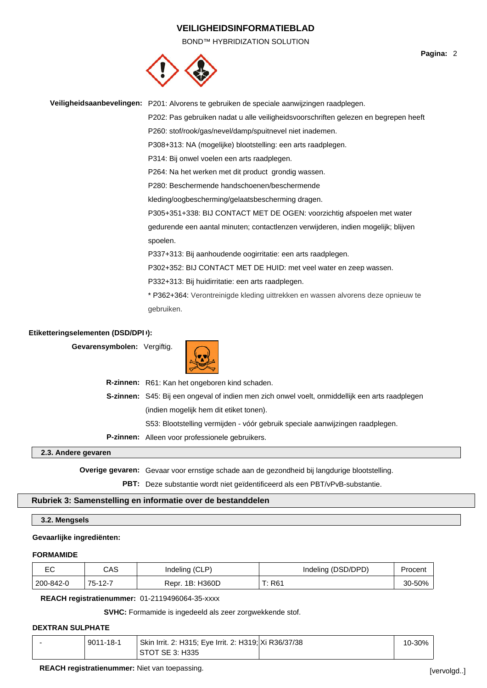BOND™ HYBRIDIZATION SOLUTION



#### **Veiligheidsaanbevelingen:** P201: Alvorens te gebruiken de speciale aanwijzingen raadplegen.

P202: Pas gebruiken nadat u alle veiligheidsvoorschriften gelezen en begrepen heeft

P260: stof/rook/gas/nevel/damp/spuitnevel niet inademen.

P308+313: NA (mogelijke) blootstelling: een arts raadplegen.

P314: Bij onwel voelen een arts raadplegen.

P264: Na het werken met dit product grondig wassen.

P280: Beschermende handschoenen/beschermende

kleding/oogbescherming/gelaatsbescherming dragen.

P305+351+338: BIJ CONTACT MET DE OGEN: voorzichtig afspoelen met water

gedurende een aantal minuten; contactlenzen verwijderen, indien mogelijk; blijven spoelen.

P337+313: Bij aanhoudende oogirritatie: een arts raadplegen.

P302+352: BIJ CONTACT MET DE HUID: met veel water en zeep wassen.

P332+313: Bij huidirritatie: een arts raadplegen.

\* P362+364: Verontreinigde kleding uittrekken en wassen alvorens deze opnieuw te gebruiken.

#### **Etiketteringselementen (DSD/DPI)):**

Gevarensymbolen: Vergiftig.



**R-zinnen:** R61: Kan het ongeboren kind schaden.

**S-zinnen:** S45: Bij een ongeval of indien men zich onwel voelt, onmiddellijk een arts raadplegen (indien mogelijk hem dit etiket tonen).

S53: Blootstelling vermijden - vóór gebruik speciale aanwijzingen raadplegen.

**P-zinnen:** Alleen voor professionele gebruikers.

#### **2.3. Andere gevaren**

**Overige gevaren:** Gevaar voor ernstige schade aan de gezondheid bij langdurige blootstelling.

**PBT:** Deze substantie wordt niet geïdentificeerd als een PBT/vPvB-substantie.

### **Rubriek 3: Samenstelling en informatie over de bestanddelen**

#### **3.2. Mengsels**

#### **Gevaarlijke ingrediënten:**

#### **FORMAMIDE**

| ∼<br>⊏∪   | CAS     | Indeling (CLP)  | Indeling (DSD/DPD) | Procent |
|-----------|---------|-----------------|--------------------|---------|
| 200-842-0 | 75-12-7 | Repr. 1B: H360D | $T:$ R61           | 30-50%  |

**REACH registratienummer:** 01-2119496064-35-xxxx

**SVHC:** Formamide is ingedeeld als zeer zorgwekkende stof.

#### **DEXTRAN SULPHATE**

| $9011 - 18 - 1$ | Skin Irrit. 2: H315; Eye Irrit. 2: H319; Xi R36/37/38 | 10-30% |
|-----------------|-------------------------------------------------------|--------|
|                 | STOT SE 3: H335                                       |        |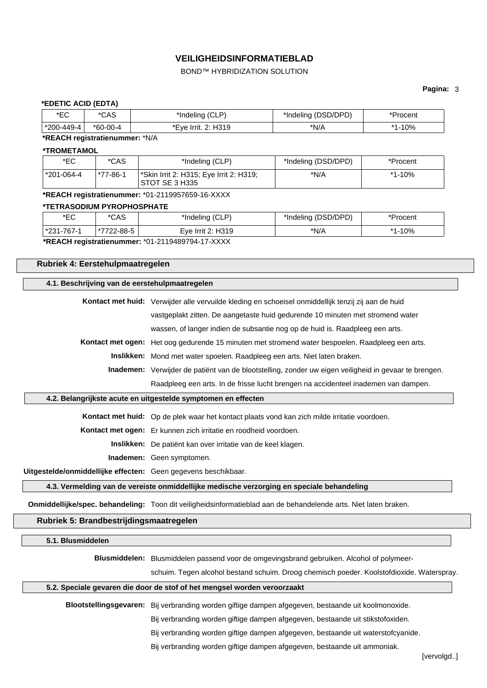### BOND™ HYBRIDIZATION SOLUTION

### **Pagina:** 3

### **\*EDETIC ACID (EDTA)**

| י∩⊐∗<br>∟ບ | *CAS     | $^{\prime}$ $\cap$ D)<br>*Indeling (CLI- | *Indeling (DSD/DPD) | "ocent"       |
|------------|----------|------------------------------------------|---------------------|---------------|
| *200-449-4 | *60-00-4 | 2: H319<br>*Eye Irrit. 2: i              | *N/A                | $10\%$<br>* 4 |

### **\*REACH registratienummer:** \*N/A

#### **\*TROMETAMOL**

| *EC        | *CAS     | *Indeling (CLP)                                                  | *Indeling (DSD/DPD) | *Procent |
|------------|----------|------------------------------------------------------------------|---------------------|----------|
| 1201-064-4 | 77-86-1* | 5.1319; *Skin Irrit 2: H315; Eye Irrit 2: H319<br>STOT SE 3 H335 | *N/A                | *1-10%   |

**\*REACH registratienummer:** \*01-2119957659-16-XXXX

#### **\*TETRASODIUM PYROPHOSPHATE**

| ∗⊏∩ | $*CAC$         | (CLP)             | (DSD/DPD) | rocent |
|-----|----------------|-------------------|-----------|--------|
| ∟ບ  | UMU            | *Indeling         | `Indelina |        |
| 727 | OO E<br>2-88-5 | Eve Irrit 2: H319 | *N/A      | 10%    |

**\*REACH registratienummer:** \*01-2119489794-17-XXXX

### **Rubriek 4: Eerstehulpmaatregelen**

#### **4.1. Beschrijving van de eerstehulpmaatregelen**

**Kontact met huid:** Verwijder alle vervuilde kleding en schoeisel onmiddellijk tenzij zij aan de huid

vastgeplakt zitten. De aangetaste huid gedurende 10 minuten met stromend water

wassen, of langer indien de subsantie nog op de huid is. Raadpleeg een arts.

**Kontact met ogen:** Het oog gedurende 15 minuten met stromend water bespoelen. Raadpleeg een arts.

**Inslikken:** Mond met water spoelen. Raadpleeg een arts. Niet laten braken.

**Inademen:** Verwijder de patiënt van de blootstelling, zonder uw eigen veiligheid in gevaar te brengen. Raadpleeg een arts. In de frisse lucht brengen na accidenteel inademen van dampen.

#### **4.2. Belangrijkste acute en uitgestelde symptomen en effecten**

**Kontact met huid:** Op de plek waar het kontact plaats vond kan zich milde irritatie voordoen.

**Kontact met ogen:** Er kunnen zich irritatie en roodheid voordoen.

**Inslikken:** De patiënt kan over irritatie van de keel klagen.

**Inademen:** Geen symptomen.

**Uitgestelde/onmiddellijke effecten:** Geen gegevens beschikbaar.

**4.3. Vermelding van de vereiste onmiddellijke medische verzorging en speciale behandeling**

**Onmiddellijke/spec. behandeling:** Toon dit veiligheidsinformatieblad aan de behandelende arts. Niet laten braken.

#### **Rubriek 5: Brandbestrijdingsmaatregelen**

#### **5.1. Blusmiddelen**

**Blusmiddelen:** Blusmiddelen passend voor de omgevingsbrand gebruiken. Alcohol of polymeer-

schuim. Tegen alcohol bestand schuim. Droog chemisch poeder. Koolstofdioxide. Waterspray.

### **5.2. Speciale gevaren die door de stof of het mengsel worden veroorzaakt**

**Blootstellingsgevaren:** Bij verbranding worden giftige dampen afgegeven, bestaande uit koolmonoxide.

Bij verbranding worden giftige dampen afgegeven, bestaande uit stikstofoxiden.

Bij verbranding worden giftige dampen afgegeven, bestaande uit waterstofcyanide.

Bij verbranding worden giftige dampen afgegeven, bestaande uit ammoniak.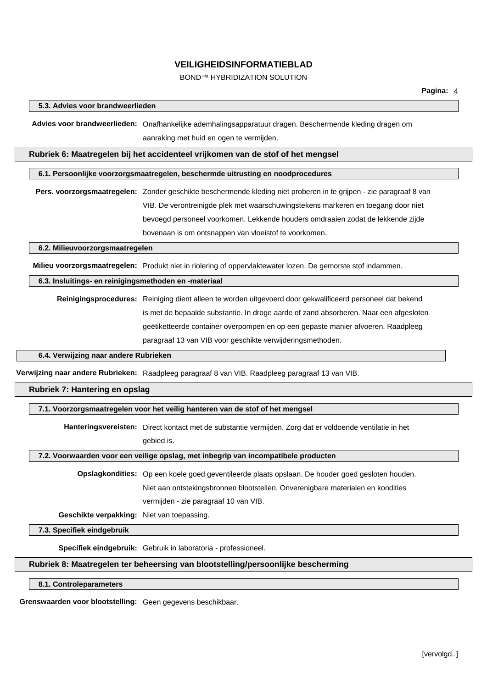### BOND™ HYBRIDIZATION SOLUTION

| <u>J.J. Auvies vuoli pialluweelileuell</u>            |                                                                                                                     |
|-------------------------------------------------------|---------------------------------------------------------------------------------------------------------------------|
|                                                       | Advies voor brandweerlieden: Onafhankelijke ademhalingsapparatuur dragen. Beschermende kleding dragen om            |
|                                                       | aanraking met huid en ogen te vermijden.                                                                            |
|                                                       | Rubriek 6: Maatregelen bij het accidenteel vrijkomen van de stof of het mengsel                                     |
|                                                       |                                                                                                                     |
|                                                       | 6.1. Persoonlijke voorzorgsmaatregelen, beschermde uitrusting en noodprocedures                                     |
|                                                       | Pers. voorzorgsmaatregelen: Zonder geschikte beschermende kleding niet proberen in te grijpen - zie paragraaf 8 van |
|                                                       | VIB. De verontreinigde plek met waarschuwingstekens markeren en toegang door niet                                   |
|                                                       | bevoegd personeel voorkomen. Lekkende houders omdraaien zodat de lekkende zijde                                     |
|                                                       | bovenaan is om ontsnappen van vloeistof te voorkomen.                                                               |
| 6.2. Milieuvoorzorgsmaatregelen                       |                                                                                                                     |
|                                                       | Milieu voorzorgsmaatregelen: Produkt niet in riolering of oppervlaktewater lozen. De gemorste stof indammen.        |
| 6.3. Insluitings- en reinigingsmethoden en -materiaal |                                                                                                                     |
|                                                       | Reinigingsprocedures: Reiniging dient alleen te worden uitgevoerd door gekwalificeerd personeel dat bekend          |
|                                                       | is met de bepaalde substantie. In droge aarde of zand absorberen. Naar een afgesloten                               |
|                                                       | geëtiketteerde container overpompen en op een gepaste manier afvoeren. Raadpleeg                                    |
|                                                       | paragraaf 13 van VIB voor geschikte verwijderingsmethoden.                                                          |
| 6.4. Verwijzing naar andere Rubrieken                 |                                                                                                                     |
|                                                       |                                                                                                                     |
|                                                       | Verwijzing naar andere Rubrieken: Raadpleeg paragraaf 8 van VIB. Raadpleeg paragraaf 13 van VIB.                    |
| Rubriek 7: Hantering en opslag                        |                                                                                                                     |
|                                                       |                                                                                                                     |
|                                                       | 7.1. Voorzorgsmaatregelen voor het veilig hanteren van de stof of het mengsel                                       |

#### **7.1. Voorzorgsmaatregelen voor het veilig hanteren van de stof of het mengsel**

**Hanteringsvereisten:** Direct kontact met de substantie vermijden. Zorg dat er voldoende ventilatie in het

gebied is.

### **7.2. Voorwaarden voor een veilige opslag, met inbegrip van incompatibele producten**

**Opslagkondities:** Op een koele goed geventileerde plaats opslaan. De houder goed gesloten houden. Niet aan ontstekingsbronnen blootstellen. Onverenigbare materialen en kondities vermijden - zie paragraaf 10 van VIB.

**Geschikte verpakking:** Niet van toepassing.

**7.3. Specifiek eindgebruik**

**5.3. Advies voor brandweerlieden**

**Specifiek eindgebruik:** Gebruik in laboratoria - professioneel.

### **Rubriek 8: Maatregelen ter beheersing van blootstelling/persoonlijke bescherming**

#### **8.1. Controleparameters**

**Grenswaarden voor blootstelling:** Geen gegevens beschikbaar.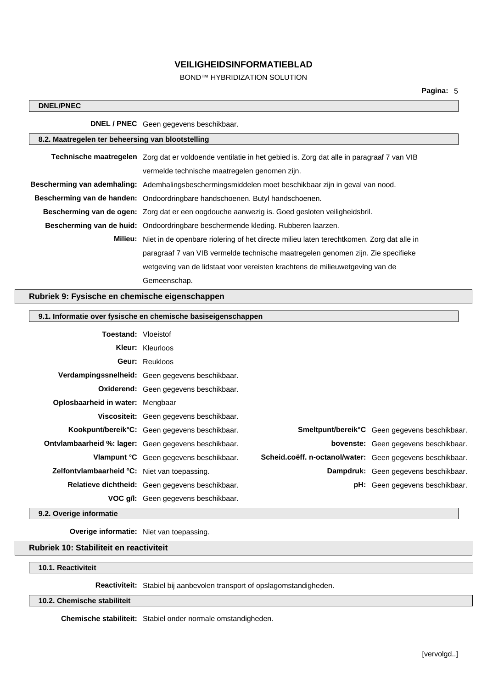### BOND™ HYBRIDIZATION SOLUTION

### **DNEL/PNEC**

**DNEL / PNEC** Geen gegevens beschikbaar.

| 8.2. Maatregelen ter beheersing van blootstelling |                                                                                                                       |  |
|---------------------------------------------------|-----------------------------------------------------------------------------------------------------------------------|--|
|                                                   | <b>Technische maatregelen</b> Zorg dat er voldoende ventilatie in het gebied is. Zorg dat alle in paragraaf 7 van VIB |  |
|                                                   | vermelde technische maatregelen genomen zijn.                                                                         |  |
|                                                   | Bescherming van ademhaling: Ademhalingsbeschermingsmiddelen moet beschikbaar zijn in geval van nood.                  |  |
|                                                   | Bescherming van de handen: Ondoordringbare handschoenen. Butyl handschoenen.                                          |  |
|                                                   | Bescherming van de ogen: Zorg dat er een oogdouche aanwezig is. Goed gesloten veiligheidsbril.                        |  |
|                                                   | Bescherming van de huid: Ondoordringbare beschermende kleding. Rubberen laarzen.                                      |  |
|                                                   | <b>Milieu:</b> Niet in de openbare riolering of het directe milieu laten terechtkomen. Zorg dat alle in               |  |
|                                                   | paragraaf 7 van VIB vermelde technische maatregelen genomen zijn. Zie specifieke                                      |  |
|                                                   | wetgeving van de lidstaat voor vereisten krachtens de milieuwetgeving van de                                          |  |
|                                                   | Gemeenschap.                                                                                                          |  |
|                                                   |                                                                                                                       |  |

### **Rubriek 9: Fysische en chemische eigenschappen**

| 9.1. Informatie over fysische en chemische basiseigenschappen |                                                             |                                                           |                                               |
|---------------------------------------------------------------|-------------------------------------------------------------|-----------------------------------------------------------|-----------------------------------------------|
| <b>Toestand: Vloeistof</b>                                    |                                                             |                                                           |                                               |
|                                                               | <b>Kleur:</b> Kleurloos                                     |                                                           |                                               |
|                                                               | Geur: Reukloos                                              |                                                           |                                               |
|                                                               | Verdampingssnelheid: Geen gegevens beschikbaar.             |                                                           |                                               |
|                                                               | <b>Oxiderend:</b> Geen gegevens beschikbaar.                |                                                           |                                               |
| <b>Oplosbaarheid in water: Mengbaar</b>                       |                                                             |                                                           |                                               |
|                                                               | Viscositeit: Geen gegevens beschikbaar.                     |                                                           |                                               |
|                                                               | Kookpunt/bereik°C: Geen gegevens beschikbaar.               |                                                           | Smeltpunt/bereik°C Geen gegevens beschikbaar. |
|                                                               | <b>Ontvlambaarheid %: lager:</b> Geen gegevens beschikbaar. |                                                           | bovenste: Geen gegevens beschikbaar.          |
|                                                               | Vlampunt °C Geen gegevens beschikbaar.                      | Scheid.coëff. n-octanol/water: Geen gegevens beschikbaar. |                                               |
| Zelfontvlambaarheid °C: Niet van toepassing.                  |                                                             |                                                           | Dampdruk: Geen gegevens beschikbaar.          |
|                                                               | Relatieve dichtheid: Geen gegevens beschikbaar.             |                                                           | <b>pH:</b> Geen gegevens beschikbaar.         |
|                                                               | <b>VOC g/l:</b> Geen gegevens beschikbaar.                  |                                                           |                                               |

**9.2. Overige informatie**

**Overige informatie:** Niet van toepassing.

### **Rubriek 10: Stabiliteit en reactiviteit**

### **10.1. Reactiviteit**

**Reactiviteit:** Stabiel bij aanbevolen transport of opslagomstandigheden.

### **10.2. Chemische stabiliteit**

**Chemische stabiliteit:** Stabiel onder normale omstandigheden.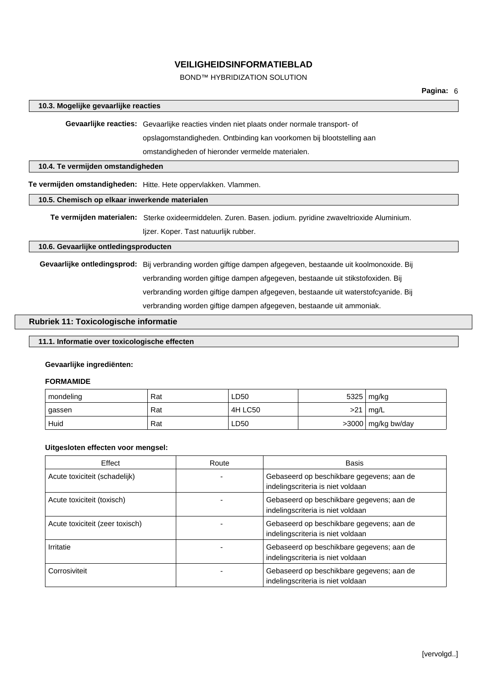### BOND™ HYBRIDIZATION SOLUTION

# **10.3. Mogelijke gevaarlijke reacties Gevaarlijke reacties:** Gevaarlijke reacties vinden niet plaats onder normale transport- of opslagomstandigheden. Ontbinding kan voorkomen bij blootstelling aan omstandigheden of hieronder vermelde materialen. **10.4. Te vermijden omstandigheden Te vermijden omstandigheden:** Hitte. Hete oppervlakken. Vlammen. **10.5. Chemisch op elkaar inwerkende materialen Te vermijden materialen:** Sterke oxideermiddelen. Zuren. Basen. jodium. pyridine zwaveltrioxide Aluminium. Ijzer. Koper. Tast natuurlijk rubber. **10.6. Gevaarlijke ontledingsproducten Gevaarlijke ontledingsprod:** Bij verbranding worden giftige dampen afgegeven, bestaande uit koolmonoxide. Bij verbranding worden giftige dampen afgegeven, bestaande uit stikstofoxiden. Bij verbranding worden giftige dampen afgegeven, bestaande uit waterstofcyanide. Bij verbranding worden giftige dampen afgegeven, bestaande uit ammoniak. **Rubriek 11: Toxicologische informatie**

# **11.1. Informatie over toxicologische effecten**

#### **Gevaarlijke ingrediënten:**

#### **FORMAMIDE**

| mondeling | Rat | LD50    |     | 5325   mg/kg         |
|-----------|-----|---------|-----|----------------------|
| gassen    | Rat | 4H LC50 | >21 | mq/L                 |
| Huid      | Rat | LD50    |     | $>3000$ mg/kg bw/day |

#### **Uitgesloten effecten voor mengsel:**

| Effect                          | Route | <b>Basis</b>                                                                   |
|---------------------------------|-------|--------------------------------------------------------------------------------|
| Acute toxiciteit (schadelijk)   |       | Gebaseerd op beschikbare gegevens; aan de<br>indelingscriteria is niet voldaan |
| Acute toxiciteit (toxisch)      |       | Gebaseerd op beschikbare gegevens; aan de<br>indelingscriteria is niet voldaan |
| Acute toxiciteit (zeer toxisch) |       | Gebaseerd op beschikbare gegevens; aan de<br>indelingscriteria is niet voldaan |
| Irritatie                       |       | Gebaseerd op beschikbare gegevens; aan de<br>indelingscriteria is niet voldaan |
| Corrosiviteit                   |       | Gebaseerd op beschikbare gegevens; aan de<br>indelingscriteria is niet voldaan |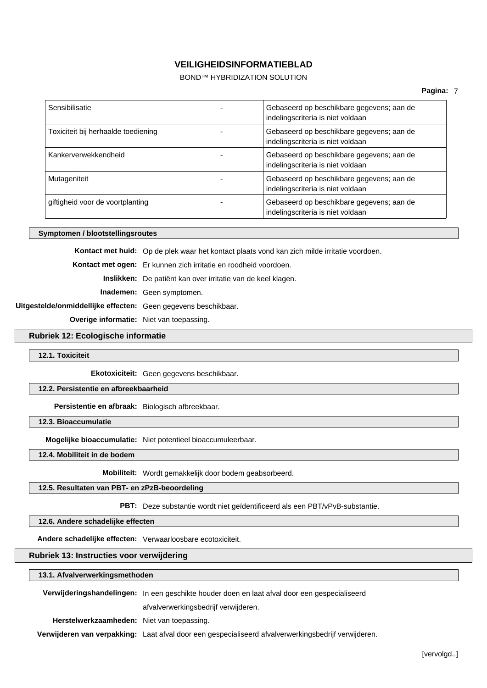BOND™ HYBRIDIZATION SOLUTION

| Sensibilisatie                      | Gebaseerd op beschikbare gegevens; aan de<br>indelingscriteria is niet voldaan |
|-------------------------------------|--------------------------------------------------------------------------------|
| Toxiciteit bij herhaalde toediening | Gebaseerd op beschikbare gegevens; aan de<br>indelingscriteria is niet voldaan |
| Kankerverwekkendheid                | Gebaseerd op beschikbare gegevens; aan de<br>indelingscriteria is niet voldaan |
| Mutageniteit                        | Gebaseerd op beschikbare gegevens; aan de<br>indelingscriteria is niet voldaan |
| giftigheid voor de voortplanting    | Gebaseerd op beschikbare gegevens; aan de<br>indelingscriteria is niet voldaan |

#### **Symptomen / blootstellingsroutes**

**Kontact met huid:** Op de plek waar het kontact plaats vond kan zich milde irritatie voordoen.

**Kontact met ogen:** Er kunnen zich irritatie en roodheid voordoen.

**Inslikken:** De patiënt kan over irritatie van de keel klagen.

**Inademen:** Geen symptomen.

**Uitgestelde/onmiddellijke effecten:** Geen gegevens beschikbaar.

**Overige informatie:** Niet van toepassing.

### **Rubriek 12: Ecologische informatie**

#### **12.1. Toxiciteit**

**Ekotoxiciteit:** Geen gegevens beschikbaar.

### **12.2. Persistentie en afbreekbaarheid**

**Persistentie en afbraak:** Biologisch afbreekbaar.

**12.3. Bioaccumulatie**

**Mogelijke bioaccumulatie:** Niet potentieel bioaccumuleerbaar.

**12.4. Mobiliteit in de bodem**

**Mobiliteit:** Wordt gemakkelijk door bodem geabsorbeerd.

### **12.5. Resultaten van PBT- en zPzB-beoordeling**

**PBT:** Deze substantie wordt niet geïdentificeerd als een PBT/vPvB-substantie.

### **12.6. Andere schadelijke effecten**

**Andere schadelijke effecten:** Verwaarloosbare ecotoxiciteit.

### **Rubriek 13: Instructies voor verwijdering**

| Verwijderingshandelingen: In een geschikte houder doen en laat afval door een gespecialiseerd |                                                                                                      |
|-----------------------------------------------------------------------------------------------|------------------------------------------------------------------------------------------------------|
|                                                                                               | afvalverwerkingsbedrijf verwijderen.                                                                 |
| Herstelwerkzaamheden: Niet van toepassing.                                                    |                                                                                                      |
|                                                                                               | Verwijderen van verpakking: Laat afval door een gespecialiseerd afvalverwerkingsbedrijf verwijderen. |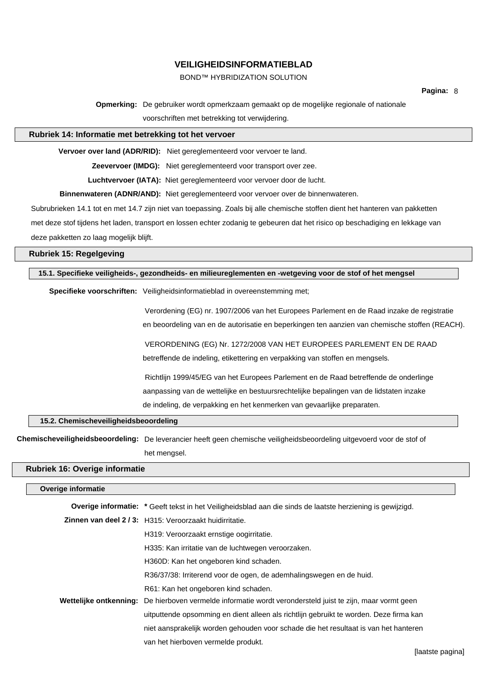### BOND™ HYBRIDIZATION SOLUTION

**Pagina:** 8

### **Opmerking:** De gebruiker wordt opmerkzaam gemaakt op de mogelijke regionale of nationale

voorschriften met betrekking tot verwijdering.

### **Rubriek 14: Informatie met betrekking tot het vervoer**

**Vervoer over land (ADR/RID):** Niet gereglementeerd voor vervoer te land.

**Zeevervoer (IMDG):** Niet gereglementeerd voor transport over zee.

**Luchtvervoer (IATA):** Niet gereglementeerd voor vervoer door de lucht.

**Binnenwateren (ADNR/AND):** Niet gereglementeerd voor vervoer over de binnenwateren.

Subrubrieken 14.1 tot en met 14.7 zijn niet van toepassing. Zoals bij alle chemische stoffen dient het hanteren van pakketten

met deze stof tijdens het laden, transport en lossen echter zodanig te gebeuren dat het risico op beschadiging en lekkage van deze pakketten zo laag mogelijk blijft.

#### **Rubriek 15: Regelgeving**

### **15.1. Specifieke veiligheids-, gezondheids- en milieureglementen en -wetgeving voor de stof of het mengsel**

**Specifieke voorschriften:** Veiligheidsinformatieblad in overeenstemming met;

Verordening (EG) nr. 1907/2006 van het Europees Parlement en de Raad inzake de registratie en beoordeling van en de autorisatie en beperkingen ten aanzien van chemische stoffen (REACH).

VERORDENING (EG) Nr. 1272/2008 VAN HET EUROPEES PARLEMENT EN DE RAAD

betreffende de indeling, etikettering en verpakking van stoffen en mengsels.

Richtlijn 1999/45/EG van het Europees Parlement en de Raad betreffende de onderlinge aanpassing van de wettelijke en bestuursrechtelijke bepalingen van de lidstaten inzake de indeling, de verpakking en het kenmerken van gevaarlijke preparaten.

#### **15.2. Chemischeveiligheidsbeoordeling**

**Chemischeveiligheidsbeoordeling:** De leverancier heeft geen chemische veiligheidsbeoordeling uitgevoerd voor de stof of het mengsel.

### **Rubriek 16: Overige informatie**

# **Overige informatie Overige informatie: \*** Geeft tekst in het Veiligheidsblad aan die sinds de laatste herziening is gewijzigd. **Zinnen van deel 2 / 3:** H315: Veroorzaakt huidirritatie. H319: Veroorzaakt ernstige oogirritatie. H335: Kan irritatie van de luchtwegen veroorzaken. H360D: Kan het ongeboren kind schaden. R36/37/38: Irriterend voor de ogen, de ademhalingswegen en de huid. R61: Kan het ongeboren kind schaden. **Wettelijke ontkenning:** De hierboven vermelde informatie wordt verondersteld juist te zijn, maar vormt geen uitputtende opsomming en dient alleen als richtlijn gebruikt te worden. Deze firma kan niet aansprakelijk worden gehouden voor schade die het resultaat is van het hanteren van het hierboven vermelde produkt.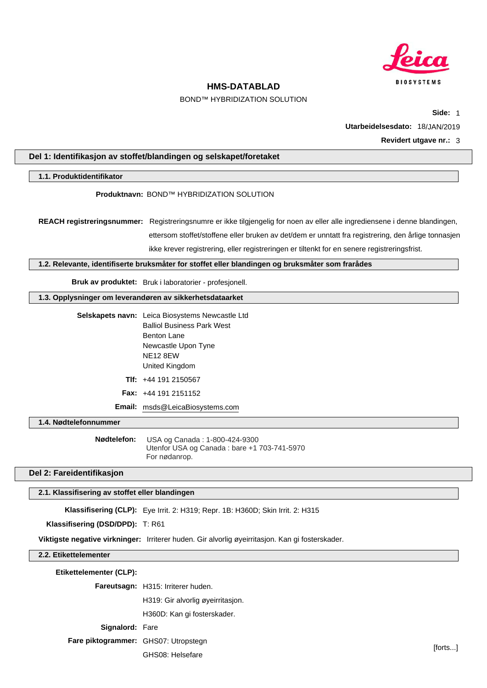

BOND™ HYBRIDIZATION SOLUTION

**Side:** 1 **Utarbeidelsesdato:** 18/JAN/2019 **Revidert utgave nr.:** 3

### **Del 1: Identifikasjon av stoffet/blandingen og selskapet/foretaket**

#### **1.1. Produktidentifikator**

#### **Produktnavn:** BOND™ HYBRIDIZATION SOLUTION

**REACH registreringsnummer:** Registreringsnumre er ikke tilgjengelig for noen av eller alle ingrediensene i denne blandingen, ettersom stoffet/stoffene eller bruken av det/dem er unntatt fra registrering, den årlige tonnasjen ikke krever registrering, eller registreringen er tiltenkt for en senere registreringsfrist.

#### **1.2. Relevante, identifiserte bruksmåter for stoffet eller blandingen og bruksmåter som frarådes**

**Bruk av produktet:** Bruk i laboratorier - profesjonell.

#### **1.3. Opplysninger om leverandøren av sikkerhetsdataarket**

| Selskapets navn: Leica Biosystems Newcastle Ltd |
|-------------------------------------------------|
| <b>Balliol Business Park West</b>               |
| <b>Benton Lane</b>                              |
| Newcastle Upon Tyne                             |
| <b>NE12 8EW</b>                                 |
| United Kingdom                                  |
| <b>Tlf:</b> $+44$ 191 2150567                   |
| <b>Fax:</b> $+44$ 191 2151152                   |
|                                                 |

**Email:** msds@LeicaBiosystems.com

#### **1.4. Nødtelefonnummer**

**Nødtelefon:** USA og Canada : 1-800-424-9300 Utenfor USA og Canada : bare +1 703-741-5970 For nødanrop.

### **Del 2: Fareidentifikasjon**

#### **2.1. Klassifisering av stoffet eller blandingen**

**Klassifisering (CLP):** Eye Irrit. 2: H319; Repr. 1B: H360D; Skin Irrit. 2: H315

**Klassifisering (DSD/DPD):** T: R61

**Viktigste negative virkninger:** Irriterer huden. Gir alvorlig øyeirritasjon. Kan gi fosterskader.

#### **2.2. Etikettelementer**

**Etikettelementer (CLP):**

**Fareutsagn:** H315: Irriterer huden.

H319: Gir alvorlig øyeirritasjon.

H360D: Kan gi fosterskader.

**Signalord:** Fare

**Fare piktogrammer:** GHS07: Utropstegn

GHS08: Helsefare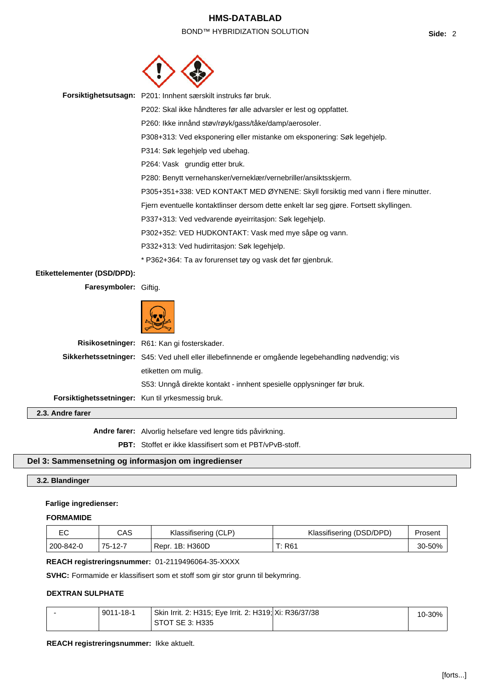# **HMS-DATABLAD** BOND™ HYBRIDIZATION SOLUTION **Side:** 2





**Forsiktighetsutsagn:** P201: Innhent særskilt instruks før bruk. P202: Skal ikke håndteres før alle advarsler er lest og oppfattet. P260: Ikke innånd støv/røyk/gass/tåke/damp/aerosoler. P308+313: Ved eksponering eller mistanke om eksponering: Søk legehjelp. P314: Søk legehjelp ved ubehag. P264: Vask grundig etter bruk. P280: Benytt vernehansker/verneklær/vernebriller/ansiktsskjerm. P305+351+338: VED KONTAKT MED ØYNENE: Skyll forsiktig med vann i flere minutter. Fjern eventuelle kontaktlinser dersom dette enkelt lar seg gjøre. Fortsett skyllingen. P337+313: Ved vedvarende øyeirritasjon: Søk legehjelp. P302+352: VED HUDKONTAKT: Vask med mye såpe og vann. P332+313: Ved hudirritasjon: Søk legehjelp. \* P362+364: Ta av forurenset tøy og vask det før gjenbruk. **Etikettelementer (DSD/DPD): Faresymboler:** Giftig.

| $\lambda$ and an finance |                                                                                                    |  |  |
|--------------------------|----------------------------------------------------------------------------------------------------|--|--|
|                          | Forsiktighetssetninger: Kun til yrkesmessig bruk.                                                  |  |  |
|                          | S53: Unngå direkte kontakt - innhent spesielle opplysninger før bruk.                              |  |  |
|                          | etiketten om mulig.                                                                                |  |  |
|                          | Sikkerhetssetninger: S45: Ved uhell eller illebefinnende er omgående legebehandling nødvendig; vis |  |  |
|                          | Risikosetninger: R61: Kan gi fosterskader.                                                         |  |  |

**2.3. Andre farer**

**Andre farer:** Alvorlig helsefare ved lengre tids påvirkning.

**PBT:** Stoffet er ikke klassifisert som et PBT/vPvB-stoff.

### **Del 3: Sammensetning og informasjon om ingredienser**

### **3.2. Blandinger**

#### **Farlige ingredienser:**

#### **FORMAMIDE**

| ЕC        | CAS     | Klassifisering (CLP) | Klassifisering (DSD/DPD) | Prosent |
|-----------|---------|----------------------|--------------------------|---------|
| 200-842-0 | 75-12-7 | Repr. 1B: H360D      | T: R61                   | 30-50%  |

#### **REACH registreringsnummer:** 01-2119496064-35-XXXX

**SVHC:** Formamide er klassifisert som et stoff som gir stor grunn til bekymring.

### **DEXTRAN SULPHATE**

| $9011 - 18 - 1$ | Skin Irrit. 2: H315; Eye Irrit. 2: H319; Xi: R36/37/38 | 10-30% |
|-----------------|--------------------------------------------------------|--------|
|                 | STOT SE 3: H335                                        |        |

#### **REACH registreringsnummer:** Ikke aktuelt.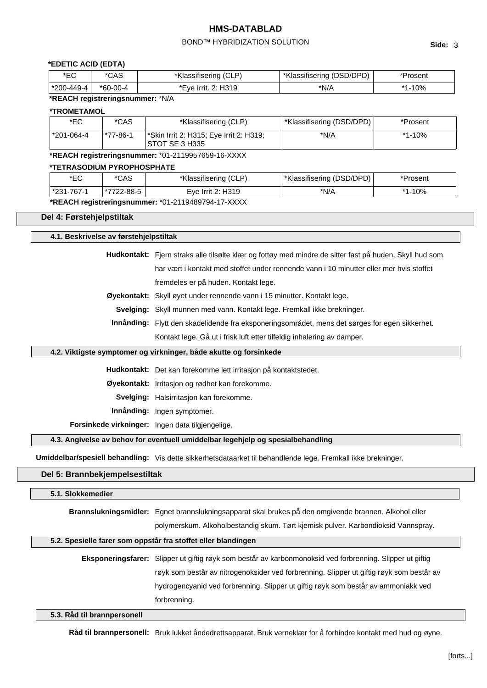### BOND™ HYBRIDIZATION SOLUTION **Side:** <sup>3</sup>

#### **\*EDETIC ACID (EDTA)**

| $*$ $\Gamma$ $\cap$<br>◡ | CAS      | Klassifisering (CLP) | Klassifisering (DSD/DPD) | 'rosent       |
|--------------------------|----------|----------------------|--------------------------|---------------|
| $*200-449-4$             | *60-00-4 | *Eve Irrit, 2: H319  | *N/A                     | $-10%$<br>* 4 |

### **\*REACH registreringsnummer:** \*N/A

### **\*TROMETAMOL**

| *EC        | *CAS     | *Klassifisering (CLP)                                                 | *Klassifisering (DSD/DPD) | *Prosent |
|------------|----------|-----------------------------------------------------------------------|---------------------------|----------|
| *201-064-4 | *77-86-1 | <sup>*</sup> Skin Irrit 2: H315; Eye Irrit 2: H319;<br>STOT SE 3 H335 | *N/A                      | *1-10%   |

**\*REACH registreringsnummer:** \*01-2119957659-16-XXXX

#### **\*TETRASODIUM PYROPHOSPHATE**

| *EC                                                | *CAS        | *Klassifisering (CLP) | <sup>1</sup> *Klassifisering (DSD/DPD) | *Prosent |  |
|----------------------------------------------------|-------------|-----------------------|----------------------------------------|----------|--|
| l *231-767-1                                       | †*7722-88-5 | Eve Irrit 2: H319     | *N/A                                   | *1-10%   |  |
| *REACH registreringsnummer: *01-2119489794-17-XXXX |             |                       |                                        |          |  |

#### **Del 4: Førstehjelpstiltak**

#### **4.1. Beskrivelse av førstehjelpstiltak**

**Hudkontakt:** Fjern straks alle tilsølte klær og fottøy med mindre de sitter fast på huden. Skyll hud som har vært i kontakt med stoffet under rennende vann i 10 minutter eller mer hvis stoffet

fremdeles er på huden. Kontakt lege.

**Øyekontakt:** Skyll øyet under rennende vann i 15 minutter. Kontakt lege.

**Svelging:** Skyll munnen med vann. Kontakt lege. Fremkall ikke brekninger.

**Innånding:** Flytt den skadelidende fra eksponeringsområdet, mens det sørges for egen sikkerhet.

Kontakt lege. Gå ut i frisk luft etter tilfeldig inhalering av damper.

### **4.2. Viktigste symptomer og virkninger, både akutte og forsinkede**

**Hudkontakt:** Det kan forekomme lett irritasjon på kontaktstedet.

**Øyekontakt:** Irritasjon og rødhet kan forekomme.

**Svelging:** Halsirritasjon kan forekomme.

**Innånding:** Ingen symptomer.

**Forsinkede virkninger:** Ingen data tilgjengelige.

#### **4.3. Angivelse av behov for eventuell umiddelbar legehjelp og spesialbehandling**

**Umiddelbar/spesiell behandling:** Vis dette sikkerhetsdataarket til behandlende lege. Fremkall ikke brekninger.

#### **Del 5: Brannbekjempelsestiltak**

#### **5.1. Slokkemedier**

**Brannslukningsmidler:** Egnet brannslukningsapparat skal brukes på den omgivende brannen. Alkohol eller polymerskum. Alkoholbestandig skum. Tørt kjemisk pulver. Karbondioksid Vannspray.

#### **5.2. Spesielle farer som oppstår fra stoffet eller blandingen**

**Eksponeringsfarer:** Slipper ut giftig røyk som består av karbonmonoksid ved forbrenning. Slipper ut giftig røyk som består av nitrogenoksider ved forbrenning. Slipper ut giftig røyk som består av hydrogencyanid ved forbrenning. Slipper ut giftig røyk som består av ammoniakk ved forbrenning.

### **5.3. Råd til brannpersonell**

**Råd til brannpersonell:** Bruk lukket åndedrettsapparat. Bruk verneklær for å forhindre kontakt med hud og øyne.

[forts...]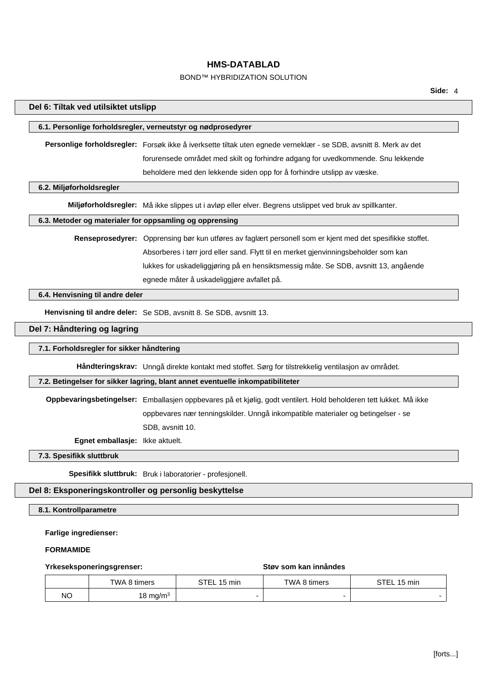## BOND™ HYBRIDIZATION SOLUTION

| Del 6: Tiltak ved utilsiktet utslipp                    |                                                                                                                    |  |  |
|---------------------------------------------------------|--------------------------------------------------------------------------------------------------------------------|--|--|
|                                                         | 6.1. Personlige forholdsregler, verneutstyr og nødprosedyrer                                                       |  |  |
|                                                         | Personlige forholdsregler: Forsøk ikke å iverksette tiltak uten egnede verneklær - se SDB, avsnitt 8. Merk av det  |  |  |
|                                                         | forurensede området med skilt og forhindre adgang for uvedkommende. Snu lekkende                                   |  |  |
|                                                         | beholdere med den lekkende siden opp for å forhindre utslipp av væske.                                             |  |  |
| 6.2. Miljøforholdsregler                                |                                                                                                                    |  |  |
|                                                         | Miljøforholdsregler: Må ikke slippes ut i avløp eller elver. Begrens utslippet ved bruk av spillkanter.            |  |  |
| 6.3. Metoder og materialer for oppsamling og opprensing |                                                                                                                    |  |  |
|                                                         | Renseprosedyrer: Opprensing bør kun utføres av faglært personell som er kjent med det spesifikke stoffet.          |  |  |
|                                                         | Absorberes i tørr jord eller sand. Flytt til en merket gjenvinningsbeholder som kan                                |  |  |
|                                                         | lukkes for uskadeliggjøring på en hensiktsmessig måte. Se SDB, avsnitt 13, angående                                |  |  |
|                                                         | egnede måter å uskadeliggjøre avfallet på.                                                                         |  |  |
| 6.4. Henvisning til andre deler                         |                                                                                                                    |  |  |
|                                                         | Henvisning til andre deler: Se SDB, avsnitt 8. Se SDB, avsnitt 13.                                                 |  |  |
| Del 7: Håndtering og lagring                            |                                                                                                                    |  |  |
| 7.1. Forholdsregler for sikker håndtering               |                                                                                                                    |  |  |
|                                                         | Håndteringskrav: Unngå direkte kontakt med stoffet. Sørg for tilstrekkelig ventilasjon av området.                 |  |  |
|                                                         | 7.2. Betingelser for sikker lagring, blant annet eventuelle inkompatibiliteter                                     |  |  |
|                                                         | Oppbevaringsbetingelser: Emballasjen oppbevares på et kjølig, godt ventilert. Hold beholderen tett lukket. Må ikke |  |  |
|                                                         | oppbevares nær tenningskilder. Unngå inkompatible materialer og betingelser - se                                   |  |  |
|                                                         | SDB, avsnitt 10.                                                                                                   |  |  |
| Egnet emballasje: Ikke aktuelt.                         |                                                                                                                    |  |  |
| 7.3. Spesifikk sluttbruk                                |                                                                                                                    |  |  |
|                                                         | Spesifikk sluttbruk: Bruk i laboratorier - profesjonell.                                                           |  |  |
| Del 8: Eksponeringskontroller og personlig beskyttelse  |                                                                                                                    |  |  |
| 8.1. Kontrollparametre                                  |                                                                                                                    |  |  |
|                                                         |                                                                                                                    |  |  |
| Farlige ingredienser:                                   |                                                                                                                    |  |  |
| <b>FORMAMIDE</b>                                        |                                                                                                                    |  |  |

### **Yrkeseksponeringsgrenser: Støv som kan innåndes**

|    | TWA 8 timers         | STEL 15 min | TWA 8 timers | STEL 15 min |
|----|----------------------|-------------|--------------|-------------|
| ΝO | 18 mg/m <sup>3</sup> |             |              |             |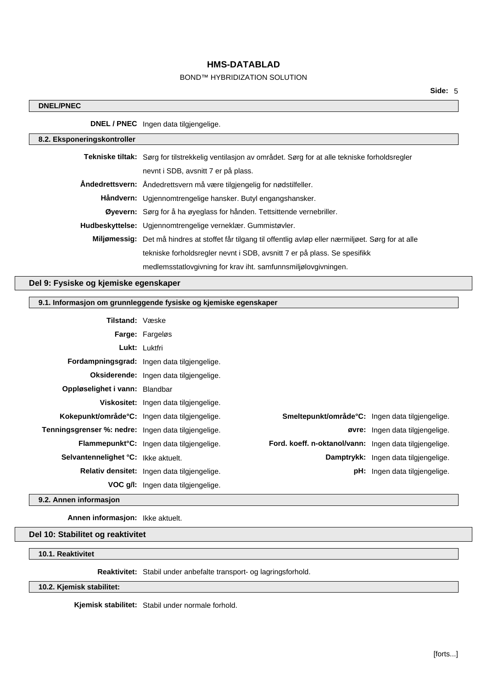### BOND™ HYBRIDIZATION SOLUTION

 $\overline{\phantom{a}}$ 

| <b>DNEL/PNEC</b>                      |                                                                                                           |
|---------------------------------------|-----------------------------------------------------------------------------------------------------------|
|                                       | <b>DNEL / PNEC</b> Ingen data tilgjengelige.                                                              |
| 8.2. Eksponeringskontroller           |                                                                                                           |
|                                       | Tekniske tiltak: Sørg for tilstrekkelig ventilasjon av området. Sørg for at alle tekniske forholdsregler  |
|                                       | nevnt i SDB, avsnitt 7 er på plass.                                                                       |
|                                       | Andedrettsvern: Ändedrettsvern må være tilgjengelig for nødstilfeller.                                    |
|                                       | Håndvern: Ugjennomtrengelige hansker. Butyl engangshansker.                                               |
|                                       | Øyevern: Sørg for å ha øyeglass for hånden. Tettsittende vernebriller.                                    |
|                                       | Hudbeskyttelse: Ugjennomtrengelige verneklær. Gummistøvler.                                               |
|                                       | Miljømessig: Det må hindres at stoffet får tilgang til offentlig avløp eller nærmiljøet. Sørg for at alle |
|                                       | tekniske forholdsregler nevnt i SDB, avsnitt 7 er på plass. Se spesifikk                                  |
|                                       | medlemsstatlovgivning for krav iht. samfunnsmiljølovgivningen.                                            |
| Del 9: Fysiske og kjemiske egenskaper |                                                                                                           |
|                                       | 9.1. Informasjon om grunnleggende fysiske og kjemiske egenskaper                                          |
| <b>Tilstand: Væske</b>                |                                                                                                           |
|                                       | Farge: Fargeløs                                                                                           |
|                                       | Lukt: Luktfri                                                                                             |
|                                       | Fordampningsgrad: Ingen data tilgjengelige.                                                               |
|                                       | Oksiderende: Ingen data tilgjengelige.                                                                    |
| Oppløselighet i vann: Blandbar        |                                                                                                           |
|                                       | Viskositet: Ingen data tilgjengelige.                                                                     |

|                                                     | Kokepunkt/område°C: Ingen data tilgjengelige. | Smeltepunkt/område°C: Ingen data tilgjengelige.        |                                      |
|-----------------------------------------------------|-----------------------------------------------|--------------------------------------------------------|--------------------------------------|
| Tenningsgrenser %: nedre: Ingen data tilgjengelige. |                                               |                                                        | øvre: Ingen data tilgjengelige.      |
|                                                     | Flammepunkt°C: Ingen data tilgjengelige.      | Ford. koeff. n-oktanol/vann: Ingen data tilgjengelige. |                                      |
| <b>Selvantennelighet °C:</b> Ikke aktuelt.          |                                               |                                                        | Damptrykk: Ingen data tilgjengelige. |
|                                                     | Relativ densitet: Ingen data tilgiengelige.   |                                                        | pH: Ingen data tilgjengelige.        |
|                                                     | VOC g/I: Ingen data tilgjengelige.            |                                                        |                                      |
|                                                     |                                               |                                                        |                                      |

**9.2. Annen informasjon**

**Annen informasjon:** Ikke aktuelt.

### **Del 10: Stabilitet og reaktivitet**

**10.1. Reaktivitet**

**Reaktivitet:** Stabil under anbefalte transport- og lagringsforhold.

**10.2. Kjemisk stabilitet:**

**Kjemisk stabilitet:** Stabil under normale forhold.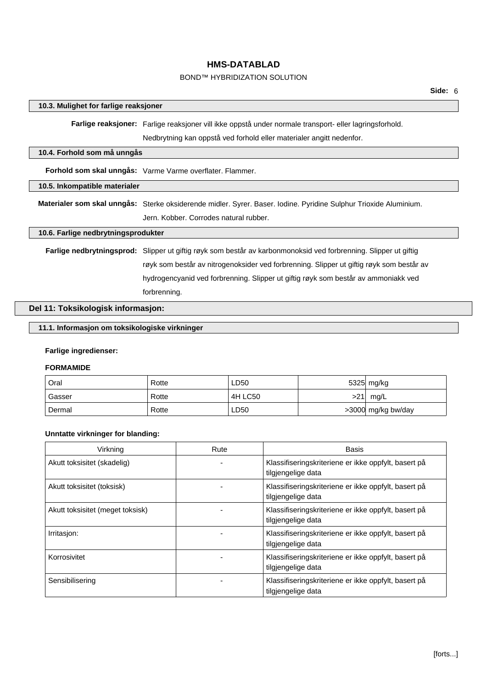### BOND™ HYBRIDIZATION SOLUTION

#### **10.3. Mulighet for farlige reaksjoner**

**Farlige reaksjoner:** Farlige reaksjoner vill ikke oppstå under normale transport- eller lagringsforhold.

Nedbrytning kan oppstå ved forhold eller materialer angitt nedenfor.

#### **10.4. Forhold som må unngås**

**Forhold som skal unngås:** Varme Varme overflater. Flammer.

### **10.5. Inkompatible materialer**

**Materialer som skal unngås:** Sterke oksiderende midler. Syrer. Baser. Iodine. Pyridine Sulphur Trioxide Aluminium.

Jern. Kobber. Corrodes natural rubber.

### **10.6. Farlige nedbrytningsprodukter**

**Farlige nedbrytningsprod:** Slipper ut giftig røyk som består av karbonmonoksid ved forbrenning. Slipper ut giftig røyk som består av nitrogenoksider ved forbrenning. Slipper ut giftig røyk som består av hydrogencyanid ved forbrenning. Slipper ut giftig røyk som består av ammoniakk ved forbrenning.

### **Del 11: Toksikologisk informasjon:**

### **11.1. Informasjon om toksikologiske virkninger**

#### **Farlige ingredienser:**

#### **FORMAMIDE**

| Oral   | Rotte | LD50    |     | 5325 mg/kg         |
|--------|-------|---------|-----|--------------------|
| Gasser | Rotte | 4H LC50 | >21 | mg/L               |
| Dermal | Rotte | LD50    |     | >3000 mg/kg bw/day |

#### **Unntatte virkninger for blanding:**

| Virkning                         | Rute | Basis                                                                      |
|----------------------------------|------|----------------------------------------------------------------------------|
| Akutt toksisitet (skadelig)      |      | Klassifiseringskriteriene er ikke oppfylt, basert på<br>tilgjengelige data |
| Akutt toksisitet (toksisk)       |      | Klassifiseringskriteriene er ikke oppfylt, basert på<br>tilgjengelige data |
| Akutt toksisitet (meget toksisk) |      | Klassifiseringskriteriene er ikke oppfylt, basert på<br>tilgjengelige data |
| Irritasion:                      |      | Klassifiseringskriteriene er ikke oppfylt, basert på<br>tilgjengelige data |
| Korrosivitet                     |      | Klassifiseringskriteriene er ikke oppfylt, basert på<br>tilgjengelige data |
| Sensibilisering                  |      | Klassifiseringskriteriene er ikke oppfylt, basert på<br>tilgjengelige data |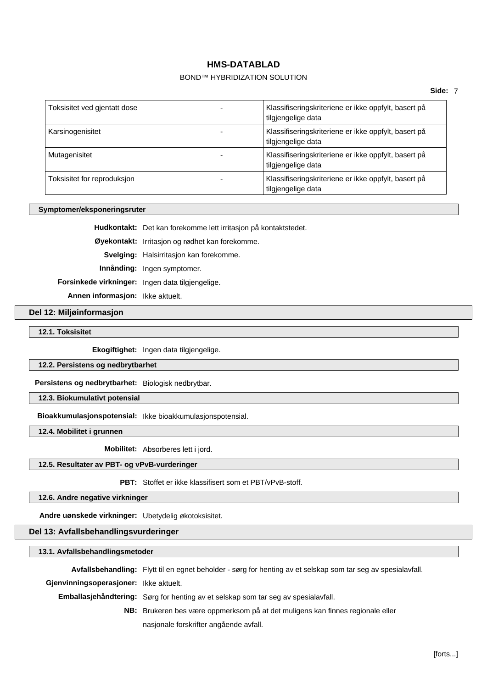### BOND™ HYBRIDIZATION SOLUTION

| Toksisitet ved gjentatt dose | Klassifiseringskriteriene er ikke oppfylt, basert på<br>tilgjengelige data |
|------------------------------|----------------------------------------------------------------------------|
| Karsinogenisitet             | Klassifiseringskriteriene er ikke oppfylt, basert på<br>tilgjengelige data |
| Mutagenisitet                | Klassifiseringskriteriene er ikke oppfylt, basert på<br>tilgjengelige data |
| Toksisitet for reproduksjon  | Klassifiseringskriteriene er ikke oppfylt, basert på<br>tilgjengelige data |

### **Symptomer/eksponeringsruter**

**Hudkontakt:** Det kan forekomme lett irritasjon på kontaktstedet.

**Øyekontakt:** Irritasjon og rødhet kan forekomme.

**Svelging:** Halsirritasjon kan forekomme.

**Innånding:** Ingen symptomer.

**Forsinkede virkninger:** Ingen data tilgiengelige.

**Annen informasjon:** Ikke aktuelt.

#### **Del 12: Miljøinformasjon**

**12.1. Toksisitet**

**Ekogiftighet:** Ingen data tilgjengelige.

### **12.2. Persistens og nedbrytbarhet**

**Persistens og nedbrytbarhet:** Biologisk nedbrytbar.

**12.3. Biokumulativt potensial**

**Bioakkumulasjonspotensial:** Ikke bioakkumulasjonspotensial.

**12.4. Mobilitet i grunnen**

**Mobilitet:** Absorberes lett i jord.

### **12.5. Resultater av PBT- og vPvB-vurderinger**

**PBT:** Stoffet er ikke klassifisert som et PBT/vPvB-stoff.

**12.6. Andre negative virkninger**

**Andre uønskede virkninger:** Ubetydelig økotoksisitet.

### **Del 13: Avfallsbehandlingsvurderinger**

#### **13.1. Avfallsbehandlingsmetoder**

**Avfallsbehandling:** Flytt til en egnet beholder - sørg for henting av et selskap som tar seg av spesialavfall.

**Gjenvinningsoperasjoner:** Ikke aktuelt.

**Emballasjehåndtering:** Sørg for henting av et selskap som tar seg av spesialavfall.

**NB:** Brukeren bes være oppmerksom på at det muligens kan finnes regionale eller nasjonale forskrifter angående avfall.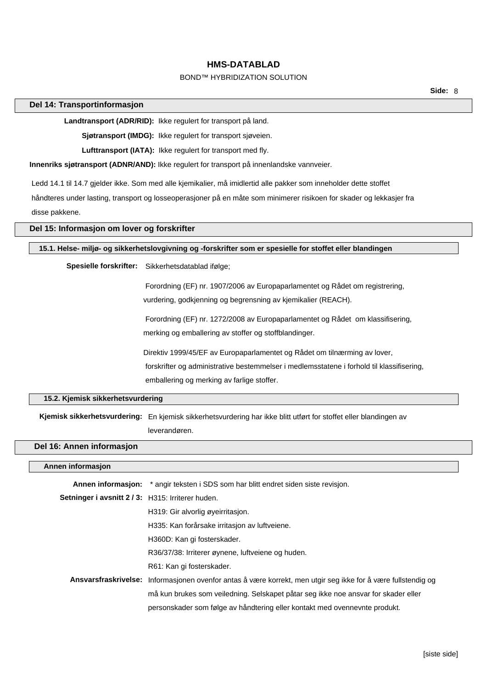### BOND™ HYBRIDIZATION SOLUTION

**Side:** 8

### **Del 14: Transportinformasjon**

**Landtransport (ADR/RID):** Ikke regulert for transport på land.

**Sjøtransport (IMDG):** Ikke regulert for transport sjøveien.

**Lufttransport (IATA):** Ikke regulert for transport med fly.

**Innenriks sjøtransport (ADNR/AND):** Ikke regulert for transport på innenlandske vannveier.

Ledd 14.1 til 14.7 gjelder ikke. Som med alle kjemikalier, må imidlertid alle pakker som inneholder dette stoffet

håndteres under lasting, transport og losseoperasjoner på en måte som minimerer risikoen for skader og lekkasjer fra

disse pakkene.

### **Del 15: Informasjon om lover og forskrifter**

### **15.1. Helse- miljø- og sikkerhetslovgivning og -forskrifter som er spesielle for stoffet eller blandingen**

**Spesielle forskrifter:** Sikkerhetsdatablad ifølge;

Forordning (EF) nr. 1907/2006 av Europaparlamentet og Rådet om registrering, vurdering, godkjenning og begrensning av kjemikalier (REACH).

Forordning (EF) nr. 1272/2008 av Europaparlamentet og Rådet om klassifisering, merking og emballering av stoffer og stoffblandinger.

Direktiv 1999/45/EF av Europaparlamentet og Rådet om tilnærming av lover, forskrifter og administrative bestemmelser i medlemsstatene i forhold til klassifisering, emballering og merking av farlige stoffer.

### **15.2. Kjemisk sikkerhetsvurdering**

**Kjemisk sikkerhetsvurdering:** En kjemisk sikkerhetsvurdering har ikke blitt utført for stoffet eller blandingen av leverandøren.

#### **Del 16: Annen informasjon**

#### **Annen informasjon**

|                                                   | Annen informasjon: * angir teksten i SDS som har blitt endret siden siste revisjon.                           |
|---------------------------------------------------|---------------------------------------------------------------------------------------------------------------|
| Setninger i avsnitt 2 / 3: H315: Irriterer huden. |                                                                                                               |
|                                                   | H319: Gir alvorlig øyeirritasjon.                                                                             |
|                                                   | H335: Kan forårsake irritasjon av luftveiene.                                                                 |
|                                                   | H360D: Kan gi fosterskader.                                                                                   |
|                                                   | R36/37/38: Irriterer øynene, luftveiene og huden.                                                             |
|                                                   | R61: Kan gi fosterskader.                                                                                     |
|                                                   | Ansvarsfraskrivelse: Informasjonen ovenfor antas å være korrekt, men utgir seg ikke for å være fullstendig og |
|                                                   | må kun brukes som veiledning. Selskapet påtar seg ikke noe ansvar for skader eller                            |
|                                                   | personskader som følge av håndtering eller kontakt med ovennevnte produkt.                                    |
|                                                   |                                                                                                               |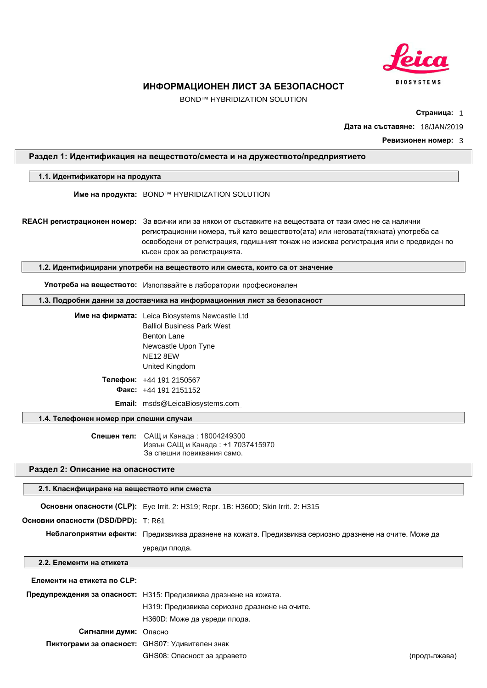

BOND™ HYBRIDIZATION SOLUTION

**Страница:** 1

**Дата на съставяне:** 18/JAN/2019

#### **Ревизионен номер:** 3

### **Раздел 1: Идентификация на веществото/сместа и на дружеството/предприятието**

#### **1.1. Идентификатори на продукта**

**Име на продукта:** BOND™ HYBRIDIZATION SOLUTION

**REACH регистрационен номер:** За всички или за някои от съставките на веществата от тази смес не са налични регистрационни номера, тъй като веществото(ата) или неговата(тяхната) употреба са освободени от регистрация, годишният тонаж не изисква регистрация или е предвиден по късен срок за регистрацията.

**1.2. Идентифицирани употреби на веществото или сместа, които са от значение**

**Употреба на веществото:** Използвайте в лаборатории професионален

**1.3. Подробни данни за доставчика на информационния лист за безопасност**

**Име на фирмата:** Leica Biosystems Newcastle Ltd Balliol Business Park West Benton Lane Newcastle Upon Tyne NE12 8EW United Kingdom **Телефон:** +44 191 2150567

**Факс:** +44 191 2151152

**Email:** msds@LeicaBiosystems.com

#### **1.4. Телефонен номер при спешни случаи**

**Спешен тел:** САЩ и Канада : 18004249300 Извън САЩ и Канада : +1 7037415970 За спешни повиквания само.

#### **Раздел 2: Описание на опасностите**

#### **2.1. Класифициране на веществото или сместа**

**Основни опасности (CLP):** Eye Irrit. 2: H319; Repr. 1B: H360D; Skin Irrit. 2: H315 **Основни опасности (DSD/DPD):** T: R61 **Неблагоприятни ефекти:** Предизвиква дразнене на кожата. Предизвиква сериозно дразнене на очите. Може да увреди плода. **2.2. Елементи на етикета**

**Елементи на етикета по CLP:**

|                                                | Предупреждения за опасност: Н315: Предизвиква дразнене на кожата. |
|------------------------------------------------|-------------------------------------------------------------------|
|                                                | НЗ19: Предизвиква сериозно дразнене на очите.                     |
|                                                | НЗ60D: Може да увреди плода.                                      |
| Сигнални думи: Опасно                          |                                                                   |
| Пиктограми за опасност: GHS07: Удивителен знак |                                                                   |
|                                                |                                                                   |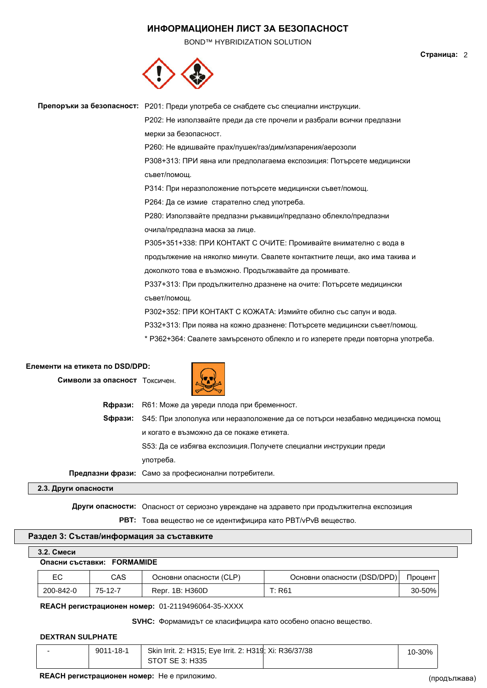BOND™ HYBRIDIZATION SOLUTION



|                                                                  | Препоръки за безопасност: Р201: Преди употреба се снабдете със специални инструкции. |
|------------------------------------------------------------------|--------------------------------------------------------------------------------------|
|                                                                  | Р202: Не използвайте преди да сте прочели и разбрали всички предпазни                |
|                                                                  | мерки за безопасност.                                                                |
|                                                                  | Р260: Не вдишвайте прах/пушек/газ/дим/изпарения/аерозоли                             |
|                                                                  | Р308+313: ПРИ явна или предполагаема експозиция: Потърсете медицински                |
|                                                                  | съвет/помощ.                                                                         |
|                                                                  | РЗ14: При неразположение потърсете медицински съвет/помощ.                           |
|                                                                  | Р264: Да се измие старателно след употреба.                                          |
|                                                                  | Р280: Използвайте предпазни ръкавици/предпазно облекло/предпазни                     |
|                                                                  | очила/предпазна маска за лице.                                                       |
|                                                                  | РЗ05+351+338: ПРИ КОНТАКТ С ОЧИТЕ: Промивайте внимателно с вода в                    |
|                                                                  | продължение на няколко минути. Свалете контактните лещи, ако има такива и            |
|                                                                  | доколкото това е възможно. Продължавайте да промивате.                               |
|                                                                  | РЗЗ7+313: При продължително дразнене на очите: Потърсете медицински                  |
|                                                                  | съвет/помощ.                                                                         |
|                                                                  | РЗ02+352: ПРИ КОНТАКТ С КОЖАТА: Измийте обилно със сапун и вода.                     |
|                                                                  | Р332+313: При поява на кожно дразнене: Потърсете медицински съвет/помощ.             |
|                                                                  | * РЗ62+364: Свалете замърсеното облекло и го изперете преди повторна употреба.       |
| Елементи на етикета по DSD/DPD:<br>Символи за опасност Токсичен. |                                                                                      |
|                                                                  |                                                                                      |

|         | <b>Rфрази:</b> R61: Може да увреди плода при бременност.                       |
|---------|--------------------------------------------------------------------------------|
| Sфрази: | S45: При злополука или неразположение да се потърси незабавно медицинска помощ |
|         | и когато е възможно да се покаже етикета.                                      |
|         | S53: Да се избягва експозиция. Получете специални инструкции преди             |
|         | употреба.                                                                      |
|         | <b>Предпазни фрази:</b> Само за професионални потребители.                     |
|         |                                                                                |

### **2.3. Други опасности**

**Други опасности:** Опасност от сериозно увреждане на здравето при продължителна експозиция

**PBT:** Това вещество не се идентифицира като PBT/vPvB вещество.

### **Раздел 3: Състав/информация за съставките**

| 3.2. Смеси |                            |                         |                             |            |
|------------|----------------------------|-------------------------|-----------------------------|------------|
|            | Опасни съставки: FORMAMIDE |                         |                             |            |
| EC.        | CAS                        | Основни опасности (CLP) | Основни опасности (DSD/DPD) | Процент    |
| 200-842-0  | 75-12-7                    | Repr. 1B: H360D         | T: R61                      | $30 - 50%$ |

### **REACH регистрационен номер:** 01-2119496064-35-XXXX

**SVHC:** Формамидът се класифицира като особено опасно вещество.

### **DEXTRAN SULPHATE**

| 9011-18-1 | Skin Irrit, 2: H315: Eve Irrit, 2: H319: Xi: R36/37/38 | 10-30% |
|-----------|--------------------------------------------------------|--------|
|           | STOT SE 3: H335                                        |        |

**REACH регистрационен номер:** Не е приложимо.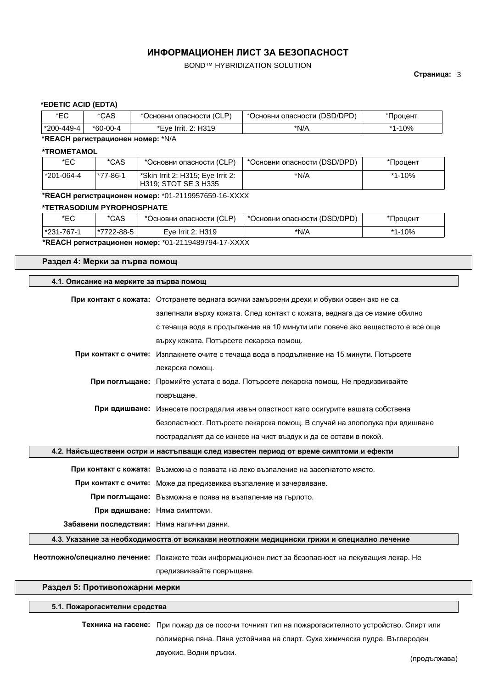### BOND™ HYBRIDIZATION SOLUTION

#### **Страница:** 3

### **\*EDETIC ACID (EDTA)**

| ∗∟∿<br>◡   | *CAS     | Основни опасности (CLP) | *Основни опасности (DSD/DPD) | *I Іроцент    |
|------------|----------|-------------------------|------------------------------|---------------|
| *200-449-4 | *60-00-4 | *Eye Irrit. 2: H319     | *N/A                         | l-10%<br>$*4$ |

## **\*REACH регистрационен номер:** \*N/A

### **\*TROMETAMOL**

| *EC        | *CAS     | *Основни опасности (CLP)                                    | *Основни опасности (DSD/DPD) | *Процент |
|------------|----------|-------------------------------------------------------------|------------------------------|----------|
| *201-064-4 | *77-86-1 | *Skin Irrit 2: H315; Eye Irrit 2:<br>  H319: STOT SE 3 H335 | *N/A                         | *1-10%   |

**\*REACH регистрационен номер:** \*01-2119957659-16-XXXX

#### **\*TETRASODIUM PYROPHOSPHATE**

| *EC        | *CAS       | *Основни опасности (CLP) | * *Основни опасности (DSD/DPD) | *Процент |
|------------|------------|--------------------------|--------------------------------|----------|
| *231-767-1 | *7722-88-5 | Eve Irrit 2: H319        | *N/A                           | *1-10%   |
|            |            |                          |                                |          |

**\*REACH регистрационен номер:** \*01-2119489794-17-XXXX

### **Раздел 4: Мерки за първа помощ**

| 4.1. Описание на мерките за първа помощ |                                                                                           |
|-----------------------------------------|-------------------------------------------------------------------------------------------|
|                                         |                                                                                           |
|                                         | При контакт с кожата: Отстранете веднага всички замърсени дрехи и обувки освен ако не са  |
|                                         | залепнали върху кожата. След контакт с кожата, веднага да се измие обилно                 |
|                                         | с течаща вода в продължение на 10 минути или повече ако веществото е все още              |
|                                         | върху кожата. Потърсете лекарска помощ.                                                   |
|                                         | При контакт с очите: Изплакнете очите с течаща вода в продължение на 15 минути. Потърсете |
|                                         | лекарска помощ.                                                                           |
|                                         | При поглъщане: Промийте устата с вода. Потърсете лекарска помощ. Не предизвиквайте        |
|                                         | повръщане.                                                                                |
|                                         | При вдишване: Изнесете пострадалия извън опастност като осигурите вашата собствена        |
|                                         | безопастност. Потърсете лекарска помощ. В случай на злополука при вдишване                |
|                                         | пострадалият да се изнесе на чист въздух и да се остави в покой.                          |

### **4.2. Найсъществени остри и настъпващи след известен период от време симптоми и ефекти**

**При контакт с кожата:** Възможна е появата на леко възпаление на засегнатото място.

**При контакт с очите:** Може да предизвиква възпаление и зачервяване.

**При поглъщане:** Възможна е поява на възпаление на гърлото.

**При вдишване:** Няма симптоми.

**Забавени последствия:** Няма налични данни.

**4.3. Указание за необходимостта от всякакви неотложни медицински грижи и специално лечение**

**Неотложно/специално лечение:** Покажете този информационен лист за безопасност на лекуващия лекар. Не

предизвиквайте повръщане.

### **Раздел 5: Противопожарни мерки**

#### **5.1. Пожарогасителни средства**

**Техника на гасене:** При пожар да се посочи точният тип на пожарогасителното устройство. Спирт или полимерна пяна. Пяна устойчива на спирт. Суха химическа пудра. Въглероден двуокис. Водни пръски.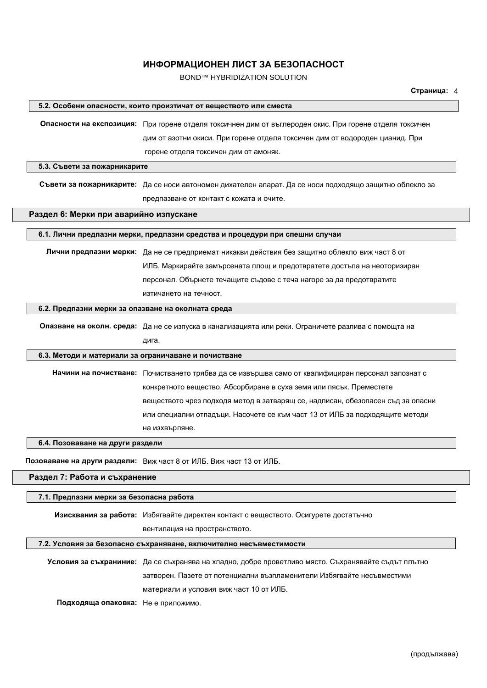BOND™ HYBRIDIZATION SOLUTION

| 5.2. Особени опасности, които произтичат от веществото или сместа<br>Опасности на експозиция: При горене отделя токсичнен дим от въглероден окис. При горене отделя токсичен<br>дим от азотни окиси. При горене отделя токсичен дим от водороден цианид. При<br>горене отделя токсичен дим от амоняк.<br>5.3. Съвети за пожарникарите<br>Съвети за пожарникарите: Да се носи автономен дихателен апарат. Да се носи подходящо защитно облекло за<br>предпазване от контакт с кожата и очите.<br>Раздел 6: Мерки при аварийно изпускане<br>6.1. Лични предпазни мерки, предпазни средства и процедури при спешни случаи<br>Лични предпазни мерки: Да не се предприемат никакви действия без защитно облекло виж част 8 от<br>ИЛБ. Маркирайте замърсената площ и предотвратете достъпа на неоторизиран<br>персонал. Обърнете течащите съдове с теча нагоре за да предотвратите<br>изтичането на течност.<br>6.2. Предпазни мерки за опазване на околната среда<br>Опазване на околн. среда: Да не се изпуска в канализацията или реки. Ограничете разлива с помощта на<br>дига.<br>6.3. Методи и материали за ограничаване и почистване<br>Начини на почистване: Почистването трябва да се извършва само от квалифициран персонал запознат с<br>конкретното вещество. Абсорбиране в суха земя или пясък. Преместете<br>веществото чрез подходя метод в затварящ се, надписан, обезопасен съд за опасни<br>или специални отпадъци. Насочете се към част 13 от ИЛБ за подходящите методи<br>на изхвърляне.<br>6.4. Позоваване на други раздели<br>Позоваване на други раздели: Виж част 8 от ИЛБ. Виж част 13 от ИЛБ.<br>Раздел 7: Работа и съхранение |
|----------------------------------------------------------------------------------------------------------------------------------------------------------------------------------------------------------------------------------------------------------------------------------------------------------------------------------------------------------------------------------------------------------------------------------------------------------------------------------------------------------------------------------------------------------------------------------------------------------------------------------------------------------------------------------------------------------------------------------------------------------------------------------------------------------------------------------------------------------------------------------------------------------------------------------------------------------------------------------------------------------------------------------------------------------------------------------------------------------------------------------------------------------------------------------------------------------------------------------------------------------------------------------------------------------------------------------------------------------------------------------------------------------------------------------------------------------------------------------------------------------------------------------------------------------------------------------------------------------------------------------------------------|
|                                                                                                                                                                                                                                                                                                                                                                                                                                                                                                                                                                                                                                                                                                                                                                                                                                                                                                                                                                                                                                                                                                                                                                                                                                                                                                                                                                                                                                                                                                                                                                                                                                                    |
|                                                                                                                                                                                                                                                                                                                                                                                                                                                                                                                                                                                                                                                                                                                                                                                                                                                                                                                                                                                                                                                                                                                                                                                                                                                                                                                                                                                                                                                                                                                                                                                                                                                    |
|                                                                                                                                                                                                                                                                                                                                                                                                                                                                                                                                                                                                                                                                                                                                                                                                                                                                                                                                                                                                                                                                                                                                                                                                                                                                                                                                                                                                                                                                                                                                                                                                                                                    |
|                                                                                                                                                                                                                                                                                                                                                                                                                                                                                                                                                                                                                                                                                                                                                                                                                                                                                                                                                                                                                                                                                                                                                                                                                                                                                                                                                                                                                                                                                                                                                                                                                                                    |
|                                                                                                                                                                                                                                                                                                                                                                                                                                                                                                                                                                                                                                                                                                                                                                                                                                                                                                                                                                                                                                                                                                                                                                                                                                                                                                                                                                                                                                                                                                                                                                                                                                                    |
|                                                                                                                                                                                                                                                                                                                                                                                                                                                                                                                                                                                                                                                                                                                                                                                                                                                                                                                                                                                                                                                                                                                                                                                                                                                                                                                                                                                                                                                                                                                                                                                                                                                    |
|                                                                                                                                                                                                                                                                                                                                                                                                                                                                                                                                                                                                                                                                                                                                                                                                                                                                                                                                                                                                                                                                                                                                                                                                                                                                                                                                                                                                                                                                                                                                                                                                                                                    |
|                                                                                                                                                                                                                                                                                                                                                                                                                                                                                                                                                                                                                                                                                                                                                                                                                                                                                                                                                                                                                                                                                                                                                                                                                                                                                                                                                                                                                                                                                                                                                                                                                                                    |
|                                                                                                                                                                                                                                                                                                                                                                                                                                                                                                                                                                                                                                                                                                                                                                                                                                                                                                                                                                                                                                                                                                                                                                                                                                                                                                                                                                                                                                                                                                                                                                                                                                                    |
|                                                                                                                                                                                                                                                                                                                                                                                                                                                                                                                                                                                                                                                                                                                                                                                                                                                                                                                                                                                                                                                                                                                                                                                                                                                                                                                                                                                                                                                                                                                                                                                                                                                    |
|                                                                                                                                                                                                                                                                                                                                                                                                                                                                                                                                                                                                                                                                                                                                                                                                                                                                                                                                                                                                                                                                                                                                                                                                                                                                                                                                                                                                                                                                                                                                                                                                                                                    |
|                                                                                                                                                                                                                                                                                                                                                                                                                                                                                                                                                                                                                                                                                                                                                                                                                                                                                                                                                                                                                                                                                                                                                                                                                                                                                                                                                                                                                                                                                                                                                                                                                                                    |
|                                                                                                                                                                                                                                                                                                                                                                                                                                                                                                                                                                                                                                                                                                                                                                                                                                                                                                                                                                                                                                                                                                                                                                                                                                                                                                                                                                                                                                                                                                                                                                                                                                                    |
|                                                                                                                                                                                                                                                                                                                                                                                                                                                                                                                                                                                                                                                                                                                                                                                                                                                                                                                                                                                                                                                                                                                                                                                                                                                                                                                                                                                                                                                                                                                                                                                                                                                    |
|                                                                                                                                                                                                                                                                                                                                                                                                                                                                                                                                                                                                                                                                                                                                                                                                                                                                                                                                                                                                                                                                                                                                                                                                                                                                                                                                                                                                                                                                                                                                                                                                                                                    |
|                                                                                                                                                                                                                                                                                                                                                                                                                                                                                                                                                                                                                                                                                                                                                                                                                                                                                                                                                                                                                                                                                                                                                                                                                                                                                                                                                                                                                                                                                                                                                                                                                                                    |
|                                                                                                                                                                                                                                                                                                                                                                                                                                                                                                                                                                                                                                                                                                                                                                                                                                                                                                                                                                                                                                                                                                                                                                                                                                                                                                                                                                                                                                                                                                                                                                                                                                                    |
|                                                                                                                                                                                                                                                                                                                                                                                                                                                                                                                                                                                                                                                                                                                                                                                                                                                                                                                                                                                                                                                                                                                                                                                                                                                                                                                                                                                                                                                                                                                                                                                                                                                    |
|                                                                                                                                                                                                                                                                                                                                                                                                                                                                                                                                                                                                                                                                                                                                                                                                                                                                                                                                                                                                                                                                                                                                                                                                                                                                                                                                                                                                                                                                                                                                                                                                                                                    |
|                                                                                                                                                                                                                                                                                                                                                                                                                                                                                                                                                                                                                                                                                                                                                                                                                                                                                                                                                                                                                                                                                                                                                                                                                                                                                                                                                                                                                                                                                                                                                                                                                                                    |
|                                                                                                                                                                                                                                                                                                                                                                                                                                                                                                                                                                                                                                                                                                                                                                                                                                                                                                                                                                                                                                                                                                                                                                                                                                                                                                                                                                                                                                                                                                                                                                                                                                                    |
|                                                                                                                                                                                                                                                                                                                                                                                                                                                                                                                                                                                                                                                                                                                                                                                                                                                                                                                                                                                                                                                                                                                                                                                                                                                                                                                                                                                                                                                                                                                                                                                                                                                    |
|                                                                                                                                                                                                                                                                                                                                                                                                                                                                                                                                                                                                                                                                                                                                                                                                                                                                                                                                                                                                                                                                                                                                                                                                                                                                                                                                                                                                                                                                                                                                                                                                                                                    |
|                                                                                                                                                                                                                                                                                                                                                                                                                                                                                                                                                                                                                                                                                                                                                                                                                                                                                                                                                                                                                                                                                                                                                                                                                                                                                                                                                                                                                                                                                                                                                                                                                                                    |
|                                                                                                                                                                                                                                                                                                                                                                                                                                                                                                                                                                                                                                                                                                                                                                                                                                                                                                                                                                                                                                                                                                                                                                                                                                                                                                                                                                                                                                                                                                                                                                                                                                                    |
|                                                                                                                                                                                                                                                                                                                                                                                                                                                                                                                                                                                                                                                                                                                                                                                                                                                                                                                                                                                                                                                                                                                                                                                                                                                                                                                                                                                                                                                                                                                                                                                                                                                    |
|                                                                                                                                                                                                                                                                                                                                                                                                                                                                                                                                                                                                                                                                                                                                                                                                                                                                                                                                                                                                                                                                                                                                                                                                                                                                                                                                                                                                                                                                                                                                                                                                                                                    |
| 7.1. Предпазни мерки за безопасна работа                                                                                                                                                                                                                                                                                                                                                                                                                                                                                                                                                                                                                                                                                                                                                                                                                                                                                                                                                                                                                                                                                                                                                                                                                                                                                                                                                                                                                                                                                                                                                                                                           |
| Изисквания за работа: Избягвайте директен контакт с веществото. Осигурете достатъчно                                                                                                                                                                                                                                                                                                                                                                                                                                                                                                                                                                                                                                                                                                                                                                                                                                                                                                                                                                                                                                                                                                                                                                                                                                                                                                                                                                                                                                                                                                                                                               |
| вентилация на пространството.                                                                                                                                                                                                                                                                                                                                                                                                                                                                                                                                                                                                                                                                                                                                                                                                                                                                                                                                                                                                                                                                                                                                                                                                                                                                                                                                                                                                                                                                                                                                                                                                                      |
|                                                                                                                                                                                                                                                                                                                                                                                                                                                                                                                                                                                                                                                                                                                                                                                                                                                                                                                                                                                                                                                                                                                                                                                                                                                                                                                                                                                                                                                                                                                                                                                                                                                    |
| 7.2. Условия за безопасно съхраняване, включително несъвместимости                                                                                                                                                                                                                                                                                                                                                                                                                                                                                                                                                                                                                                                                                                                                                                                                                                                                                                                                                                                                                                                                                                                                                                                                                                                                                                                                                                                                                                                                                                                                                                                 |
| Условия за съхраниние: Да се съхранява на хладно, добре проветливо място. Съхранявайте съдът плътно                                                                                                                                                                                                                                                                                                                                                                                                                                                                                                                                                                                                                                                                                                                                                                                                                                                                                                                                                                                                                                                                                                                                                                                                                                                                                                                                                                                                                                                                                                                                                |
| затворен. Пазете от потенциални възпламенители Избягвайте несъвместими                                                                                                                                                                                                                                                                                                                                                                                                                                                                                                                                                                                                                                                                                                                                                                                                                                                                                                                                                                                                                                                                                                                                                                                                                                                                                                                                                                                                                                                                                                                                                                             |
| материали и условия виж част 10 от ИЛБ.                                                                                                                                                                                                                                                                                                                                                                                                                                                                                                                                                                                                                                                                                                                                                                                                                                                                                                                                                                                                                                                                                                                                                                                                                                                                                                                                                                                                                                                                                                                                                                                                            |
| Подходяща опаковка: Не е приложимо.                                                                                                                                                                                                                                                                                                                                                                                                                                                                                                                                                                                                                                                                                                                                                                                                                                                                                                                                                                                                                                                                                                                                                                                                                                                                                                                                                                                                                                                                                                                                                                                                                |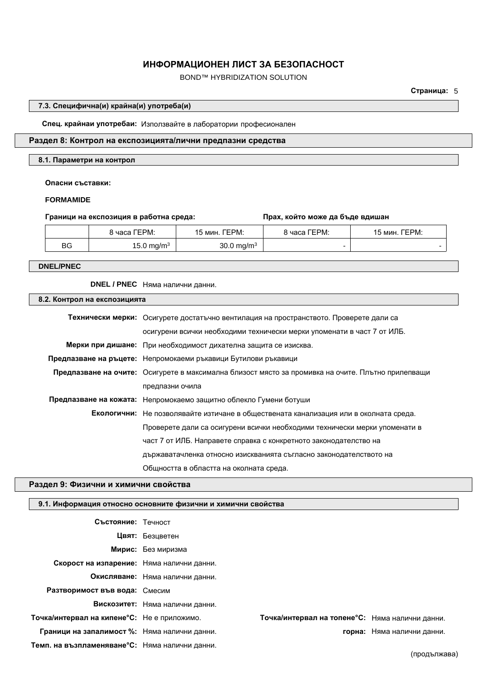### BOND™ HYBRIDIZATION SOLUTION

**Страница:** 5

### **7.3. Специфична(и) крайна(и) употреба(и)**

**Спец. крайнаи употребаи:** Използвайте в лаборатории професионален

### **Раздел 8: Контрол на експозицията/лични предпазни средства**

### **8.1. Параметри на контрол**

**Опасни съставки:**

#### **FORMAMIDE**

### **Граници на експозиция в работна среда: Прах, който може да бъде вдишан**

|    | 8 часа ГЕРМ:     | 15 мин. ГЕРМ:          | 8 часа ГЕРМ: | 15 мин. ГЕРМ: |
|----|------------------|------------------------|--------------|---------------|
| BG | 15.0 mg/m $^3\,$ | 30.0 mg/m <sup>3</sup> |              |               |

**DNEL/PNEC**

**DNEL / PNEC** Няма налични данни.

| 8.2. Контрол на експозицията |                                                                                                    |  |  |
|------------------------------|----------------------------------------------------------------------------------------------------|--|--|
|                              | Технически мерки: Осигурете достатъчно вентилация на пространството. Проверете дали са             |  |  |
|                              |                                                                                                    |  |  |
|                              | осигурени всички необходими технически мерки упоменати в част 7 от ИЛБ.                            |  |  |
|                              | Мерки при дишане: При необходимост дихателна защита се изисква.                                    |  |  |
|                              | Предпазване на ръцете: Непромокаеми ръкавици Бутилови ръкавици                                     |  |  |
|                              | Предпазване на очите: Осигурете в максимална близост място за промивка на очите. Плътно прилепващи |  |  |
|                              | предпазни очила                                                                                    |  |  |
|                              | Предпазване на кожата: Непромокаемо защитно облекло Гумени ботуши                                  |  |  |
|                              | Екологични: Не позволявайте изтичане в обществената канализация или в околната среда.              |  |  |
|                              | Проверете дали са осигурени всички необходими технически мерки упоменати в                         |  |  |
|                              | част 7 от ИЛБ. Направете справка с конкретното законодателство на                                  |  |  |
|                              | държаватачленка относно изискванията съгласно законодателството на                                 |  |  |
|                              | Общността в областта на околната среда.                                                            |  |  |

### **Раздел 9: Физични и химични свойства**

### **9.1. Информация относно основните физични и химични свойства**

| Състояние: Течност                             |                                 |                                                 |                            |
|------------------------------------------------|---------------------------------|-------------------------------------------------|----------------------------|
|                                                | Цвят: Безцветен                 |                                                 |                            |
|                                                | Мирис: Без миризма              |                                                 |                            |
| Скорост на изпарение: Няма налични данни.      |                                 |                                                 |                            |
|                                                | Окисляване: Няма налични данни. |                                                 |                            |
| Разтворимост във вода: Смесим                  |                                 |                                                 |                            |
|                                                | Вискозитет: Няма налични данни. |                                                 |                            |
| Точка/интервал на кипене°С: Не е приложимо.    |                                 | Точка/интервал на топене°С: Няма налични данни. |                            |
| Граници на запалимост %: Няма налични данни.   |                                 |                                                 | горна: Няма налични данни. |
| Темп. на възпламеняване°С: Няма налични данни. |                                 |                                                 |                            |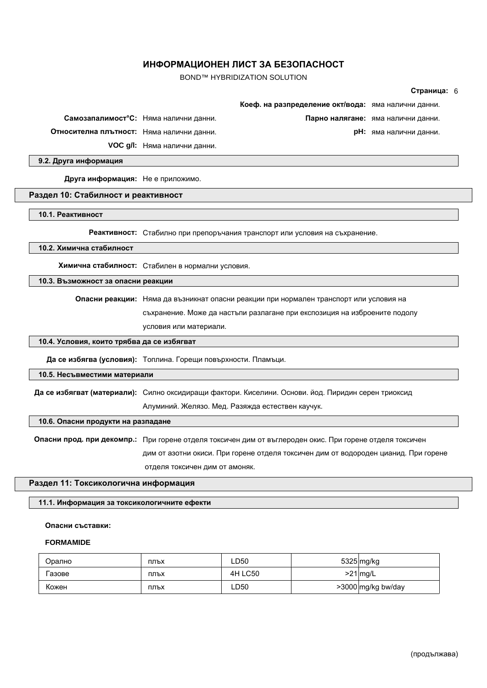BOND™ HYBRIDIZATION SOLUTION

|                                            |                                                                                                          |                                                     | Страница: 6                        |  |  |
|--------------------------------------------|----------------------------------------------------------------------------------------------------------|-----------------------------------------------------|------------------------------------|--|--|
|                                            |                                                                                                          | Коеф. на разпределение окт/вода: яма налични данни. |                                    |  |  |
|                                            | Самозапалимост°С: Няма налични данни.                                                                    |                                                     | Парно налягане: яма налични данни. |  |  |
| Относителна плътност: Няма налични данни.  |                                                                                                          |                                                     | рН: яма налични данни.             |  |  |
|                                            | VOC g/I: Няма налични данни.                                                                             |                                                     |                                    |  |  |
| 9.2. Друга информация                      |                                                                                                          |                                                     |                                    |  |  |
| Друга информация: Не е приложимо.          |                                                                                                          |                                                     |                                    |  |  |
| Раздел 10: Стабилност и реактивност        |                                                                                                          |                                                     |                                    |  |  |
| 10.1. Реактивност                          |                                                                                                          |                                                     |                                    |  |  |
|                                            | Реактивност: Стабилно при препоръчания транспорт или условия на съхранение.                              |                                                     |                                    |  |  |
| 10.2. Химична стабилност                   |                                                                                                          |                                                     |                                    |  |  |
|                                            | Химична стабилност: Стабилен в нормални условия.                                                         |                                                     |                                    |  |  |
|                                            | 10.3. Възможност за опасни реакции                                                                       |                                                     |                                    |  |  |
|                                            | Опасни реакции: Няма да възникнат опасни реакции при нормален транспорт или условия на                   |                                                     |                                    |  |  |
|                                            | съхранение. Може да настъпи разлагане при експозиция на изброените подолу                                |                                                     |                                    |  |  |
|                                            | условия или материали.                                                                                   |                                                     |                                    |  |  |
| 10.4. Условия, които трябва да се избягват |                                                                                                          |                                                     |                                    |  |  |
|                                            | Да се избягва (условия): Топлина. Горещи повърхности. Пламъци.                                           |                                                     |                                    |  |  |
| 10.5. Несъвместими материали               |                                                                                                          |                                                     |                                    |  |  |
|                                            | Да се избягват (материали): Силно оксидиращи фактори. Киселини. Основи. йод. Пиридин серен триоксид      |                                                     |                                    |  |  |
|                                            | Алуминий. Желязо. Мед. Разяжда естествен каучук.                                                         |                                                     |                                    |  |  |
| 10.6. Опасни продукти на разпадане         |                                                                                                          |                                                     |                                    |  |  |
|                                            | Опасни прод. при декомпр.: При горене отделя токсичен дим от въглероден окис. При горене отделя токсичен |                                                     |                                    |  |  |
|                                            | дим от азотни окиси. При горене отделя токсичен дим от водороден цианид. При горене                      |                                                     |                                    |  |  |
|                                            | отделя токсичен дим от амоняк.                                                                           |                                                     |                                    |  |  |
| Раздел 11: Токсикологична информация       |                                                                                                          |                                                     |                                    |  |  |

### **11.1. Информация за токсикологичните ефекти**

#### **Опасни съставки:**

### **FORMAMIDE**

| Орално | плъх | _D50    | $5325$ mg/kg       |
|--------|------|---------|--------------------|
| -азове | плъх | 4H LC50 | $>21$ mg/L         |
| Кожен  | плъх | LD50    | >3000 mg/kg bw/day |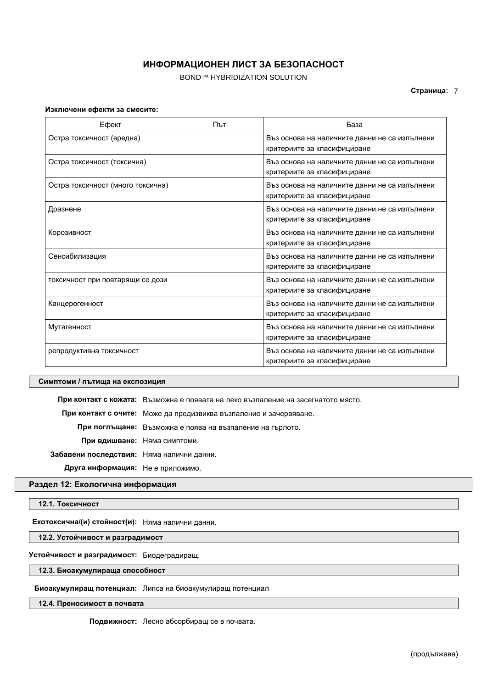BOND™ HYBRIDIZATION SOLUTION

#### **Страница:** 7

#### **Изключени ефекти за смесите:**

| Ефект                             | Път | База                                                                         |
|-----------------------------------|-----|------------------------------------------------------------------------------|
| Остра токсичност (вредна)         |     | Въз основа на наличните данни не са изпълнени<br>критериите за класифициране |
| Остра токсичност (токсична)       |     | Въз основа на наличните данни не са изпълнени<br>критериите за класифициране |
| Остра токсичност (много токсична) |     | Въз основа на наличните данни не са изпълнени<br>критериите за класифициране |
| Дразнене                          |     | Въз основа на наличните данни не са изпълнени<br>критериите за класифициране |
| Корозивност                       |     | Въз основа на наличните данни не са изпълнени<br>критериите за класифициране |
| Сенсибилизация                    |     | Въз основа на наличните данни не са изпълнени<br>критериите за класифициране |
| токсичност при повтарящи се дози  |     | Въз основа на наличните данни не са изпълнени<br>критериите за класифициране |
| Канцерогенност                    |     | Въз основа на наличните данни не са изпълнени<br>критериите за класифициране |
| Мутагенност                       |     | Въз основа на наличните данни не са изпълнени<br>критериите за класифициране |
| репродуктивна токсичност          |     | Въз основа на наличните данни не са изпълнени<br>критериите за класифициране |

### **Симптоми / пътища на експозиция**

**При контакт с кожата:** Възможна е появата на леко възпаление на засегнатото място.

**При контакт с очите:** Може да предизвиква възпаление и зачервяване.

**При поглъщане:** Възможна е поява на възпаление на гърлото.

**При вдишване:** Няма симптоми.

**Забавени последствия:** Няма налични данни.

**Друга информация:** Не е приложимо.

### **Раздел 12: Екологична информация**

### **12.1. Токсичност**

**Екотоксична/(и) стойност(и):** Няма налични данни.

**12.2. Устойчивост и разградимост**

**Устойчивост и разградимост:** Биодеградиращ.

**12.3. Биоакумулираща способност**

**Биоакумулиращ потенциал:** Липса на биоакумулиращ потенциал

### **12.4. Преносимост в почвата**

**Подвижност:** Лесно абсорбиращ се в почвата.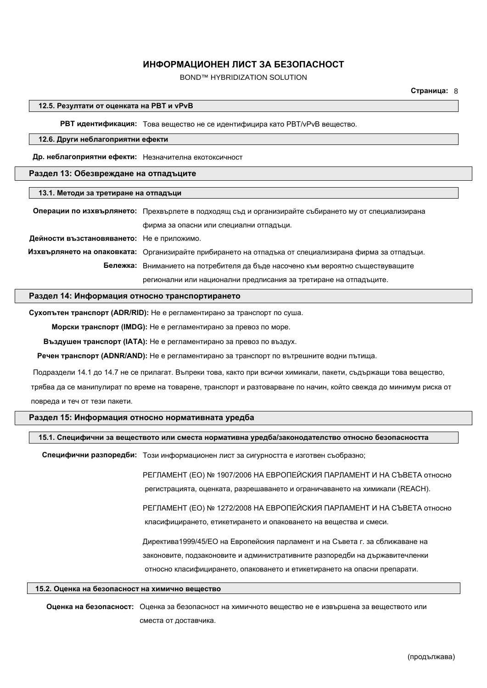### BOND™ HYBRIDIZATION SOLUTION

**Страница:** 8

#### **12.5. Резултати от оценката на PBT и vPvB**

**РВТ идентификация:** Това вещество не се идентифицира като PBT/vPvB вещество.

#### **12.6. Други неблагоприятни ефекти**

**Др. неблагоприятни ефекти:** Незначителна екотоксичност

### **Раздел 13: Обезвреждане на отпадъците**

### **13.1. Методи за третиране на отпадъци**

|                                            | Операции по изхвърлянето: Прехвърлете в подходящ съд и организирайте събирането му от специализирана   |  |
|--------------------------------------------|--------------------------------------------------------------------------------------------------------|--|
|                                            | фирма за опасни или специални отпадъци.                                                                |  |
| Дейности възстановяването: Не е приложимо. |                                                                                                        |  |
|                                            | Изхвърлянето на опаковката: Организирайте прибирането на отпадъка от специализирана фирма за отпадъци. |  |
|                                            | Бележка: Вниманието на потребителя да бъде насочено към вероятно съществуващите                        |  |
|                                            | регионални или национални предписания за третиране на отпадъците.                                      |  |

#### **Раздел 14: Информация относно транспортирането**

**Сухопътен транспорт (ADR/RID):** Не е регламентирано за транспорт по суша.

**Морски транспорт (IMDG):** Не е регламентирано за превоз по море.

**Въздушен транспорт (IATA):** Не е регламентирано за превоз по въздух.

**Речен транспорт (ADNR/AND):** Не е регламентирано за транспорт по вътрешните водни пътища.

Подраздели 14.1 до 14.7 не се прилагат. Въпреки това, както при всички химикали, пакети, съдържащи това вещество,

трябва да се манипулират по време на товарене, транспорт и разтоварване по начин, който свежда до минимум риска от повреда и теч от тези пакети.

### **Раздел 15: Информация относно нормативната уредба**

#### **15.1. Специфични за веществото или сместа нормативна уредба/законодателство относно безопасността**

**Специфични разпоредби:** Този информационен лист за сигурността е изготвен съобразно;

РЕГЛАМЕНТ (ЕО) № 1907/2006 НА ЕВРОПЕЙСКИЯ ПАРЛАМЕНТ И НА СЪВЕТА относно регистрацията, оценката, разрешаването и ограничаването на химикали (REACH).

РЕГЛАМЕНТ (ЕО) № 1272/2008 НА ЕВРОПЕЙСКИЯ ПАРЛАМЕНТ И НА СЪВЕТА относно класифицирането, етикетирането и опаковането на вещества и смеси.

Директива1999/45/ЕО на Европейския парламент и на Съвета г. за сближаване на законовите, подзаконовите и административните разпоредби на държавитечленки относно класифицирането, опаковането и етикетирането на опасни препарати.

#### **15.2. Оценка на безопасност на химично вещество**

**Оценка на безопасност:** Оценка за безопасност на химичното вещество не е извършена за веществото или сместа от доставчика.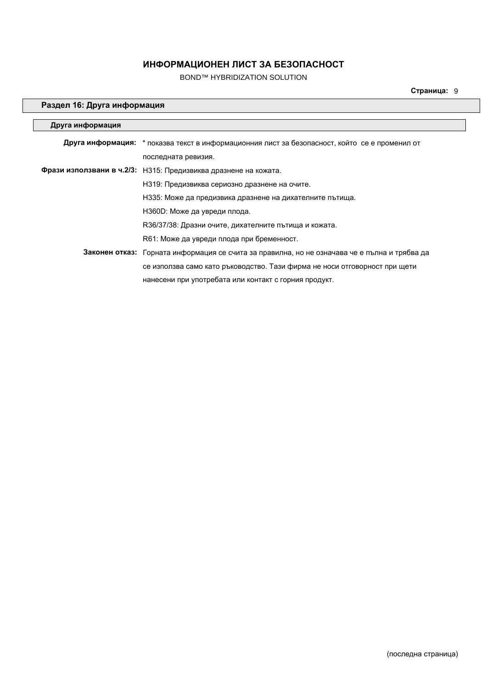### BOND™ HYBRIDIZATION SOLUTION

**Страница:** 9

# **Раздел 16: Друга информация**

| Друга информация |                                                                                                |
|------------------|------------------------------------------------------------------------------------------------|
|                  | Друга информация: * показва текст в информационния лист за безопасност, който се е променил от |
|                  | последната ревизия.                                                                            |
|                  | Фрази използвани в ч.2/3: Н315: Предизвиква дразнене на кожата.                                |
|                  | НЗ19: Предизвиква сериозно дразнене на очите.                                                  |
|                  | Н335: Може да предизвика дразнене на дихателните пътища.                                       |
|                  | НЗ60D: Може да увреди плода.                                                                   |
|                  | R36/37/38: Дразни очите, дихателните пътища и кожата.                                          |
|                  | R61: Може да увреди плода при бременност.                                                      |
|                  | Законен отказ: Горната информация се счита за правилна, но не означава че е пълна и трябва да  |
|                  | се използва само като ръководство. Тази фирма не носи отговорност при щети                     |
|                  | нанесени при употребата или контакт с горния продукт.                                          |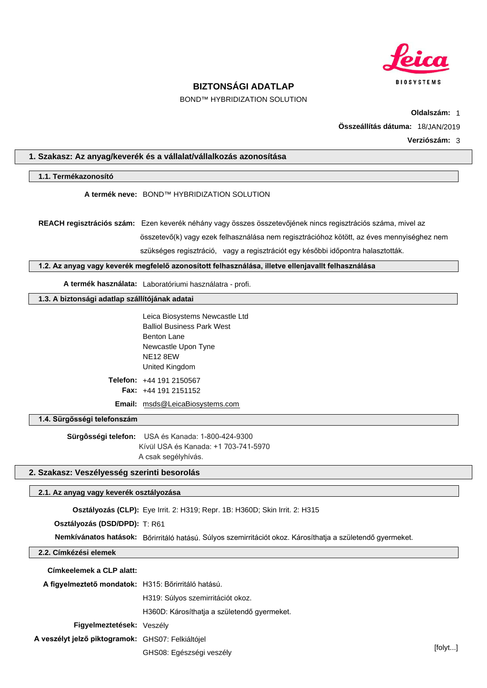

BOND™ HYBRIDIZATION SOLUTION

**Oldalszám:** 1 **Összeállítás dátuma:** 18/JAN/2019

**Verziószám:** 3

### **1. Szakasz: Az anyag/keverék és a vállalat/vállalkozás azonosítása**

### **1.1. Termékazonosító**

### **A termék neve:** BOND™ HYBRIDIZATION SOLUTION

**REACH regisztrációs szám:** Ezen keverék néhány vagy összes összetevőjének nincs regisztrációs száma, mivel az összetevő(k) vagy ezek felhasználása nem regisztrációhoz kötött, az éves mennyiséghez nem szükséges regisztráció, vagy a regisztrációt egy későbbi időpontra halasztották.

### **1.2. Az anyag vagy keverék megfelelő azonosított felhasználása, illetve ellenjavallt felhasználása**

**A termék használata:** Laboratóriumi használatra - profi.

## **1.3. A biztonsági adatlap szállítójának adatai**

Leica Biosystems Newcastle Ltd Balliol Business Park West Benton Lane Newcastle Upon Tyne NE12 8EW United Kingdom **Telefon:** +44 191 2150567

**Fax:** +44 191 2151152

**Email:** msds@LeicaBiosystems.com

#### **1.4. Sürgősségi telefonszám**

**Sürgôsségi telefon:** USA és Kanada: 1-800-424-9300 Kívül USA és Kanada: +1 703-741-5970 A csak segélyhívás.

### **2. Szakasz: Veszélyesség szerinti besorolás**

#### **2.1. Az anyag vagy keverék osztályozása**

**Osztályozás (CLP):** Eye Irrit. 2: H319; Repr. 1B: H360D; Skin Irrit. 2: H315

### **Osztályozás (DSD/DPD):** T: R61

**Nemkívánatos hatások:** Bőrirritáló hatású. Súlyos szemirritációt okoz. Károsíthatja a születendő gyermeket.

### **2.2. Címkézési elemek**

### **Címkeelemek a CLP alatt:**

**A figyelmeztető mondatok:** H315: Bőrirritáló hatású.

H319: Súlyos szemirritációt okoz.

H360D: Károsíthatja a születendő gyermeket.

**Figyelmeztetések:** Veszély

**A veszélyt jelző piktogramok:** GHS07: Felkiáltójel

GHS08: Egészségi veszély **a kitebranyotat a kitebranyotat a kitebranyotat a kitebranyotat a kitebranyotat a kitebranyotat a kitebranyotat a kitebranyotat a kitebranyotat a kitebranyotat a kitebranyotat a kitebranyotat a ki**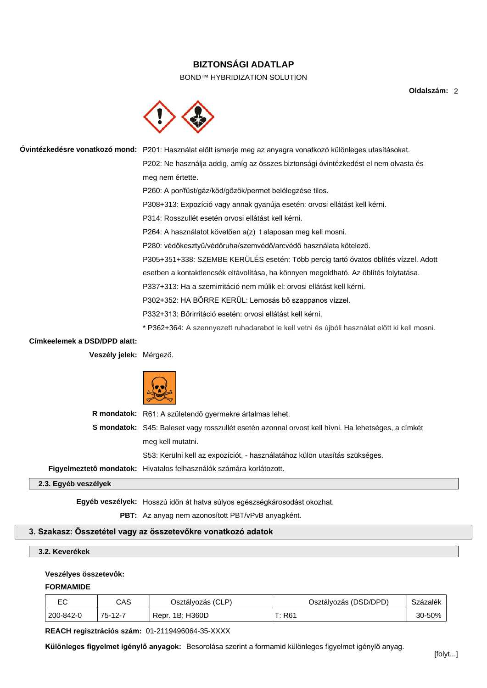BOND™ HYBRIDIZATION SOLUTION

**Oldalszám:** 2



**Óvintézkedésre vonatkozó mond:** P201: Használat előtt ismerje meg az anyagra vonatkozó különleges utasításokat. P202: Ne használja addig, amíg az összes biztonsági óvintézkedést el nem olvasta és meg nem értette. P260: A por/füst/gáz/köd/gőzök/permet belélegzése tilos. P308+313: Expozíció vagy annak gyanúja esetén: orvosi ellátást kell kérni. P314: Rosszullét esetén orvosi ellátást kell kérni. P264: A használatot követően a(z) t alaposan meg kell mosni. P280: védőkesztyű/védőruha/szemvédő/arcvédő használata kötelező. P305+351+338: SZEMBE KERÜLÉS esetén: Több percig tartó óvatos öblítés vízzel. Adott esetben a kontaktlencsék eltávolítása, ha könnyen megoldható. Az öblítés folytatása. P337+313: Ha a szemirritáció nem múlik el: orvosi ellátást kell kérni. P302+352: HA BŐRRE KERÜL: Lemosás bő szappanos vízzel. P332+313: Bőrirritáció esetén: orvosi ellátást kell kérni. \* P362+364: A szennyezett ruhadarabot le kell vetni és újbóli használat előtt ki kell mosni. **Címkeelemek a DSD/DPD alatt: Veszély jelek:** Mérgező. **R mondatok:** R61: A születendő gyermekre ártalmas lehet.

> **S mondatok:** S45: Baleset vagy rosszullét esetén azonnal orvost kell hívni. Ha lehetséges, a címkét meg kell mutatni.

> > S53: Kerülni kell az expozíciót, - használatához külön utasítás szükséges.

**Figyelmeztetô mondatok:** Hivatalos felhasználók számára korlátozott.

**2.3. Egyéb veszélyek**

**Egyéb veszélyek:** Hosszú időn át hatva súlyos egészségkárosodást okozhat.

**PBT:** Az anyag nem azonosított PBT/vPvB anyagként.

### **3. Szakasz: Összetétel vagy az összetevőkre vonatkozó adatok**

### **3.2. Keverékek**

#### **Veszélyes összetevôk:**

### **FORMAMIDE**

| ⊏∩        | CAS     | Osztályozás (CLP) | Osztályozás (DSD/DPD) | Százalék |
|-----------|---------|-------------------|-----------------------|----------|
| 200-842-0 | 75-12-7 | Repr. 1B: H360D   | R61                   | 30-50%   |

**REACH regisztrációs szám:** 01-2119496064-35-XXXX

**Különleges figyelmet igénylő anyagok:** Besorolása szerint a formamid különleges figyelmet igénylő anyag.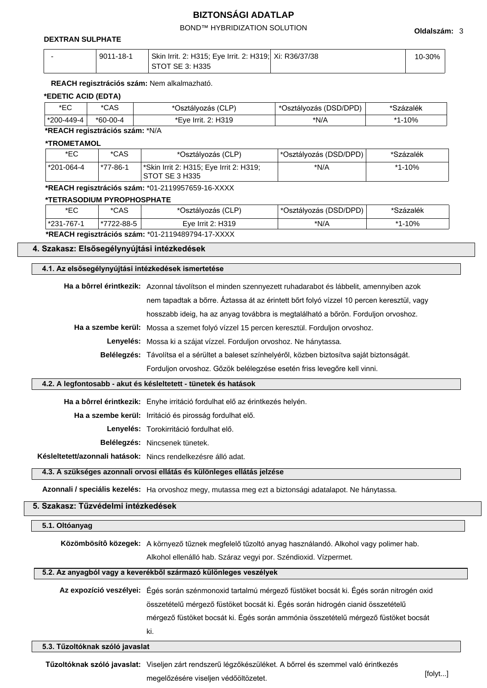### BOND™ HYBRIDIZATION SOLUTION **Oldalszám:** <sup>3</sup>

#### **DEXTRAN SULPHATE**

| 9011-18-1 | Skin Irrit. 2: H315; Eye Irrit. 2: H319; Xi: R36/37/38 | 10-30% |
|-----------|--------------------------------------------------------|--------|
|           | STOT SE 3: H335                                        |        |

### **REACH regisztrációs szám:** Nem alkalmazható.

#### **\*EDETIC ACID (EDTA)**

| ∗⊏∩<br>◡                                                                                                                                                                                                                                                                                                            | *CAS     | *Osztályozás (CLP)  | 'Osztályozás (DSD/DPD) | *Százalék |  |
|---------------------------------------------------------------------------------------------------------------------------------------------------------------------------------------------------------------------------------------------------------------------------------------------------------------------|----------|---------------------|------------------------|-----------|--|
| *200-449-4                                                                                                                                                                                                                                                                                                          | *60-00-4 | *Eve Irrit. 2: H319 | *N/A                   | *1-10%    |  |
| $\frac{1}{2}$ $\frac{1}{2}$ $\frac{1}{2}$ $\frac{1}{2}$ $\frac{1}{2}$ $\frac{1}{2}$ $\frac{1}{2}$ $\frac{1}{2}$ $\frac{1}{2}$ $\frac{1}{2}$ $\frac{1}{2}$ $\frac{1}{2}$ $\frac{1}{2}$ $\frac{1}{2}$ $\frac{1}{2}$ $\frac{1}{2}$ $\frac{1}{2}$ $\frac{1}{2}$ $\frac{1}{2}$ $\frac{1}{2}$ $\frac{1}{2}$ $\frac{1}{2}$ |          |                     |                        |           |  |

### **\*REACH regisztrációs szám:** \*N/A

### **\*TROMETAMOL**

| *EC        | *CAS     | *Osztályozás (CLP)                                        | ∣ *Osztályozás (DSD/DPD) ∣ | *Százalék |
|------------|----------|-----------------------------------------------------------|----------------------------|-----------|
| *201-064-4 | *77-86-1 | *Skin Irrit 2: H315; Eye Irrit 2: H319;<br>STOT SE 3 H335 | *N/A                       | *1-10%    |

#### **\*REACH regisztrációs szám:** \*01-2119957659-16-XXXX

#### **\*TETRASODIUM PYROPHOSPHATE**

| *EC                                               | *CAS       | *Osztályozás (CLP) | <sup>+</sup> *Osztályozás (DSD/DPD) ⊦ | *Százalék |
|---------------------------------------------------|------------|--------------------|---------------------------------------|-----------|
| 1*231-767-1                                       | *7722-88-5 | Eve Irrit 2: H319  | *N/A                                  | *1-10%    |
| *REACH regisztrációs szám: *01-2119489794-17-XXXX |            |                    |                                       |           |

### **4. Szakasz: Elsősegélynyújtási intézkedések**

### **4.1. Az elsősegélynyújtási intézkedések ismertetése**

| Ha a bôrrel érintkezik: Azonnal távolítson el minden szennyezett ruhadarabot és lábbelit, amennyiben azok |  |  |
|-----------------------------------------------------------------------------------------------------------|--|--|
| nem tapadtak a bőrre. Áztassa át az érintett bőrt folyó vízzel 10 percen keresztül, vagy                  |  |  |
| hosszabb ideig, ha az anyag továbbra is megtalálható a bőrön. Forduljon orvoshoz.                         |  |  |
| Ha a szembe kerül: Mossa a szemet folyó vízzel 15 percen keresztül. Forduljon orvoshoz.                   |  |  |
| Lenyelés: Mossa ki a szájat vízzel. Forduljon orvoshoz. Ne hánytassa.                                     |  |  |
|                                                                                                           |  |  |

**Belélegzés:** Távolítsa el a sérültet a baleset színhelyéről, közben biztosítva saját biztonságát.

Forduljon orvoshoz. Gőzök belélegzése esetén friss levegőre kell vinni.

#### **4.2. A legfontosabb - akut és késleltetett - tünetek és hatások**

**Ha a bôrrel érintkezik:** Enyhe irritáció fordulhat elő az érintkezés helyén.

**Ha a szembe kerül:** Irritáció és pirosság fordulhat elő.

**Lenyelés:** Torokirritáció fordulhat elő.

**Belélegzés:** Nincsenek tünetek.

**Késleltetett/azonnali hatások:** Nincs rendelkezésre álló adat.

**4.3. A szükséges azonnali orvosi ellátás és különleges ellátás jelzése**

**Azonnali / speciális kezelés:** Ha orvoshoz megy, mutassa meg ezt a biztonsági adatalapot. Ne hánytassa.

### **5. Szakasz: Tűzvédelmi intézkedések**

#### **5.1. Oltóanyag**

**Közömbösítô közegek:** A környező tűznek megfelelő tűzoltó anyag használandó. Alkohol vagy polimer hab.

Alkohol ellenálló hab. Száraz vegyi por. Széndioxid. Vízpermet.

#### **5.2. Az anyagból vagy a keverékből származó különleges veszélyek**

|                                 | Az expozíció veszélyei: Égés során szénmonoxid tartalmú mérgező füstöket bocsát ki. Égés során nitrogén oxid |  |  |  |
|---------------------------------|--------------------------------------------------------------------------------------------------------------|--|--|--|
|                                 | összetételű mérgező füstöket bocsát ki. Égés során hidrogén cianid összetételű                               |  |  |  |
|                                 | mérgező füstöket bocsát ki. Égés során ammónia összetételű mérgező füstöket bocsát                           |  |  |  |
|                                 | ki.                                                                                                          |  |  |  |
| 5.3. Tűzoltóknak szóló javaslat |                                                                                                              |  |  |  |
|                                 |                                                                                                              |  |  |  |

**Tűzoltóknak szóló javaslat:** Viseljen zárt rendszerű légzőkészüléket. A bőrrel és szemmel való érintkezés megelőzésére viseljen védőöltözetet. **imit a koronya a megelőzésére viseljen** védőöltözetet.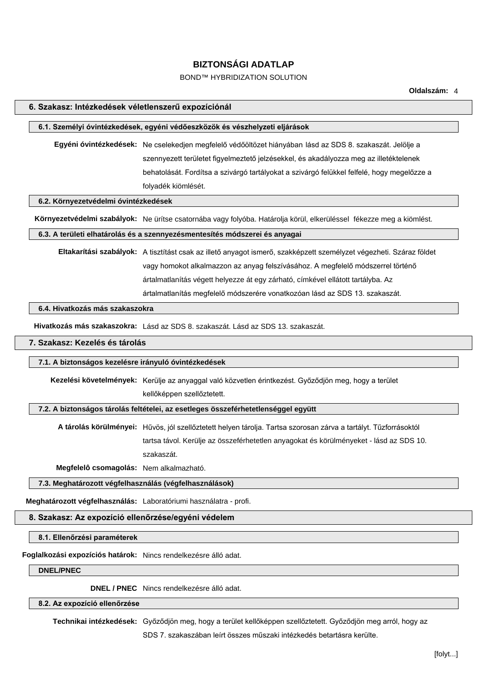### BOND™ HYBRIDIZATION SOLUTION

**Oldalszám:** 4

#### **6. Szakasz: Intézkedések véletlenszerű expozíciónál**

### **6.1. Személyi óvintézkedések, egyéni védőeszközök és vészhelyzeti eljárások**

**Egyéni óvintézkedések:** Ne cselekedjen megfelelő védőöltözet hiányában lásd az SDS 8. szakaszát. Jelölje a szennyezett területet figyelmeztető jelzésekkel, és akadályozza meg az illetéktelenek behatolását. Fordítsa a szivárgó tartályokat a szivárgó felükkel felfelé, hogy megelőzze a folyadék kiömlését.

#### **6.2. Környezetvédelmi óvintézkedések**

**Környezetvédelmi szabályok:** Ne ürítse csatornába vagy folyóba. Határolja körül, elkerüléssel fékezze meg a kiömlést.

#### **6.3. A területi elhatárolás és a szennyezésmentesítés módszerei és anyagai**

**Eltakarítási szabályok:** A tisztítást csak az illető anyagot ismerő, szakképzett személyzet végezheti. Száraz földet vagy homokot alkalmazzon az anyag felszívásához. A megfelelő módszerrel történő ártalmatlanítás végett helyezze át egy zárható, címkével ellátott tartályba. Az ártalmatlanítás megfelelő módszerére vonatkozóan lásd az SDS 13. szakaszát.

### **6.4. Hivatkozás más szakaszokra**

**Hivatkozás más szakaszokra:** Lásd az SDS 8. szakaszát. Lásd az SDS 13. szakaszát.

### **7. Szakasz: Kezelés és tárolás**

### **7.1. A biztonságos kezelésre irányuló óvintézkedések**

**Kezelési követelmények:** Kerülje az anyaggal való közvetlen érintkezést. Győződjön meg, hogy a terület kellőképpen szellőztetett.

#### **7.2. A biztonságos tárolás feltételei, az esetleges összeférhetetlenséggel együtt**

**A tárolás körülményei:** Hűvös, jól szellőztetett helyen tárolja. Tartsa szorosan zárva a tartályt. Tűzforrásoktól tartsa távol. Kerülje az összeférhetetlen anyagokat és körülményeket - lásd az SDS 10. szakaszát.

**Megfelelô csomagolás:** Nem alkalmazható.

#### **7.3. Meghatározott végfelhasználás (végfelhasználások)**

**Meghatározott végfelhasználás:** Laboratóriumi használatra - profi.

#### **8. Szakasz: Az expozíció ellenőrzése/egyéni védelem**

**8.1. Ellenőrzési paraméterek**

**Foglalkozási expozíciós határok:** Nincs rendelkezésre álló adat.

### **DNEL/PNEC**

**DNEL / PNEC** Nincs rendelkezésre álló adat.

### **8.2. Az expozíció ellenőrzése**

**Technikai intézkedések:** Győződjön meg, hogy a terület kellőképpen szellőztetett. Győződjön meg arról, hogy az

SDS 7. szakaszában leírt összes műszaki intézkedés betartásra kerülte.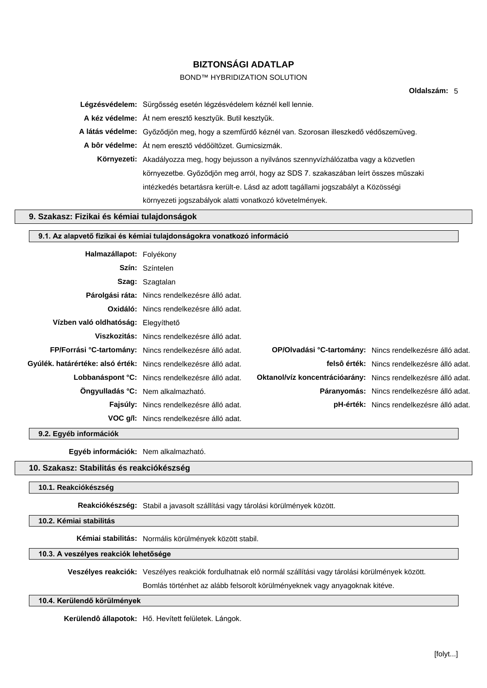### BOND™ HYBRIDIZATION SOLUTION

**Oldalszám:** 5

**Légzésvédelem:** Sürgősség esetén légzésvédelem kéznél kell lennie. **A kéz védelme:** Át nem eresztő kesztyűk. Butil kesztyűk. **A látás védelme:** Győződjön meg, hogy a szemfürdő kéznél van. Szorosan illeszkedő védőszemüveg. **A bôr védelme:** Át nem eresztő védőöltözet. Gumicsizmák. **Környezeti:** Akadályozza meg, hogy bejusson a nyilvános szennyvízhálózatba vagy a közvetlen környezetbe. Győződjön meg arról, hogy az SDS 7. szakaszában leírt összes műszaki intézkedés betartásra került-e. Lásd az adott tagállami jogszabályt a Közösségi környezeti jogszabályok alatti vonatkozó követelmények.

### **9. Szakasz: Fizikai és kémiai tulajdonságok**

|                                                                 | 9.1. Az alapvető fizikai és kémiai tulajdonságokra vonatkozó információ |                                                               |                                                                 |
|-----------------------------------------------------------------|-------------------------------------------------------------------------|---------------------------------------------------------------|-----------------------------------------------------------------|
| Halmazállapot: Folyékony                                        |                                                                         |                                                               |                                                                 |
|                                                                 | <b>Szín:</b> Színtelen                                                  |                                                               |                                                                 |
|                                                                 | <b>Szag:</b> Szagtalan                                                  |                                                               |                                                                 |
|                                                                 | Párolgási ráta: Nincs rendelkezésre álló adat.                          |                                                               |                                                                 |
|                                                                 | <b>Oxidáló:</b> Nincs rendelkezésre álló adat.                          |                                                               |                                                                 |
| Vízben való oldhatóság: Elegyíthető                             |                                                                         |                                                               |                                                                 |
|                                                                 | Viszkozitás: Nincs rendelkezésre álló adat.                             |                                                               |                                                                 |
|                                                                 | FP/Forrási °C-tartomány: Nincs rendelkezésre álló adat.                 |                                                               | <b>OP/OIvadási °C-tartomány:</b> Nincs rendelkezésre álló adat. |
| Gyúlék. határértéke: alsó érték: Nincs rendelkezésre álló adat. |                                                                         |                                                               | felsô érték: Nincs rendelkezésre álló adat.                     |
|                                                                 | Lobbanáspont °C: Nincs rendelkezésre álló adat.                         | Oktanol/víz koncentrációarány: Nincs rendelkezésre álló adat. |                                                                 |
|                                                                 | Öngyulladás °C: Nem alkalmazható.                                       |                                                               | <b>Páranyomás:</b> Nincs rendelkezésre álló adat.               |
|                                                                 | <b>Fajsúly:</b> Nincs rendelkezésre álló adat.                          |                                                               | <b>pH-érték:</b> Nincs rendelkezésre álló adat.                 |
|                                                                 | <b>VOC g/l:</b> Nincs rendelkezésre álló adat.                          |                                                               |                                                                 |

**9.2. Egyéb információk**

**Egyéb információk:** Nem alkalmazható.

#### **10. Szakasz: Stabilitás és reakciókészség**

#### **10.1. Reakciókészség**

**Reakciókészség:** Stabil a javasolt szállítási vagy tárolási körülmények között.

**10.2. Kémiai stabilitás**

**Kémiai stabilitás:** Normális körülmények között stabil.

### **10.3. A veszélyes reakciók lehetősége**

**Veszélyes reakciók:** Veszélyes reakciók fordulhatnak elô normál szállítási vagy tárolási körülmények között.

Bomlás történhet az alább felsorolt körülményeknek vagy anyagoknak kitéve.

#### **10.4. Kerülendő körülmények**

**Kerülendô állapotok:** Hő. Hevített felületek. Lángok.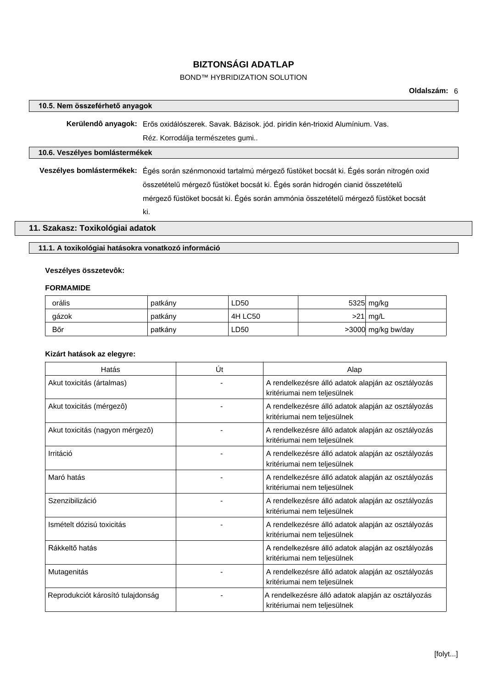### BOND™ HYBRIDIZATION SOLUTION

| 10.5. Nem összeférhető anyagok  |                                                                                                                                                                                                  |  |  |
|---------------------------------|--------------------------------------------------------------------------------------------------------------------------------------------------------------------------------------------------|--|--|
|                                 | Kerülendô anyagok: Erős oxidálószerek. Savak. Bázisok. jód. piridin kén-trioxid Alumínium. Vas.                                                                                                  |  |  |
|                                 | Réz. Korrodálja természetes gumi                                                                                                                                                                 |  |  |
| 10.6. Veszélyes bomlástermékek  |                                                                                                                                                                                                  |  |  |
|                                 | Veszélyes bomlástermékek: Égés során szénmonoxid tartalmú mérgező füstöket bocsát ki. Égés során nitrogén oxid<br>összetételű mérgező füstöket bocsát ki. Égés során hidrogén cianid összetételű |  |  |
|                                 | mérgező füstöket bocsát ki. Égés során ammónia összetételű mérgező füstöket bocsát                                                                                                               |  |  |
|                                 | ki.                                                                                                                                                                                              |  |  |
| 11 Szakasz: Tovikolóniai adatok |                                                                                                                                                                                                  |  |  |

# **11. Szakasz: Toxikológiai adatok**

### **11.1. A toxikológiai hatásokra vonatkozó információ**

### **Veszélyes összetevôk:**

### **FORMAMIDE**

| orális | patkány | LD50    | 5325 mg/kg         |
|--------|---------|---------|--------------------|
| gázok  | patkány | 4H LC50 | $>21$ mg/L         |
| Bőr    | patkány | LD50    | >3000 mg/kg bw/day |

### **Kizárt hatások az elegyre:**

| Hatás                             | Út | Alap                                                                              |
|-----------------------------------|----|-----------------------------------------------------------------------------------|
| Akut toxicitás (ártalmas)         |    | A rendelkezésre álló adatok alapján az osztályozás<br>kritériumai nem teljesülnek |
| Akut toxicitás (mérgezô)          |    | A rendelkezésre álló adatok alapján az osztályozás<br>kritériumai nem teljesülnek |
| Akut toxicitás (nagyon mérgezô)   |    | A rendelkezésre álló adatok alapján az osztályozás<br>kritériumai nem teljesülnek |
| Irritáció                         |    | A rendelkezésre álló adatok alapján az osztályozás<br>kritériumai nem teljesülnek |
| Maró hatás                        |    | A rendelkezésre álló adatok alapján az osztályozás<br>kritériumai nem teljesülnek |
| Szenzibilizáció                   |    | A rendelkezésre álló adatok alapján az osztályozás<br>kritériumai nem teljesülnek |
| Ismételt dózisú toxicitás         |    | A rendelkezésre álló adatok alapján az osztályozás<br>kritériumai nem teljesülnek |
| Rákkeltő hatás                    |    | A rendelkezésre álló adatok alapján az osztályozás<br>kritériumai nem teljesülnek |
| Mutagenitás                       |    | A rendelkezésre álló adatok alapján az osztályozás<br>kritériumai nem teljesülnek |
| Reprodukciót károsító tulajdonság |    | A rendelkezésre álló adatok alapján az osztályozás<br>kritériumai nem teljesülnek |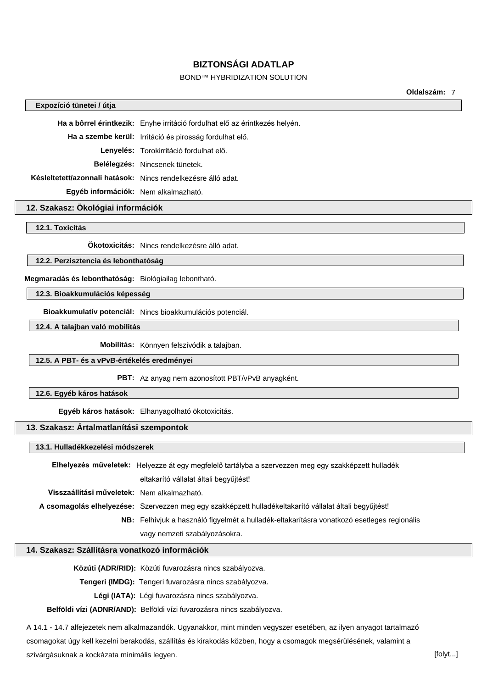### **BIZTONSÁGI ADATLAP**

### BOND™ HYBRIDIZATION SOLUTION

**Oldalszám:** 7

#### **Expozíció tünetei / útja**

**Ha a bôrrel érintkezik:** Enyhe irritáció fordulhat elő az érintkezés helyén.

**Ha a szembe kerül:** Irritáció és pirosság fordulhat elő.

**Lenyelés:** Torokirritáció fordulhat elő.

**Belélegzés:** Nincsenek tünetek.

**Késleltetett/azonnali hatások:** Nincs rendelkezésre álló adat.

**Egyéb információk:** Nem alkalmazható.

### **12. Szakasz: Ökológiai információk**

### **12.1. Toxicitás**

**Ökotoxicitás:** Nincs rendelkezésre álló adat.

#### **12.2. Perzisztencia és lebonthatóság**

### **Megmaradás és lebonthatóság:** Biológiailag lebontható.

### **12.3. Bioakkumulációs képesség**

**Bioakkumulatív potenciál:** Nincs bioakkumulációs potenciál.

**12.4. A talajban való mobilitás**

**Mobilitás:** Könnyen felszívódik a talajban.

#### **12.5. A PBT- és a vPvB-értékelés eredményei**

#### **PBT:** Az anyag nem azonosított PBT/vPvB anyagként.

### **12.6. Egyéb káros hatások**

**Egyéb káros hatások:** Elhanyagolható ökotoxicitás.

### **13. Szakasz: Ártalmatlanítási szempontok**

#### **13.1. Hulladékkezelési módszerek**

**Elhelyezés műveletek:** Helyezze át egy megfelelő tartályba a szervezzen meg egy szakképzett hulladék eltakarító vállalat általi begyűjtést! **Visszaállítási műveletek:** Nem alkalmazható. **A csomagolás elhelyezése:** Szervezzen meg egy szakképzett hulladékeltakarító vállalat általi begyűjtést! **NB:** Felhívjuk a használó figyelmét a hulladék-eltakarításra vonatkozó esetleges regionális vagy nemzeti szabályozásokra.

### **14. Szakasz: Szállításra vonatkozó információk**

**Közúti (ADR/RID):** Közúti fuvarozásra nincs szabályozva.

**Tengeri (IMDG):** Tengeri fuvarozásra nincs szabályozva.

**Légi (IATA):** Légi fuvarozásra nincs szabályozva.

**Belföldi vízi (ADNR/AND):** Belföldi vízi fuvarozásra nincs szabályozva.

A 14.1 - 14.7 alfejezetek nem alkalmazandók. Ugyanakkor, mint minden vegyszer esetében, az ilyen anyagot tartalmazó csomagokat úgy kell kezelni berakodás, szállítás és kirakodás közben, hogy a csomagok megsérülésének, valamint a szivárgásuknak a kockázata minimális legyen. [folyt...]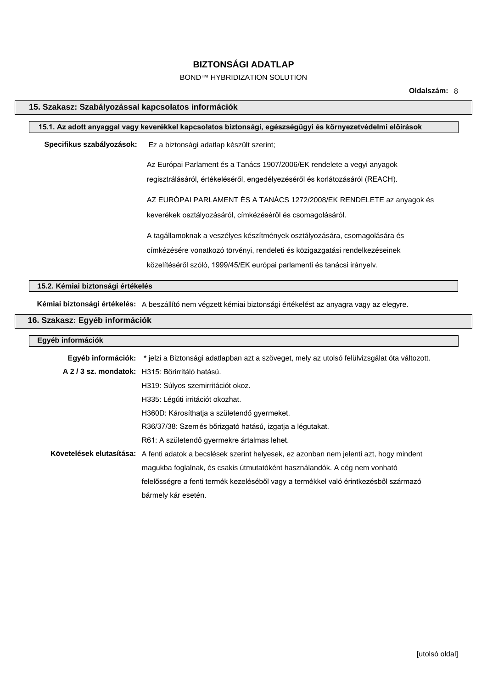## **BIZTONSÁGI ADATLAP**

### BOND™ HYBRIDIZATION SOLUTION

### **15. Szakasz: Szabályozással kapcsolatos információk**

| Specifikus szabályozások: | Ez a biztonsági adatlap készült szerint;                                     |
|---------------------------|------------------------------------------------------------------------------|
|                           | Az Európai Parlament és a Tanács 1907/2006/EK rendelete a vegyi anyagok      |
|                           | regisztrálásáról, értékeléséről, engedélyezéséről és korlátozásáról (REACH). |
|                           | AZ EURÓPAI PARLAMENT ÉS A TANÁCS 1272/2008/EK RENDELETE az anyagok és        |
|                           | keverékek osztályozásáról, címkézéséről és csomagolásáról.                   |
|                           | A tagállamoknak a veszélyes készítmények osztályozására, csomagolására és    |
|                           | címkézésére vonatkozó törvényi, rendeleti és közigazgatási rendelkezéseinek  |
|                           | közelítéséről szóló, 1999/45/EK európai parlamenti és tanácsi irányelv.      |

**Kémiai biztonsági értékelés:** A beszállító nem végzett kémiai biztonsági értékelést az anyagra vagy az elegyre.

### **16. Szakasz: Egyéb információk**

### **Egyéb információk**

| Egyéb információk: * jelzi a Biztonsági adatlapban azt a szöveget, mely az utolsó felülvizsgálat óta változott. |
|-----------------------------------------------------------------------------------------------------------------|
| A 2 / 3 sz. mondatok: H315: Bőrirritáló hatású.                                                                 |
| H319: Súlyos szemirritációt okoz.                                                                               |
| H335: Légúti irritációt okozhat.                                                                                |
| H360D: Károsíthatja a születendő gyermeket.                                                                     |
| R36/37/38: Szemés bőrizgató hatású, izgatja a légutakat.                                                        |
| R61: A születendő gyermekre ártalmas lehet.                                                                     |
| Követelések elutasítása: A fenti adatok a becslések szerint helyesek, ez azonban nem jelenti azt, hogy mindent  |
| magukba foglalnak, és csakis útmutatóként használandók. A cég nem vonható                                       |
| felelősségre a fenti termék kezeléséből vagy a termékkel való érintkezésből származó                            |
| bármely kár esetén.                                                                                             |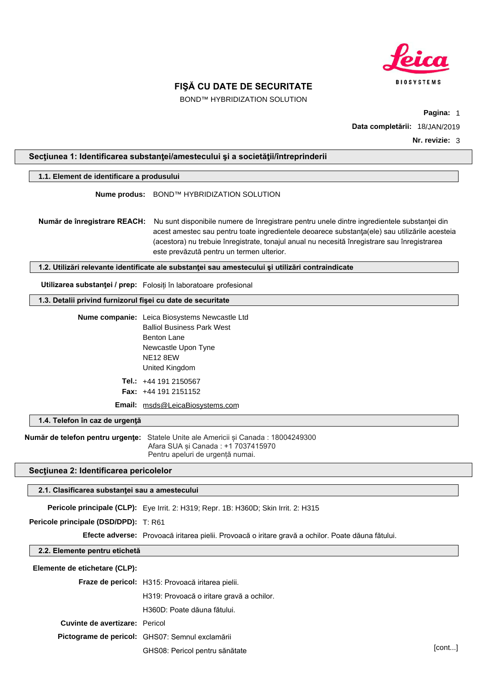

BOND™ HYBRIDIZATION SOLUTION

**Pagina:** 1 **Data completării:** 18/JAN/2019 **Nr. revizie:** 3

### **Secţiunea 1: Identificarea substanţei/amestecului şi a societăţii/întreprinderii**

#### **1.1. Element de identificare a produsului**

**Nume produs:** BOND™ HYBRIDIZATION SOLUTION

**Număr de înregistrare REACH:** Nu sunt disponibile numere de înregistrare pentru unele dintre ingredientele substanţei din acest amestec sau pentru toate ingredientele deoarece substanta(ele) sau utilizările acesteia (acestora) nu trebuie înregistrate, tonajul anual nu necesită înregistrare sau înregistrarea este prevăzută pentru un termen ulterior.

**1.2. Utilizări relevante identificate ale substanţei sau amestecului şi utilizări contraindicate**

**Utilizarea substanţei / prep:** Folosiți în laboratoare profesional

#### **1.3. Detalii privind furnizorul fişei cu date de securitate**

| Nume companie: Leica Biosystems Newcastle Ltd |
|-----------------------------------------------|
| <b>Balliol Business Park West</b>             |
| <b>Benton Lane</b>                            |
| Newcastle Upon Tyne                           |
| <b>NE12 8EW</b>                               |
| United Kingdom                                |
| <b>Tel.:</b> $+44$ 191 2150567                |
| <b>Fax:</b> $+44$ 191 2151152                 |
|                                               |

**Email:** msds@LeicaBiosystems.com

**1.4. Telefon în caz de urgenţă**

**Număr de telefon pentru urgenţe:** Statele Unite ale Americii și Canada : 18004249300 Afara SUA și Canada : +1 7037415970 Pentru apeluri de urgență numai.

#### **Secţiunea 2: Identificarea pericolelor**

#### **2.1. Clasificarea substanţei sau a amestecului**

**Pericole principale (CLP):** Eye Irrit. 2: H319; Repr. 1B: H360D; Skin Irrit. 2: H315

**Pericole principale (DSD/DPD):** T: R61

**Efecte adverse:** Provoacă iritarea pielii. Provoacă o iritare gravă a ochilor. Poate dăuna fătului.

### **2.2. Elemente pentru etichetă**

#### **Elemente de etichetare (CLP):**

**Fraze de pericol:** H315: Provoacă iritarea pielii.

H319: Provoacă o iritare gravă a ochilor.

H360D: Poate dăuna fătului.

**Cuvinte de avertizare:** Pericol

**Pictograme de pericol:** GHS07: Semnul exclamării

GHS08: Pericol pentru sănătate [cont...]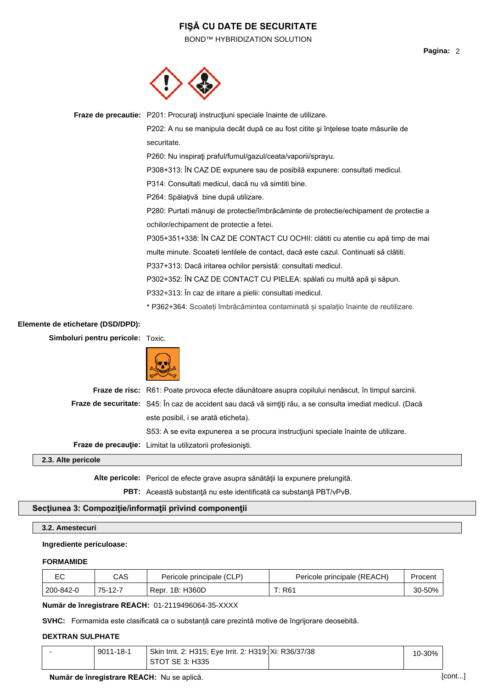BOND™ HYBRIDIZATION SOLUTION



**Fraze de precautie:** P201: Procuraţi instrucţiuni speciale înainte de utilizare.

P202: A nu se manipula decât după ce au fost citite şi înţelese toate măsurile de securitate. P260: Nu inspiraţi praful/fumul/gazul/ceata/vaporii/sprayu. P308+313: ÎN CAZ DE expunere sau de posibilă expunere: consultati medicul. P314: Consultati medicul, dacă nu vă simtiti bine. P264: Spălaţivă bine după utilizare. P280: Purtati mănuşi de protectie/îmbrăcăminte de protectie/echipament de protectie a ochilor/echipament de protectie a fetei. P305+351+338: ÎN CAZ DE CONTACT CU OCHII: clătiti cu atentie cu apă timp de mai multe minute. Scoateti lentilele de contact, dacă este cazul. Continuati să clătiti. P337+313: Dacă iritarea ochilor persistă: consultati medicul. P302+352: ÎN CAZ DE CONTACT CU PIELEA: spălati cu multă apă şi săpun.

P332+313: În caz de iritare a pielii: consultati medicul.

\* P362+364: Scoateți îmbrăcămintea contaminată și spalațio înainte de reutilizare.

#### **Elemente de etichetare (DSD/DPD):**

**Simboluri pentru pericole:** Toxic.



| 2.3. Alte pericole |                                                                                                            |
|--------------------|------------------------------------------------------------------------------------------------------------|
|                    | Fraze de precauție: Limitat la utilizatorii profesioniști.                                                 |
|                    | S53: A se evita expunerea a se procura instrucțiuni speciale înainte de utilizare.                         |
|                    | este posibil, i se arată eticheta).                                                                        |
|                    | Fraze de securitate: S45: În caz de accident sau dacă vă simțiți rău, a se consulta imediat medicul. (Dacă |
|                    | Fraze de risc: R61: Poate provoca efecte dăunătoare asupra copilului nenăscut, în timpul sarcinii.         |

**Alte pericole:** Pericol de efecte grave asupra sănătăţii la expunere prelungită.

**PBT:** Această substanţă nu este identificată ca substanţă PBT/vPvB.

### **Secţiunea 3: Compoziţie/informaţii privind componenţii**

#### **3.2. Amestecuri**

#### **Ingrediente periculoase:**

#### **FORMAMIDE**

|           | CAS     | Pericole principale (CLP) | Pericole principale (REACH) | Procent |
|-----------|---------|---------------------------|-----------------------------|---------|
| 200-842-0 | 75-12-7 | 1B: H360D<br>Repr.        | R61                         | 30-50%  |

**Număr de înregistrare REACH:** 01-2119496064-35-XXXX

**SVHC:** Formamida este clasificată ca o substanță care prezintă motive de îngrijorare deosebită.

#### **DEXTRAN SULPHATE**

| 9011-18-1 | Skin Irrit. 2: H315; Eye Irrit. 2: H319; Xi: R36/37/38 | $10 - 30\%$ |
|-----------|--------------------------------------------------------|-------------|
|           | STOT SE 3: H335                                        |             |

**Număr de înregistrare REACH:** Nu se aplică.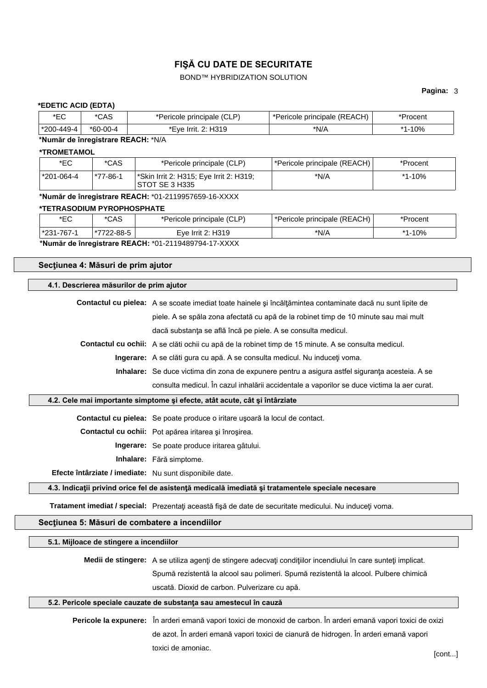### BOND™ HYBRIDIZATION SOLUTION

#### **Pagina:** 3

### **\*EDETIC ACID (EDTA)**

| ∗⊏∩<br>◡   | *CAS       | *Pericole principale (CLP) | *Pericole principale (REACH) | Procent |
|------------|------------|----------------------------|------------------------------|---------|
| *200-449-4 | $*60-00-4$ | 2: H319<br>'Eve<br>-Irrit. | *N/A                         | 10%     |

# **\*Număr de înregistrare REACH:** \*N/A

### **\*TROMETAMOL**

| *EC         | *CAS     | *Pericole principale (CLP)                                | <sup>1</sup> *Pericole principale (REACH) | *Procent |
|-------------|----------|-----------------------------------------------------------|-------------------------------------------|----------|
| 1*201-064-4 | *77-86-1 | *Skin Irrit 2: H315; Eye Irrit 2: H319;<br>STOT SE 3 H335 | *N/A                                      | *1-10%   |

**\*Număr de înregistrare REACH:** \*01-2119957659-16-XXXX

#### **\*TETRASODIUM PYROPHOSPHATE**

| *EC          | *CAS       | *Pericole principale (CLP) | "*Pericole principale (REACH) | *Procent       |
|--------------|------------|----------------------------|-------------------------------|----------------|
| 1*231-767-1  | *7722-88-5 | Eve Irrit 2: H319          | *N/A                          | $-10%$<br>$*4$ |
| $\mathbf{A}$ |            |                            |                               |                |

**\*Număr de înregistrare REACH:** \*01-2119489794-17-XXXX

### **Secţiunea 4: Măsuri de prim ajutor**

### **4.1. Descrierea măsurilor de prim ajutor**

| Contactul cu pielea: A se scoate imediat toate hainele și încălțămintea contaminate dacă nu sunt lipite de |
|------------------------------------------------------------------------------------------------------------|
| piele. A se spăla zona afectată cu apă de la robinet timp de 10 minute sau mai mult                        |
| dacă substanța se află încă pe piele. A se consulta medicul.                                               |

**Contactul cu ochii:** A se clăti ochii cu apă de la robinet timp de 15 minute. A se consulta medicul.

**Ingerare:** A se clăti gura cu apă. A se consulta medicul. Nu induceti voma.

**Inhalare:** Se duce victima din zona de expunere pentru a asigura astfel siguranţa acesteia. A se consulta medicul. În cazul inhalării accidentale a vaporilor se duce victima la aer curat.

#### **4.2. Cele mai importante simptome şi efecte, atât acute, cât şi întârziate**

**Contactul cu pielea:** Se poate produce o iritare uşoară la locul de contact.

**Contactul cu ochii:** Pot apărea iritarea şi înroşirea.

**Ingerare:** Se poate produce iritarea gâtului.

**Inhalare:** Fără simptome.

**Efecte întârziate / imediate:** Nu sunt disponibile date.

#### **4.3. Indicaţii privind orice fel de asistenţă medicală imediată şi tratamentele speciale necesare**

**Tratament imediat / special:** Prezentaţi această fişă de date de securitate medicului. Nu induceţi voma.

#### **Secţiunea 5: Măsuri de combatere a incendiilor**

#### **5.1. Mijloace de stingere a incendiilor**

**Medii de stingere:** A se utiliza agenţi de stingere adecvaţi condiţiilor incendiului în care sunteţi implicat.

Spumă rezistentă la alcool sau polimeri. Spumă rezistentă la alcool. Pulbere chimică

uscată. Dioxid de carbon. Pulverizare cu apă.

### **5.2. Pericole speciale cauzate de substanţa sau amestecul în cauză**

**Pericole la expunere:** În arderi emană vapori toxici de monoxid de carbon. În arderi emană vapori toxici de oxizi de azot. În arderi emană vapori toxici de cianură de hidrogen. În arderi emană vapori toxici de amoniac.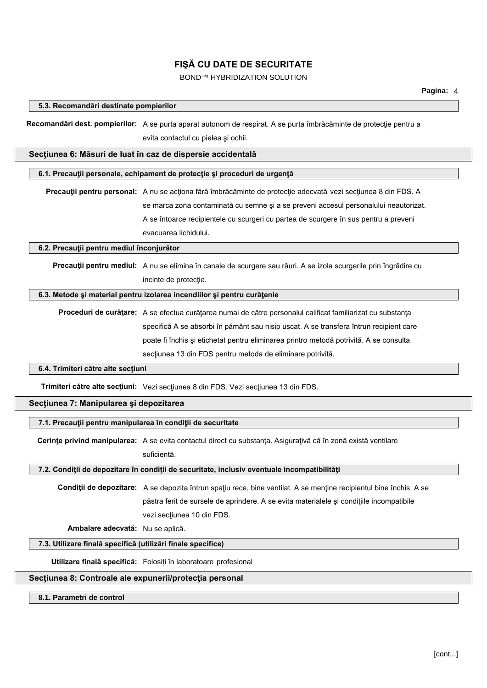### BOND™ HYBRIDIZATION SOLUTION

#### **5.3. Recomandări destinate pompierilor**

**Recomandări dest. pompierilor:** A se purta aparat autonom de respirat. A se purta îmbrăcăminte de protecţie pentru a evita contactul cu pielea şi ochii.

#### **Secţiunea 6: Măsuri de luat în caz de dispersie accidentală**

### **6.1. Precauţii personale, echipament de protecţie şi proceduri de urgenţă**

**Precauţii pentru personal:** A nu se acţiona fără îmbrăcăminte de protecţie adecvată vezi secţiunea 8 din FDS. A se marca zona contaminată cu semne şi a se preveni accesul personalului neautorizat. A se întoarce recipientele cu scurgeri cu partea de scurgere în sus pentru a preveni evacuarea lichidului.

#### **6.2. Precauţii pentru mediul înconjurător**

**Precauţii pentru mediul:** A nu se elimina în canale de scurgere sau râuri. A se izola scurgerile prin îngrădire cu incinte de protecţie.

#### **6.3. Metode şi material pentru izolarea incendiilor şi pentru curăţenie**

**Proceduri de curăţare:** A se efectua curăţarea numai de către personalul calificat familiarizat cu substanţa specifică A se absorbi în pământ sau nisip uscat. A se transfera întrun recipient care poate fi închis şi etichetat pentru eliminarea printro metodă potrivită. A se consulta secțiunea 13 din FDS pentru metoda de eliminare potrivită.

#### **6.4. Trimiteri către alte secţiuni**

**Trimiteri către alte secţiuni:** Vezi secţiunea 8 din FDS. Vezi secţiunea 13 din FDS.

#### **Secţiunea 7: Manipularea şi depozitarea**

#### **7.1. Precauţii pentru manipularea în condiţii de securitate**

**Cerinţe privind manipularea:** A se evita contactul direct cu substanţa. Asiguraţivă că în zonă există ventilare suficientă.

#### **7.2. Condiţii de depozitare în condiţii de securitate, inclusiv eventuale incompatibilităţi**

**Condiţii de depozitare:** A se depozita întrun spaţiu rece, bine ventilat. A se menţine recipientul bine închis. A se păstra ferit de sursele de aprindere. A se evita materialele şi condiţiile incompatibile vezi sectiunea 10 din FDS.

**Ambalare adecvată:** Nu se aplică.

### **7.3. Utilizare finală specifică (utilizări finale specifice)**

**Utilizare finală specifică:** Folosiți în laboratoare profesional

### Sectiunea 8: Controale ale expunerii/protectia personal

#### **8.1. Parametri de control**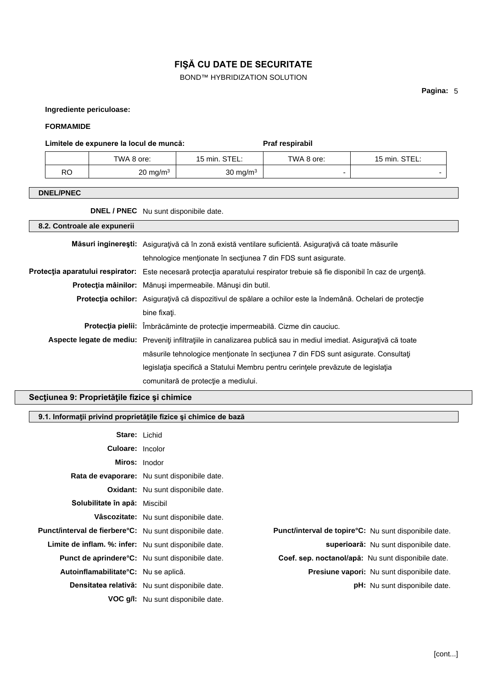BOND™ HYBRIDIZATION SOLUTION

**Pagina:** 5

**Ingrediente periculoase:**

### **FORMAMIDE**

Limitele de expunere la locul de muncă: Praf respirabil

|    | TWA 8 ore:          | 15 min. STEL:       | TWA 8 ore: | STEL:<br>$15 \text{ min}$ . |
|----|---------------------|---------------------|------------|-----------------------------|
| RO | $20 \text{ mg/m}^3$ | $30 \text{ mg/m}^3$ | -          |                             |

### **DNEL/PNEC**

**DNEL / PNEC** Nu sunt disponibile date.

| 8.2. Controale ale expunerii |                                                                                                                             |
|------------------------------|-----------------------------------------------------------------------------------------------------------------------------|
|                              | Măsuri inginerești: Asigurațivă că în zonă există ventilare suficientă. Asigurațivă că toate măsurile                       |
|                              | tehnologice mentionate în secțiunea 7 din FDS sunt asigurate.                                                               |
|                              | Protecția aparatului respirator: Este necesară protecția aparatului respirator trebuie să fie disponibil în caz de urgență. |
|                              | Protecția mâinilor: Mănuși impermeabile. Mănuși din butil.                                                                  |
|                              | Protecția ochilor: Asigurațivă că dispozitivul de spălare a ochilor este la îndemână. Ochelari de protecție                 |
|                              | bine fixati.                                                                                                                |
|                              | Protecția pielii: Îmbrăcăminte de protecție impermeabilă. Cizme din cauciuc.                                                |
|                              | Aspecte legate de mediu: Preveniți infiltrațiile in canalizarea publică sau in mediul imediat. Asigurațivă că toate         |
|                              | măsurile tehnologice menționate în secțiunea 7 din FDS sunt asigurate. Consultați                                           |
|                              | legislația specifică a Statului Membru pentru cerințele prevăzute de legislația                                             |
|                              | comunitară de protecție a mediului.                                                                                         |

### **Secţiunea 9: Proprietăţile fizice şi chimice**

|                                                         | 9.1. Informații privind proprietățile fizice și chimice de bază |                                                       |
|---------------------------------------------------------|-----------------------------------------------------------------|-------------------------------------------------------|
|                                                         | <b>Stare: Lichid</b>                                            |                                                       |
| <b>Culoare: Incolor</b>                                 |                                                                 |                                                       |
|                                                         |                                                                 |                                                       |
|                                                         | Miros: Inodor                                                   |                                                       |
|                                                         | Rata de evaporare: Nu sunt disponibile date.                    |                                                       |
|                                                         | <b>Oxidant:</b> Nu sunt disponibile date.                       |                                                       |
| Solubilitate în apă: Miscibil                           |                                                                 |                                                       |
|                                                         | Vâscozitate: Nu sunt disponibile date.                          |                                                       |
| Punct/interval de fierbere°C: Nu sunt disponibile date. |                                                                 | Punct/interval de topire°C: Nu sunt disponibile date. |
| Limite de inflam. %: infer: Nu sunt disponibile date.   |                                                                 | superioară: Nu sunt disponibile date.                 |
|                                                         | <b>Punct de aprindere °C:</b> Nu sunt disponibile date.         | Coef. sep. noctanol/apă: Nu sunt disponibile date.    |
| Autoinflamabilitate°C: Nu se aplică.                    |                                                                 | <b>Presiune vapori:</b> Nu sunt disponibile date.     |
|                                                         | Densitatea relativă: Nu sunt disponibile date.                  | <b>pH:</b> Nu sunt disponibile date.                  |
|                                                         | <b>VOC g/l:</b> Nu sunt disponibile date.                       |                                                       |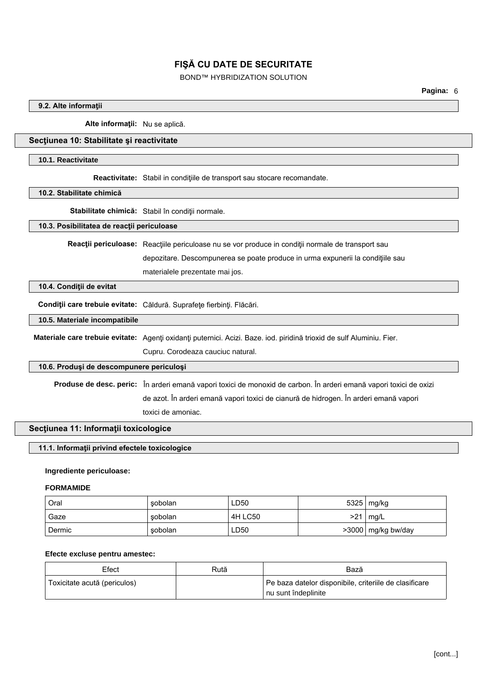### BOND™ HYBRIDIZATION SOLUTION

#### **9.2. Alte informaţii**

**Alte informaţii:** Nu se aplică.

#### **Secţiunea 10: Stabilitate şi reactivitate**

#### **10.1. Reactivitate**

**Reactivitate:** Stabil in condiţiile de transport sau stocare recomandate.

#### **10.2. Stabilitate chimică**

Stabilitate chimică: Stabil în condiții normale.

#### **10.3. Posibilitatea de reacţii periculoase**

**Reacţii periculoase:** Reacţiile periculoase nu se vor produce in condiţii normale de transport sau depozitare. Descompunerea se poate produce in urma expunerii la condiţiile sau materialele prezentate mai jos.

#### **10.4. Condiţii de evitat**

**Condiţii care trebuie evitate:** Căldură. Suprafeţe fierbinţi. Flăcări.

### **10.5. Materiale incompatibile**

**Materiale care trebuie evitate:** Agenţi oxidanţi puternici. Acizi. Baze. iod. piridină trioxid de sulf Aluminiu. Fier. Cupru. Corodeaza cauciuc natural.

#### **10.6. Produşi de descompunere periculoşi**

**Produse de desc. peric:** În arderi emană vapori toxici de monoxid de carbon. În arderi emană vapori toxici de oxizi de azot. În arderi emană vapori toxici de cianură de hidrogen. În arderi emană vapori toxici de amoniac.

### **Secţiunea 11: Informaţii toxicologice**

#### **11.1. Informaţii privind efectele toxicologice**

### **Ingrediente periculoase:**

#### **FORMAMIDE**

| Oral   | sobolan | LD50    |     | 5325   mg/kg           |
|--------|---------|---------|-----|------------------------|
| Gaze   | sobolan | 4H LC50 | >21 | $\lfloor mg/L \rfloor$ |
| Dermic | sobolan | LD50    |     | >3000   mg/kg bw/day   |

#### **Efecte excluse pentru amestec:**

| Efect                        | Rută | Bază                                                   |
|------------------------------|------|--------------------------------------------------------|
| Toxicitate acută (periculos) |      | Pe baza datelor disponibile, criteriile de clasificare |
|                              |      | <sup>i</sup> nu sunt îndeplinite                       |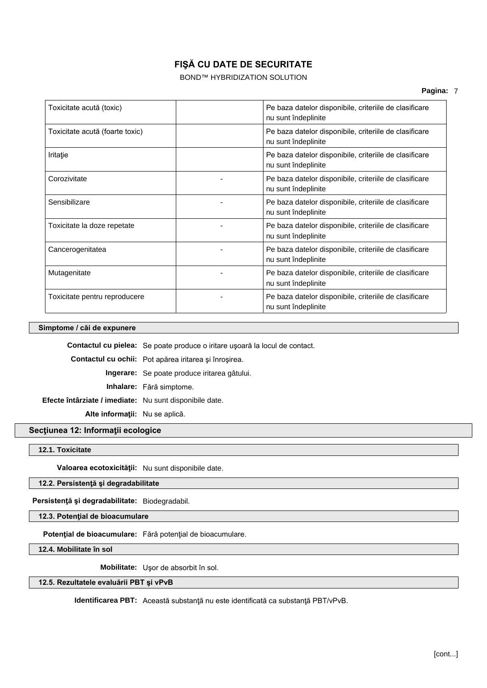BOND™ HYBRIDIZATION SOLUTION

| Toxicitate acută (toxic)        | Pe baza datelor disponibile, criteriile de clasificare<br>nu sunt îndeplinite |
|---------------------------------|-------------------------------------------------------------------------------|
| Toxicitate acută (foarte toxic) | Pe baza datelor disponibile, criteriile de clasificare<br>nu sunt îndeplinite |
| Iritație                        | Pe baza datelor disponibile, criteriile de clasificare<br>nu sunt îndeplinite |
| Corozivitate                    | Pe baza datelor disponibile, criteriile de clasificare<br>nu sunt îndeplinite |
| Sensibilizare                   | Pe baza datelor disponibile, criteriile de clasificare<br>nu sunt îndeplinite |
| Toxicitate la doze repetate     | Pe baza datelor disponibile, criteriile de clasificare<br>nu sunt îndeplinite |
| Cancerogenitatea                | Pe baza datelor disponibile, criteriile de clasificare<br>nu sunt îndeplinite |
| Mutagenitate                    | Pe baza datelor disponibile, criteriile de clasificare<br>nu sunt îndeplinite |
| Toxicitate pentru reproducere   | Pe baza datelor disponibile, criteriile de clasificare<br>nu sunt îndeplinite |

### **Simptome / căi de expunere**

**Contactul cu pielea:** Se poate produce o iritare uşoară la locul de contact. **Contactul cu ochii:** Pot apărea iritarea şi înroşirea. **Ingerare:** Se poate produce iritarea gâtului. **Inhalare:** Fără simptome. **Efecte întârziate / imediate:** Nu sunt disponibile date. **Alte informaţii:** Nu se aplică.

### **Secţiunea 12: Informaţii ecologice**

### **12.1. Toxicitate**

**Valoarea ecotoxicităţii:** Nu sunt disponibile date.

**12.2. Persistenţă şi degradabilitate**

**Persistenţă şi degradabilitate:** Biodegradabil.

**12.3. Potenţial de bioacumulare**

**Potenţial de bioacumulare:** Fără potenţial de bioacumulare.

**12.4. Mobilitate în sol**

**Mobilitate:** Uşor de absorbit în sol.

### **12.5. Rezultatele evaluării PBT şi vPvB**

**Identificarea PBT:** Această substanţă nu este identificată ca substanţă PBT/vPvB.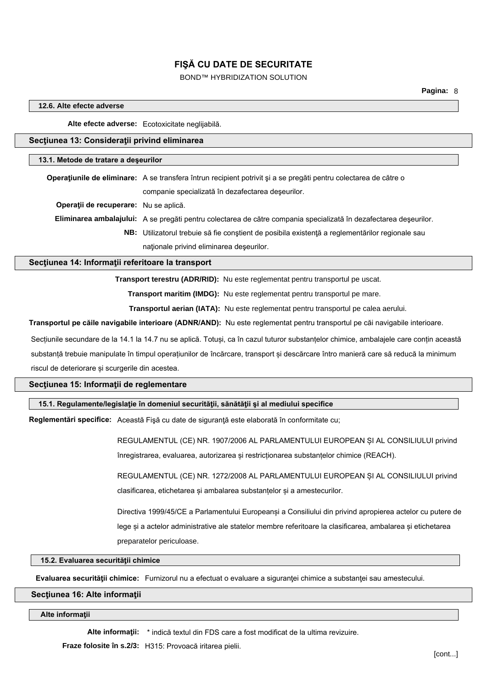### BOND™ HYBRIDIZATION SOLUTION

### **12.6. Alte efecte adverse**

**Alte efecte adverse:** Ecotoxicitate neglijabilă.

### **Secţiunea 13: Consideraţii privind eliminarea**

| 13.1. Metode de tratare a deseurilor         |                                                                                                                   |
|----------------------------------------------|-------------------------------------------------------------------------------------------------------------------|
|                                              | Operațiunile de eliminare: A se transfera întrun recipient potrivit și a se pregăti pentru colectarea de către o  |
|                                              | companie specializată în dezafectarea deșeurilor.                                                                 |
| <b>Operații de recuperare:</b> Nu se aplică. |                                                                                                                   |
|                                              | Eliminarea ambalajului: A se pregăti pentru colectarea de către compania specializată în dezafectarea deșeurilor. |
|                                              | NB: Utilizatorul trebuie să fie constient de posibila existență a reglementărilor regionale sau                   |
|                                              | nationale privind eliminarea deseurilor.                                                                          |

### **Secţiunea 14: Informaţii referitoare la transport**

**Transport terestru (ADR/RID):** Nu este reglementat pentru transportul pe uscat.

**Transport maritim (IMDG):** Nu este reglementat pentru transportul pe mare.

**Transportul aerian (IATA):** Nu este reglementat pentru transportul pe calea aerului.

**Transportul pe căile navigabile interioare (ADNR/AND):** Nu este reglementat pentru transportul pe căi navigabile interioare.

Secțiunile secundare de la 14.1 la 14.7 nu se aplică. Totuși, ca în cazul tuturor substanțelor chimice, ambalajele care conțin această substanță trebuie manipulate în timpul operațiunilor de încărcare, transport și descărcare întro manieră care să reducă la minimum

riscul de deteriorare și scurgerile din acestea.

#### **Secţiunea 15: Informaţii de reglementare**

### **15.1. Regulamente/legislaţie în domeniul securităţii, sănătăţii şi al mediului specifice**

**Reglementări specifice:** Această Fişă cu date de siguranţă este elaborată în conformitate cu;

REGULAMENTUL (CE) NR. 1907/2006 AL PARLAMENTULUI EUROPEAN ȘI AL CONSILIULUI privind înregistrarea, evaluarea, autorizarea și restricționarea substanțelor chimice (REACH).

REGULAMENTUL (CE) NR. 1272/2008 AL PARLAMENTULUI EUROPEAN ȘI AL CONSILIULUI privind clasificarea, etichetarea și ambalarea substanțelor și a amestecurilor.

Directiva 1999/45/CE a Parlamentului Europeanși a Consiliului din privind apropierea actelor cu putere de lege și a actelor administrative ale statelor membre referitoare la clasificarea, ambalarea și etichetarea preparatelor periculoase.

### **15.2. Evaluarea securităţii chimice**

**Evaluarea securităţii chimice:** Furnizorul nu a efectuat o evaluare a siguranţei chimice a substanţei sau amestecului.

### **Secţiunea 16: Alte informaţii**

### **Alte informaţii**

**Alte informaţii:** \* indică textul din FDS care a fost modificat de la ultima revizuire.

**Fraze folosite în s.2/3:** H315: Provoacă iritarea pielii.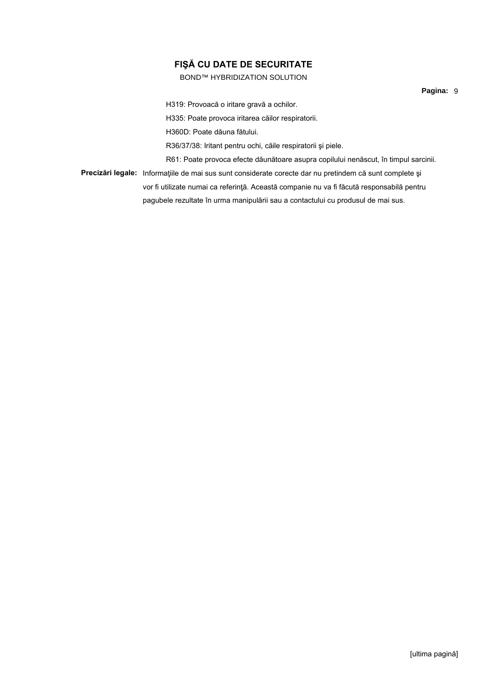### BOND™ HYBRIDIZATION SOLUTION

**Pagina:** 9

H335: Poate provoca iritarea căilor respiratorii.

H319: Provoacă o iritare gravă a ochilor.

H360D: Poate dăuna fătului.

R36/37/38: Iritant pentru ochi, căile respiratorii şi piele.

R61: Poate provoca efecte dăunătoare asupra copilului nenăscut, în timpul sarcinii. **Precizări legale:** Informaţiile de mai sus sunt considerate corecte dar nu pretindem că sunt complete şi vor fi utilizate numai ca referinţă. Această companie nu va fi făcută responsabilă pentru

pagubele rezultate în urma manipulării sau a contactului cu produsul de mai sus.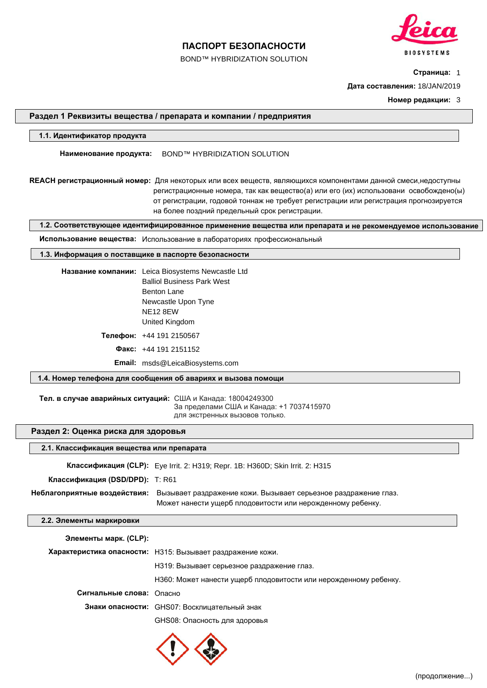

BOND™ HYBRIDIZATION SOLUTION

**Страница:** 1

**Дата составления:** 18/JAN/2019

**Номер редакции:** 3

#### **Раздел 1 Реквизиты вещества / препарата и компании / предприятия**

#### **1.1. Идентификатор продукта**

**Наименование продукта:** BOND™ HYBRIDIZATION SOLUTION

**REACH регистрационный номер:** Для некоторых или всех веществ, являющихся компонентами данной смеси,недоступны регистрационные номера, так как вещество(а) или его (их) использовани освобождено(ы) от регистрации, годовой тоннаж не требует регистрации или регистрация прогнозируется на более поздний предельный срок регистрации.

**1.2. Соответствующее идентифицированное применение вещества или препарата и не рекомендуемое использование**

**Использование вещества:** Использование в лабораториях профессиональный

#### **1.3. Информация о поставщике в паспорте безопасности**

**Название компании:** Leica Biosystems Newcastle Ltd Balliol Business Park West Benton Lane Newcastle Upon Tyne NE12 8EW United Kingdom **Телефон:** +44 191 2150567 **Факс:** +44 191 2151152

**Email:** msds@LeicaBiosystems.com

### **1.4. Номер телефона для сообщения об авариях и вызова помощи**

**Тел. в случае аварийных ситуаций:** США и Канада: 18004249300 За пределами США и Канада: +1 7037415970 для экстренных вызовов только.

#### **Раздел 2: Оценка риска для здоровья**

#### **2.1. Классификация вещества или препарата**

**Классификация (CLP):** Eye Irrit. 2: H319; Repr. 1B: H360D; Skin Irrit. 2: H315

**Классификация (DSD/DPD):** T: R61

**Неблагоприятные воздействия:** Вызывает раздражение кожи. Вызывает серьезное раздражение глаз. Может нанести ущерб плодовитости или нерожденному ребенку.

#### **2.2. Элементы маркировки**

| Элементы марк. (CLP):    |                                                                  |
|--------------------------|------------------------------------------------------------------|
|                          | Характеристика опасности: Н315: Вызывает раздражение кожи.       |
|                          | НЗ19: Вызывает серьезное раздражение глаз.                       |
|                          | Н360: Может нанести ущерб плодовитости или нерожденному ребенку. |
| Сигнальные слова: Опасно |                                                                  |
|                          | Знаки опасности: GHS07: Восклицательный знак                     |
|                          | GHS08: Опасность для здоровья                                    |

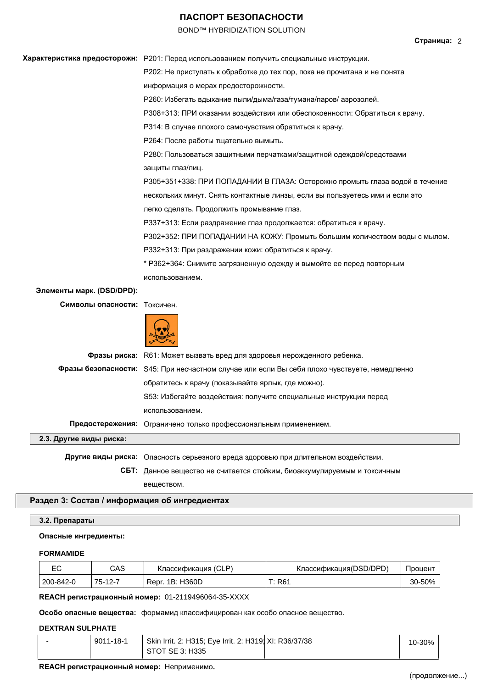### BOND™ HYBRIDIZATION SOLUTION

**Характеристика предосторожн:** P201: Перед использованием получить специальные инструкции. P202: Не приступать к обработке до тех пор, пока не прочитана и не понята информация о мерах предосторожности. P260: Избегать вдыхание пыли/дыма/газа/тумана/паров/ аэрозолей. P308+313: ПРИ оказании воздействия или обеспокоенности: Обратиться к врачу. P314: В случае плохого самочувствия обратиться к врачу. P264: После работы тщательно вымыть. P280: Пользоваться защитными перчатками/защитной одеждой/средствами защиты глаз/лиц. P305+351+338: ПРИ ПОПАДАНИИ В ГЛАЗА: Осторожно промыть глаза водой в течение нескольких минут. Снять контактные линзы, если вы пользуетесь ими и если это легко сделать. Продолжить промывание глаз. P337+313: Если раздражение глаз продолжается: обратиться к врачу. P302+352: ПРИ ПОПАДАНИИ НА КОЖУ: Промыть большим количеством воды с мылом. P332+313: При раздражении кожи: обратиться к врачу. \* P362+364: Снимите загрязненную одежду и вымойте ее перед повторным использованием. **Элементы марк. (DSD/DPD): Символы опасности:** Токсичен. **Фразы риска:** R61: Может вызвать вред для здоровья нерожденного ребенка. **Фразы безопасности:** S45: При несчастном случае или если Вы себя плохо чувствуете, немедленно обратитесь к врачу (показывайте ярлык, где можно). S53: Избегайте воздействия: получите специальные инструкции перед использованием. **Предостережения:** Ограничено только профессиональным применением. **2.3. Другие виды риска:**

**Другие виды риска:** Опасность серьезного вреда здоровью при длительном воздействии.

**СБТ:** Данное вещество не считается стойким, биоаккумулируемым и токсичным веществом.

### **Раздел 3: Состав / информация об ингредиентах**

#### **3.2. Препараты**

#### **Опасные ингредиенты:**

#### **FORMAMIDE**

| └         | CAS     | Классификация (CLP) | Классификация(DSD/DPD) | ، Іроцент |
|-----------|---------|---------------------|------------------------|-----------|
| 200-842-0 | 75-12-7 | 1B: H360D<br>Repr.  | R61                    | 30-50%    |

**REACH регистрационный номер:** 01-2119496064-35-XXXX

**Особо опасные вещества:** формамид классифицирован как особо опасное вещество.

#### **DEXTRAN SULPHATE**

| 9011-18-1 | Skin Irrit. 2: H315; Eye Irrit. 2: H319; XI: R36/37/38 | 10-30% |
|-----------|--------------------------------------------------------|--------|
|           | STOT SE 3: H335                                        |        |

**REACH регистрационный номер:** Неприменимо.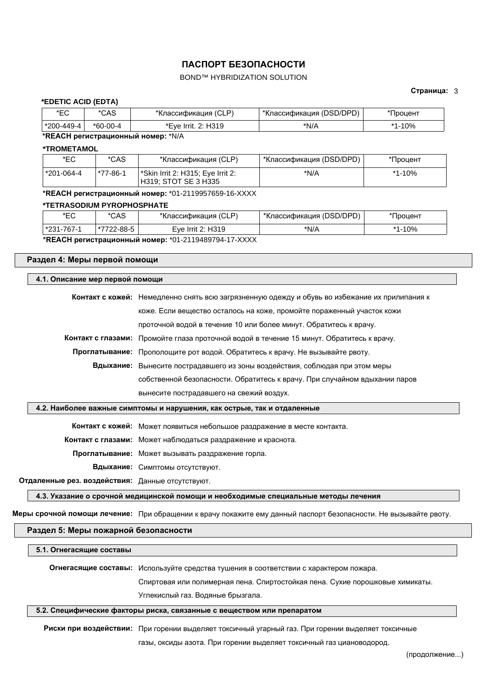### BOND™ HYBRIDIZATION SOLUTION

### **Страница:** 3

| *EDETIC ACID (EDTA)                                                                                              |                |                                                                               |                                                                                                |            |  |
|------------------------------------------------------------------------------------------------------------------|----------------|-------------------------------------------------------------------------------|------------------------------------------------------------------------------------------------|------------|--|
| $E_{C}$                                                                                                          | *CAS           | *Классификация (CLP)                                                          | *Классификация (DSD/DPD)                                                                       | *Процент   |  |
| *200-449-4                                                                                                       | $*60-00-4$     | *Eye Irrit. 2: H319                                                           | $*N/A$                                                                                         | $*1 - 10%$ |  |
| *REACH регистрационный номер: *N/A                                                                               |                |                                                                               |                                                                                                |            |  |
| <b>*TROMETAMOL</b>                                                                                               |                |                                                                               |                                                                                                |            |  |
| $*EC$                                                                                                            | *CAS           | *Классификация (CLP)                                                          | *Классификация (DSD/DPD)                                                                       | *Процент   |  |
| *201-064-4                                                                                                       | *77-86-1       | *Skin Irrit 2: H315; Eye Irrit 2:<br>H319; STOT SE 3 H335                     | $*N/A$                                                                                         | $*1 - 10%$ |  |
|                                                                                                                  |                | *REACH регистрационный номер: *01-2119957659-16-XXXX                          |                                                                                                |            |  |
| *TETRASODIUM PYROPHOSPHATE                                                                                       |                |                                                                               |                                                                                                |            |  |
| *EC                                                                                                              | *CAS           | *Классификация (CLP)                                                          | *Классификация (DSD/DPD)                                                                       | *Процент   |  |
| *231-767-1                                                                                                       | *7722-88-5     | Eye Irrit 2: H319                                                             | $*N/A$                                                                                         | $*1 - 10%$ |  |
|                                                                                                                  |                | *REACH регистрационный номер: *01-2119489794-17-XXXX                          |                                                                                                |            |  |
| Раздел 4: Меры первой помощи                                                                                     |                |                                                                               |                                                                                                |            |  |
| 4.1. Описание мер первой помощи                                                                                  |                |                                                                               |                                                                                                |            |  |
|                                                                                                                  |                |                                                                               | Контакт с кожей: Немедленно снять всю загрязненную одежду и обувь во избежание их прилипания к |            |  |
|                                                                                                                  |                |                                                                               | коже. Если вещество осталось на коже, промойте пораженный участок кожи                         |            |  |
| проточной водой в течение 10 или более минут. Обратитесь к врачу.                                                |                |                                                                               |                                                                                                |            |  |
|                                                                                                                  |                |                                                                               | Контакт с глазами: Промойте глаза проточной водой в течение 15 минут. Обратитесь к врачу.      |            |  |
|                                                                                                                  | Проглатывание: | Прополощите рот водой. Обратитесь к врачу. Не вызывайте рвоту.                |                                                                                                |            |  |
|                                                                                                                  | Вдыхание:      | Вынесите пострадавшего из зоны воздействия, соблюдая при этом меры            |                                                                                                |            |  |
|                                                                                                                  |                | собственной безопасности. Обратитесь к врачу. При случайном вдыхании паров    |                                                                                                |            |  |
| вынесите пострадавшего на свежий воздух.                                                                         |                |                                                                               |                                                                                                |            |  |
|                                                                                                                  |                |                                                                               |                                                                                                |            |  |
|                                                                                                                  |                | 4.2. Наиболее важные симптомы и нарушения, как острые, так и отдаленные       |                                                                                                |            |  |
|                                                                                                                  |                | Контакт с кожей: Может появиться небольшое раздражение в месте контакта.      |                                                                                                |            |  |
|                                                                                                                  |                | Контакт с глазами: Может наблюдаться раздражение и краснота.                  |                                                                                                |            |  |
|                                                                                                                  |                | Проглатывание: Может вызывать раздражение горла.                              |                                                                                                |            |  |
|                                                                                                                  |                | Вдыхание: Симптомы отсутствуют.                                               |                                                                                                |            |  |
|                                                                                                                  |                | Отдаленные рез. воздействия: Данные отсутствуют.                              |                                                                                                |            |  |
|                                                                                                                  |                |                                                                               | 4.3. Указание о срочной медицинской помощи и необходимые специальные методы лечения            |            |  |
| Меры срочной помощи лечение: При обращении к врачу покажите ему данный паспорт безопасности. Не вызывайте рвоту. |                |                                                                               |                                                                                                |            |  |
| Раздел 5: Меры пожарной безопасности                                                                             |                |                                                                               |                                                                                                |            |  |
| 5.1. Огнегасящие составы                                                                                         |                |                                                                               |                                                                                                |            |  |
|                                                                                                                  |                |                                                                               | Огнегасящие составы: Используйте средства тушения в соответствии с характером пожара.          |            |  |
|                                                                                                                  |                | Спиртовая или полимерная пена. Спиртостойкая пена. Сухие порошковые химикаты. |                                                                                                |            |  |
|                                                                                                                  |                | Углекислый газ. Водяные брызгала.                                             |                                                                                                |            |  |
|                                                                                                                  |                | 5.2. Специфические факторы риска, связанные с веществом или препаратом        |                                                                                                |            |  |

#### **5.2. Специфические факторы риска, связанные с веществом или препаратом**

**Риски при воздействии:** При горении выделяет токсичный угарный газ. При горении выделяет токсичные

газы, оксиды азота. При горении выделяет токсичный газ циановодород.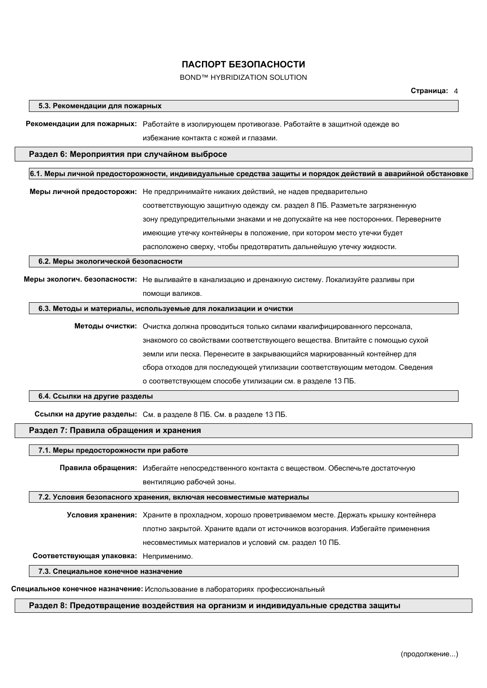### BOND™ HYBRIDIZATION SOLUTION

| 5.3. Рекомендации для пожарных              |                                                                                                                                         |
|---------------------------------------------|-----------------------------------------------------------------------------------------------------------------------------------------|
|                                             | Рекомендации для пожарных: Работайте в изолирующем противогазе. Работайте в защитной одежде во<br>избежание контакта с кожей и глазами. |
| Раздел 6: Мероприятия при случайном выбросе |                                                                                                                                         |
|                                             | 6.1. Меры личной предосторожности, индивидуальные средства защиты и порядок действий в аварийной обстановке                             |
|                                             | Меры личной предосторожн: Не предпринимайте никаких действий, не надев предварительно                                                   |
|                                             | соответствующую защитную одежду см. раздел 8 ПБ. Разметьте загрязненную                                                                 |
|                                             | зону предупредительными знаками и не допускайте на нее посторонних. Переверните                                                         |
|                                             | имеющие утечку контейнеры в положение, при котором место утечки будет                                                                   |
|                                             | расположено сверху, чтобы предотвратить дальнейшую утечку жидкости.                                                                     |
| 6.2. Меры экологической безопасности        |                                                                                                                                         |
|                                             | Меры экологич. безопасности: Не выливайте в канализацию и дренажную систему. Локализуйте разливы при                                    |
|                                             | помощи валиков.                                                                                                                         |
|                                             | 6.3. Методы и материалы, используемые для локализации и очистки                                                                         |
|                                             | Методы очистки: Очистка должна проводиться только силами квалифицированного персонала,                                                  |
|                                             | знакомого со свойствами соответствующего вещества. Впитайте с помощью сухой                                                             |
|                                             | земли или песка. Перенесите в закрывающийся маркированный контейнер для                                                                 |
|                                             | сбора отходов для последующей утилизации соответствующим методом. Сведения                                                              |
|                                             | о соответствующем способе утилизации см. в разделе 13 ПБ.                                                                               |
| 6.4. Ссылки на другие разделы               |                                                                                                                                         |
|                                             | Ссылки на другие разделы: См. в разделе 8 ПБ. См. в разделе 13 ПБ.                                                                      |
| Раздел 7: Правила обращения и хранения      |                                                                                                                                         |
| 7.1. Меры предосторожности при работе       |                                                                                                                                         |
|                                             | Правила обращения: Избегайте непосредственного контакта с веществом. Обеспечьте достаточную                                             |
|                                             | вентиляцию рабочей зоны.                                                                                                                |
|                                             | 7.2. Условия безопасного хранения, включая несовместимые материалы                                                                      |
|                                             | Условия хранения: Храните в прохладном, хорошо проветриваемом месте. Держать крышку контейнера                                          |
|                                             | плотно закрытой. Храните вдали от источников возгорания. Избегайте применения                                                           |
|                                             | несовместимых материалов и условий см. раздел 10 ПБ.                                                                                    |
| Соответствующая упаковка: Неприменимо.      |                                                                                                                                         |
| 7.3. Специальное конечное назначение        |                                                                                                                                         |

**Специальное конечное назначение:** Использование в лабораториях профессиональный

### **Раздел 8: Предотвращение воздействия на организм и индивидуальные средства защиты**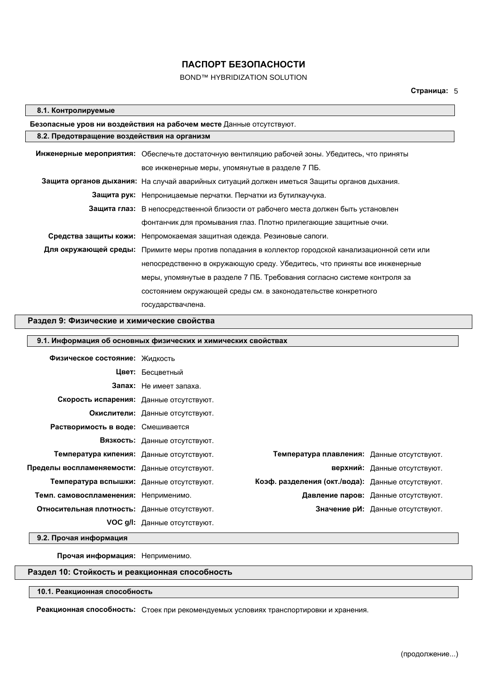### BOND™ HYBRIDIZATION SOLUTION

### **8.1. Контролируемые**

 $\Gamma$ 

| Безопасные уров ни воздействия на рабочем месте Данные отсутствуют. |                                                                                                    |  |  |  |
|---------------------------------------------------------------------|----------------------------------------------------------------------------------------------------|--|--|--|
|                                                                     | 8.2. Предотвращение воздействия на организм                                                        |  |  |  |
|                                                                     | Инженерные мероприятия: Обеспечьте достаточную вентиляцию рабочей зоны. Убедитесь, что приняты     |  |  |  |
|                                                                     | все инженерные меры, упомянутые в разделе 7 ПБ.                                                    |  |  |  |
|                                                                     | Защита органов дыхания: На случай аварийных ситуаций должен иметься Защиты органов дыхания.        |  |  |  |
|                                                                     | Защита рук: Непроницаемые перчатки. Перчатки из бутилкаучука.                                      |  |  |  |
|                                                                     | Защита глаз: В непосредственной близости от рабочего места должен быть установлен                  |  |  |  |
|                                                                     | фонтанчик для промывания глаз. Плотно прилегающие защитные очки.                                   |  |  |  |
|                                                                     | Средства защиты кожи: Непромокаемая защитная одежда. Резиновые сапоги.                             |  |  |  |
|                                                                     | Для окружающей среды: Примите меры против попадания в коллектор городской канализационной сети или |  |  |  |
|                                                                     | непосредственно в окружающую среду. Убедитесь, что приняты все инженерные                          |  |  |  |
|                                                                     | меры, упомянутые в разделе 7 ПБ. Требования согласно системе контроля за                           |  |  |  |
|                                                                     | состоянием окружающей среды см. в законодательстве конкретного                                     |  |  |  |
|                                                                     | государствачлена.                                                                                  |  |  |  |

#### **Раздел 9: Физические и химические свойства**

|                                               | 9.1. Информация об основных физических и химических свойствах |                                                   |                                     |
|-----------------------------------------------|---------------------------------------------------------------|---------------------------------------------------|-------------------------------------|
| Физическое состояние: Жидкость                |                                                               |                                                   |                                     |
|                                               | Цвет: Бесцветный                                              |                                                   |                                     |
|                                               | Запах: Не имеет запаха.                                       |                                                   |                                     |
| Скорость испарения: Данные отсутствуют.       |                                                               |                                                   |                                     |
|                                               | Окислители: Данные отсутствуют.                               |                                                   |                                     |
| Растворимость в воде: Смешивается             |                                                               |                                                   |                                     |
|                                               | Вязкость: Данные отсутствуют.                                 |                                                   |                                     |
| Температура кипения: Данные отсутствуют.      |                                                               | Температура плавления: Данные отсутствуют.        |                                     |
| Пределы воспламеняемости: Данные отсутствуют. |                                                               |                                                   | верхний: Данные отсутствуют.        |
| Температура вспышки: Данные отсутствуют.      |                                                               | Коэф. разделения (окт./вода): Данные отсутствуют. |                                     |
| Темп. самовоспламенения: Неприменимо.         |                                                               |                                                   | Давление паров: Данные отсутствуют. |
| Относительная плотность: Данные отсутствуют.  |                                                               |                                                   | Значение рИ: Данные отсутствуют.    |
|                                               | <b>VOC g/I:</b> Данные отсутствуют.                           |                                                   |                                     |

**9.2. Прочая информация**

**Прочая информация:** Неприменимо.

### **Раздел 10: Стойкость и реакционная способность**

### **10.1. Реакционная способность**

**Реакционная способность:** Стоек при рекомендуемых условиях транспортировки и хранения.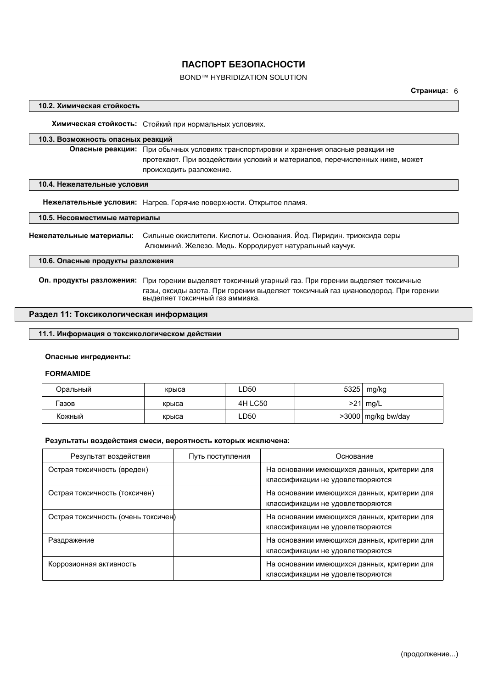### BOND™ HYBRIDIZATION SOLUTION

| 10.3. Возможность опасных реакций<br>Опасные реакции: При обычных условиях транспортировки и хранения опасные реакции не<br>протекают. При воздействии условий и материалов, перечисленных ниже, может<br>происходить разложение.<br>10.4. Нежелательные условия<br>Нежелательные условия: Нагрев. Горячие поверхности. Открытое пламя.<br>10.5. Несовместимые материалы<br>Сильные окислители. Кислоты. Основания. Йод. Пиридин. триоксида серы<br>Нежелательные материалы:<br>Алюминий. Железо. Медь. Корродирует натуральный каучук.<br>10.6. Опасные продукты разложения<br>Оп. продукты разложения:<br>При горении выделяет токсичный угарный газ. При горении выделяет токсичные<br>газы, оксиды азота. При горении выделяет токсичный газ циановодород. При горении<br>выделяет токсичный газ аммиака. |  | Химическая стойкость: Стойкий при нормальных условиях. |  |  |
|---------------------------------------------------------------------------------------------------------------------------------------------------------------------------------------------------------------------------------------------------------------------------------------------------------------------------------------------------------------------------------------------------------------------------------------------------------------------------------------------------------------------------------------------------------------------------------------------------------------------------------------------------------------------------------------------------------------------------------------------------------------------------------------------------------------|--|--------------------------------------------------------|--|--|
|                                                                                                                                                                                                                                                                                                                                                                                                                                                                                                                                                                                                                                                                                                                                                                                                               |  |                                                        |  |  |
|                                                                                                                                                                                                                                                                                                                                                                                                                                                                                                                                                                                                                                                                                                                                                                                                               |  |                                                        |  |  |
|                                                                                                                                                                                                                                                                                                                                                                                                                                                                                                                                                                                                                                                                                                                                                                                                               |  |                                                        |  |  |
|                                                                                                                                                                                                                                                                                                                                                                                                                                                                                                                                                                                                                                                                                                                                                                                                               |  |                                                        |  |  |
|                                                                                                                                                                                                                                                                                                                                                                                                                                                                                                                                                                                                                                                                                                                                                                                                               |  |                                                        |  |  |
|                                                                                                                                                                                                                                                                                                                                                                                                                                                                                                                                                                                                                                                                                                                                                                                                               |  |                                                        |  |  |
|                                                                                                                                                                                                                                                                                                                                                                                                                                                                                                                                                                                                                                                                                                                                                                                                               |  |                                                        |  |  |
|                                                                                                                                                                                                                                                                                                                                                                                                                                                                                                                                                                                                                                                                                                                                                                                                               |  |                                                        |  |  |
|                                                                                                                                                                                                                                                                                                                                                                                                                                                                                                                                                                                                                                                                                                                                                                                                               |  |                                                        |  |  |
|                                                                                                                                                                                                                                                                                                                                                                                                                                                                                                                                                                                                                                                                                                                                                                                                               |  |                                                        |  |  |

### **Раздел 11: Токсикологическая информация**

### **11.1. Информация о токсикологическом действии**

### **Опасные ингредиенты:**

**10.2. Химическая стойкость**

#### **FORMAMIDE**

| Оральный | крыса | LD50    | 5325 | mg/kg              |
|----------|-------|---------|------|--------------------|
| -азов    | крыса | 4H LC50 |      | $>21$ mg/L         |
| Кожный   | крыса | ∟D50    |      | >3000 mg/kg bw/day |

### **Результаты воздействия смеси, вероятность которых исключена:**

| Результат воздействия               | Путь поступления | Основание                                                                       |
|-------------------------------------|------------------|---------------------------------------------------------------------------------|
| Острая токсичность (вреден)         |                  | На основании имеющихся данных, критерии для<br>классификации не удовлетворяются |
| Острая токсичность (токсичен)       |                  | На основании имеющихся данных, критерии для<br>классификации не удовлетворяются |
| Острая токсичность (очень токсичен) |                  | На основании имеющихся данных, критерии для<br>классификации не удовлетворяются |
| Раздражение                         |                  | На основании имеющихся данных, критерии для<br>классификации не удовлетворяются |
| Коррозионная активность             |                  | На основании имеющихся данных, критерии для<br>классификации не удовлетворяются |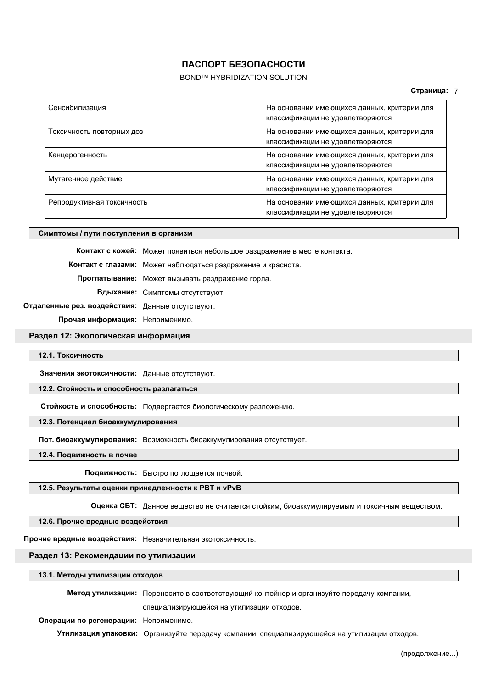### BOND™ HYBRIDIZATION SOLUTION

#### **Страница:** 7

| Сенсибилизация             | На основании имеющихся данных, критерии для                                     |
|----------------------------|---------------------------------------------------------------------------------|
|                            | классификации не удовлетворяются                                                |
| Токсичность повторных доз  | На основании имеющихся данных, критерии для<br>классификации не удовлетворяются |
| Канцерогенность            | На основании имеющихся данных, критерии для<br>классификации не удовлетворяются |
| Мутагенное действие        | На основании имеющихся данных, критерии для<br>классификации не удовлетворяются |
| Репродуктивная токсичность | На основании имеющихся данных, критерии для<br>классификации не удовлетворяются |

#### **Симптомы / пути поступления в организм**

**Контакт с кожей:** Может появиться небольшое раздражение в месте контакта.

**Контакт с глазами:** Может наблюдаться раздражение и краснота.

**Проглатывание:** Может вызывать раздражение горла.

**Вдыхание:** Симптомы отсутствуют.

**Отдаленные рез. воздействия:** Данные отсутствуют.

**Прочая информация:** Неприменимо.

### **Раздел 12: Экологическая информация**

#### **12.1. Токсичность**

**Значения экотоксичности:** Данные отсутствуют.

**12.2. Стойкость и способность разлагаться**

**Стойкость и способность:** Подвергается биологическому разложению.

#### **12.3. Потенциал биоаккумулирования**

**Пот. биоаккумулирования:** Возможность биоаккумулирования отсутствует.

**12.4. Подвижность в почве**

**Подвижность:** Быстро поглощается почвой.

### **12.5. Результаты оценки принадлежности к PBT и vPvB**

**Оценка СБТ:** Данное вещество не считается стойким, биоаккумулируемым и токсичным веществом.

#### **12.6. Прочие вредные воздействия**

**Прочие вредные воздействия:** Незначительная экотоксичность.

#### **Раздел 13: Рекомендации по утилизации**

#### **13.1. Методы утилизации отходов**

|                                       | Метод утилизации: Перенесите в соответствующий контейнер и организуйте передачу компании,     |  |  |
|---------------------------------------|-----------------------------------------------------------------------------------------------|--|--|
|                                       | специализирующейся на утилизации отходов.                                                     |  |  |
| Операции по регенерации: Неприменимо. |                                                                                               |  |  |
|                                       | Утилизация упаковки: Организуйте передачу компании, специализирующейся на утилизации отходов. |  |  |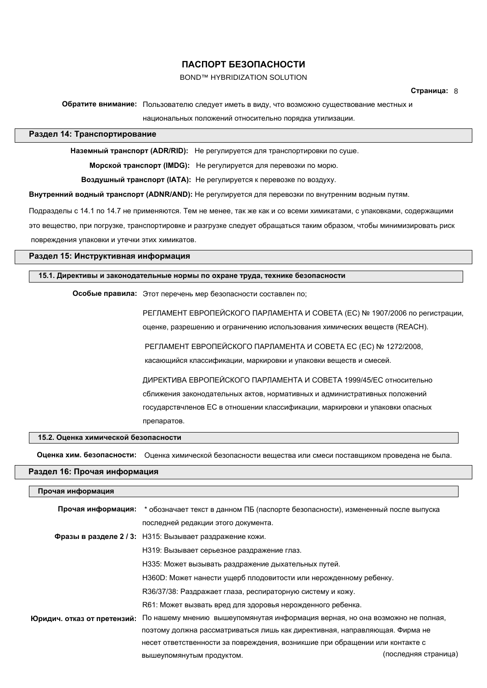### BOND™ HYBRIDIZATION SOLUTION

**Страница:** 8

# **Обратите внимание:** Пользователю следует иметь в виду, что возможно существование местных и

национальных положений относительно порядка утилизации.

#### **Раздел 14: Транспортирование**

**Наземный транспорт (ADR/RID):** Не регулируется для транспортировки по суше.

**Морской транспорт (IMDG):** Не регулируется для перевозки по морю.

**Воздушный транспорт (IATA):** Не регулируется к перевозке по воздуху.

**Внутренний водный транспорт (ADNR/AND):** Не регулируется для перевозки по внутренним водным путям.

Подразделы с 14.1 по 14.7 не применяются. Тем не менее, так же как и со всеми химикатами, с упаковками, содержащими это вещество, при погрузке, транспортировке и разгрузке следует обращаться таким образом, чтобы минимизировать риск повреждения упаковки и утечки этих химикатов.

### **Раздел 15: Инструктивная информация**

### **15.1. Директивы и законодательные нормы по охране труда, технике безопасности**

**Особые правила:** Этот перечень мер безопасности составлен по;

РЕГЛАМЕНТ ЕВРОПЕЙСКОГО ПАРЛАМЕНТА И СОВЕТА (ЕС) № 1907/2006 по регистрации, оценке, разрешению и ограничению использования химических веществ (REACH).

РЕГЛАМЕНТ ЕВРОПЕЙСКОГО ПАРЛАМЕНТА И СОВЕТА ЕС (ЕС) № 1272/2008,

касающийся классификации, маркировки и упаковки веществ и смесей.

ДИРЕКТИВА ЕВРОПЕЙСКОГО ПАРЛАМЕНТА И СОВЕТА 1999/45/EC относительно сближения законодательных актов, нормативных и административных положений государствчленов ЕС в отношении классификации, маркировки и упаковки опасных препаратов.

#### **15.2. Оценка химической безопасности**

**Оценка хим. безопасности:** Оценка химической безопасности вещества или смеси поставщиком проведена не была.

### **Раздел 16: Прочая информация**

#### **Прочая информация**

|                             | Прочая информация: * обозначает текст в данном ПБ (паспорте безопасности), измененный после выпуска |                      |
|-----------------------------|-----------------------------------------------------------------------------------------------------|----------------------|
|                             | последней редакции этого документа.                                                                 |                      |
|                             | Фразы в разделе 2 / 3: Н315: Вызывает раздражение кожи.                                             |                      |
|                             | НЗ19: Вызывает серьезное раздражение глаз.                                                          |                      |
|                             | НЗЗ5: Может вызывать раздражение дыхательных путей.                                                 |                      |
|                             | НЗ60D: Может нанести ущерб плодовитости или нерожденному ребенку.                                   |                      |
|                             | R36/37/38: Раздражает глаза, респираторную систему и кожу.                                          |                      |
|                             | R61: Может вызвать вред для здоровья нерожденного ребенка.                                          |                      |
| Юридич. отказ от претензий: | По нашему мнению вышеупомянутая информация верная, но она возможно не полная,                       |                      |
|                             | поэтому должна рассматриваться лишь как директивная, направляющая. Фирма не                         |                      |
|                             | несет ответственности за повреждения, возникшие при обращении или контакте с                        |                      |
|                             | вышеупомянутым продуктом.                                                                           | (последняя страница) |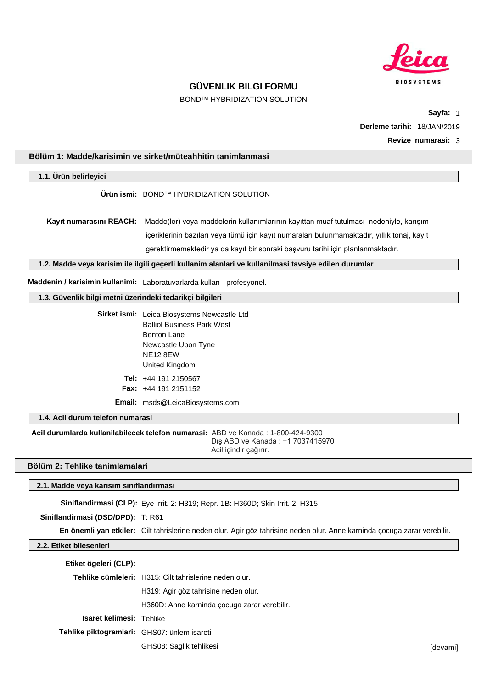

BOND™ HYBRIDIZATION SOLUTION

**Sayfa:** 1 **Derleme tarihi:** 18/JAN/2019 **Revize numarasi:** 3

### **Bölüm 1: Madde/karisimin ve sirket/müteahhitin tanimlanmasi**

#### **1.1. Ürün belirleyici**

**Ürün ismi:** BOND™ HYBRIDIZATION SOLUTION

**Kayıt numarasını REACH:** Madde(ler) veya maddelerin kullanımlarının kayıttan muaf tutulması nedeniyle, karışım içeriklerinin bazıları veya tümü için kayıt numaraları bulunmamaktadır, yıllık tonaj, kayıt gerektirmemektedir ya da kayıt bir sonraki başvuru tarihi için planlanmaktadır.

**1.2. Madde veya karisim ile ilgili geçerli kullanim alanlari ve kullanilmasi tavsiye edilen durumlar**

**Maddenin / karisimin kullanimi:** Laboratuvarlarda kullan - profesyonel.

**1.3. Güvenlik bilgi metni üzerindeki tedarikçi bilgileri**

**Sirket ismi:** Leica Biosystems Newcastle Ltd Balliol Business Park West Benton Lane Newcastle Upon Tyne NE12 8EW United Kingdom **Tel:** +44 191 2150567 **Fax:** +44 191 2151152

**Email:** msds@LeicaBiosystems.com

**1.4. Acil durum telefon numarasi**

**Acil durumlarda kullanilabilecek telefon numarasi:** ABD ve Kanada : 1-800-424-9300 Dış ABD ve Kanada : +1 7037415970 Acil içindir çağırır.

#### **Bölüm 2: Tehlike tanimlamalari**

#### **2.1. Madde veya karisim siniflandirmasi**

**Siniflandirmasi (CLP):** Eye Irrit. 2: H319; Repr. 1B: H360D; Skin Irrit. 2: H315

**Siniflandirmasi (DSD/DPD):** T: R61

**En önemli yan etkiler:** Cilt tahrislerine neden olur. Agir göz tahrisine neden olur. Anne karninda çocuga zarar verebilir.

### **2.2. Etiket bilesenleri**

| Etiket ögeleri (CLP):                       |                                                        |          |
|---------------------------------------------|--------------------------------------------------------|----------|
|                                             | Tehlike cümleleri: H315: Cilt tahrislerine neden olur. |          |
|                                             | H319: Agir göz tahrisine neden olur.                   |          |
|                                             | H360D: Anne karninda çocuga zarar verebilir.           |          |
| <b>Isaret kelimesi: Tehlike</b>             |                                                        |          |
| Tehlike piktogramlari: GHS07: ünlem isareti |                                                        |          |
|                                             | GHS08: Saglik tehlikesi                                | [devami] |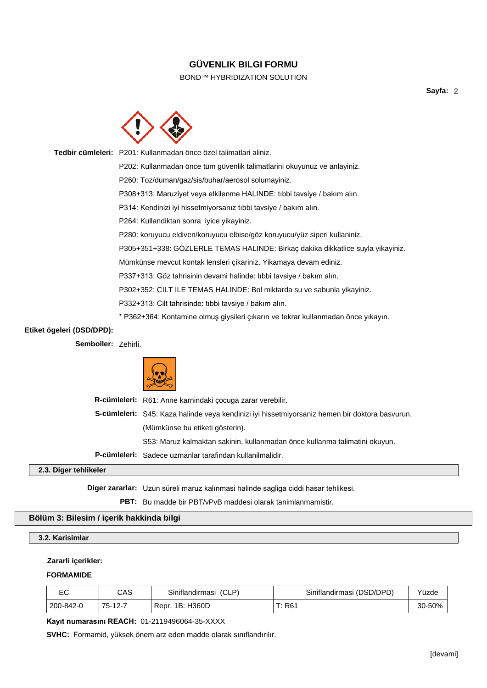### BOND™ HYBRIDIZATION SOLUTION

**Sayfa:** 2



|                    | Tedbir cümleleri: P201: Kullanmadan önce özel talimatlari aliniz.                 |
|--------------------|-----------------------------------------------------------------------------------|
|                    | P202: Kullanmadan önce tüm güvenlik talimatlarini okuyunuz ve anlayiniz.          |
|                    | P260: Toz/duman/gaz/sis/buhar/aerosol solumayiniz.                                |
|                    | P308+313: Maruziyet veya etkilenme HALINDE: tibbi tavsiye / bakım alın.           |
|                    | P314: Kendinizi iyi hissetmiyorsanız tıbbi tavsiye / bakım alın.                  |
|                    | P264: Kullandiktan sonra iyice yikayiniz.                                         |
|                    | P280: koruyucu eldiven/koruyucu elbise/göz koruyucu/yüz siperi kullaniniz.        |
|                    | P305+351+338: GÖZLERLE TEMAS HALINDE: Birkaç dakika dikkatlice suyla yikayiniz.   |
|                    | Mümkünse mevcut kontak lensleri çikariniz. Yikamaya devam ediniz.                 |
|                    | P337+313: Göz tahrisinin devami halinde: tibbi tavsiye / bakım alın.              |
|                    | P302+352: CILT ILE TEMAS HALINDE: Bol miktarda su ve sabunla yikayiniz.           |
|                    | P332+313: Cilt tahrisinde: tibbi tavsiye / bakım alın.                            |
|                    | * P362+364: Kontamine olmuş giysileri çıkarın ve tekrar kullanmadan önce yıkayın. |
| ögeleri (DSD/DPD): |                                                                                   |
| Semboller: Zehirli |                                                                                   |

## **Etiket** ö

**Semboller:** Zehirli.



| R-cümleleri: R61: Anne karnindaki çocuga zarar verebilir.                                             |  |  |
|-------------------------------------------------------------------------------------------------------|--|--|
| <b>S-cümleleri:</b> S45: Kaza halinde veya kendinizi iyi hissetmiyorsaniz hemen bir doktora basvurun. |  |  |
| (Mümkünse bu etiketi gösterin).                                                                       |  |  |
| S53: Maruz kalmaktan sakinin, kullanmadan önce kullanma talimatini okuyun.                            |  |  |
| <b>P-cümleleri:</b> Sadece uzmanlar tarafindan kullanilmalidir.                                       |  |  |
|                                                                                                       |  |  |

### **2.3. Diger tehlikeler**

**Diger zararlar:** Uzun süreli maruz kalınmasi halinde sagliga ciddi hasar tehlikesi.

**PBT:** Bu madde bir PBT/vPvB maddesi olarak tanimlanmamistir.

### **Bölüm 3: Bilesim / içerik hakkinda bilgi**

### **3.2. Karisimlar**

### **Zararli içerikler:**

### **FORMAMIDE**

|           | CAS     | Siniflandirmasi<br>, (CLP) | Siniflandirmasi (DSD/DPD) | Yüzde  |
|-----------|---------|----------------------------|---------------------------|--------|
| 200-842-0 | 75-12-7 | Repr. 1B: H360D            | i: R61                    | 30-50% |

**Kayıt numarasını REACH:** 01-2119496064-35-XXXX

**SVHC:** Formamid, yüksek önem arz eden madde olarak sınıflandırılır.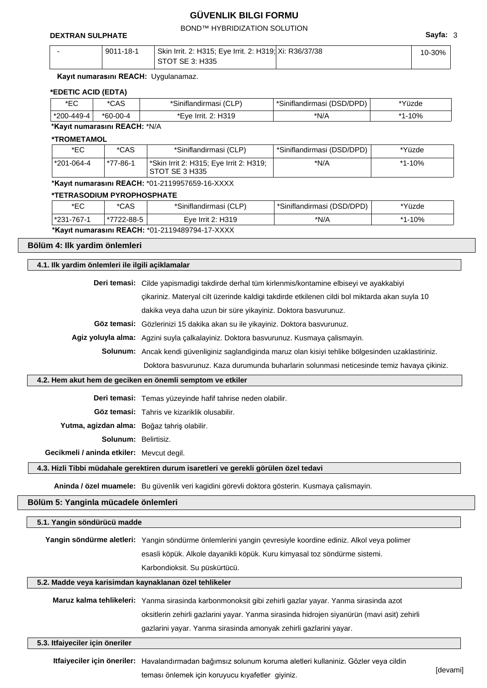BOND™ HYBRIDIZATION SOLUTION

**DEXTRAN SULPHATE Sayfa:** 3

| 9011-18-1 | Skin Irrit. 2: H315; Eye Irrit. 2: H319; Xi: R36/37/38 | 10-30% |
|-----------|--------------------------------------------------------|--------|
|           | ' STOT SE 3: H335                                      |        |

#### **Kayıt numarasını REACH:** Uygulanamaz.

#### **\*EDETIC ACID (EDTA)**

| *EC          | $* \cap \wedge \cap$<br>UMU | (CLP)<br>Siniflandirmasi                         | (DSD/DPD)<br>niflandirmasi | *Yüzde     |
|--------------|-----------------------------|--------------------------------------------------|----------------------------|------------|
| $*200-449-4$ | *60-00-4                    | H <sub>3</sub> 19<br>'Hve<br>≅Irrit.<br><u>_</u> | *N/A                       | 10%<br>* 4 |

### **\*Kayıt numarasını REACH:** \*N/A

**\*TROMETAMOL**

| *EC        | *CAS     | *Siniflandirmasi (CLP)                                                 | *Siniflandirmasi (DSD/DPD) | *Yüzde |
|------------|----------|------------------------------------------------------------------------|----------------------------|--------|
| *201-064-4 | *77-86-1 | <sup>1</sup> *Skin Irrit 2: H315; Eye Irrit 2: H319;<br>STOT SE 3 H335 | *N/A                       | *1-10% |

**\*Kayıt numarasını REACH:** \*01-2119957659-16-XXXX

#### **\*TETRASODIUM PYROPHOSPHATE**

| *EC                                                    | *CAS       | *Siniflandirmasi (CLP) | *Siniflandirmasi (DSD/DPD) | *Yüzde |
|--------------------------------------------------------|------------|------------------------|----------------------------|--------|
| l *231-767-1                                           | *7722-88-5 | Eve Irrit 2: H319      | *N/A                       | *1-10% |
| <b>*Kayıt numarasını REACH: *01-2119489794-17-XXXX</b> |            |                        |                            |        |

### **Bölüm 4: Ilk yardim önlemleri**

#### **4.1. Ilk yardim önlemleri ile ilgili açiklamalar**

**Deri temasi:** Cilde yapismadigi takdirde derhal tüm kirlenmis/kontamine elbiseyi ve ayakkabiyi

çikariniz. Materyal cilt üzerinde kaldigi takdirde etkilenen cildi bol miktarda akan suyla 10

dakika veya daha uzun bir süre yikayiniz. Doktora basvurunuz.

**Göz temasi:** Gözlerinizi 15 dakika akan su ile yikayiniz. Doktora basvurunuz.

**Agiz yoluyla alma:** Agzini suyla çalkalayiniz. Doktora basvurunuz. Kusmaya çalismayin.

**Solunum:** Ancak kendi güvenliginiz saglandiginda maruz olan kisiyi tehlike bölgesinden uzaklastiriniz.

Doktora basvurunuz. Kaza durumunda buharlarin solunmasi neticesinde temiz havaya çikiniz.

### **4.2. Hem akut hem de geciken en önemli semptom ve etkiler**

**Deri temasi:** Temas yüzeyinde hafif tahrise neden olabilir.

**Göz temasi:** Tahris ve kizariklik olusabilir.

**Yutma, agizdan alma:** Boğaz tahriş olabilir.

**Solunum:** Belirtisiz.

**Gecikmeli / aninda etkiler:** Mevcut degil.

**4.3. Hizli Tibbi müdahale gerektiren durum isaretleri ve gerekli görülen özel tedavi**

**Aninda / özel muamele:** Bu güvenlik veri kagidini görevli doktora gösterin. Kusmaya çalismayin.

### **Bölüm 5: Yanginla mücadele önlemleri**

| 5.1. Yangin söndürücü madde                            |                                                                                                             |          |
|--------------------------------------------------------|-------------------------------------------------------------------------------------------------------------|----------|
|                                                        | Yangin söndürme aletleri: Yangin söndürme önlemlerini yangin çevresiyle koordine ediniz. Alkol veya polimer |          |
|                                                        | esasli köpük. Alkole dayanikli köpük. Kuru kimyasal toz söndürme sistemi.                                   |          |
|                                                        | Karbondioksit. Su püskürtücü.                                                                               |          |
| 5.2. Madde veya karisimdan kaynaklanan özel tehlikeler |                                                                                                             |          |
|                                                        | Maruz kalma tehlikeleri: Yanma sirasinda karbonmonoksit gibi zehirli gazlar yayar. Yanma sirasinda azot     |          |
|                                                        | oksitlerin zehirli gazlarini yayar. Yanma sirasinda hidrojen siyanürün (mavi asit) zehirli                  |          |
|                                                        | gazlarini yayar. Yanma sirasinda amonyak zehirli gazlarini yayar.                                           |          |
| 5.3. Itfaiyeciler için öneriler                        |                                                                                                             |          |
|                                                        | Itfaiyeciler için öneriler: Havalandırmadan bağımsız solunum koruma aletleri kullaniniz. Gözler veya cildin | [devami] |
|                                                        | teması önlemek için koruyucu kıyafetler giyiniz.                                                            |          |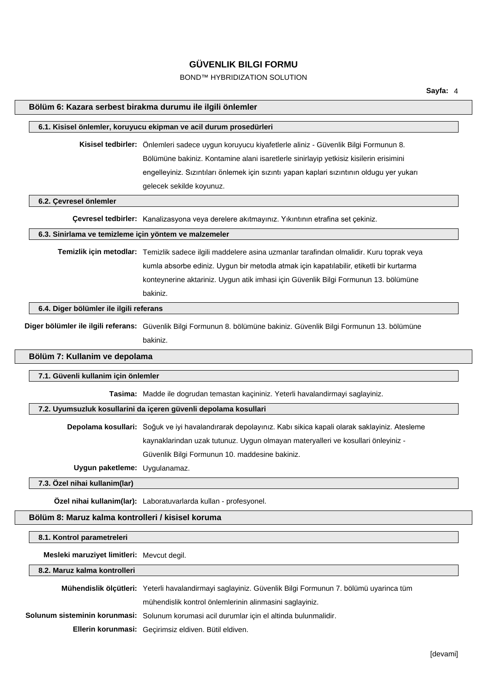## BOND™ HYBRIDIZATION SOLUTION

|                                                       | Sayfa: 4                                                                                                              |
|-------------------------------------------------------|-----------------------------------------------------------------------------------------------------------------------|
|                                                       | Bölüm 6: Kazara serbest birakma durumu ile ilgili önlemler                                                            |
|                                                       | 6.1. Kisisel önlemler, koruyucu ekipman ve acil durum prosedürleri                                                    |
|                                                       | Kisisel tedbirler: Önlemleri sadece uygun koruyucu kiyafetlerle aliniz - Güvenlik Bilgi Formunun 8.                   |
|                                                       | Bölümüne bakiniz. Kontamine alani isaretlerle sinirlayip yetkisiz kisilerin erisimini                                 |
|                                                       | engelleyiniz. Sızıntıları önlemek için sızıntı yapan kaplari sızıntının oldugu yer yukarı                             |
|                                                       | gelecek sekilde koyunuz.                                                                                              |
| 6.2. Çevresel önlemler                                |                                                                                                                       |
|                                                       | Çevresel tedbirler: Kanalizasyona veya derelere akıtmayınız. Yıkıntının etrafina set çekiniz.                         |
| 6.3. Sinirlama ve temizleme için yöntem ve malzemeler |                                                                                                                       |
|                                                       | Temizlik için metodlar: Temizlik sadece ilgili maddelere asina uzmanlar tarafindan olmalidir. Kuru toprak veya        |
|                                                       | kumla absorbe ediniz. Uygun bir metodla atmak için kapatılabilir, etiketli bir kurtarma                               |
|                                                       | konteynerine aktariniz. Uygun atik imhasi için Güvenlik Bilgi Formunun 13. bölümüne                                   |
|                                                       | bakiniz.                                                                                                              |
| 6.4. Diger bölümler ile ilgili referans               |                                                                                                                       |
|                                                       | Diger bölümler ile ilgili referans: Güvenlik Bilgi Formunun 8. bölümüne bakiniz. Güvenlik Bilgi Formunun 13. bölümüne |
|                                                       | bakiniz.                                                                                                              |
| Bölüm 7: Kullanim ve depolama                         |                                                                                                                       |
| 7.1. Güvenli kullanim için önlemler                   |                                                                                                                       |
|                                                       | Tasima: Madde ile dogrudan temastan kaçininiz. Yeterli havalandirmayi saglayiniz.                                     |
|                                                       | 7.2. Uyumsuzluk kosullarini da içeren güvenli depolama kosullari                                                      |
|                                                       | Depolama kosullari: Soğuk ve iyi havalandırarak depolayınız. Kabı sikica kapali olarak saklayiniz. Atesleme           |
|                                                       | kaynaklarindan uzak tutunuz. Uygun olmayan materyalleri ve kosullari önleyiniz -                                      |
|                                                       | Güvenlik Bilgi Formunun 10. maddesine bakiniz.                                                                        |
| Uygun paketleme: Uygulanamaz.                         |                                                                                                                       |
| 7.3. Özel nihai kullanim(lar)                         |                                                                                                                       |
|                                                       | Özel nihai kullanim(lar): Laboratuvarlarda kullan - profesyonel.                                                      |
| Bölüm 8: Maruz kalma kontrolleri / kisisel koruma     |                                                                                                                       |
| 8.1. Kontrol parametreleri                            |                                                                                                                       |
| Mesleki maruziyet limitleri: Mevcut degil.            |                                                                                                                       |
| 8.2. Maruz kalma kontrolleri                          |                                                                                                                       |
|                                                       | Mühendislik ölçütleri: Yeterli havalandirmayi saglayiniz. Güvenlik Bilgi Formunun 7. bölümü uyarinca tüm              |
|                                                       | mühendislik kontrol önlemlerinin alinmasini saglayiniz.                                                               |
|                                                       | Solunum sisteminin korunmasi: Solunum korumasi acil durumlar için el altinda bulunmalidir.                            |
|                                                       | Ellerin korunmasi: Geçirimsiz eldiven. Bütil eldiven.                                                                 |
|                                                       |                                                                                                                       |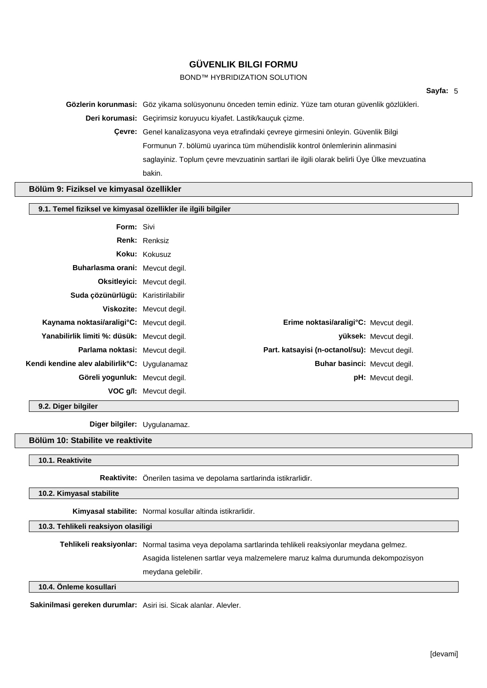### BOND™ HYBRIDIZATION SOLUTION

**Sayfa:** 5

**Gözlerin korunmasi:** Göz yikama solüsyonunu önceden temin ediniz. Yüze tam oturan güvenlik gözlükleri.

**Deri korumasi:** Geçirimsiz koruyucu kiyafet. Lastik/kauçuk çizme.

**Çevre:** Genel kanalizasyona veya etrafindaki çevreye girmesini önleyin. Güvenlik Bilgi Formunun 7. bölümü uyarinca tüm mühendislik kontrol önlemlerinin alinmasini saglayiniz. Toplum çevre mevzuatinin sartlari ile ilgili olarak belirli Üye Ülke mevzuatina bakin.

### **Bölüm 9: Fiziksel ve kimyasal özellikler**

#### **9.1. Temel fiziksel ve kimyasal özellikler ile ilgili bilgiler**

| <b>Form: Sivi</b>                                          |                            |                                               |                          |
|------------------------------------------------------------|----------------------------|-----------------------------------------------|--------------------------|
|                                                            | <b>Renk: Renksiz</b>       |                                               |                          |
|                                                            | Koku: Kokusuz              |                                               |                          |
| Buharlasma orani: Mevcut degil.                            |                            |                                               |                          |
|                                                            | Oksitleyici: Mevcut degil. |                                               |                          |
| Suda çözünürlügü: Karistirilabilir                         |                            |                                               |                          |
|                                                            | Viskozite: Mevcut degil.   |                                               |                          |
| Kaynama noktasi/araligi°C: Mevcut degil.                   |                            | Erime noktasi/araligi°C: Mevcut degil.        |                          |
| Yanabilirlik limiti %: düsük: Meycut degil.                |                            |                                               | yüksek: Mevcut degil.    |
| Parlama noktasi: Mevcut degil.                             |                            | Part. katsayisi (n-octanol/su): Mevcut degil. |                          |
| Kendi kendine alev alabilirlik <sup>o</sup> C: Uygulanamaz |                            | <b>Buhar basinci: Mevcut degil.</b>           |                          |
| Göreli yogunluk: Mevcut degil.                             |                            |                                               | <b>pH:</b> Mevcut degil. |
|                                                            | VOC g/I: Mevcut degil.     |                                               |                          |

**9.2. Diger bilgiler**

**Diger bilgiler:** Uygulanamaz.

#### **Bölüm 10: Stabilite ve reaktivite**

**10.1. Reaktivite**

**Reaktivite:** Önerilen tasima ve depolama sartlarinda istikrarlidir.

**10.2. Kimyasal stabilite**

**Kimyasal stabilite:** Normal kosullar altinda istikrarlidir.

**10.3. Tehlikeli reaksiyon olasiligi**

**Tehlikeli reaksiyonlar:** Normal tasima veya depolama sartlarinda tehlikeli reaksiyonlar meydana gelmez.

Asagida listelenen sartlar veya malzemelere maruz kalma durumunda dekompozisyon meydana gelebilir.

### **10.4. Önleme kosullari**

**Sakinilmasi gereken durumlar:** Asiri isi. Sicak alanlar. Alevler.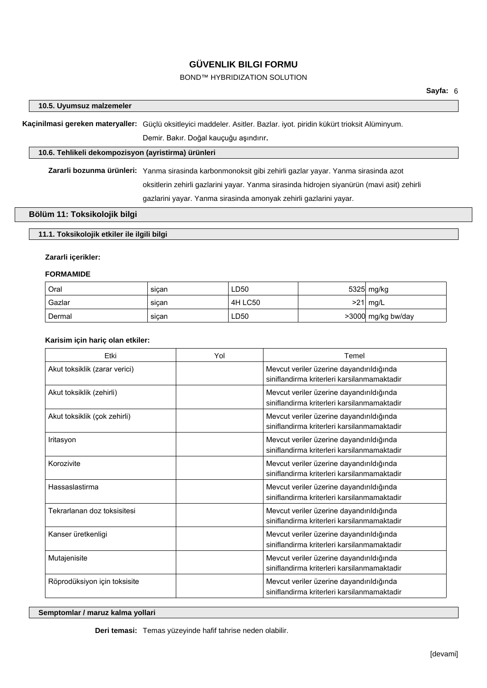### BOND™ HYBRIDIZATION SOLUTION

#### **10.5. Uyumsuz malzemeler**

**Kaçinilmasi gereken materyaller:** Güçlü oksitleyici maddeler. Asitler. Bazlar. iyot. piridin kükürt trioksit Alüminyum. Demir. Bakır. Doğal kauçuğu aşındırır.

### **10.6. Tehlikeli dekompozisyon (ayristirma) ürünleri**

**Zararli bozunma ürünleri:** Yanma sirasinda karbonmonoksit gibi zehirli gazlar yayar. Yanma sirasinda azot oksitlerin zehirli gazlarini yayar. Yanma sirasinda hidrojen siyanürün (mavi asit) zehirli gazlarini yayar. Yanma sirasinda amonyak zehirli gazlarini yayar.

### **Bölüm 11: Toksikolojik bilgi**

### **11.1. Toksikolojik etkiler ile ilgili bilgi**

### **Zararli içerikler:**

### **FORMAMIDE**

| Oral   | sican | LD50    | 5325 mg/kg         |
|--------|-------|---------|--------------------|
| Gazlar | sican | 4H LC50 | $>21$ mg/L         |
| Dermal | siçan | LD50    | >3000 mg/kg bw/day |

### **Karisim için hariç olan etkiler:**

| Etki                          | Yol | Temel                                                                                   |
|-------------------------------|-----|-----------------------------------------------------------------------------------------|
| Akut toksiklik (zarar verici) |     | Mevcut veriler üzerine dayandırıldığında<br>siniflandirma kriterleri karsilanmamaktadir |
| Akut toksiklik (zehirli)      |     | Mevcut veriler üzerine dayandırıldığında<br>siniflandirma kriterleri karsilanmamaktadir |
| Akut toksiklik (çok zehirli)  |     | Mevcut veriler üzerine dayandırıldığında<br>siniflandirma kriterleri karsilanmamaktadir |
| Iritasyon                     |     | Mevcut veriler üzerine dayandırıldığında<br>siniflandirma kriterleri karsilanmamaktadir |
| Korozivite                    |     | Mevcut veriler üzerine dayandırıldığında<br>siniflandirma kriterleri karsilanmamaktadir |
| Hassaslastirma                |     | Mevcut veriler üzerine dayandırıldığında<br>siniflandirma kriterleri karsilanmamaktadir |
| Tekrarlanan doz toksisitesi   |     | Mevcut veriler üzerine dayandırıldığında<br>siniflandirma kriterleri karsilanmamaktadir |
| Kanser üretkenligi            |     | Mevcut veriler üzerine dayandırıldığında<br>siniflandirma kriterleri karsilanmamaktadir |
| Mutajenisite                  |     | Mevcut veriler üzerine dayandırıldığında<br>siniflandirma kriterleri karsilanmamaktadir |
| Röprodüksiyon için toksisite  |     | Mevcut veriler üzerine dayandırıldığında<br>siniflandirma kriterleri karsilanmamaktadir |

**Semptomlar / maruz kalma yollari**

**Deri temasi:** Temas yüzeyinde hafif tahrise neden olabilir.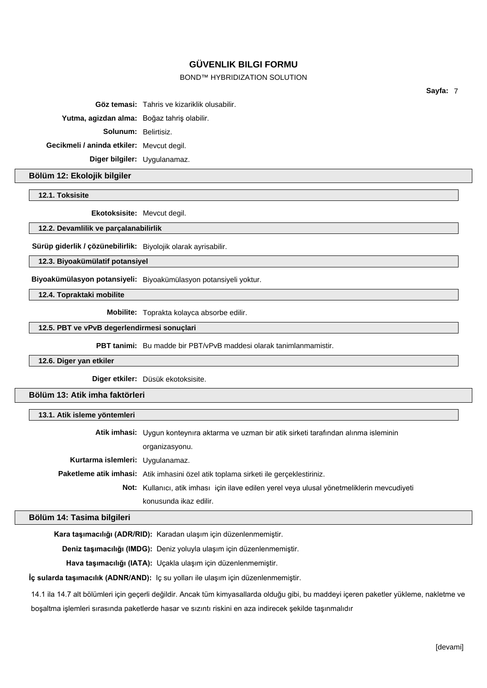### BOND™ HYBRIDIZATION SOLUTION

**Göz temasi:** Tahris ve kizariklik olusabilir. **Yutma, agizdan alma:** Boğaz tahriş olabilir. **Solunum:** Belirtisiz. **Gecikmeli / aninda etkiler:** Mevcut degil. **Diger bilgiler:** Uygulanamaz.

### **Bölüm 12: Ekolojik bilgiler**

**12.1. Toksisite**

**Ekotoksisite:** Mevcut degil.

**12.2. Devamlilik ve parçalanabilirlik**

**Sürüp giderlik / çözünebilirlik:** Biyolojik olarak ayrisabilir.

**12.3. Biyoakümülatif potansiyel**

**Biyoakümülasyon potansiyeli:** Biyoakümülasyon potansiyeli yoktur.

**12.4. Topraktaki mobilite**

**Mobilite:** Toprakta kolayca absorbe edilir.

### **12.5. PBT ve vPvB degerlendirmesi sonuçlari**

**PBT tanimi:** Bu madde bir PBT/vPvB maddesi olarak tanimlanmamistir.

#### **12.6. Diger yan etkiler**

**Diger etkiler:** Düsük ekotoksisite.

### **Bölüm 13: Atik imha faktörleri**

#### **13.1. Atik isleme yöntemleri**

|                                  | Atik imhasi: Uygun konteynıra aktarma ve uzman bir atik sirketi tarafından alınma isleminin |  |
|----------------------------------|---------------------------------------------------------------------------------------------|--|
|                                  | organizasyonu.                                                                              |  |
| Kurtarma islemleri: Uygulanamaz. |                                                                                             |  |
|                                  | Paketleme atik imhasi: Atik imhasini özel atik toplama sirketi ile gerceklestiriniz.        |  |
|                                  | Not: Kullanıcı, atik imhası için ilave edilen yerel veya ulusal yönetmeliklerin mevcudiyeti |  |
|                                  | konusunda ikaz edilir.                                                                      |  |

#### **Bölüm 14: Tasima bilgileri**

**Kara taşımacılığı (ADR/RID):** Karadan ulaşım için düzenlenmemiştir.

**Deniz taşımacılığı (IMDG):** Deniz yoluyla ulaşım için düzenlenmemiştir.

**Hava taşımacılığı (IATA):** Uçakla ulaşım için düzenlenmemiştir.

**İç sularda taşımacılık (ADNR/AND):** Iç su yolları ile ulaşım için düzenlenmemiştir.

14.1 ila 14.7 alt bölümleri için geçerli değildir. Ancak tüm kimyasallarda olduğu gibi, bu maddeyi içeren paketler yükleme, nakletme ve

boşaltma işlemleri sırasında paketlerde hasar ve sızıntı riskini en aza indirecek şekilde taşınmalıdır

**Sayfa:** 7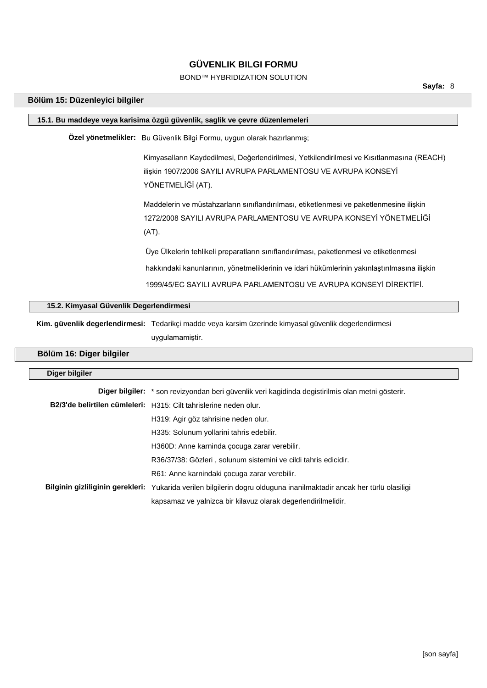### BOND™ HYBRIDIZATION SOLUTION

### **Bölüm 15: Düzenleyici bilgiler**

### **15.1. Bu maddeye veya karisima özgü güvenlik, saglik ve çevre düzenlemeleri**

**Özel yönetmelikler:** Bu Güvenlik Bilgi Formu, uygun olarak hazırlanmış;

Kimyasalların Kaydedilmesi, Değerlendirilmesi, Yetkilendirilmesi ve Kısıtlanmasına (REACH) ilişkin 1907/2006 SAYILI AVRUPA PARLAMENTOSU VE AVRUPA KONSEYİ YÖNETMELİĞİ (AT).

Maddelerin ve müstahzarların sınıflandırılması, etiketlenmesi ve paketlenmesine ilişkin 1272/2008 SAYILI AVRUPA PARLAMENTOSU VE AVRUPA KONSEYİ YÖNETMELİĞİ (AT).

Üye Ülkelerin tehlikeli preparatların sınıflandırılması, paketlenmesi ve etiketlenmesi hakkındaki kanunlarının, yönetmeliklerinin ve idari hükümlerinin yakınlaştırılmasına ilişkin 1999/45/EC SAYILI AVRUPA PARLAMENTOSU VE AVRUPA KONSEYİ DİREKTİFİ.

### **15.2. Kimyasal Güvenlik Degerlendirmesi**

**Kim. güvenlik degerlendirmesi:** Tedarikçi madde veya karsim üzerinde kimyasal güvenlik degerlendirmesi uygulamamiştir.

### **Bölüm 16: Diger bilgiler**

| Diger bilgiler |                                                                                                                      |
|----------------|----------------------------------------------------------------------------------------------------------------------|
|                | Diger bilgiler: * son revizyondan beri güvenlik veri kagidinda degistirilmis olan metni gösterir.                    |
|                | B2/3'de belirtilen cümleleri: H315: Cilt tahrislerine neden olur.                                                    |
|                | H319: Agir göz tahrisine neden olur.                                                                                 |
|                | H335: Solunum yollarini tahris edebilir.                                                                             |
|                | H360D: Anne karninda cocuga zarar verebilir.                                                                         |
|                | R36/37/38: Gözleri, solunum sistemini ve cildi tahris edicidir.                                                      |
|                | R61: Anne karnindaki cocuga zarar verebilir.                                                                         |
|                | Bilginin gizliliginin gerekleri: Yukarida verilen bilgilerin dogru olduguna inanilmaktadir ancak her türlü olasiligi |
|                | kapsamaz ve yalnizca bir kilavuz olarak degerlendirilmelidir.                                                        |
|                |                                                                                                                      |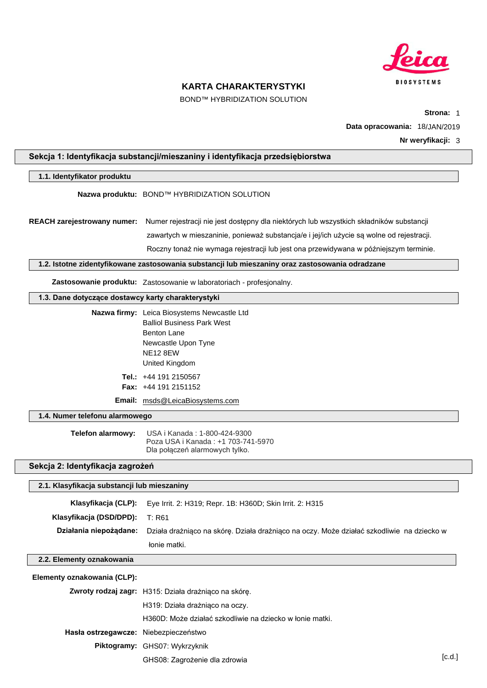

BOND™ HYBRIDIZATION SOLUTION

**Strona:** 1 **Data opracowania:** 18/JAN/2019 **Nr weryfikacji:** 3

### **Sekcja 1: Identyfikacja substancji/mieszaniny i identyfikacja przedsiębiorstwa**

#### **1.1. Identyfikator produktu**

**Nazwa produktu:** BOND™ HYBRIDIZATION SOLUTION

**REACH zarejestrowany numer:** Numer rejestracji nie jest dostępny dla niektórych lub wszystkich składników substancji zawartych w mieszaninie, ponieważ substancja/e i jej/ich użycie są wolne od rejestracji. Roczny tonaż nie wymaga rejestracji lub jest ona przewidywana w późniejszym terminie.

**1.2. Istotne zidentyfikowane zastosowania substancji lub mieszaniny oraz zastosowania odradzane**

**Zastosowanie produktu:** Zastosowanie w laboratoriach - profesjonalny.

#### **1.3. Dane dotyczące dostawcy karty charakterystyki**

| Nazwa firmy: Leica Biosystems Newcastle Ltd |
|---------------------------------------------|
| <b>Balliol Business Park West</b>           |
| <b>Benton Lane</b>                          |
| Newcastle Upon Tyne                         |
| <b>NE12 8EW</b>                             |
| United Kingdom                              |
| Tel.: $+44$ 191 2150567                     |
| <b>Fax:</b> $+44$ 191 2151152               |
|                                             |

**Email:** msds@LeicaBiosystems.com

**1.4. Numer telefonu alarmowego**

| Telefon alarmowy: | USA i Kanada: 1-800-424-9300       |
|-------------------|------------------------------------|
|                   | Poza USA i Kanada: +1 703-741-5970 |
|                   | Dla połączeń alarmowych tylko.     |

### **Sekcja 2: Identyfikacja zagrożeń**

#### **2.1. Klasyfikacja substancji lub mieszaniny**

|                                         | <b>Klasyfikacja (CLP):</b> Eye Irrit. 2: H319; Repr. 1B: H360D; Skin Irrit. 2: H315       |
|-----------------------------------------|-------------------------------------------------------------------------------------------|
| <b>Klasyfikacia (DSD/DPD):</b> $T: R61$ |                                                                                           |
| Działania niepożadane:                  | Działa drażniąco na skórę. Działa drażniąco na oczy. Może działać szkodliwie na dziecko w |
|                                         | łonie matki.                                                                              |

### **2.2. Elementy oznakowania**

#### **Elementy oznakowania (CLP):**

|                                       | Zwroty rodzaj zagr: H315: Działa drażniąco na skórę.     |                     |
|---------------------------------------|----------------------------------------------------------|---------------------|
|                                       | H319: Działa drażniąco na oczy.                          |                     |
|                                       | H360D: Może działać szkodliwie na dziecko w łonie matki. |                     |
| Hasła ostrzegawcze: Niebezpieczeństwo |                                                          |                     |
|                                       | Piktogramy: GHS07: Wykrzyknik                            |                     |
|                                       | GHS08: Zagrożenie dla zdrowia                            | [ <sub>c.d.</sub> ] |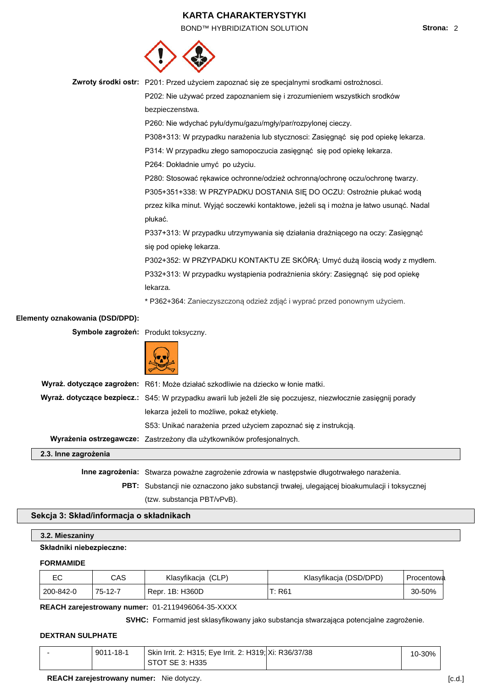BOND™ HYBRIDIZATION SOLUTION **Strona:** 2



|                                      | Zwroty środki ostr: P201: Przed użyciem zapoznać się ze specjalnymi srodkami ostrożnosci.                       |
|--------------------------------------|-----------------------------------------------------------------------------------------------------------------|
|                                      | P202: Nie używać przed zapoznaniem się i zrozumieniem wszystkich srodków                                        |
|                                      | bezpieczenstwa.                                                                                                 |
|                                      | P260: Nie wdychać pyłu/dymu/gazu/mgły/par/rozpylonej cieczy.                                                    |
|                                      | P308+313: W przypadku narażenia lub stycznosci: Zasięgnąć się pod opiekę lekarza.                               |
|                                      | P314: W przypadku złego samopoczucia zasięgnąć się pod opiekę lekarza.                                          |
|                                      | P264: Dokładnie umyć po użyciu.                                                                                 |
|                                      | P280: Stosować rękawice ochronne/odzież ochronną/ochronę oczu/ochronę twarzy.                                   |
|                                      | P305+351+338: W PRZYPADKU DOSTANIA SIĘ DO OCZU: Ostrożnie płukać wodą                                           |
|                                      | przez kilka minut. Wyjąć soczewki kontaktowe, jeżeli są i można je łatwo usunąć. Nadal                          |
|                                      | płukać.                                                                                                         |
|                                      | P337+313: W przypadku utrzymywania się działania drażniącego na oczy: Zasięgnąć                                 |
|                                      | się pod opiekę lekarza.                                                                                         |
|                                      | P302+352: W PRZYPADKU KONTAKTU ZE SKÓRĄ: Umyć dużą iloscią wody z mydłem.                                       |
|                                      | P332+313: W przypadku wystąpienia podrażnienia skóry: Zasięgnąć się pod opiekę                                  |
|                                      | lekarza.                                                                                                        |
|                                      | * P362+364: Zanieczyszczoną odzież zdjąć i wyprać przed ponownym użyciem.                                       |
| Elementy oznakowania (DSD/DPD):      |                                                                                                                 |
| Symbole zagrożeń: Produkt toksyczny. |                                                                                                                 |
|                                      |                                                                                                                 |
|                                      | Wyraż. dotyczące zagrożen: R61: Może działać szkodliwie na dziecko w łonie matki.                               |
|                                      | Wyraż. dotyczące bezpiecz.: S45: W przypadku awarii lub jeżeli źle się poczujesz, niezwłocznie zasięgnij porady |
|                                      | lekarza jeżeli to możliwe, pokaż etykietę.                                                                      |
|                                      | S53: Unikać narażenia przed użyciem zapoznać się z instrukcją.                                                  |
|                                      | Wyrażenia ostrzegawcze: Zastrzeżony dla użytkowników profesjonalnych.                                           |
| 2.3. Inne zagrożenia                 |                                                                                                                 |
|                                      |                                                                                                                 |

**Inne zagrożenia:** Stwarza poważne zagrożenie zdrowia w następstwie długotrwałego narażenia.

**PBT:** Substancji nie oznaczono jako substancji trwałej, ulegającej bioakumulacji i toksycznej (tzw. substancja PBT/vPvB).

### **Sekcja 3: Skład/informacja o składnikach**

### **3.2. Mieszaniny**

#### **Składniki niebezpieczne:**

### **FORMAMIDE**

|           | CAS     | Klasyfikacja (CLP) | Klasyfikacja (DSD/DPD) | <b>Procentowa</b> |
|-----------|---------|--------------------|------------------------|-------------------|
| 200-842-0 | 75-12-7 | Repr. 1B: H360D    | T: R61                 | 30-50%            |

**REACH zarejestrowany numer:** 01-2119496064-35-XXXX

**SVHC:** Formamid jest sklasyfikowany jako substancja stwarzająca potencjalne zagrożenie.

### **DEXTRAN SULPHATE**

| 9011-18-1 | Skin Irrit. 2: H315; Eye Irrit. 2: H319; Xi: R36/37/38 | $10 - 30\%$ |
|-----------|--------------------------------------------------------|-------------|
|           | STOT SE 3: H335                                        |             |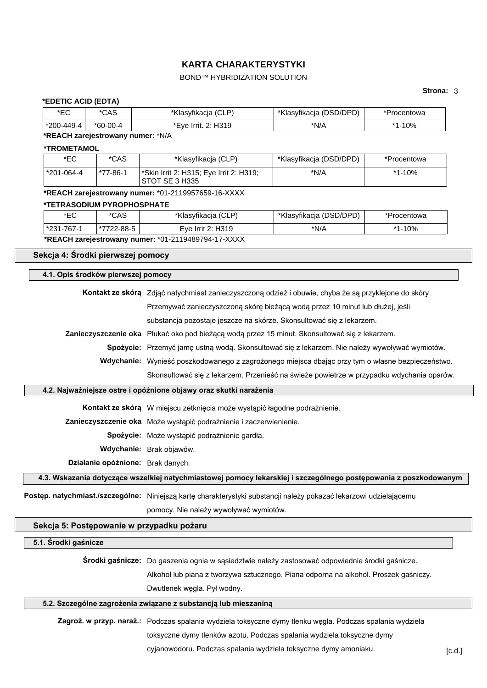## BOND™ HYBRIDIZATION SOLUTION

### **Strona:** 3

| *EDETIC ACID (EDTA)                |                                                                    |                                                                                                                    |                         |             |
|------------------------------------|--------------------------------------------------------------------|--------------------------------------------------------------------------------------------------------------------|-------------------------|-------------|
| $E_{C}$                            | *CAS                                                               | *Klasyfikacja (CLP)                                                                                                | *Klasyfikacja (DSD/DPD) | *Procentowa |
| *200-449-4                         | $*60-00-4$                                                         | *Eye Irrit. 2: H319                                                                                                | $*N/A$                  | $*1 - 10%$  |
| *REACH zarejestrowany numer: *N/A  |                                                                    |                                                                                                                    |                         |             |
| *TROMETAMOL                        |                                                                    |                                                                                                                    |                         |             |
| $*EC$                              | *CAS                                                               | *Klasyfikacja (CLP)                                                                                                | *Klasyfikacja (DSD/DPD) | *Procentowa |
| *201-064-4                         | $*77 - 86 - 1$                                                     | *Skin Irrit 2: H315; Eye Irrit 2: H319;<br>STOT SE 3 H335                                                          | $*N/A$                  | $*1 - 10%$  |
|                                    |                                                                    | *REACH zarejestrowany numer: *01-2119957659-16-XXXX                                                                |                         |             |
| *TETRASODIUM PYROPHOSPHATE         |                                                                    |                                                                                                                    |                         |             |
| *EC                                | *CAS                                                               | *Klasyfikacja (CLP)                                                                                                | *Klasyfikacja (DSD/DPD) | *Procentowa |
| *231-767-1                         | *7722-88-5                                                         | Eye Irrit 2: H319                                                                                                  | $*N/A$                  | $*1 - 10%$  |
|                                    |                                                                    | *REACH zarejestrowany numer: *01-2119489794-17-XXXX                                                                |                         |             |
| Sekcja 4: Środki pierwszej pomocy  |                                                                    |                                                                                                                    |                         |             |
| 4.1. Opis środków pierwszej pomocy |                                                                    |                                                                                                                    |                         |             |
|                                    |                                                                    | Kontakt ze skórą Zdjąć natychmiast zanieczyszczoną odzież i obuwie, chyba że są przyklejone do skóry.              |                         |             |
|                                    |                                                                    | Przemywać zanieczyszczoną skórę bieżącą wodą przez 10 minut lub dłużej, jeśli                                      |                         |             |
|                                    |                                                                    | substancja pozostaje jeszcze na skórze. Skonsultować się z lekarzem.                                               |                         |             |
|                                    |                                                                    | Zanieczyszczenie oka Płukać oko pod bieżącą wodą przez 15 minut. Skonsultować się z lekarzem.                      |                         |             |
|                                    |                                                                    | Spożycie: Przemyć jamę ustną wodą. Skonsultować się z lekarzem. Nie należy wywoływać wymiotów.                     |                         |             |
|                                    |                                                                    | Wdychanie: Wynieść poszkodowanego z zagrożonego miejsca dbając przy tym o własne bezpieczeństwo.                   |                         |             |
|                                    |                                                                    | Skonsultować się z lekarzem. Przenieść na świeże powietrze w przypadku wdychania oparów.                           |                         |             |
|                                    |                                                                    | 4.2. Najważniejsze ostre i opóźnione objawy oraz skutki narażenia                                                  |                         |             |
|                                    |                                                                    |                                                                                                                    |                         |             |
|                                    |                                                                    | Kontakt ze skórą W miejscu zetknięcia może wystąpić łagodne podrażnienie.                                          |                         |             |
|                                    | Zanieczyszczenie oka Może wystąpić podrażnienie i zaczerwienienie. |                                                                                                                    |                         |             |
|                                    |                                                                    | Spożycie: Może wystąpić podrażnienie gardła.                                                                       |                         |             |
|                                    |                                                                    | Wdychanie: Brak objawów.                                                                                           |                         |             |
|                                    |                                                                    | Działanie opóźnione: Brak danych.                                                                                  |                         |             |
|                                    |                                                                    | 4.3. Wskazania dotyczące wszelkiej natychmiastowej pomocy lekarskiej i szczególnego postępowania z poszkodowanym   |                         |             |
|                                    |                                                                    | Postęp. natychmiast./szczególne: Niniejszą kartę charakterystyki substancji należy pokazać lekarzowi udzielającemu |                         |             |
|                                    |                                                                    | pomocy. Nie należy wywoływać wymiotów.                                                                             |                         |             |
|                                    |                                                                    | Sekcja 5: Postępowanie w przypadku pożaru                                                                          |                         |             |
| 5.1. Środki gaśnicze               |                                                                    |                                                                                                                    |                         |             |
|                                    |                                                                    | Środki gaśnicze: Do gaszenia ognia w sąsiedztwie należy zastosować odpowiednie środki gaśnicze.                    |                         |             |
|                                    |                                                                    | Alkohol lub piana z tworzywa sztucznego. Piana odporna na alkohol. Proszek gaśniczy.                               |                         |             |
|                                    |                                                                    | Dwutlenek węgla. Pył wodny.                                                                                        |                         |             |
|                                    |                                                                    | 5.2. Szczególne zagrożenia związane z substancją lub mieszaniną                                                    |                         |             |
|                                    |                                                                    | Zagroż. w przyp. naraż.: Podczas spalania wydziela toksyczne dymy tlenku węgla. Podczas spalania wydziela          |                         |             |
|                                    |                                                                    | toksyczne dymy tlenków azotu. Podczas spalania wydziela toksyczne dymy                                             |                         |             |
|                                    |                                                                    |                                                                                                                    |                         |             |
|                                    |                                                                    | cyjanowodoru. Podczas spalania wydziela toksyczne dymy amoniaku.                                                   |                         | [c.d.]      |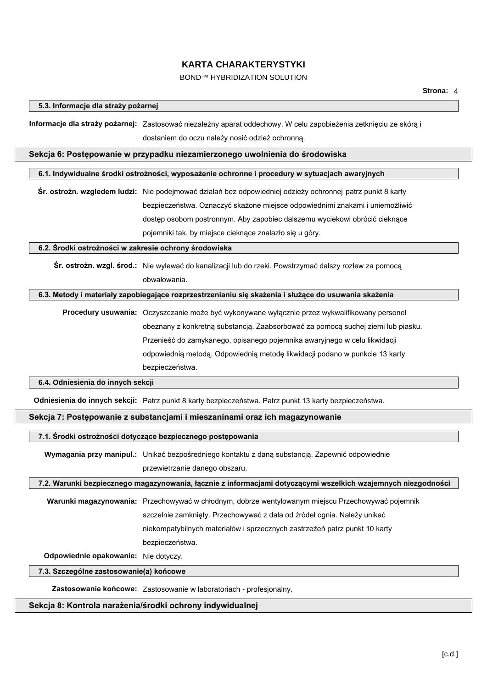### BOND™ HYBRIDIZATION SOLUTION

|                                                       | Informacje dla straży pożarnej: Zastosować niezależny aparat oddechowy. W celu zapobieżenia zetknięciu ze skórą i |
|-------------------------------------------------------|-------------------------------------------------------------------------------------------------------------------|
|                                                       | dostaniem do oczu należy nosić odzież ochronną.                                                                   |
|                                                       | Sekcja 6: Postępowanie w przypadku niezamierzonego uwolnienia do środowiska                                       |
|                                                       | 6.1. Indywidualne środki ostrożności, wyposażenie ochronne i procedury w sytuacjach awaryjnych                    |
|                                                       | Śr. ostrożn. wzgledem ludzi: Nie podejmować działań bez odpowiedniej odzieży ochronnej patrz punkt 8 karty        |
|                                                       | bezpieczeństwa. Oznaczyć skażone miejsce odpowiednimi znakami i uniemożliwić                                      |
|                                                       | dostęp osobom postronnym. Aby zapobiec dalszemu wyciekowi obrócić cieknące                                        |
|                                                       | pojemniki tak, by miejsce cieknące znalazło się u góry.                                                           |
|                                                       |                                                                                                                   |
| 6.2. Środki ostrożności w zakresie ochrony środowiska |                                                                                                                   |
|                                                       | Śr. ostrożn. wzgl. środ.: Nie wylewać do kanalizacji lub do rzeki. Powstrzymać dalszy rozlew za pomocą            |
|                                                       | obwałowania.                                                                                                      |
|                                                       | 6.3. Metody i materiały zapobiegające rozprzestrzenianiu się skażenia i służące do usuwania skażenia              |
|                                                       | Procedury usuwania: Oczyszczanie może być wykonywane wyłącznie przez wykwalifikowany personel                     |
|                                                       | obeznany z konkretną substancją. Zaabsorbować za pomocą suchej ziemi lub piasku.                                  |
|                                                       | Przenieść do zamykanego, opisanego pojemnika awaryjnego w celu likwidacji                                         |
|                                                       | odpowiednią metodą. Odpowiednią metodę likwidacji podano w punkcie 13 karty                                       |
|                                                       | bezpieczeństwa.                                                                                                   |
| 6.4. Odniesienia do innych sekcji                     |                                                                                                                   |
|                                                       | Odniesienia do innych sekcji: Patrz punkt 8 karty bezpieczeństwa. Patrz punkt 13 karty bezpieczeństwa.            |
|                                                       |                                                                                                                   |
|                                                       | Sekcja 7: Postępowanie z substancjami i mieszaninami oraz ich magazynowanie                                       |
|                                                       | 7.1. Środki ostrożności dotyczące bezpiecznego postępowania                                                       |
|                                                       |                                                                                                                   |
|                                                       | Wymagania przy manipul.: Unikać bezpośredniego kontaktu z daną substancją. Zapewnić odpowiednie                   |
|                                                       | przewietrzanie danego obszaru.                                                                                    |
|                                                       | 7.2. Warunki bezpiecznego magazynowania, łącznie z informacjami dotyczącymi wszelkich wzajemnych niezgodności     |
|                                                       | Warunki magazynowania: Przechowywać w chłodnym, dobrze wentylowanym miejscu Przechowywać pojemnik                 |
|                                                       | szczelnie zamknięty. Przechowywać z dala od źródeł ognia. Należy unikać                                           |
|                                                       | niekompatybilnych materiałów i sprzecznych zastrzeżeń patrz punkt 10 karty                                        |
|                                                       | bezpieczeństwa.                                                                                                   |
| Odpowiednie opakowanie: Nie dotyczy.                  |                                                                                                                   |
| 7.3. Szczególne zastosowanie(a) końcowe               | Zastosowanie końcowe: Zastosowanie w laboratoriach - profesjonalny.                                               |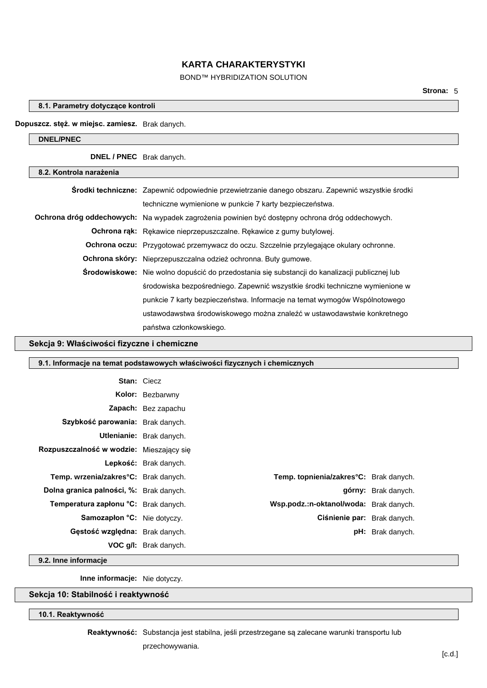### BOND™ HYBRIDIZATION SOLUTION

### **8.1. Parametry dotyczące kontroli**

#### **Dopuszcz. stęż. w miejsc. zamiesz.** Brak danych.

# **DNEL/PNEC DNEL / PNEC** Brak danych. **8.2. Kontrola narażenia Środki techniczne:** Zapewnić odpowiednie przewietrzanie danego obszaru. Zapewnić wszystkie środki techniczne wymienione w punkcie 7 karty bezpieczeństwa. **Ochrona dróg oddechowych:** Na wypadek zagrożenia powinien być dostępny ochrona dróg oddechowych. **Ochrona rąk:** Rękawice nieprzepuszczalne. Rękawice z gumy butylowej. **Ochrona oczu:** Przygotować przemywacz do oczu. Szczelnie przylegające okulary ochronne. **Ochrona skóry:** Nieprzepuszczalna odzież ochronna. Buty gumowe. **Środowiskowe:** Nie wolno dopuścić do przedostania się substancji do kanalizacji publicznej lub środowiska bezpośredniego. Zapewnić wszystkie środki techniczne wymienione w punkcie 7 karty bezpieczeństwa. Informacje na temat wymogów Wspólnotowego ustawodawstwa środowiskowego można znaleźć w ustawodawstwie konkretnego państwa członkowskiego.

### **Sekcja 9: Właściwości fizyczne i chemiczne**

|  |  | 9.1. Informacje na temat podstawowych właściwości fizycznych i chemicznych |
|--|--|----------------------------------------------------------------------------|
|  |  |                                                                            |

| <b>Stan: Ciecz</b>                       |                              |                                                     |                         |
|------------------------------------------|------------------------------|-----------------------------------------------------|-------------------------|
|                                          | <b>Kolor:</b> Bezbarwny      |                                                     |                         |
|                                          | <b>Zapach:</b> Bez zapachu   |                                                     |                         |
| Szybkość parowania: Brak danych.         |                              |                                                     |                         |
|                                          | Utlenianie: Brak danych.     |                                                     |                         |
| Rozpuszczalność w wodzie: Mieszający się |                              |                                                     |                         |
|                                          | Lepkość: Brak danych.        |                                                     |                         |
| Temp. wrzenia/zakres°C: Brak danych.     |                              | Temp. topnienia/zakres <sup>o</sup> C: Brak danych. |                         |
| Dolna granica palności, %: Brak danych.  |                              |                                                     | górny: Brak danych.     |
| Temperatura zapłonu °C: Brak danych.     |                              | Wsp.podz.:n-oktanol/woda: Brak danych.              |                         |
| <b>Samozapion °C:</b> Nie dotyczy.       |                              | Ciśnienie par: Brak danych.                         |                         |
| Gęstość względna: Brak danych.           |                              |                                                     | <b>pH:</b> Brak danych. |
|                                          | <b>VOC g/I:</b> Brak danych. |                                                     |                         |

**9.2. Inne informacje**

**Inne informacje:** Nie dotyczy.

## **Sekcja 10: Stabilność i reaktywność**

**10.1. Reaktywność**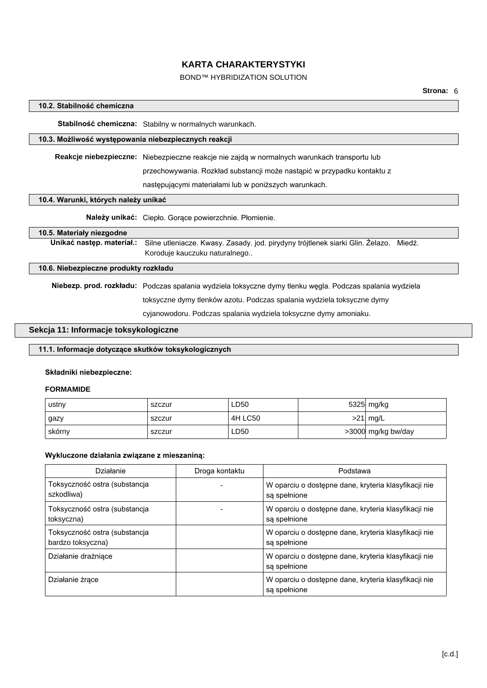### BOND™ HYBRIDIZATION SOLUTION

### **10.2. Stabilność chemiczna**

**Stabilność chemiczna:** Stabilny w normalnych warunkach.

### **10.3. Możliwość występowania niebezpiecznych reakcji**

**Reakcje niebezpieczne:** Niebezpieczne reakcje nie zajdą w normalnych warunkach transportu lub

przechowywania. Rozkład substancji może nastąpić w przypadku kontaktu z

następującymi materiałami lub w poniższych warunkach.

#### **10.4. Warunki, których należy unikać**

**Należy unikać:** Ciepło. Gorące powierzchnie. Płomienie.

# **10.5. Materiały niezgodne**

**Unikać następ. materiał.:** Silne utleniacze. Kwasy. Zasady. jod. pirydyny trójtlenek siarki Glin. Żelazo. Miedź. Koroduje kauczuku naturalnego..

#### **10.6. Niebezpieczne produkty rozkładu**

**Niebezp. prod. rozkładu:** Podczas spalania wydziela toksyczne dymy tlenku węgla. Podczas spalania wydziela

toksyczne dymy tlenków azotu. Podczas spalania wydziela toksyczne dymy

cyjanowodoru. Podczas spalania wydziela toksyczne dymy amoniaku.

### **Sekcja 11: Informacje toksykologiczne**

### **11.1. Informacje dotyczące skutków toksykologicznych**

### **Składniki niebezpieczne:**

### **FORMAMIDE**

| ustny  | szczur | LD50    | 5325 mg/kg         |
|--------|--------|---------|--------------------|
| gazy   | szczur | 4H LC50 | $>21$ mg/L         |
| skórny | szczur | LD50    | >3000 mg/kg bw/day |

#### **Wykluczone działania związane z mieszaniną:**

| Działanie                                          | Droga kontaktu | Podstawa                                                             |
|----------------------------------------------------|----------------|----------------------------------------------------------------------|
| Toksyczność ostra (substancja<br>szkodliwa)        |                | W oparciu o dostępne dane, kryteria klasyfikacji nie<br>sa spełnione |
| Toksyczność ostra (substancja<br>toksyczna)        |                | W oparciu o dostępne dane, kryteria klasyfikacji nie<br>sa spełnione |
| Toksyczność ostra (substancja<br>bardzo toksyczna) |                | W oparciu o dostępne dane, kryteria klasyfikacji nie<br>sa spełnione |
| Działanie drażniace                                |                | W oparciu o dostępne dane, kryteria klasyfikacji nie<br>są spełnione |
| Działanie żrace                                    |                | W oparciu o dostępne dane, kryteria klasyfikacji nie<br>sa spełnione |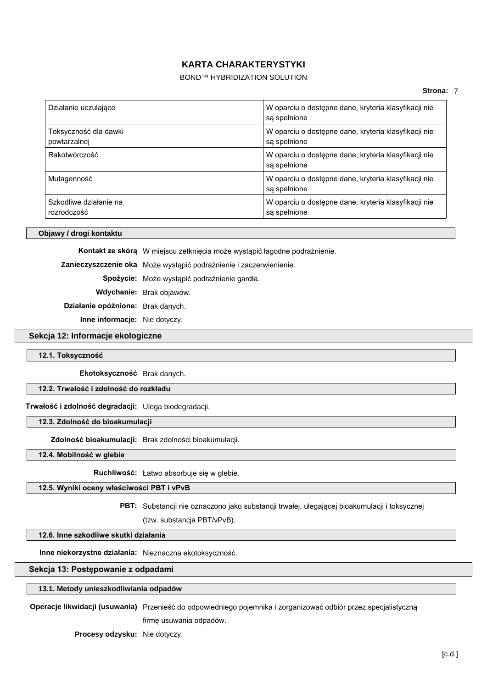### BOND™ HYBRIDIZATION SOLUTION

### **Strona:** 7

| Działanie uczulające                  | W oparciu o dostępne dane, kryteria klasyfikacji nie<br>sa spełnione |
|---------------------------------------|----------------------------------------------------------------------|
| Toksyczność dla dawki<br>powtarzalnej | W oparciu o dostępne dane, kryteria klasyfikacji nie<br>sa spełnione |
| Rakotwórczość                         | W oparciu o dostępne dane, kryteria klasyfikacji nie<br>sa spełnione |
| Mutagenność                           | W oparciu o dostępne dane, kryteria klasyfikacji nie<br>sa spełnione |
| Szkodliwe działanie na<br>rozrodczość | W oparciu o dostępne dane, kryteria klasyfikacji nie<br>sa spełnione |

#### **Objawy / drogi kontaktu**

**Kontakt ze skórą** W miejscu zetknięcia może wystąpić łagodne podrażnienie.

**Zanieczyszczenie oka** Może wystąpić podrażnienie i zaczerwienienie.

**Spożycie:** Może wystąpić podrażnienie gardła.

**Wdychanie:** Brak objawów.

**Działanie opóźnione:** Brak danych.

**Inne informacje:** Nie dotyczy.

#### **Sekcja 12: Informacje ekologiczne**

#### **12.1. Toksyczność**

**Ekotoksyczność** Brak danych.

### **12.2. Trwałość i zdolność do rozkładu**

**Trwałość i zdolność degradacji:** Ulega biodegradacji.

**12.3. Zdolność do bioakumulacji**

**Zdolność bioakumulacji:** Brak zdolności bioakumulacji.

**12.4. Mobilność w glebie**

**Ruchliwość:** Łatwo absorbuje się w glebie.

### **12.5. Wyniki oceny właściwości PBT i vPvB**

**PBT:** Substancji nie oznaczono jako substancji trwałej, ulegającej bioakumulacji i toksycznej

(tzw. substancja PBT/vPvB).

#### **12.6. Inne szkodliwe skutki działania**

**Inne niekorzystne działania:** Nieznaczna ekotoksyczność.

#### **Sekcja 13: Postępowanie z odpadami**

#### **13.1. Metody unieszkodliwiania odpadów**

**Operacje likwidacji (usuwania)** Przenieść do odpowiedniego pojemnika i zorganizować odbiór przez specjalistyczną firmę usuwania odpadów.

**Procesy odzysku:** Nie dotyczy.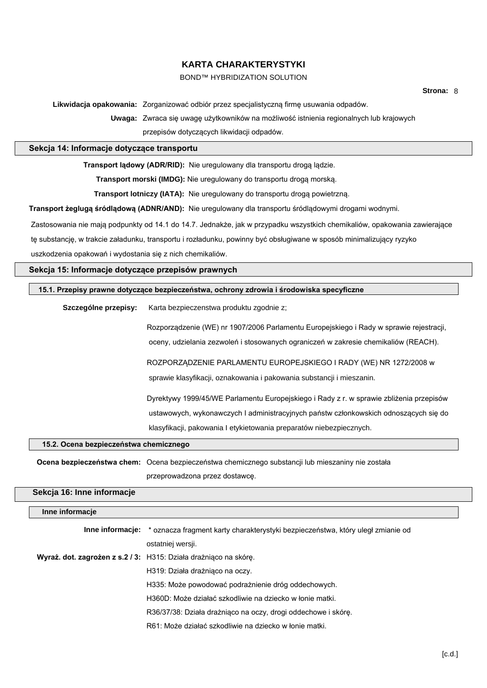### BOND™ HYBRIDIZATION SOLUTION

**Likwidacja opakowania:** Zorganizować odbiór przez specjalistyczną firmę usuwania odpadów.

**Uwaga:** Zwraca się uwagę użytkowników na możliwość istnienia regionalnych lub krajowych

przepisów dotyczących likwidacji odpadów.

#### **Sekcja 14: Informacje dotyczące transportu**

**Transport lądowy (ADR/RID):** Nie uregulowany dla transportu drogą lądzie.

**Transport morski (IMDG):** Nie uregulowany do transportu drogą morską.

**Transport lotniczy (IATA):** Nie uregulowany do transportu drogą powietrzną.

**Transport żeglugą śródlądową (ADNR/AND):** Nie uregulowany dla transportu śródlądowymi drogami wodnymi.

Zastosowania nie mają podpunkty od 14.1 do 14.7. Jednakże, jak w przypadku wszystkich chemikaliów, opakowania zawierające

tę substancję, w trakcie załadunku, transportu i rozładunku, powinny być obsługiwane w sposób minimalizujący ryzyko

uszkodzenia opakowań i wydostania się z nich chemikaliów.

#### **Sekcja 15: Informacje dotyczące przepisów prawnych**

#### **15.1. Przepisy prawne dotyczące bezpieczeństwa, ochrony zdrowia i środowiska specyficzne**

Szczególne przepisy: Karta bezpieczenstwa produktu zgodnie z;

Rozporządzenie (WE) nr 1907/2006 Parlamentu Europejskiego i Rady w sprawie rejestracji,

oceny, udzielania zezwoleń i stosowanych ograniczeń w zakresie chemikaliów (REACH).

ROZPORZĄDZENIE PARLAMENTU EUROPEJSKIEGO I RADY (WE) NR 1272/2008 w

sprawie klasyfikacji, oznakowania i pakowania substancji i mieszanin.

Dyrektywy 1999/45/WE Parlamentu Europejskiego i Rady z r. w sprawie zbliżenia przepisów ustawowych, wykonawczych I administracyjnych państw członkowskich odnoszących się do klasyfikacji, pakowania I etykietowania preparatów niebezpiecznych.

#### **15.2. Ocena bezpieczeństwa chemicznego**

**Ocena bezpieczeństwa chem:** Ocena bezpieczeństwa chemicznego substancji lub mieszaniny nie została przeprowadzona przez dostawcę.

### **Sekcja 16: Inne informacje**

| Inne informacje |                                                                                                         |
|-----------------|---------------------------------------------------------------------------------------------------------|
|                 | <b>Inne informacje:</b> * oznacza fragment karty charakterystyki bezpieczeństwa, który uległ zmianie od |
|                 | ostatniej wersji.                                                                                       |
|                 | Wyraż. dot. zagrożen z s.2 / 3: H315: Działa drażniąco na skóre.                                        |
|                 | H319: Działa drażniąco na oczy.                                                                         |
|                 | H335: Może powodować podrażnienie dróg oddechowych.                                                     |
|                 | H360D: Może działać szkodliwie na dziecko w łonie matki.                                                |
|                 | R36/37/38: Działa drażniąco na oczy, drogi oddechowe i skóre.                                           |
|                 | R61: Może działać szkodliwie na dziecko w łonie matki.                                                  |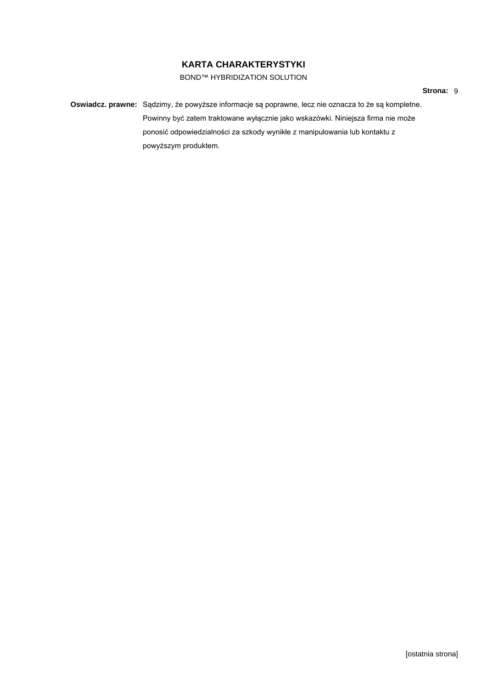### BOND™ HYBRIDIZATION SOLUTION

**Oswiadcz. prawne:** Sądzimy, że powyższe informacje są poprawne, lecz nie oznacza to że są kompletne. Powinny być zatem traktowane wyłącznie jako wskazówki. Niniejsza firma nie może ponosić odpowiedzialności za szkody wynikłe z manipulowania lub kontaktu z powyższym produktem.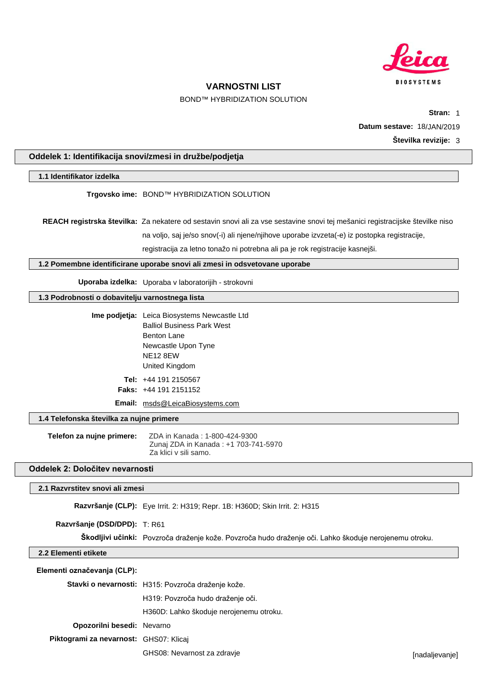

BOND™ HYBRIDIZATION SOLUTION

**Stran:** 1 **Datum sestave:** 18/JAN/2019 **Številka revizije:** 3

### **Oddelek 1: Identifikacija snovi/zmesi in družbe/podjetja**

### **1.1 Identifikator izdelka**

**Trgovsko ime:** BOND™ HYBRIDIZATION SOLUTION

**REACH registrska številka:** Za nekatere od sestavin snovi ali za vse sestavine snovi tej mešanici registracijske številke niso na voljo, saj je/so snov(-i) ali njene/njihove uporabe izvzeta(-e) iz postopka registracije,

registracija za letno tonažo ni potrebna ali pa je rok registracije kasnejši.

**1.2 Pomembne identificirane uporabe snovi ali zmesi in odsvetovane uporabe**

**Uporaba izdelka:** Uporaba v laboratorijih - strokovni

**1.3 Podrobnosti o dobavitelju varnostnega lista**

| <b>Ime podjetja:</b> Leica Biosystems Newcastle Ltd |
|-----------------------------------------------------|
| <b>Balliol Business Park West</b>                   |
| <b>Benton Lane</b>                                  |
| Newcastle Upon Tyne                                 |
| <b>NE12 8EW</b>                                     |
| United Kingdom                                      |
| <b>Tel:</b> $+44$ 191 2150567                       |
| <b>Faks:</b> $+44$ 191 2151152                      |
| <b>Email:</b> msds@LeicaBiosystems.com              |

### **1.4 Telefonska številka za nujne primere**

**Telefon za nujne primere:** ZDA in Kanada : 1-800-424-9300 Zunaj ZDA in Kanada : +1 703-741-5970 Za klici v sili samo.

### **Oddelek 2: Določitev nevarnosti**

#### **2.1 Razvrstitev snovi ali zmesi**

**Razvršanje (CLP):** Eye Irrit. 2: H319; Repr. 1B: H360D; Skin Irrit. 2: H315

**Razvršanje (DSD/DPD):** T: R61

**Škodljivi učinki:** Povzroča draženje kože. Povzroča hudo draženje oči. Lahko škoduje nerojenemu otroku.

### **2.2 Elementi etikete**

|  | Elementi označevanja (CLP): |  |
|--|-----------------------------|--|
|--|-----------------------------|--|

**Stavki o nevarnosti:** H315: Povzroča draženje kože.

H319: Povzroča hudo draženje oči.

H360D: Lahko škoduje nerojenemu otroku.

**Opozorilni besedi:** Nevarno

**Piktogrami za nevarnost:** GHS07: Klicaj

GHS08: Nevarnost za zdravje bio nastave i svetovari sa za zdravje i svetovari sa svetovari s sa svetovari s nadaljevanje]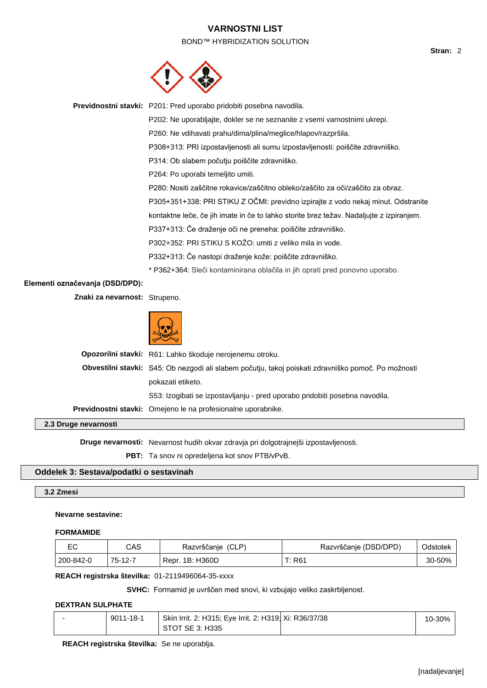BOND™ HYBRIDIZATION SOLUTION



|                               | Previdnostni stavki: P201: Pred uporabo pridobiti posebna navodila.                                 |
|-------------------------------|-----------------------------------------------------------------------------------------------------|
|                               | P202: Ne uporabljajte, dokler se ne seznanite z vsemi varnostnimi ukrepi.                           |
|                               | P260: Ne vdihavati prahu/dima/plina/meglice/hlapov/razpršila.                                       |
|                               | P308+313: PRI izpostavljenosti ali sumu izpostavljenosti: poiščite zdravniško.                      |
|                               | P314: Ob slabem počutju poiščite zdravniško.                                                        |
|                               | P264: Po uporabi temeljito umiti.                                                                   |
|                               | P280: Nositi zaščitne rokavice/zaščitno obleko/zaščito za oči/zaščito za obraz.                     |
|                               | P305+351+338: PRI STIKU Z OČMI: previdno izpirajte z vodo nekaj minut. Odstranite                   |
|                               | kontaktne leče, če jih imate in če to lahko storite brez težav. Nadaljujte z izpiranjem.            |
|                               | P337+313: Če draženje oči ne preneha: poiščite zdravniško.                                          |
|                               | P302+352: PRI STIKU S KOŽO: umiti z veliko mila in vode.                                            |
|                               | P332+313: Če nastopi draženje kože: poiščite zdravniško.                                            |
|                               | * P362+364: Sleči kontaminirana oblačila in jih oprati pred ponovno uporabo.                        |
| označevanja (DSD/DPD):        |                                                                                                     |
| Znaki za nevarnost: Strupeno. |                                                                                                     |
|                               |                                                                                                     |
|                               | Opozorilni stavki: R61: Lahko škoduje nerojenemu otroku.                                            |
|                               | Obvestilni stavki: S45: Ob nezgodi ali slabem počutju, takoj poiskati zdravniško pomoč. Po možnosti |
|                               | pokazati etiketo.                                                                                   |
|                               | S53: Izogibati se izpostavljanju - pred uporabo pridobiti posebna navodila.                         |
|                               | Previdnostni stavki: Omejeno le na profesionalne uporabnike.                                        |
| Druge nevarnosti              |                                                                                                     |
|                               |                                                                                                     |

**Druge nevarnosti:** Nevarnost hudih okvar zdravja pri dolgotrajnejši izpostavljenosti.

**PBT:** Ta snov ni opredeljena kot snov PTB/vPvB.

# **Oddelek 3: Sestava/podatki o sestavinah**

## **3.2 Zmesi**

**2.3 Druge nevarnosti**

**Elementi** 

### **Nevarne sestavine:**

### **FORMAMIDE**

| -^        | CAS     | Razvrščanje (CLP) | Razvrščanje (DSD/DPD) | Odstotek |
|-----------|---------|-------------------|-----------------------|----------|
| 200-842-0 | 75-12-7 | Repr. 1B: H360D   | Г: R61                | 30-50%   |

**REACH registrska številka:** 01-2119496064-35-xxxx

**SVHC:** Formamid je uvrščen med snovi, ki vzbujajo veliko zaskrbljenost.

# **DEXTRAN SULPHATE**

| 9011-18-1 | Skin Irrit. 2: H315; Eye Irrit. 2: H319; Xi: R36/37/38 | 10-30% |
|-----------|--------------------------------------------------------|--------|
|           | STOT SE 3: H335                                        |        |

**REACH registrska številka:** Se ne uporablja.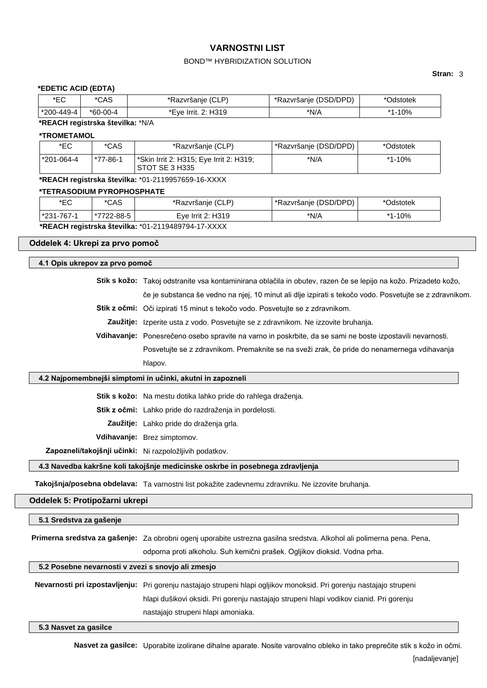### BOND™ HYBRIDIZATION SOLUTION

### **Stran:** 3

#### **\*EDETIC ACID (EDTA)**

| ∗⊏∩<br>⊵   | *CAS     | (CLP)<br>*Razvršanje             | *Razvršanje (DSD/DPD) | <b>Jdstotek</b> |
|------------|----------|----------------------------------|-----------------------|-----------------|
| *200-449-4 | *60-00-4 | 2: H319<br>*Eve<br>∙ Irrit. 2: F | *N/A                  | $.10\%$<br>$*4$ |

**\*REACH registrska številka:** \*N/A

### **\*TROMETAMOL**

| *EC         | *CAS     | *Razvršanje (CLP)                                         | <sup>+</sup> *Razvršanje (DSD/DPD) + | *Odstotek |
|-------------|----------|-----------------------------------------------------------|--------------------------------------|-----------|
| 1*201-064-4 | *77-86-1 | *Skin Irrit 2: H315; Eye Irrit 2: H319;<br>STOT SE 3 H335 | *N/A                                 | *1-10%    |

**\*REACH registrska številka:** \*01-2119957659-16-XXXX

#### **\*TETRASODIUM PYROPHOSPHATE**

| *EC                                                | *CAS       | *Razvršanje (CLP) | *Razvršanje (DSD/DPD) | *Odstotek |
|----------------------------------------------------|------------|-------------------|-----------------------|-----------|
| 1*231-767-1                                        | *7722-88-5 | Eve Irrit 2: H319 | *N/A                  | *1-10%    |
| *REACH registrska številka: *01-2119489794-17-XXXX |            |                   |                       |           |

# **Oddelek 4: Ukrepi za prvo pomoč**

**4.1 Opis ukrepov za prvo pomoč**

**Stik s kožo:** Takoj odstranite vsa kontaminirana oblačila in obutev, razen če se lepijo na kožo. Prizadeto kožo, če je substanca še vedno na njej, 10 minut ali dlje izpirati s tekočo vodo. Posvetujte se z zdravnikom.

**Stik z očmi:** Oči izpirati 15 minut s tekočo vodo. Posvetujte se z zdravnikom.

**Zaužitje:** Izperite usta z vodo. Posvetujte se z zdravnikom. Ne izzovite bruhanja.

**Vdihavanje:** Ponesrečeno osebo spravite na varno in poskrbite, da se sami ne boste izpostavili nevarnosti. Posvetujte se z zdravnikom. Premaknite se na sveži zrak, če pride do nenamernega vdihavanja hlapov.

### **4.2 Najpomembnejši simptomi in učinki, akutni in zapozneli**

**Stik s kožo:** Na mestu dotika lahko pride do rahlega draženja.

**Stik z očmi:** Lahko pride do razdraženja in pordelosti.

**Zaužitje:** Lahko pride do draženja grla.

**Vdihavanje:** Brez simptomov.

**Zapozneli/takojšnji učinki:** Ni razpoložljivih podatkov.

**4.3 Navedba kakršne koli takojšnje medicinske oskrbe in posebnega zdravljenja**

**Takojšnja/posebna obdelava:** Ta varnostni list pokažite zadevnemu zdravniku. Ne izzovite bruhanja.

### **Oddelek 5: Protipožarni ukrepi**

#### **5.1 Sredstva za gašenje**

**Primerna sredstva za gašenje:** Za obrobni ogenj uporabite ustrezna gasilna sredstva. Alkohol ali polimerna pena. Pena,

odporna proti alkoholu. Suh kemični prašek. Ogljikov dioksid. Vodna prha.

### **5.2 Posebne nevarnosti v zvezi s snovjo ali zmesjo**

**Nevarnosti pri izpostavljenju:** Pri gorenju nastajajo strupeni hlapi ogljikov monoksid. Pri gorenju nastajajo strupeni hlapi dušikovi oksidi. Pri gorenju nastajajo strupeni hlapi vodikov cianid. Pri gorenju nastajajo strupeni hlapi amoniaka.

#### **5.3 Nasvet za gasilce**

**Nasvet za gasilce:** Uporabite izolirane dihalne aparate. Nosite varovalno obleko in tako preprečite stik s kožo in očmi. **Inadalievaniel**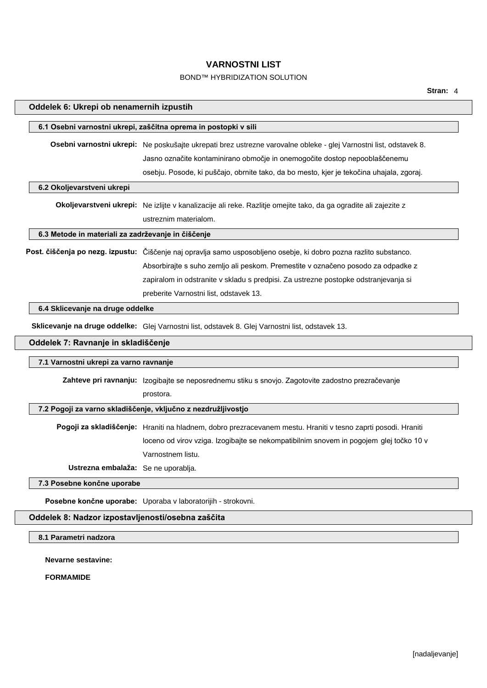# BOND™ HYBRIDIZATION SOLUTION

| Oddelek 6: Ukrepi ob nenamernih izpustih           |                                                                                                                    |
|----------------------------------------------------|--------------------------------------------------------------------------------------------------------------------|
|                                                    | 6.1 Osebni varnostni ukrepi, zaščitna oprema in postopki v sili                                                    |
|                                                    | Osebni varnostni ukrepi: Ne poskušajte ukrepati brez ustrezne varovalne obleke - glej Varnostni list, odstavek 8.  |
|                                                    | Jasno označite kontaminirano območje in onemogočite dostop nepooblaščenemu                                         |
|                                                    | osebju. Posode, ki puščajo, obrnite tako, da bo mesto, kjer je tekočina uhajala, zgoraj.                           |
| 6.2 Okoljevarstveni ukrepi                         |                                                                                                                    |
|                                                    | Okoljevarstveni ukrepi: Ne izlijte v kanalizacije ali reke. Razlitje omejite tako, da ga ogradite ali zajezite z   |
|                                                    | ustreznim materialom.                                                                                              |
| 6.3 Metode in materiali za zadrževanje in čiščenje |                                                                                                                    |
|                                                    | Post. čiščenja po nezg. izpustu: Čiščenje naj opravlja samo usposobljeno osebje, ki dobro pozna razlito substanco. |
|                                                    | Absorbirajte s suho zemljo ali peskom. Premestite v označeno posodo za odpadke z                                   |
|                                                    | zapiralom in odstranite v skladu s predpisi. Za ustrezne postopke odstranjevanja si                                |
|                                                    | preberite Varnostni list, odstavek 13.                                                                             |
| 6.4 Sklicevanje na druge oddelke                   |                                                                                                                    |
|                                                    | Sklicevanje na druge oddelke: Glej Varnostni list, odstavek 8. Glej Varnostni list, odstavek 13.                   |
| Oddelek 7: Ravnanje in skladiščenje                |                                                                                                                    |
| 7.1 Varnostni ukrepi za varno ravnanje             |                                                                                                                    |
|                                                    | Zahteve pri ravnanju: Izogibajte se neposrednemu stiku s snovjo. Zagotovite zadostno prezračevanje                 |
|                                                    | prostora.                                                                                                          |
|                                                    | 7.2 Pogoji za varno skladiščenje, vključno z nezdružljivostjo                                                      |
|                                                    | Pogoji za skladiščenje: Hraniti na hladnem, dobro prezracevanem mestu. Hraniti v tesno zaprti posodi. Hraniti      |
|                                                    | loceno od virov vziga. Izogibajte se nekompatibilnim snovem in pogojem glej točko 10 v                             |
|                                                    | Varnostnem listu.                                                                                                  |
| Ustrezna embalaža: Se ne uporablja.                |                                                                                                                    |
| 7.3 Posebne končne uporabe                         |                                                                                                                    |
|                                                    | Posebne končne uporabe: Uporaba v laboratorijih - strokovni.                                                       |
| Oddelek 8: Nadzor izpostavljenosti/osebna zaščita  |                                                                                                                    |
| 8.1 Parametri nadzora                              |                                                                                                                    |

**Nevarne sestavine:**

**FORMAMIDE**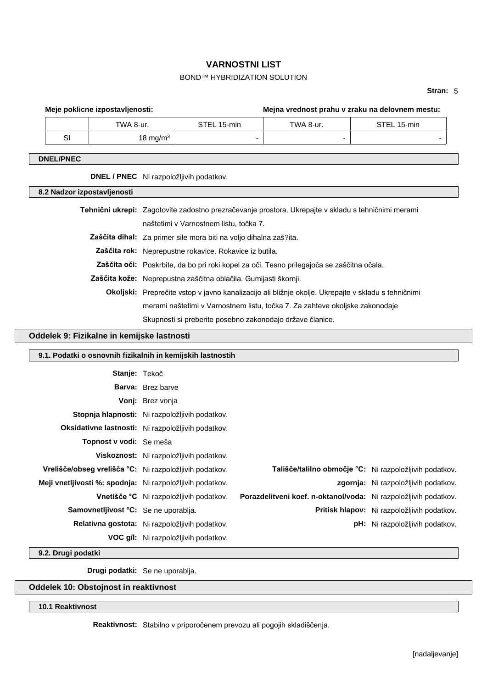# BOND™ HYBRIDIZATION SOLUTION

### **Stran:** 5

|    | Meje poklicne izpostavljenosti: |             |           | Mejna vrednost prahu v zraku na delovnem mestu: |
|----|---------------------------------|-------------|-----------|-------------------------------------------------|
|    | TWA 8-ur.                       | STEL 15-min | TWA 8-ur. | STEL 15-min                                     |
| SI | 18 mg/m $3$                     |             |           |                                                 |

### **DNEL/PNEC**

| 8.2 Nadzor izpostavljenosti |                                                                                                            |
|-----------------------------|------------------------------------------------------------------------------------------------------------|
|                             | <b>Tehnični ukrepi:</b> Zagotovite zadostno prezračevanje prostora. Ukrepajte v skladu s tehničnimi merami |
|                             | naštetimi v Varnostnem listu, točka 7.                                                                     |
|                             | <b>Zaščita dihal:</b> Za primer sile mora biti na voljo dihalna zaš?ita.                                   |
|                             | Zaščita rok: Neprepustne rokavice. Rokavice iz butila.                                                     |
|                             | <b>Zaščita oči:</b> Poskrbite, da bo pri roki kopel za oči. Tesno prilegajoča se zaščitna očala.           |
|                             | <b>Zaščita kože:</b> Neprepustna zaščitna oblačila. Gumijasti škornji.                                     |
|                             | <b>Okoljski:</b> Preprečite vstop v javno kanalizacijo ali bližnje okolje. Ukrepajte v skladu s tehničnimi |
|                             | merami naštetimi v Varnostnem listu, točka 7. Za zahteve okoljske zakonodaje                               |
|                             | Skupnosti si preberite posebno zakonodajo države članice.                                                  |

# **Oddelek 9: Fizikalne in kemijske lastnosti**

| 9.1. Podatki o osnovnih fizikalnih in kemijskih lastnostih |                                                           |                                                                  |                                             |
|------------------------------------------------------------|-----------------------------------------------------------|------------------------------------------------------------------|---------------------------------------------|
| Stanje: Tekoč                                              |                                                           |                                                                  |                                             |
|                                                            | <b>Barva:</b> Brez barve                                  |                                                                  |                                             |
|                                                            | <b>Vonj:</b> Brez vonja                                   |                                                                  |                                             |
|                                                            |                                                           |                                                                  |                                             |
|                                                            | Stopnja hlapnosti: Ni razpoložljivih podatkov.            |                                                                  |                                             |
|                                                            | <b>Oksidativne lastnosti:</b> Ni razpoložljivih podatkov. |                                                                  |                                             |
| Topnost v vodi: Se meša                                    |                                                           |                                                                  |                                             |
|                                                            | Viskoznost: Ni razpoložljivih podatkov.                   |                                                                  |                                             |
| Vrelišče/obseg vrelišča °C: Ni razpoložljivih podatkov.    |                                                           | Tališče/talilno območje °C: Ni razpoložljivih podatkov.          |                                             |
| Meji vnetljivosti %: spodnja: Ni razpoložljivih podatkov.  |                                                           |                                                                  | zgornja: Ni razpoložljivih podatkov.        |
|                                                            | <b>Vnetišče °C</b> Ni razpoložljivih podatkov.            | Porazdelitveni koef. n-oktanol/voda: Ni razpoložljivih podatkov. |                                             |
| Samovnetljivost °C: Se ne uporablja.                       |                                                           |                                                                  | Pritisk hlapov: Ni razpoložljivih podatkov. |
|                                                            | Relativna gostota: Ni razpoložljivih podatkov.            |                                                                  | <b>pH:</b> Ni razpoložljivih podatkov.      |
|                                                            | VOC g/I: Ni razpoložljivih podatkov.                      |                                                                  |                                             |

**9.2. Drugi podatki**

**Drugi podatki:** Se ne uporablja.

# **Oddelek 10: Obstojnost in reaktivnost**

### **10.1 Reaktivnost**

**Reaktivnost:** Stabilno v priporočenem prevozu ali pogojih skladiščenja.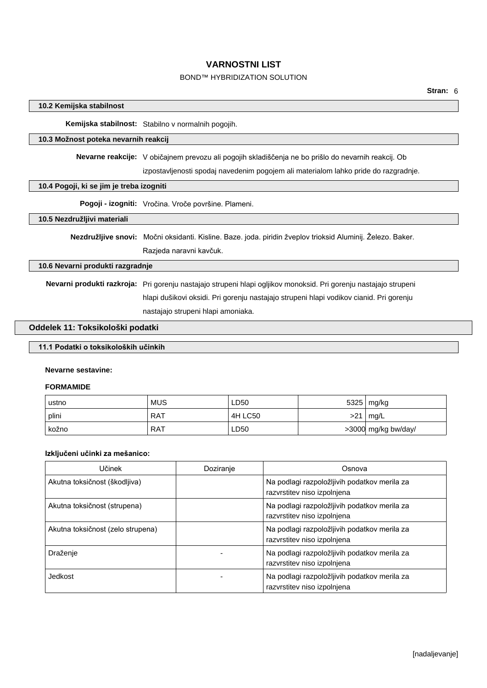## BOND™ HYBRIDIZATION SOLUTION

### **10.2 Kemijska stabilnost**

**Kemijska stabilnost:** Stabilno v normalnih pogojih.

# **10.3 Možnost poteka nevarnih reakcij**

**Nevarne reakcije:** V običajnem prevozu ali pogojih skladiščenja ne bo prišlo do nevarnih reakcij. Ob

izpostavljenosti spodaj navedenim pogojem ali materialom lahko pride do razgradnje.

### **10.4 Pogoji, ki se jim je treba izogniti**

**Pogoji - izogniti:** Vročina. Vroče površine. Plameni.

### **10.5 Nezdružljivi materiali**

**Nezdružljive snovi:** Močni oksidanti. Kisline. Baze. joda. piridin žveplov trioksid Aluminij. Železo. Baker.

Razjeda naravni kavčuk.

# **10.6 Nevarni produkti razgradnje**

**Nevarni produkti razkroja:** Pri gorenju nastajajo strupeni hlapi ogljikov monoksid. Pri gorenju nastajajo strupeni hlapi dušikovi oksidi. Pri gorenju nastajajo strupeni hlapi vodikov cianid. Pri gorenju nastajajo strupeni hlapi amoniaka.

### **Oddelek 11: Toksikološki podatki**

### **11.1 Podatki o toksikoloških učinkih**

### **Nevarne sestavine:**

#### **FORMAMIDE**

| ustno | <b>MUS</b> | LD50    |     | $5325 \mid$ mg/kg   |
|-------|------------|---------|-----|---------------------|
| plini | RAT        | 4H LC50 | >21 | $\cdot$ mg/L        |
| kožno | RAT        | LD50    |     | >3000 mg/kg bw/day/ |

## **Izključeni učinki za mešanico:**

| Učinek                            | Doziranje | Osnova                                                                      |
|-----------------------------------|-----------|-----------------------------------------------------------------------------|
| Akutna toksičnost (škodljiva)     |           | Na podlagi razpoložljivih podatkov merila za<br>razvrstitev niso izpolnjena |
| Akutna toksičnost (strupena)      |           | Na podlagi razpoložljivih podatkov merila za<br>razvrstitev niso izpolnjena |
| Akutna toksičnost (zelo strupena) |           | Na podlagi razpoložljivih podatkov merila za<br>razvrstitev niso izpolnjena |
| Draženje                          |           | Na podlagi razpoložljivih podatkov merila za<br>razvrstitev niso izpolnjena |
| Jedkost                           |           | Na podlagi razpoložljivih podatkov merila za<br>razvrstitev niso izpolnjena |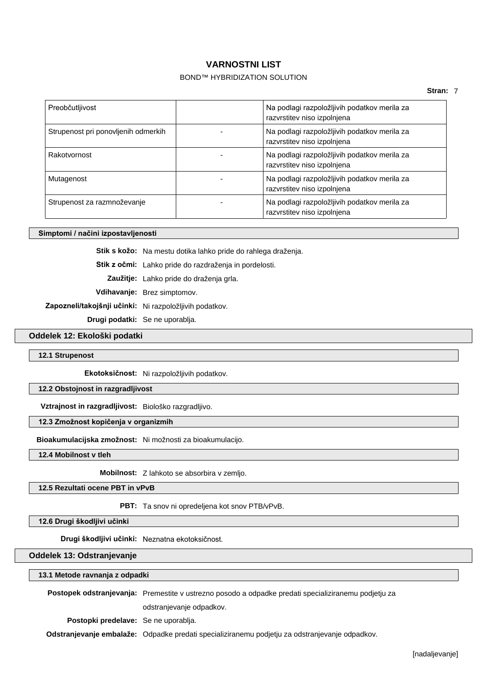## BOND™ HYBRIDIZATION SOLUTION

| Preobčutljivost                     | Na podlagi razpoložljivih podatkov merila za<br>razvrstitev niso izpolnjena |
|-------------------------------------|-----------------------------------------------------------------------------|
| Strupenost pri ponovljenih odmerkih | Na podlagi razpoložljivih podatkov merila za<br>razvrstitev niso izpolnjena |
| Rakotvornost                        | Na podlagi razpoložljivih podatkov merila za<br>razvrstitev niso izpolnjena |
| Mutagenost                          | Na podlagi razpoložljivih podatkov merila za<br>razvrstitev niso izpolnjena |
| Strupenost za razmnoževanje         | Na podlagi razpoložljivih podatkov merila za<br>razvrstitev niso izpolnjena |

#### **Simptomi / načini izpostavljenosti**

**Stik s kožo:** Na mestu dotika lahko pride do rahlega draženja.

**Stik z očmi:** Lahko pride do razdraženja in pordelosti.

**Zaužitje:** Lahko pride do draženja grla.

**Vdihavanje:** Brez simptomov.

**Zapozneli/takojšnji učinki:** Ni razpoložljivih podatkov.

**Drugi podatki:** Se ne uporablja.

## **Oddelek 12: Ekološki podatki**

#### **12.1 Strupenost**

**Ekotoksičnost:** Ni razpoložljivih podatkov.

# **12.2 Obstojnost in razgradljivost**

**Vztrajnost in razgradljivost:** Biološko razgradljivo.

### **12.3 Zmožnost kopičenja v organizmih**

**Bioakumulacijska zmožnost:** Ni možnosti za bioakumulacijo.

**12.4 Mobilnost v tleh**

**Mobilnost:** Z lahkoto se absorbira v zemljo.

### **12.5 Rezultati ocene PBT in vPvB**

**PBT:** Ta snov ni opredeljena kot snov PTB/vPvB.

**12.6 Drugi škodljivi učinki**

**Drugi škodljivi učinki:** Neznatna ekotoksičnost.

**Oddelek 13: Odstranjevanje**

|  | 13.1 Metode ravnanja z odpadki |
|--|--------------------------------|
|  |                                |

**Postopek odstranjevanja:** Premestite v ustrezno posodo a odpadke predati specializiranemu podjetju za

odstranjevanje odpadkov.

**Postopki predelave:** Se ne uporablja.

**Odstranjevanje embalaže:** Odpadke predati specializiranemu podjetju za odstranjevanje odpadkov.